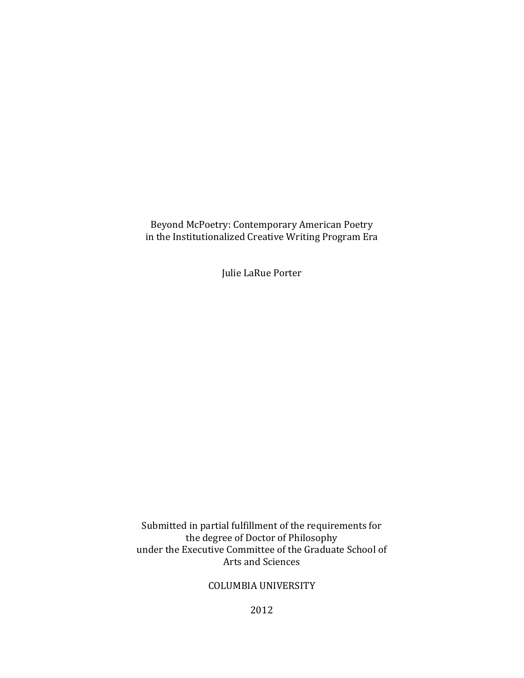Beyond McPoetry: Contemporary American Poetry in the Institutionalized Creative Writing Program Era

Julie LaRue Porter

Submitted in partial fulfillment of the requirements for the degree of Doctor of Philosophy under the Executive Committee of the Graduate School of Arts and Sciences

# COLUMBIA UNIVERSITY

2012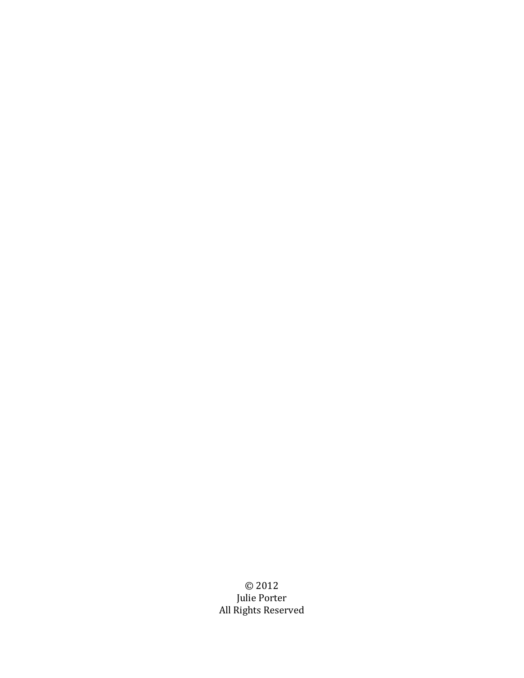©!2012 Julie Porter All Rights Reserved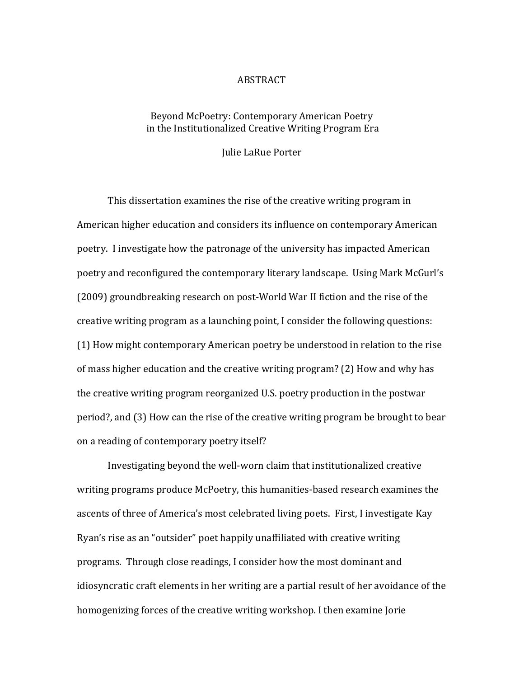#### ABSTRACT

## Beyond McPoetry: Contemporary American Poetry in the Institutionalized Creative Writing Program Era

**Julie LaRue Porter** 

This dissertation examines the rise of the creative writing program in American higher education and considers its influence on contemporary American poetry. I investigate how the patronage of the university has impacted American poetry and reconfigured the contemporary literary landscape. Using Mark McGurl's (2009) groundbreaking research on post-World War II fiction and the rise of the creative writing program as a launching point, I consider the following questions: (1) How might contemporary American poetry be understood in relation to the rise of mass higher education and the creative writing program? (2) How and why has the creative writing program reorganized U.S. poetry production in the postwar period?, and (3) How can the rise of the creative writing program be brought to bear on a reading of contemporary poetry itself?

Investigating beyond the well-worn claim that institutionalized creative writing programs produce McPoetry, this humanities-based research examines the ascents of three of America's most celebrated living poets. First, I investigate Kay Ryan's rise as an "outsider" poet happily unaffiliated with creative writing programs. Through close readings, I consider how the most dominant and idiosyncratic craft elements in her writing are a partial result of her avoidance of the homogenizing forces of the creative writing workshop. I then examine Jorie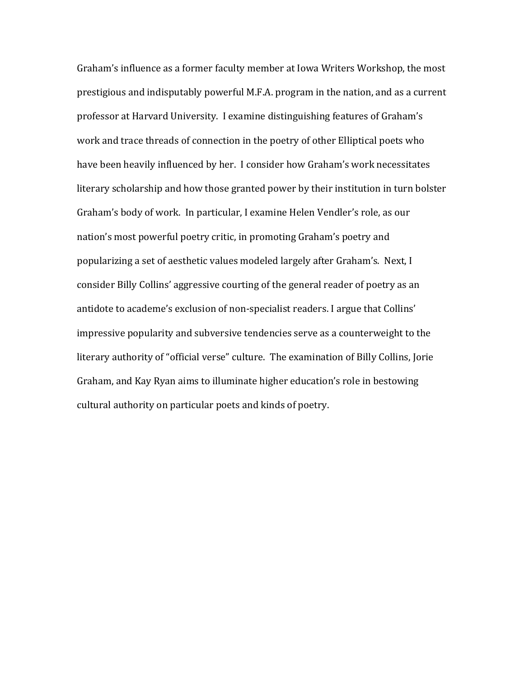Graham's influence as a former faculty member at Iowa Writers Workshop, the most prestigious and indisputably powerful M.F.A. program in the nation, and as a current professor at Harvard University. I examine distinguishing features of Graham's work and trace threads of connection in the poetry of other Elliptical poets who have been heavily influenced by her. I consider how Graham's work necessitates literary scholarship and how those granted power by their institution in turn bolster Graham's body of work. In particular, I examine Helen Vendler's role, as our nation's most powerful poetry critic, in promoting Graham's poetry and popularizing a set of aesthetic values modeled largely after Graham's. Next, I consider Billy Collins' aggressive courting of the general reader of poetry as an antidote to academe's exclusion of non-specialist readers. I argue that Collins' impressive popularity and subversive tendencies serve as a counterweight to the literary authority of "official verse" culture. The examination of Billy Collins, Jorie Graham, and Kay Ryan aims to illuminate higher education's role in bestowing cultural authority on particular poets and kinds of poetry.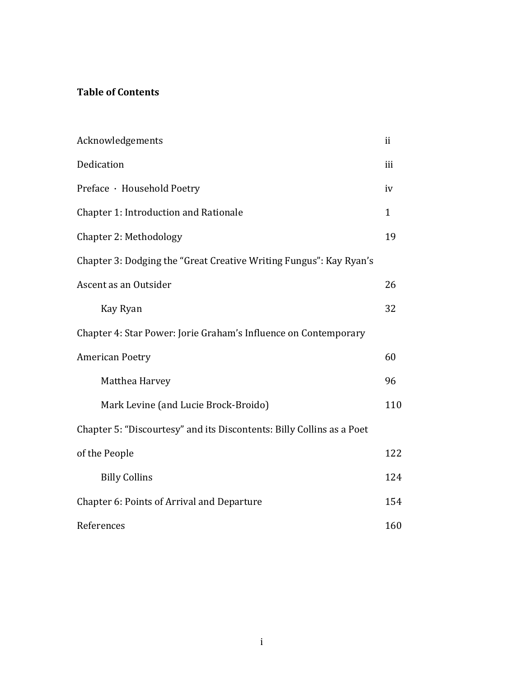# **Table of Contents**

| Acknowledgements                                                      | ii  |
|-----------------------------------------------------------------------|-----|
| Dedication                                                            | iii |
| Preface · Household Poetry                                            | iv  |
| Chapter 1: Introduction and Rationale                                 | 1   |
| Chapter 2: Methodology                                                | 19  |
| Chapter 3: Dodging the "Great Creative Writing Fungus": Kay Ryan's    |     |
| Ascent as an Outsider                                                 | 26  |
| Kay Ryan                                                              | 32  |
| Chapter 4: Star Power: Jorie Graham's Influence on Contemporary       |     |
| <b>American Poetry</b>                                                | 60  |
| Matthea Harvey                                                        | 96  |
| Mark Levine (and Lucie Brock-Broido)                                  | 110 |
| Chapter 5: "Discourtesy" and its Discontents: Billy Collins as a Poet |     |
| of the People                                                         | 122 |
| <b>Billy Collins</b>                                                  | 124 |
| Chapter 6: Points of Arrival and Departure                            | 154 |
| References                                                            | 160 |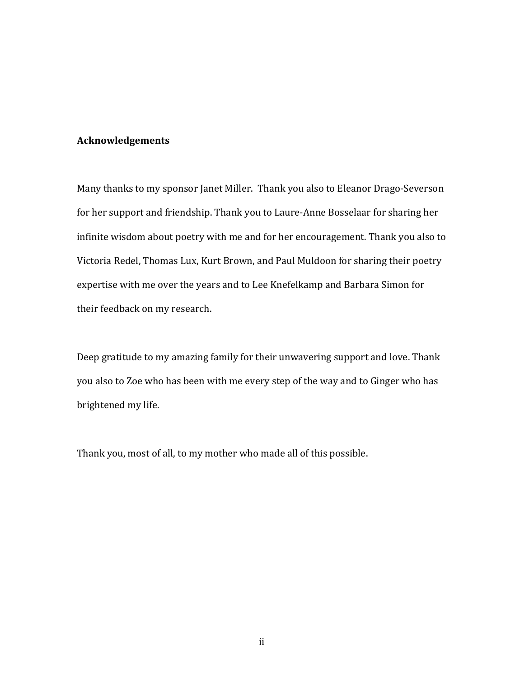### **Acknowledgements**

Many thanks to my sponsor Janet Miller. Thank you also to Eleanor Drago-Severson for her support and friendship. Thank you to Laure-Anne Bosselaar for sharing her infinite wisdom about poetry with me and for her encouragement. Thank you also to Victoria Redel, Thomas Lux, Kurt Brown, and Paul Muldoon for sharing their poetry expertise with me over the years and to Lee Knefelkamp and Barbara Simon for their feedback on my research.

Deep gratitude to my amazing family for their unwavering support and love. Thank you also to Zoe who has been with me every step of the way and to Ginger who has brightened my life.

Thank you, most of all, to my mother who made all of this possible.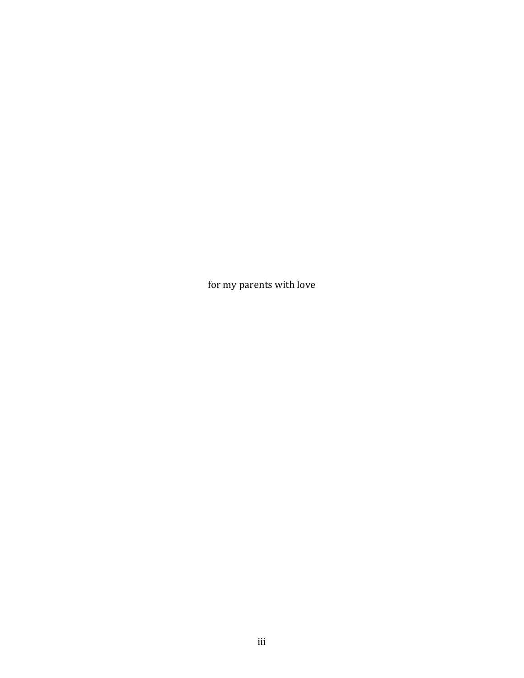for my parents with love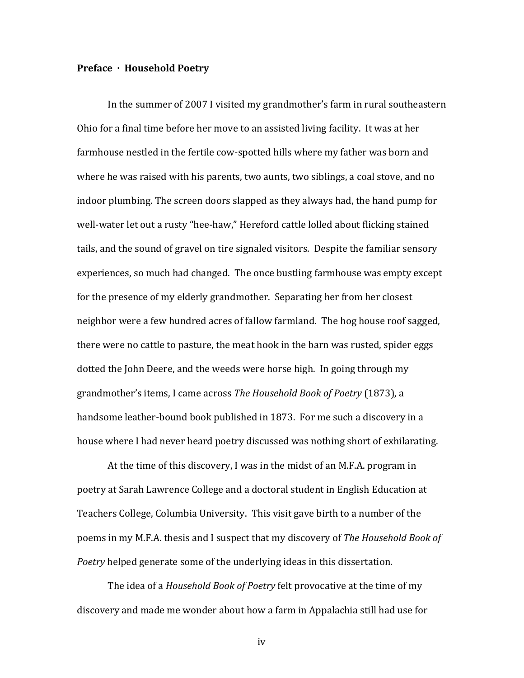#### **Preface · Household Poetry**

In the summer of 2007 I visited my grandmother's farm in rural southeastern Ohio for a final time before her move to an assisted living facility. It was at her farmhouse nestled in the fertile cow-spotted hills where my father was born and where he was raised with his parents, two aunts, two siblings, a coal stove, and no indoor plumbing. The screen doors slapped as they always had, the hand pump for well-water let out a rusty "hee-haw," Hereford cattle lolled about flicking stained tails, and the sound of gravel on tire signaled visitors. Despite the familiar sensory experiences, so much had changed. The once bustling farmhouse was empty except for the presence of my elderly grandmother. Separating her from her closest neighbor were a few hundred acres of fallow farmland. The hog house roof sagged, there were no cattle to pasture, the meat hook in the barn was rusted, spider eggs dotted the John Deere, and the weeds were horse high. In going through my grandmother's items, I came across *The Household Book of Poetry* (1873), a handsome leather-bound book published in 1873. For me such a discovery in a house where I had never heard poetry discussed was nothing short of exhilarating.

At the time of this discovery, I was in the midst of an M.F.A. program in poetry at Sarah Lawrence College and a doctoral student in English Education at Teachers College, Columbia University. This visit gave birth to a number of the poems in my M.F.A. thesis and I suspect that my discovery of *The Household Book of Poetry* helped generate some of the underlying ideas in this dissertation.

The idea of a *Household Book of Poetry* felt provocative at the time of my discovery and made me wonder about how a farm in Appalachia still had use for

iv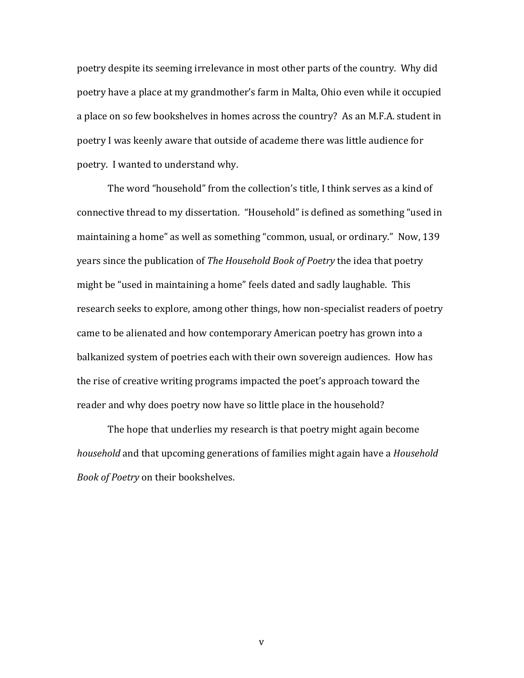poetry despite its seeming irrelevance in most other parts of the country. Why did poetry have a place at my grandmother's farm in Malta, Ohio even while it occupied a place on so few bookshelves in homes across the country? As an M.F.A. student in poetry I was keenly aware that outside of academe there was little audience for poetry. I wanted to understand why.

The word "household" from the collection's title, I think serves as a kind of connective thread to my dissertation. "Household" is defined as something "used in maintaining a home" as well as something "common, usual, or ordinary." Now, 139 years since the publication of *The Household Book of Poetry* the idea that poetry might be "used in maintaining a home" feels dated and sadly laughable. This research seeks to explore, among other things, how non-specialist readers of poetry came to be alienated and how contemporary American poetry has grown into a balkanized system of poetries each with their own sovereign audiences. How has the rise of creative writing programs impacted the poet's approach toward the reader and why does poetry now have so little place in the household?

The hope that underlies my research is that poetry might again become *household* and that upcoming generations of families might again have a *Household* **Book of Poetry on their bookshelves.** 

v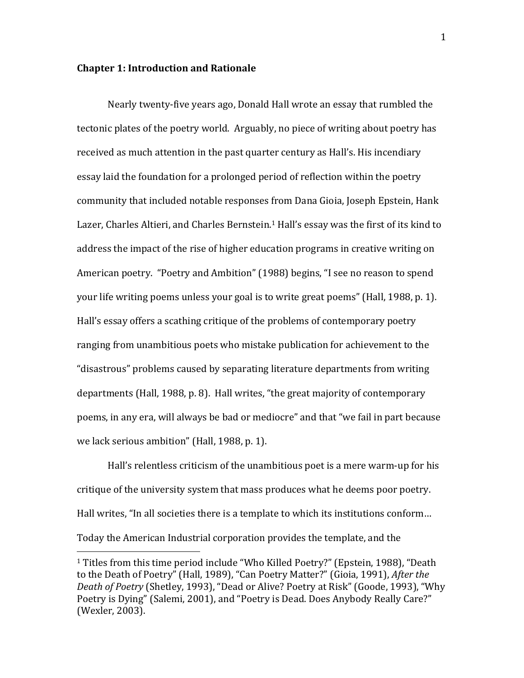#### **Chapter 1: Introduction and Rationale**

!!!!!!!!!!!!!!!!!!!!!!!!!!!!!!!!!!!!!!!!!!!!!!!!!!!!!!!

Nearly twenty-five years ago, Donald Hall wrote an essay that rumbled the tectonic plates of the poetry world. Arguably, no piece of writing about poetry has received as much attention in the past quarter century as Hall's. His incendiary essay laid the foundation for a prolonged period of reflection within the poetry community that included notable responses from Dana Gioia, Joseph Epstein, Hank Lazer, Charles Altieri, and Charles Bernstein.<sup>1</sup> Hall's essay was the first of its kind to address the impact of the rise of higher education programs in creative writing on American poetry. "Poetry and Ambition" (1988) begins, "I see no reason to spend your life writing poems unless your goal is to write great poems" (Hall, 1988, p. 1). Hall's essay offers a scathing critique of the problems of contemporary poetry ranging from unambitious poets who mistake publication for achievement to the "disastrous" problems caused by separating literature departments from writing departments (Hall, 1988, p. 8). Hall writes, "the great majority of contemporary poems, in any era, will always be bad or mediocre" and that "we fail in part because we lack serious ambition" (Hall, 1988, p. 1).

Hall's relentless criticism of the unambitious poet is a mere warm-up for his critique of the university system that mass produces what he deems poor poetry. Hall writes, "In all societies there is a template to which its institutions conform... Today the American Industrial corporation provides the template, and the

<sup>&</sup>lt;sup>1</sup> Titles from this time period include "Who Killed Poetry?" (Epstein, 1988), "Death to the Death of Poetry" (Hall, 1989), "Can Poetry Matter?" (Gioia, 1991), *After the Death of Poetry* (Shetley, 1993), "Dead or Alive? Poetry at Risk" (Goode, 1993), "Why Poetry is Dying" (Salemi, 2001), and "Poetry is Dead. Does Anybody Really Care?" (Wexler, 2003).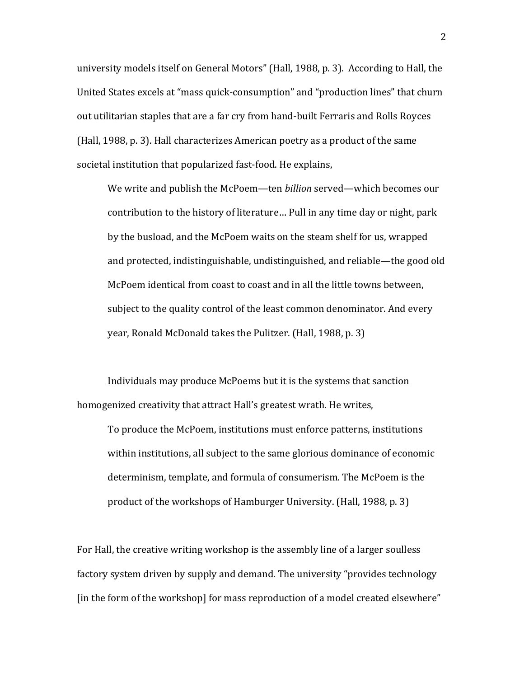university models itself on General Motors" (Hall, 1988, p. 3). According to Hall, the United States excels at "mass quick-consumption" and "production lines" that churn out utilitarian staples that are a far cry from hand-built Ferraris and Rolls Royces (Hall, 1988, p. 3). Hall characterizes American poetry as a product of the same societal institution that popularized fast-food. He explains,

We write and publish the McPoem—ten *billion* served—which becomes our contribution to the history of literature... Pull in any time day or night, park by the busload, and the McPoem waits on the steam shelf for us, wrapped and protected, indistinguishable, undistinguished, and reliable—the good old McPoem identical from coast to coast and in all the little towns between, subject to the quality control of the least common denominator. And every year, Ronald McDonald takes the Pulitzer. (Hall, 1988, p. 3)

Individuals may produce McPoems but it is the systems that sanction homogenized creativity that attract Hall's greatest wrath. He writes,

To produce the McPoem, institutions must enforce patterns, institutions within institutions, all subject to the same glorious dominance of economic determinism, template, and formula of consumerism. The McPoem is the product of the workshops of Hamburger University. (Hall, 1988, p. 3)

For Hall, the creative writing workshop is the assembly line of a larger soulless factory system driven by supply and demand. The university "provides technology [in the form of the workshop] for mass reproduction of a model created elsewhere"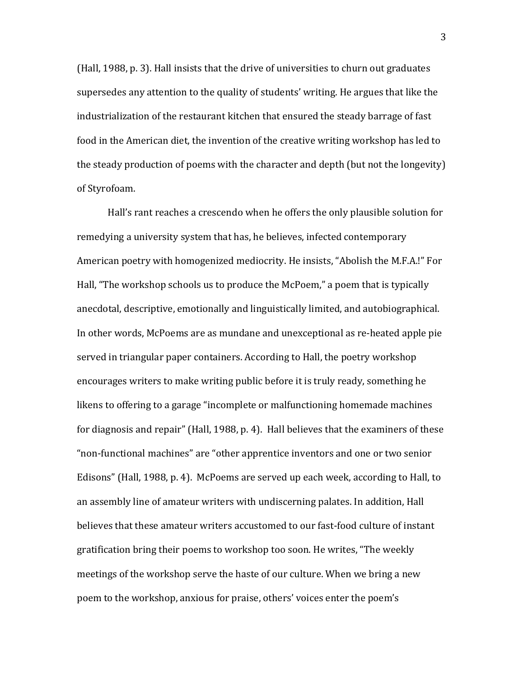(Hall, 1988, p. 3). Hall insists that the drive of universities to churn out graduates supersedes any attention to the quality of students' writing. He argues that like the industrialization of the restaurant kitchen that ensured the steady barrage of fast food in the American diet, the invention of the creative writing workshop has led to the steady production of poems with the character and depth (but not the longevity) of Styrofoam.

Hall's rant reaches a crescendo when he offers the only plausible solution for remedying a university system that has, he believes, infected contemporary American poetry with homogenized mediocrity. He insists, "Abolish the M.F.A.!" For Hall, "The workshop schools us to produce the McPoem," a poem that is typically anecdotal, descriptive, emotionally and linguistically limited, and autobiographical. In other words, McPoems are as mundane and unexceptional as re-heated apple pie served in triangular paper containers. According to Hall, the poetry workshop encourages writers to make writing public before it is truly ready, something he likens to offering to a garage "incomplete or malfunctioning homemade machines for diagnosis and repair" (Hall, 1988, p. 4). Hall believes that the examiners of these " non-functional machines" are "other apprentice inventors and one or two senior Edisons" (Hall, 1988, p. 4). McPoems are served up each week, according to Hall, to an assembly line of amateur writers with undiscerning palates. In addition, Hall believes that these amateur writers accustomed to our fast-food culture of instant gratification bring their poems to workshop too soon. He writes, "The weekly" meetings of the workshop serve the haste of our culture. When we bring a new poem to the workshop, anxious for praise, others' voices enter the poem's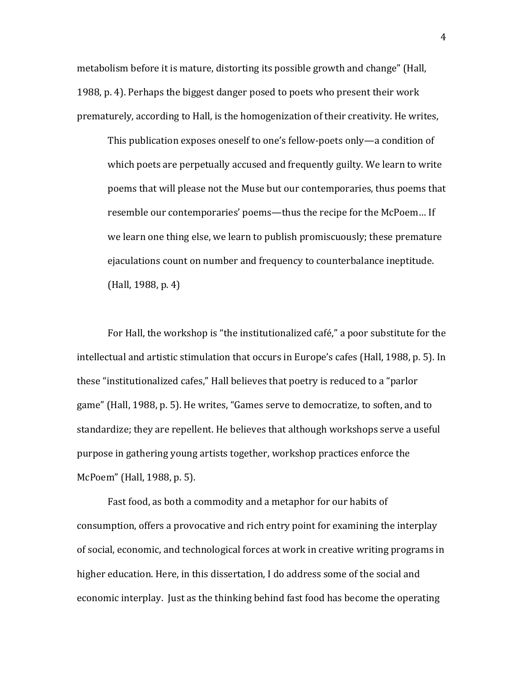metabolism before it is mature, distorting its possible growth and change" (Hall, 1988, p. 4). Perhaps the biggest danger posed to poets who present their work prematurely, according to Hall, is the homogenization of their creativity. He writes,

This publication exposes oneself to one's fellow-poets only—a condition of which poets are perpetually accused and frequently guilty. We learn to write poems that will please not the Muse but our contemporaries, thus poems that resemble our contemporaries' poems—thus the recipe for the McPoem... If we learn one thing else, we learn to publish promiscuously; these premature ejaculations count on number and frequency to counterbalance ineptitude. (Hall, 1988, p. 4)

For Hall, the workshop is "the institutionalized café," a poor substitute for the intellectual and artistic stimulation that occurs in Europe's cafes (Hall, 1988, p. 5). In these "institutionalized cafes," Hall believes that poetry is reduced to a "parlor game" (Hall, 1988, p. 5). He writes, "Games serve to democratize, to soften, and to standardize; they are repellent. He believes that although workshops serve a useful purpose in gathering young artists together, workshop practices enforce the McPoem" (Hall, 1988, p. 5).

Fast food, as both a commodity and a metaphor for our habits of consumption, offers a provocative and rich entry point for examining the interplay of social, economic, and technological forces at work in creative writing programs in higher education. Here, in this dissertation, I do address some of the social and economic interplay. Just as the thinking behind fast food has become the operating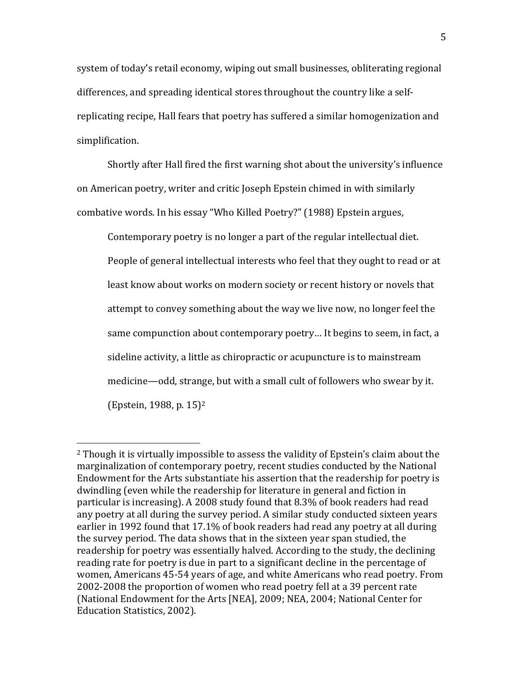system of today's retail economy, wiping out small businesses, obliterating regional differences, and spreading identical stores throughout the country like a selfreplicating recipe, Hall fears that poetry has suffered a similar homogenization and simplification.

Shortly after Hall fired the first warning shot about the university's influence on American poetry, writer and critic Joseph Epstein chimed in with similarly combative words. In his essay "Who Killed Poetry?" (1988) Epstein argues,

Contemporary poetry is no longer a part of the regular intellectual diet. People of general intellectual interests who feel that they ought to read or at least know about works on modern society or recent history or novels that attempt to convey something about the way we live now, no longer feel the same compunction about contemporary poetry... It begins to seem, in fact, a sideline activity, a little as chiropractic or acupuncture is to mainstream medicine—odd, strange, but with a small cult of followers who swear by it. (Epstein, 1988, p.  $15$ )<sup>2</sup>

!!!!!!!!!!!!!!!!!!!!!!!!!!!!!!!!!!!!!!!!!!!!!!!!!!!!!!!

 $2$  Though it is virtually impossible to assess the validity of Epstein's claim about the marginalization of contemporary poetry, recent studies conducted by the National Endowment for the Arts substantiate his assertion that the readership for poetry is dwindling (even while the readership for literature in general and fiction in particular is increasing). A 2008 study found that 8.3% of book readers had read any poetry at all during the survey period. A similar study conducted sixteen years earlier in 1992 found that 17.1% of book readers had read any poetry at all during the survey period. The data shows that in the sixteen year span studied, the readership for poetry was essentially halved. According to the study, the declining reading rate for poetry is due in part to a significant decline in the percentage of women, Americans 45-54 years of age, and white Americans who read poetry. From 2002-2008 the proportion of women who read poetry fell at a 39 percent rate (National Endowment for the Arts [NEA], 2009; NEA, 2004; National Center for Education Statistics, 2002).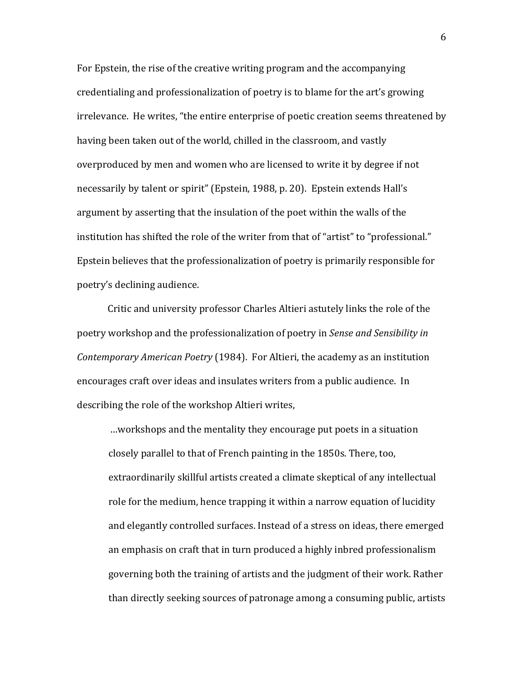For Epstein, the rise of the creative writing program and the accompanying credentialing and professionalization of poetry is to blame for the art's growing irrelevance. He writes, "the entire enterprise of poetic creation seems threatened by having been taken out of the world, chilled in the classroom, and vastly overproduced by men and women who are licensed to write it by degree if not necessarily by talent or spirit" (Epstein, 1988, p. 20). Epstein extends Hall's argument by asserting that the insulation of the poet within the walls of the institution has shifted the role of the writer from that of "artist" to "professional." Epstein believes that the professionalization of poetry is primarily responsible for poetry's declining audience.

Critic and university professor Charles Altieri astutely links the role of the poetry workshop and the professionalization of poetry in *Sense and Sensibility in Contemporary American Poetry* (1984). For Altieri, the academy as an institution encourages craft over ideas and insulates writers from a public audience. In describing the role of the workshop Altieri writes,

... workshops and the mentality they encourage put poets in a situation. closely parallel to that of French painting in the 1850s. There, too, extraordinarily skillful artists created a climate skeptical of any intellectual role for the medium, hence trapping it within a narrow equation of lucidity and elegantly controlled surfaces. Instead of a stress on ideas, there emerged an emphasis on craft that in turn produced a highly inbred professionalism governing both the training of artists and the judgment of their work. Rather than directly seeking sources of patronage among a consuming public, artists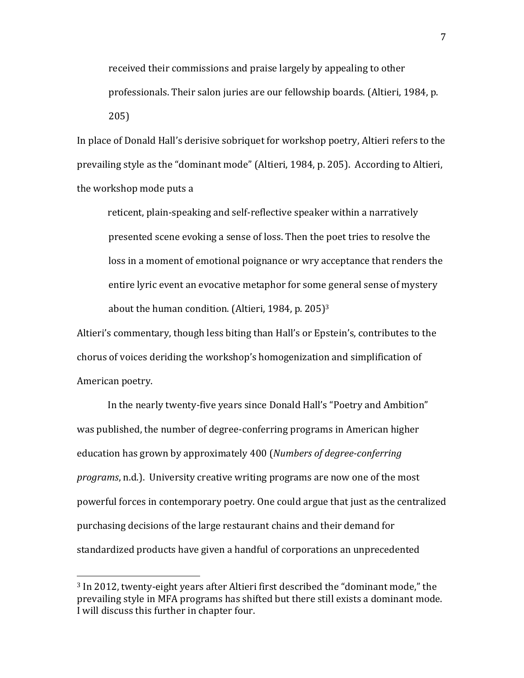received their commissions and praise largely by appealing to other professionals. Their salon juries are our fellowship boards. (Altieri, 1984, p. 205)

In place of Donald Hall's derisive sobriquet for workshop poetry, Altieri refers to the prevailing style as the "dominant mode" (Altieri, 1984, p. 205). According to Altieri, the workshop mode puts a

reticent, plain-speaking and self-reflective speaker within a narratively . presented scene evoking a sense of loss. Then the poet tries to resolve the loss in a moment of emotional poignance or wry acceptance that renders the entire lyric event an evocative metaphor for some general sense of mystery about the human condition. (Altieri, 1984, p. 205)<sup>3</sup>

Altieri's commentary, though less biting than Hall's or Epstein's, contributes to the chorus of voices deriding the workshop's homogenization and simplification of American poetry.

In the nearly twenty-five years since Donald Hall's "Poetry and Ambition" was published, the number of degree-conferring programs in American higher education has grown by approximately 400 (*Numbers of degree-conferring programs*, n.d.). University creative writing programs are now one of the most powerful forces in contemporary poetry. One could argue that just as the centralized purchasing decisions of the large restaurant chains and their demand for standardized products have given a handful of corporations an unprecedented

!!!!!!!!!!!!!!!!!!!!!!!!!!!!!!!!!!!!!!!!!!!!!!!!!!!!!!!

 $3$  In 2012, twenty-eight years after Altieri first described the "dominant mode," the prevailing style in MFA programs has shifted but there still exists a dominant mode. I will discuss this further in chapter four.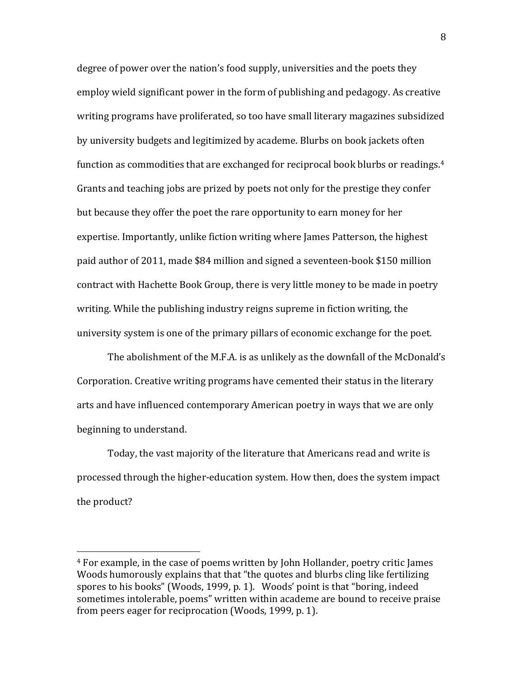degree of power over the nation's food supply, universities and the poets they employ wield significant power in the form of publishing and pedagogy. As creative writing programs have proliferated, so too have small literary magazines subsidized by university budgets and legitimized by academe. Blurbs on book jackets often function as commodities that are exchanged for reciprocal book blurbs or readings.<sup>4</sup> Grants and teaching jobs are prized by poets not only for the prestige they confer but because they offer the poet the rare opportunity to earn money for her expertise. Importantly, unlike fiction writing where James Patterson, the highest paid author of 2011, made \$84 million and signed a seventeen-book \$150 million contract with Hachette Book Group, there is very little money to be made in poetry writing. While the publishing industry reigns supreme in fiction writing, the university system is one of the primary pillars of economic exchange for the poet.

The abolishment of the M.F.A. is as unlikely as the downfall of the McDonald's Corporation. Creative writing programs have cemented their status in the literary arts and have influenced contemporary American poetry in ways that we are only beginning to understand.

Today, the vast majority of the literature that Americans read and write is processed through the higher-education system. How then, does the system impact the product?

!!!!!!!!!!!!!!!!!!!!!!!!!!!!!!!!!!!!!!!!!!!!!!!!!!!!!!!

<sup>&</sup>lt;sup>4</sup> For example, in the case of poems written by John Hollander, poetry critic James Woods humorously explains that that "the quotes and blurbs cling like fertilizing spores to his books" (Woods, 1999, p. 1). Woods' point is that "boring, indeed sometimes intolerable, poems" written within academe are bound to receive praise from peers eager for reciprocation (Woods, 1999, p. 1).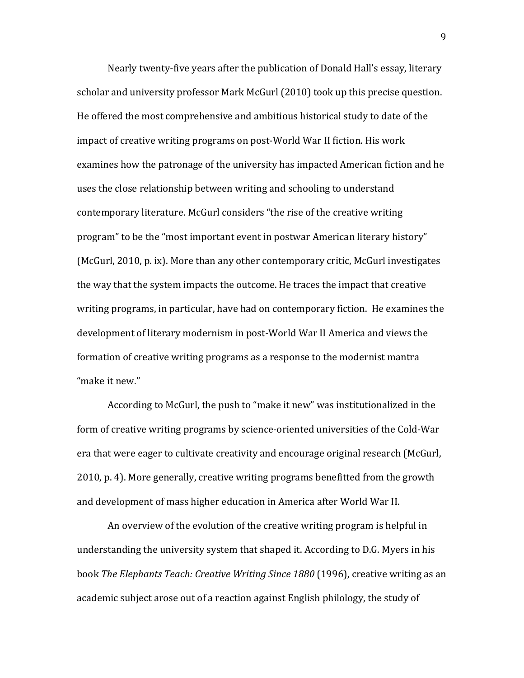Nearly twenty-five years after the publication of Donald Hall's essay, literary scholar and university professor Mark McGurl (2010) took up this precise question. He offered the most comprehensive and ambitious historical study to date of the impact of creative writing programs on post-World War II fiction. His work examines how the patronage of the university has impacted American fiction and he uses the close relationship between writing and schooling to understand contemporary literature. McGurl considers "the rise of the creative writing program" to be the "most important event in postwar American literary history" (McGurl, 2010, p. ix). More than any other contemporary critic, McGurl investigates the way that the system impacts the outcome. He traces the impact that creative writing programs, in particular, have had on contemporary fiction. He examines the development of literary modernism in post-World War II America and views the formation of creative writing programs as a response to the modernist mantra "make it new."

According to McGurl, the push to "make it new" was institutionalized in the form of creative writing programs by science-oriented universities of the Cold-War era that were eager to cultivate creativity and encourage original research (McGurl, 2010, p. 4). More generally, creative writing programs benefitted from the growth and development of mass higher education in America after World War II.

An overview of the evolution of the creative writing program is helpful in understanding the university system that shaped it. According to D.G. Myers in his book *The Elephants Teach: Creative Writing Since 1880* (1996), creative writing as an academic subject arose out of a reaction against English philology, the study of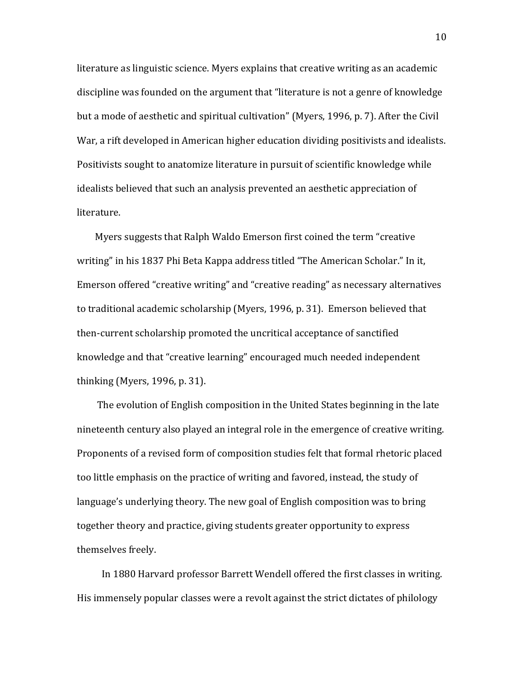literature as linguistic science. Myers explains that creative writing as an academic discipline was founded on the argument that "literature is not a genre of knowledge but a mode of aesthetic and spiritual cultivation" (Myers, 1996, p. 7). After the Civil War, a rift developed in American higher education dividing positivists and idealists. Positivists sought to anatomize literature in pursuit of scientific knowledge while idealists believed that such an analysis prevented an aesthetic appreciation of literature.

Myers suggests that Ralph Waldo Emerson first coined the term "creative" writing" in his 1837 Phi Beta Kappa address titled "The American Scholar." In it, Emerson offered "creative writing" and "creative reading" as necessary alternatives to traditional academic scholarship (Myers, 1996, p. 31). Emerson believed that then-current scholarship promoted the uncritical acceptance of sanctified knowledge and that "creative learning" encouraged much needed independent thinking (Myers, 1996, p. 31).

The evolution of English composition in the United States beginning in the late nineteenth century also played an integral role in the emergence of creative writing. Proponents of a revised form of composition studies felt that formal rhetoric placed too little emphasis on the practice of writing and favored, instead, the study of language's underlying theory. The new goal of English composition was to bring together theory and practice, giving students greater opportunity to express themselves freely.

In 1880 Harvard professor Barrett Wendell offered the first classes in writing. His immensely popular classes were a revolt against the strict dictates of philology

10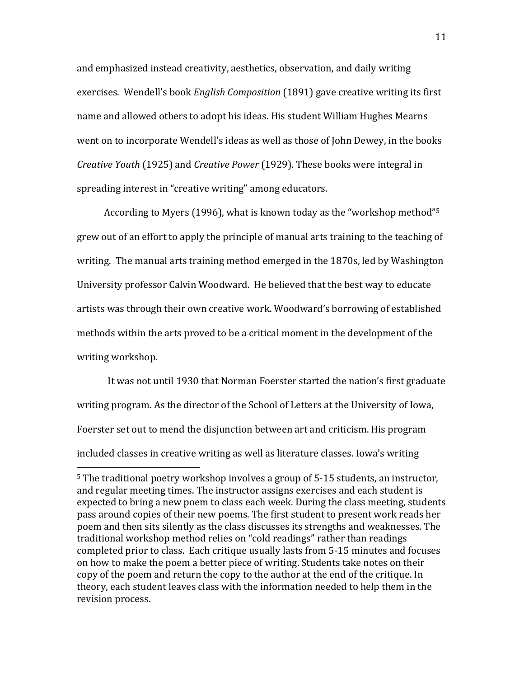and emphasized instead creativity, aesthetics, observation, and daily writing exercises. Wendell's book *English Composition* (1891) gave creative writing its first name and allowed others to adopt his ideas. His student William Hughes Mearns went on to incorporate Wendell's ideas as well as those of John Dewey, in the books *Creative Youth* (1925) and *Creative Power* (1929). These books were integral in spreading interest in "creative writing" among educators.

According to Myers (1996), what is known today as the "workshop method"<sup>5</sup> grew out of an effort to apply the principle of manual arts training to the teaching of writing. The manual arts training method emerged in the 1870s, led by Washington University professor Calvin Woodward. He believed that the best way to educate artists was through their own creative work. Woodward's borrowing of established methods within the arts proved to be a critical moment in the development of the writing workshop.

It was not until 1930 that Norman Foerster started the nation's first graduate writing program. As the director of the School of Letters at the University of Iowa, Foerster set out to mend the disjunction between art and criticism. His program included classes in creative writing as well as literature classes. Iowa's writing

!!!!!!!!!!!!!!!!!!!!!!!!!!!!!!!!!!!!!!!!!!!!!!!!!!!!!!!

 $5$  The traditional poetry workshop involves a group of  $5-15$  students, an instructor, and regular meeting times. The instructor assigns exercises and each student is expected to bring a new poem to class each week. During the class meeting, students pass around copies of their new poems. The first student to present work reads her poem and then sits silently as the class discusses its strengths and weaknesses. The traditional workshop method relies on "cold readings" rather than readings completed prior to class. Each critique usually lasts from 5-15 minutes and focuses on how to make the poem a better piece of writing. Students take notes on their copy of the poem and return the copy to the author at the end of the critique. In theory, each student leaves class with the information needed to help them in the revision process.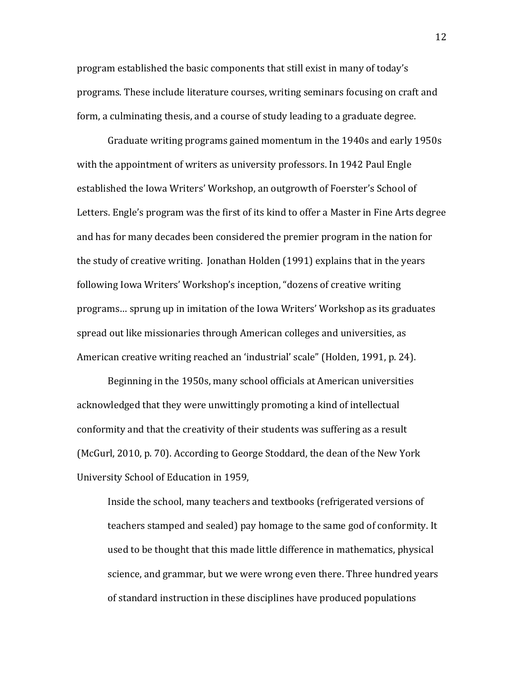program established the basic components that still exist in many of today's programs. These include literature courses, writing seminars focusing on craft and form, a culminating thesis, and a course of study leading to a graduate degree.

Graduate writing programs gained momentum in the 1940s and early 1950s with the appointment of writers as university professors. In 1942 Paul Engle established the Iowa Writers' Workshop, an outgrowth of Foerster's School of Letters. Engle's program was the first of its kind to offer a Master in Fine Arts degree and has for many decades been considered the premier program in the nation for the study of creative writing. Jonathan Holden (1991) explains that in the years following Iowa Writers' Workshop's inception, "dozens of creative writing programs... sprung up in imitation of the Iowa Writers' Workshop as its graduates spread out like missionaries through American colleges and universities, as American creative writing reached an 'industrial' scale" (Holden, 1991, p. 24).

Beginning in the 1950s, many school officials at American universities acknowledged that they were unwittingly promoting a kind of intellectual conformity and that the creativity of their students was suffering as a result (McGurl, 2010, p. 70). According to George Stoddard, the dean of the New York University School of Education in 1959,

Inside the school, many teachers and textbooks (refrigerated versions of teachers stamped and sealed) pay homage to the same god of conformity. It used to be thought that this made little difference in mathematics, physical science, and grammar, but we were wrong even there. Three hundred years of standard instruction in these disciplines have produced populations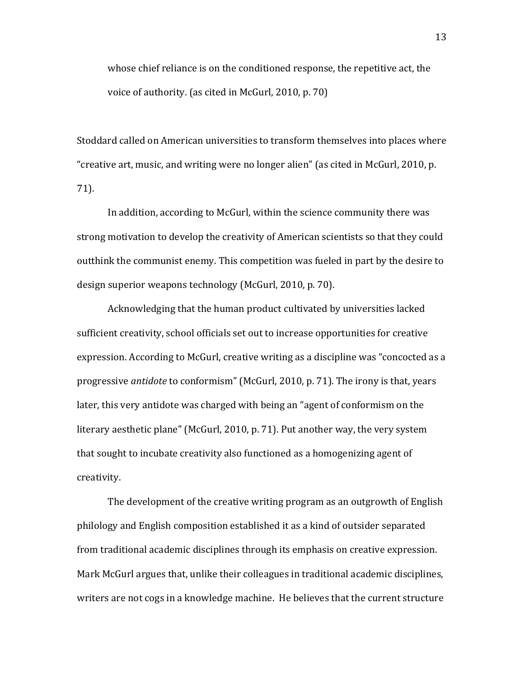whose chief reliance is on the conditioned response, the repetitive act, the voice of authority. (as cited in McGurl, 2010, p. 70)

Stoddard called on American universities to transform themselves into places where "creative art, music, and writing were no longer alien" (as cited in McGurl, 2010, p. 71).

In addition, according to McGurl, within the science community there was strong motivation to develop the creativity of American scientists so that they could outthink the communist enemy. This competition was fueled in part by the desire to design superior weapons technology (McGurl, 2010, p. 70).

Acknowledging that the human product cultivated by universities lacked sufficient creativity, school officials set out to increase opportunities for creative expression. According to McGurl, creative writing as a discipline was "concocted as a progressive *antidote* to conformism" (McGurl, 2010, p. 71). The irony is that, years later, this very antidote was charged with being an "agent of conformism on the literary aesthetic plane" (McGurl, 2010, p. 71). Put another way, the very system that sought to incubate creativity also functioned as a homogenizing agent of creativity.

The development of the creative writing program as an outgrowth of English philology and English composition established it as a kind of outsider separated from traditional academic disciplines through its emphasis on creative expression. Mark McGurl argues that, unlike their colleagues in traditional academic disciplines, writers are not cogs in a knowledge machine. He believes that the current structure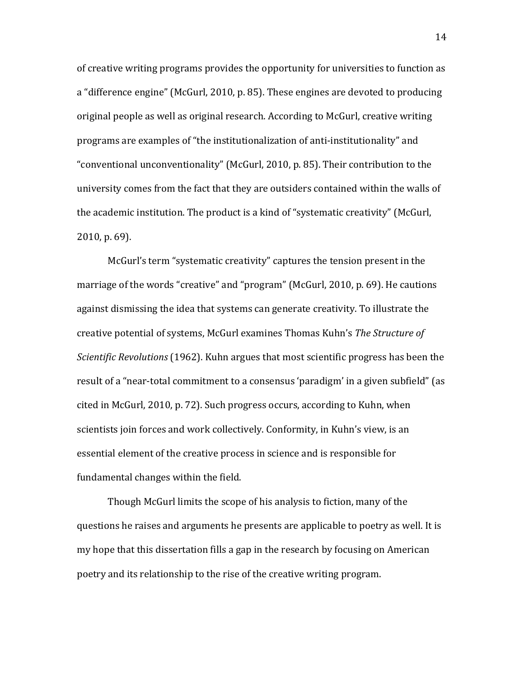of creative writing programs provides the opportunity for universities to function as a "difference engine" (McGurl, 2010, p. 85). These engines are devoted to producing original people as well as original research. According to McGurl, creative writing programs are examples of "the institutionalization of anti-institutionality" and "conventional unconventionality" (McGurl, 2010, p. 85). Their contribution to the university comes from the fact that they are outsiders contained within the walls of the academic institution. The product is a kind of "systematic creativity" (McGurl,  $2010$ , p. 69).

McGurl's term "systematic creativity" captures the tension present in the marriage of the words "creative" and "program" (McGurl, 2010, p. 69). He cautions against dismissing the idea that systems can generate creativity. To illustrate the creative!potential!of!systems,!McGurl!examines!Thomas!Kuhn's!*The&Structure&of& Scientific Revolutions* (1962). Kuhn argues that most scientific progress has been the result of a "near-total commitment to a consensus 'paradigm' in a given subfield" (as cited in McGurl, 2010, p. 72). Such progress occurs, according to Kuhn, when scientists join forces and work collectively. Conformity, in Kuhn's view, is an essential element of the creative process in science and is responsible for fundamental changes within the field.

Though McGurl limits the scope of his analysis to fiction, many of the questions he raises and arguments he presents are applicable to poetry as well. It is my hope that this dissertation fills a gap in the research by focusing on American poetry and its relationship to the rise of the creative writing program.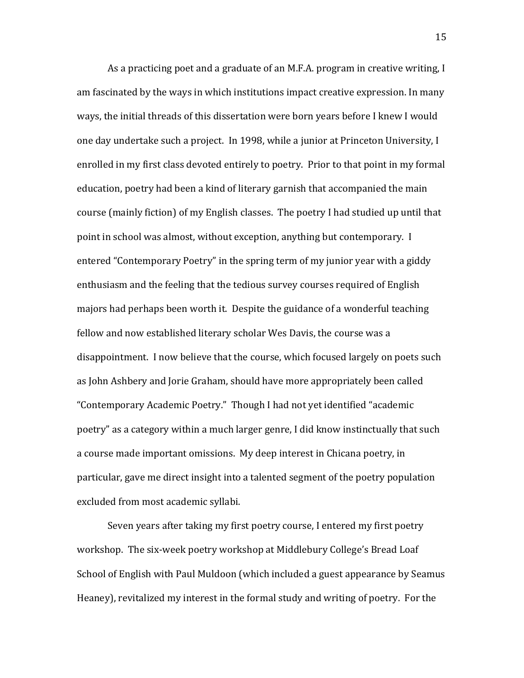As a practicing poet and a graduate of an M.F.A. program in creative writing, I am fascinated by the ways in which institutions impact creative expression. In many ways, the initial threads of this dissertation were born years before I knew I would one day undertake such a project. In 1998, while a junior at Princeton University, I enrolled in my first class devoted entirely to poetry. Prior to that point in my formal education, poetry had been a kind of literary garnish that accompanied the main course (mainly fiction) of my English classes. The poetry I had studied up until that point in school was almost, without exception, anything but contemporary. I entered "Contemporary Poetry" in the spring term of my junior year with a giddy enthusiasm and the feeling that the tedious survey courses required of English majors had perhaps been worth it. Despite the guidance of a wonderful teaching fellow and now established literary scholar Wes Davis, the course was a disappointment. I now believe that the course, which focused largely on poets such as John Ashbery and Jorie Graham, should have more appropriately been called "Contemporary Academic Poetry." Though I had not yet identified "academic poetry" as a category within a much larger genre, I did know instinctually that such a course made important omissions. My deep interest in Chicana poetry, in particular, gave me direct insight into a talented segment of the poetry population excluded from most academic syllabi.

Seven years after taking my first poetry course, I entered my first poetry workshop. The six-week poetry workshop at Middlebury College's Bread Loaf School of English with Paul Muldoon (which included a guest appearance by Seamus Heaney), revitalized my interest in the formal study and writing of poetry. For the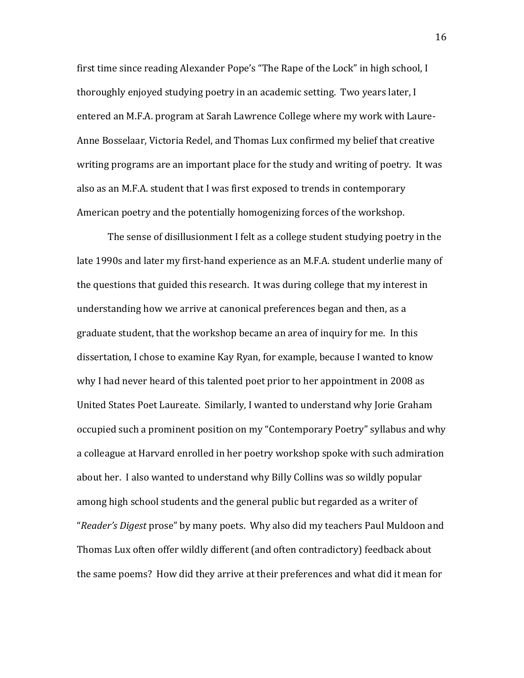first time since reading Alexander Pope's "The Rape of the Lock" in high school, I thoroughly enjoyed studying poetry in an academic setting. Two years later, I entered an M.F.A. program at Sarah Lawrence College where my work with Laure-Anne Bosselaar, Victoria Redel, and Thomas Lux confirmed my belief that creative writing programs are an important place for the study and writing of poetry. It was also as an M.F.A. student that I was first exposed to trends in contemporary American poetry and the potentially homogenizing forces of the workshop.

The sense of disillusionment I felt as a college student studying poetry in the late 1990s and later my first-hand experience as an M.F.A. student underlie many of the questions that guided this research. It was during college that my interest in understanding how we arrive at canonical preferences began and then, as a graduate student, that the workshop became an area of inquiry for me. In this dissertation, I chose to examine Kay Ryan, for example, because I wanted to know why I had never heard of this talented poet prior to her appointment in 2008 as United States Poet Laureate. Similarly, I wanted to understand why Jorie Graham occupied such a prominent position on my "Contemporary Poetry" syllabus and why a colleague at Harvard enrolled in her poetry workshop spoke with such admiration about her. I also wanted to understand why Billy Collins was so wildly popular among high school students and the general public but regarded as a writer of "*Reader's Digest* prose" by many poets. Why also did my teachers Paul Muldoon and Thomas Lux often offer wildly different (and often contradictory) feedback about the same poems? How did they arrive at their preferences and what did it mean for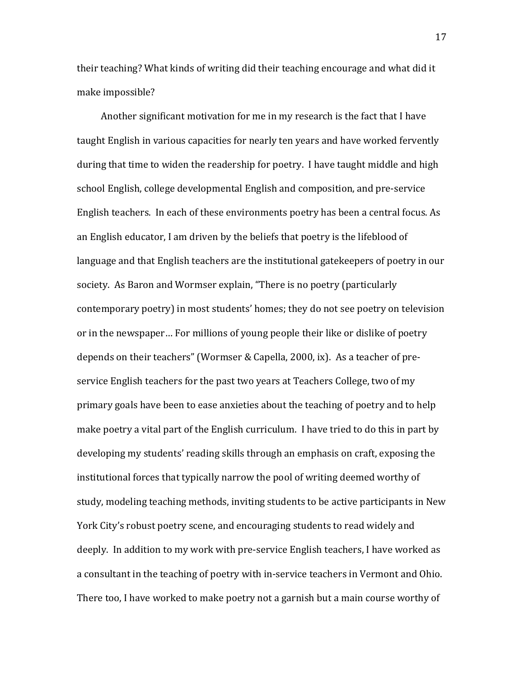their teaching? What kinds of writing did their teaching encourage and what did it make impossible?

Another significant motivation for me in my research is the fact that I have taught English in various capacities for nearly ten years and have worked fervently during that time to widen the readership for poetry. I have taught middle and high school English, college developmental English and composition, and pre-service English teachers. In each of these environments poetry has been a central focus. As an English educator, I am driven by the beliefs that poetry is the lifeblood of language and that English teachers are the institutional gatekeepers of poetry in our society. As Baron and Wormser explain, "There is no poetry (particularly contemporary poetry) in most students' homes; they do not see poetry on television or in the newspaper... For millions of young people their like or dislike of poetry depends on their teachers" (Wormser & Capella, 2000, ix). As a teacher of preservice English teachers for the past two years at Teachers College, two of my primary goals have been to ease anxieties about the teaching of poetry and to help make poetry a vital part of the English curriculum. I have tried to do this in part by developing my students' reading skills through an emphasis on craft, exposing the institutional forces that typically narrow the pool of writing deemed worthy of study, modeling teaching methods, inviting students to be active participants in New York City's robust poetry scene, and encouraging students to read widely and deeply. In addition to my work with pre-service English teachers, I have worked as a consultant in the teaching of poetry with in-service teachers in Vermont and Ohio. There too, I have worked to make poetry not a garnish but a main course worthy of

17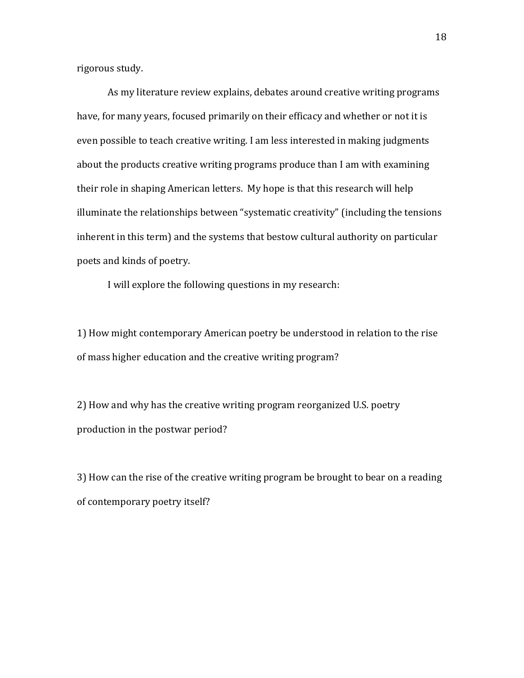rigorous study.

As my literature review explains, debates around creative writing programs have, for many years, focused primarily on their efficacy and whether or not it is even possible to teach creative writing. I am less interested in making judgments about the products creative writing programs produce than I am with examining their role in shaping American letters. My hope is that this research will help illuminate the relationships between "systematic creativity" (including the tensions inherent in this term) and the systems that bestow cultural authority on particular poets and kinds of poetry.

I will explore the following questions in my research:

1) How might contemporary American poetry be understood in relation to the rise of mass higher education and the creative writing program?

2) How and why has the creative writing program reorganized U.S. poetry production in the postwar period?

3) How can the rise of the creative writing program be brought to bear on a reading of contemporary poetry itself?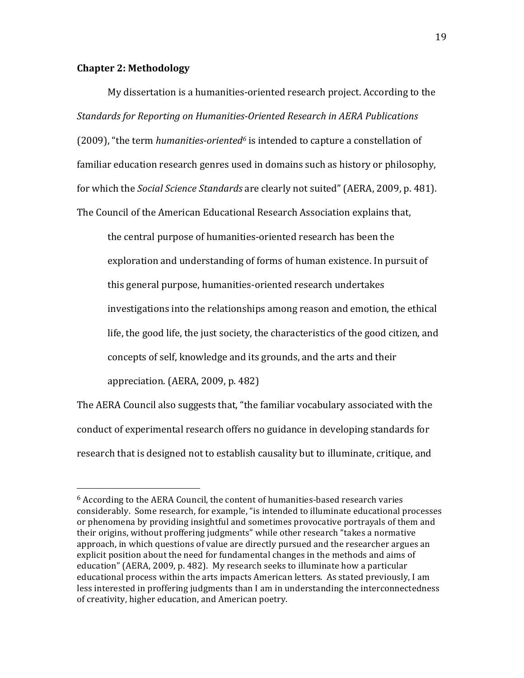#### **Chapter 2: Methodology**

!!!!!!!!!!!!!!!!!!!!!!!!!!!!!!!!!!!!!!!!!!!!!!!!!!!!!!!

My dissertation is a humanities-oriented research project. According to the **Standards for Reporting on Humanities-Oriented Research in AERA Publications** (2009), "the term *humanities-oriented*<sup>6</sup> is intended to capture a constellation of familiar education research genres used in domains such as history or philosophy, for which the *Social Science Standards* are clearly not suited" (AERA, 2009, p. 481). The Council of the American Educational Research Association explains that,

the central purpose of humanities-oriented research has been the exploration and understanding of forms of human existence. In pursuit of this general purpose, humanities-oriented research undertakes investigations into the relationships among reason and emotion, the ethical life, the good life, the just society, the characteristics of the good citizen, and concepts of self, knowledge and its grounds, and the arts and their appreciation. (AERA, 2009, p.  $482$ )

The AERA Council also suggests that, "the familiar vocabulary associated with the conduct of experimental research offers no guidance in developing standards for research that is designed not to establish causality but to illuminate, critique, and

 $6$  According to the AERA Council, the content of humanities-based research varies considerably. Some research, for example, "is intended to illuminate educational processes or phenomena by providing insightful and sometimes provocative portrayals of them and their origins, without proffering judgments" while other research "takes a normative approach, in which questions of value are directly pursued and the researcher argues an explicit position about the need for fundamental changes in the methods and aims of education" (AERA, 2009, p. 482). My research seeks to illuminate how a particular educational process within the arts impacts American letters. As stated previously, I am less interested in proffering judgments than I am in understanding the interconnectedness of creativity, higher education, and American poetry.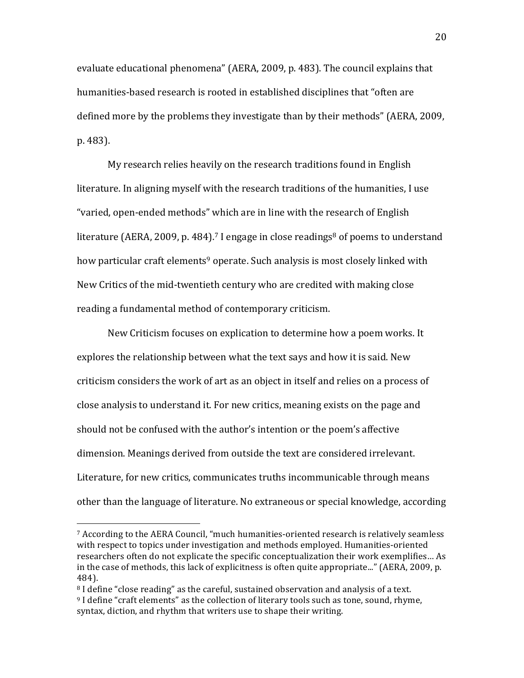evaluate educational phenomena" (AERA, 2009, p. 483). The council explains that humanities-based research is rooted in established disciplines that "often are defined more by the problems they investigate than by their methods" (AERA, 2009, p. 483).

My research relies heavily on the research traditions found in English literature. In aligning myself with the research traditions of the humanities, I use "varied, open-ended methods" which are in line with the research of English" literature (AERA, 2009, p. 484).<sup>7</sup> I engage in close readings<sup>8</sup> of poems to understand how particular craft elements<sup>9</sup> operate. Such analysis is most closely linked with New Critics of the mid-twentieth century who are credited with making close reading a fundamental method of contemporary criticism.

New Criticism focuses on explication to determine how a poem works. It explores the relationship between what the text says and how it is said. New criticism considers the work of art as an object in itself and relies on a process of close analysis to understand it. For new critics, meaning exists on the page and should not be confused with the author's intention or the poem's affective dimension. Meanings derived from outside the text are considered irrelevant. Literature, for new critics, communicates truths incommunicable through means other than the language of literature. No extraneous or special knowledge, according

!!!!!!!!!!!!!!!!!!!!!!!!!!!!!!!!!!!!!!!!!!!!!!!!!!!!!!!

 $<sup>7</sup>$  According to the AERA Council, "much humanities-oriented research is relatively seamless</sup> with respect to topics under investigation and methods employed. Humanities-oriented researchers often do not explicate the specific conceptualization their work exemplifies... As in the case of methods, this lack of explicitness is often quite appropriate..." (AERA, 2009, p. 484).

<sup>&</sup>lt;sup>8</sup> I define "close reading" as the careful, sustained observation and analysis of a text.  $9$  I define "craft elements" as the collection of literary tools such as tone, sound, rhyme, syntax, diction, and rhythm that writers use to shape their writing.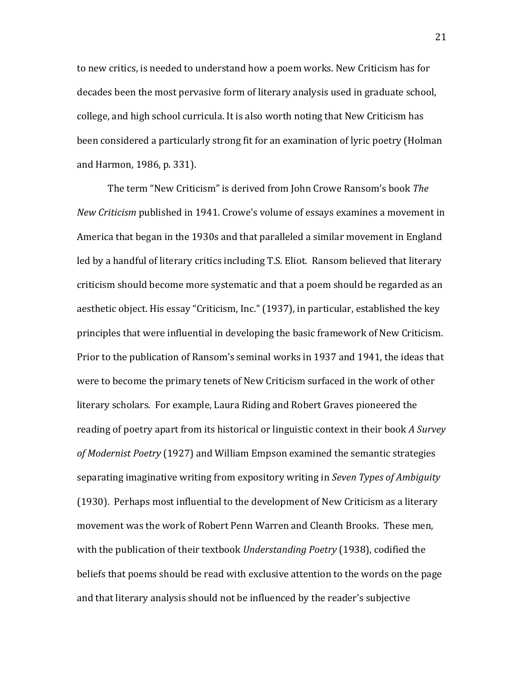to new critics, is needed to understand how a poem works. New Criticism has for decades been the most pervasive form of literary analysis used in graduate school, college, and high school curricula. It is also worth noting that New Criticism has been considered a particularly strong fit for an examination of lyric poetry (Holman and Harmon, 1986, p. 331).

The term "New Criticism" is derived from John Crowe Ransom's book The *New Criticism* published in 1941. Crowe's volume of essays examines a movement in America that began in the 1930s and that paralleled a similar movement in England led by a handful of literary critics including T.S. Eliot. Ransom believed that literary criticism should become more systematic and that a poem should be regarded as an aesthetic object. His essay "Criticism, Inc." (1937), in particular, established the key principles that were influential in developing the basic framework of New Criticism. Prior to the publication of Ransom's seminal works in 1937 and 1941, the ideas that were to become the primary tenets of New Criticism surfaced in the work of other literary scholars. For example, Laura Riding and Robert Graves pioneered the reading of poetry apart from its historical or linguistic context in their book A Survey of Modernist Poetry (1927) and William Empson examined the semantic strategies separating imaginative writing from expository writing in *Seven Types of Ambiguity*  $(1930)$ . Perhaps most influential to the development of New Criticism as a literary movement was the work of Robert Penn Warren and Cleanth Brooks. These men, with the publication of their textbook *Understanding Poetry* (1938), codified the beliefs that poems should be read with exclusive attention to the words on the page and that literary analysis should not be influenced by the reader's subjective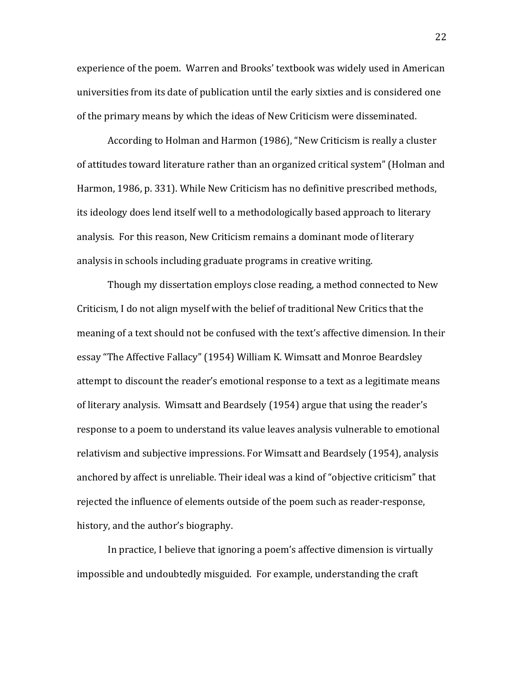experience of the poem. Warren and Brooks' textbook was widely used in American universities from its date of publication until the early sixties and is considered one of the primary means by which the ideas of New Criticism were disseminated.

According to Holman and Harmon (1986), "New Criticism is really a cluster of attitudes toward literature rather than an organized critical system" (Holman and Harmon, 1986, p. 331). While New Criticism has no definitive prescribed methods, its ideology does lend itself well to a methodologically based approach to literary analysis. For this reason, New Criticism remains a dominant mode of literary analysis in schools including graduate programs in creative writing.

Though my dissertation employs close reading, a method connected to New Criticism, I do not align myself with the belief of traditional New Critics that the meaning of a text should not be confused with the text's affective dimension. In their essay "The Affective Fallacy" (1954) William K. Wimsatt and Monroe Beardsley attempt to discount the reader's emotional response to a text as a legitimate means of literary analysis. Wimsatt and Beardsely (1954) argue that using the reader's response to a poem to understand its value leaves analysis vulnerable to emotional relativism and subjective impressions. For Wimsatt and Beardsely (1954), analysis anchored by affect is unreliable. Their ideal was a kind of "objective criticism" that rejected the influence of elements outside of the poem such as reader-response, history, and the author's biography.

In practice, I believe that ignoring a poem's affective dimension is virtually impossible and undoubtedly misguided. For example, understanding the craft

22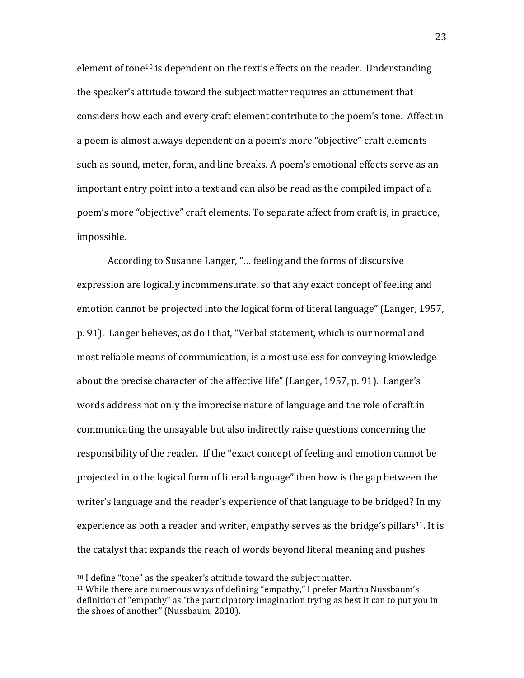element of tone<sup>10</sup> is dependent on the text's effects on the reader. Understanding the speaker's attitude toward the subject matter requires an attunement that considers how each and every craft element contribute to the poem's tone. Affect in a poem is almost always dependent on a poem's more "objective" craft elements such as sound, meter, form, and line breaks. A poem's emotional effects serve as an important entry point into a text and can also be read as the compiled impact of a poem's more "objective" craft elements. To separate affect from craft is, in practice, impossible.

According to Susanne Langer, "... feeling and the forms of discursive expression are logically incommensurate, so that any exact concept of feeling and emotion cannot be projected into the logical form of literal language" (Langer, 1957, p. 91). Langer believes, as do I that, "Verbal statement, which is our normal and most reliable means of communication, is almost useless for conveying knowledge about the precise character of the affective life" (Langer, 1957, p. 91). Langer's words address not only the imprecise nature of language and the role of craft in communicating the unsayable but also indirectly raise questions concerning the responsibility of the reader. If the "exact concept of feeling and emotion cannot be projected into the logical form of literal language" then how is the gap between the writer's language and the reader's experience of that language to be bridged? In my experience as both a reader and writer, empathy serves as the bridge's pillars<sup>11</sup>. It is the catalyst that expands the reach of words beyond literal meaning and pushes

!!!!!!!!!!!!!!!!!!!!!!!!!!!!!!!!!!!!!!!!!!!!!!!!!!!!!!!

 $10$  I define "tone" as the speaker's attitude toward the subject matter.

<sup>&</sup>lt;sup>11</sup> While there are numerous ways of defining "empathy," I prefer Martha Nussbaum's definition of "empathy" as "the participatory imagination trying as best it can to put you in the shoes of another" (Nussbaum, 2010).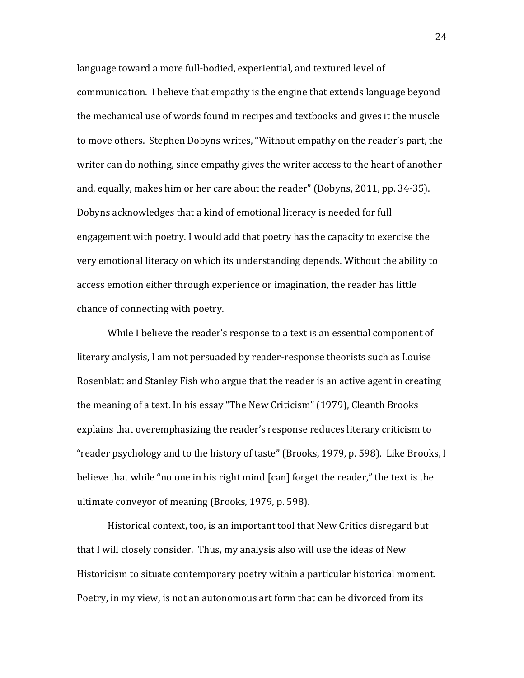language toward a more full-bodied, experiential, and textured level of communication. I believe that empathy is the engine that extends language beyond the mechanical use of words found in recipes and textbooks and gives it the muscle to move others. Stephen Dobyns writes, "Without empathy on the reader's part, the writer can do nothing, since empathy gives the writer access to the heart of another and, equally, makes him or her care about the reader" (Dobyns, 2011, pp. 34-35). Dobyns acknowledges that a kind of emotional literacy is needed for full engagement with poetry. I would add that poetry has the capacity to exercise the very emotional literacy on which its understanding depends. Without the ability to access emotion either through experience or imagination, the reader has little chance of connecting with poetry.

While I believe the reader's response to a text is an essential component of literary analysis, I am not persuaded by reader-response theorists such as Louise Rosenblatt and Stanley Fish who argue that the reader is an active agent in creating the meaning of a text. In his essay "The New Criticism" (1979), Cleanth Brooks explains that overemphasizing the reader's response reduces literary criticism to "reader psychology and to the history of taste" (Brooks, 1979, p. 598). Like Brooks, I believe that while "no one in his right mind [can] forget the reader," the text is the ultimate conveyor of meaning (Brooks, 1979, p. 598).

Historical context, too, is an important tool that New Critics disregard but that I will closely consider. Thus, my analysis also will use the ideas of New Historicism to situate contemporary poetry within a particular historical moment. Poetry, in my view, is not an autonomous art form that can be divorced from its

24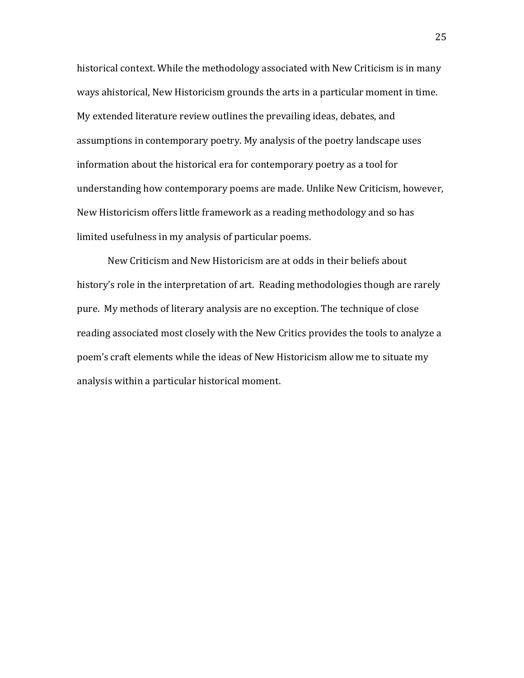historical context. While the methodology associated with New Criticism is in many ways ahistorical, New Historicism grounds the arts in a particular moment in time. My extended literature review outlines the prevailing ideas, debates, and assumptions in contemporary poetry. My analysis of the poetry landscape uses information about the historical era for contemporary poetry as a tool for understanding how contemporary poems are made. Unlike New Criticism, however, New Historicism offers little framework as a reading methodology and so has limited usefulness in my analysis of particular poems.

New Criticism and New Historicism are at odds in their beliefs about history's role in the interpretation of art. Reading methodologies though are rarely pure. My methods of literary analysis are no exception. The technique of close reading associated most closely with the New Critics provides the tools to analyze a poem's craft elements while the ideas of New Historicism allow me to situate my analysis within a particular historical moment.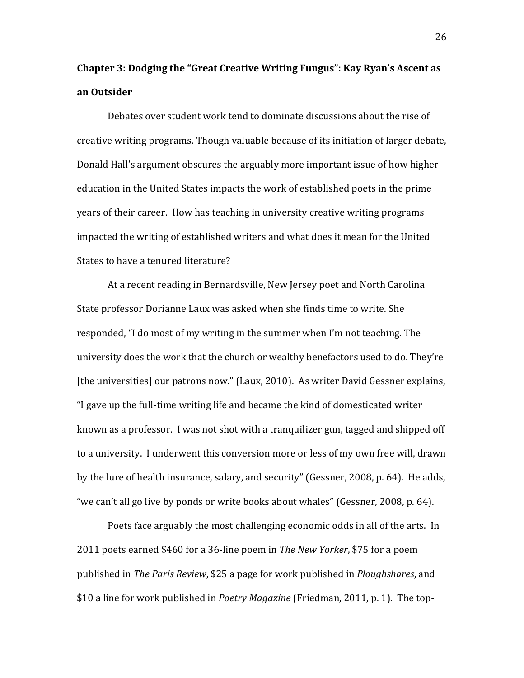# **Chapter 3: Dodging the "Great Creative Writing Fungus": Kay Ryan's Ascent as an(Outsider**

Debates over student work tend to dominate discussions about the rise of creative writing programs. Though valuable because of its initiation of larger debate, Donald Hall's argument obscures the arguably more important issue of how higher education in the United States impacts the work of established poets in the prime years of their career. How has teaching in university creative writing programs impacted the writing of established writers and what does it mean for the United States to have a tenured literature?

At a recent reading in Bernardsville, New Jersey poet and North Carolina State professor Dorianne Laux was asked when she finds time to write. She responded, "I do most of my writing in the summer when I'm not teaching. The university does the work that the church or wealthy benefactors used to do. They're [the universities] our patrons now." (Laux, 2010). As writer David Gessner explains, "I gave up the full-time writing life and became the kind of domesticated writer known as a professor. I was not shot with a tranquilizer gun, tagged and shipped off to a university. I underwent this conversion more or less of my own free will, drawn by the lure of health insurance, salary, and security" (Gessner, 2008, p. 64). He adds, "we can't all go live by ponds or write books about whales" (Gessner, 2008, p. 64).

Poets face arguably the most challenging economic odds in all of the arts. In 2011 poets earned \$460 for a 36-line poem in *The New Yorker*, \$75 for a poem published in *The Paris Review*, \$25 a page for work published in *Ploughshares*, and \$10 a line for work published in *Poetry Magazine* (Friedman, 2011, p. 1). The top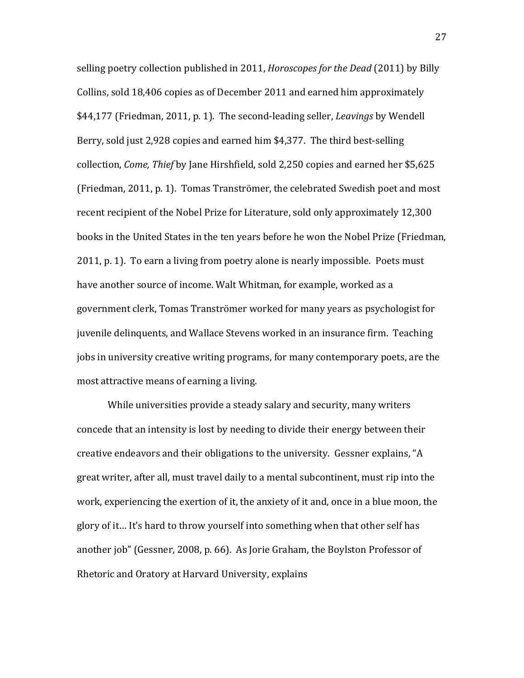selling poetry collection published in 2011, *Horoscopes for the Dead* (2011) by Billy Collins, sold 18,406 copies as of December 2011 and earned him approximately \$44,177 (Friedman, 2011, p. 1). The second-leading seller, *Leavings* by Wendell Berry, sold just 2,928 copies and earned him \$4,377. The third best-selling collection, *Come, Thief* by Jane Hirshfield, sold 2,250 copies and earned her \$5,625 (Friedman, 2011, p. 1). Tomas Tranströmer, the celebrated Swedish poet and most recent recipient of the Nobel Prize for Literature, sold only approximately 12,300 books in the United States in the ten years before he won the Nobel Prize (Friedman, 2011, p. 1). To earn a living from poetry alone is nearly impossible. Poets must have another source of income. Walt Whitman, for example, worked as a government clerk, Tomas Tranströmer worked for many years as psychologist for juvenile delinquents, and Wallace Stevens worked in an insurance firm. Teaching jobs in university creative writing programs, for many contemporary poets, are the most attractive means of earning a living.

While universities provide a steady salary and security, many writers concede that an intensity is lost by needing to divide their energy between their creative endeavors and their obligations to the university. Gessner explains, "A great writer, after all, must travel daily to a mental subcontinent, must rip into the work, experiencing the exertion of it, the anxiety of it and, once in a blue moon, the glory of it... It's hard to throw yourself into something when that other self has another job" (Gessner, 2008, p. 66). As Jorie Graham, the Boylston Professor of Rhetoric and Oratory at Harvard University, explains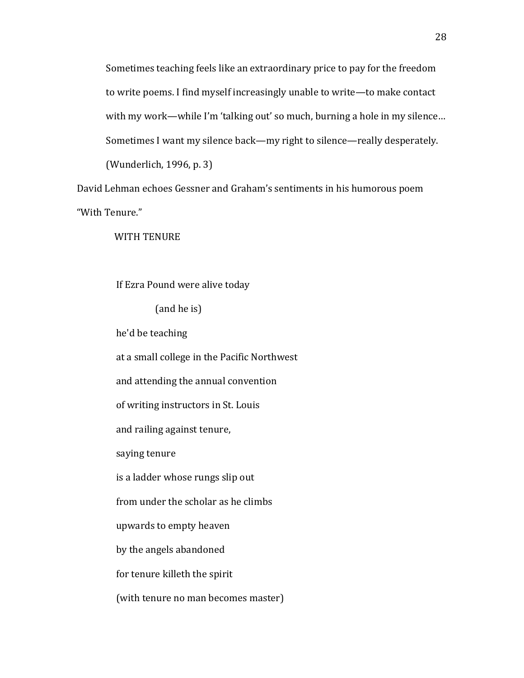Sometimes teaching feels like an extraordinary price to pay for the freedom to write poems. I find myself increasingly unable to write—to make contact with my work—while I'm 'talking out' so much, burning a hole in my silence... Sometimes I want my silence back—my right to silence—really desperately. (Wunderlich, 1996, p. 3)

David Lehman echoes Gessner and Graham's sentiments in his humorous poem "With Tenure."

WITH TENURE

If Ezra Pound were alive today

(and he is)

he'd be teaching

at a small college in the Pacific Northwest

and attending the annual convention

of writing instructors in St. Louis

and railing against tenure,

saying tenure

is a ladder whose rungs slip out

from under the scholar as he climbs

upwards to empty heaven

by the angels abandoned

for tenure killeth the spirit

(with tenure no man becomes master)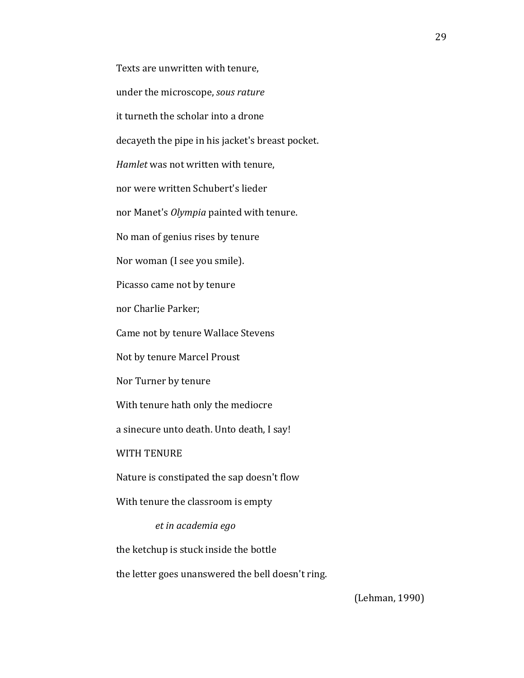Texts are unwritten with tenure, under the microscope, sous rature it turneth the scholar into a drone decayeth the pipe in his jacket's breast pocket. *Hamlet* was not written with tenure, nor were written Schubert's lieder nor Manet's *Olympia* painted with tenure. No man of genius rises by tenure Nor woman (I see you smile). Picasso came not by tenure nor Charlie Parker; Came not by tenure Wallace Stevens Not by tenure Marcel Proust Nor Turner by tenure With tenure hath only the mediocre a sinecure unto death. Unto death, I say! WITH TENURE Nature is constipated the sap doesn't flow With tenure the classroom is empty  $et$ *in academia ego* the ketchup is stuck inside the bottle the letter goes unanswered the bell doesn't ring.

(Lehman, 1990)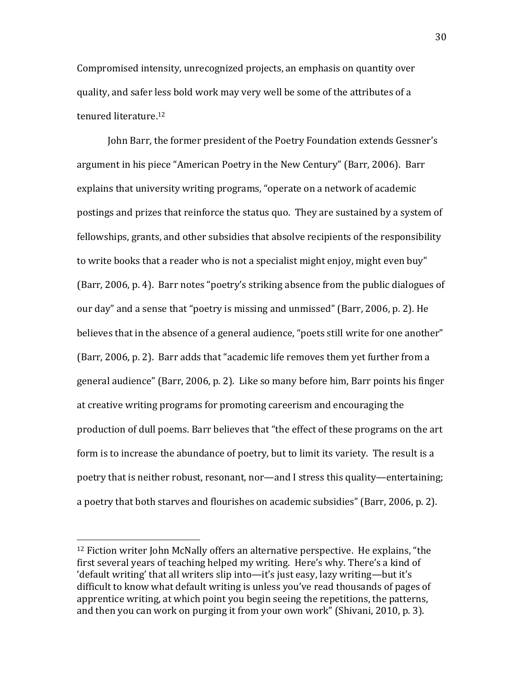Compromised intensity, unrecognized projects, an emphasis on quantity over quality, and safer less bold work may very well be some of the attributes of a tenured literature.<sup>12</sup>

John Barr, the former president of the Poetry Foundation extends Gessner's argument in his piece "American Poetry in the New Century" (Barr, 2006). Barr explains that university writing programs, "operate on a network of academic postings and prizes that reinforce the status quo. They are sustained by a system of fellowships, grants, and other subsidies that absolve recipients of the responsibility to write books that a reader who is not a specialist might enjoy, might even buy" (Barr, 2006, p. 4). Barr notes "poetry's striking absence from the public dialogues of our day" and a sense that "poetry is missing and unmissed" (Barr, 2006, p. 2). He believes that in the absence of a general audience, "poets still write for one another" (Barr, 2006, p. 2). Barr adds that "academic life removes them yet further from a general audience" (Barr, 2006, p. 2). Like so many before him, Barr points his finger at creative writing programs for promoting careerism and encouraging the production of dull poems. Barr believes that "the effect of these programs on the art form is to increase the abundance of poetry, but to limit its variety. The result is a poetry that is neither robust, resonant, nor—and I stress this quality—entertaining; a poetry that both starves and flourishes on academic subsidies" (Barr, 2006, p. 2).

 $12$  Fiction writer John McNally offers an alternative perspective. He explains, "the first several years of teaching helped my writing. Here's why. There's a kind of 'default writing' that all writers slip into—it's just easy, lazy writing—but it's difficult to know what default writing is unless you've read thousands of pages of apprentice writing, at which point you begin seeing the repetitions, the patterns, and then you can work on purging it from your own work" (Shivani, 2010, p. 3).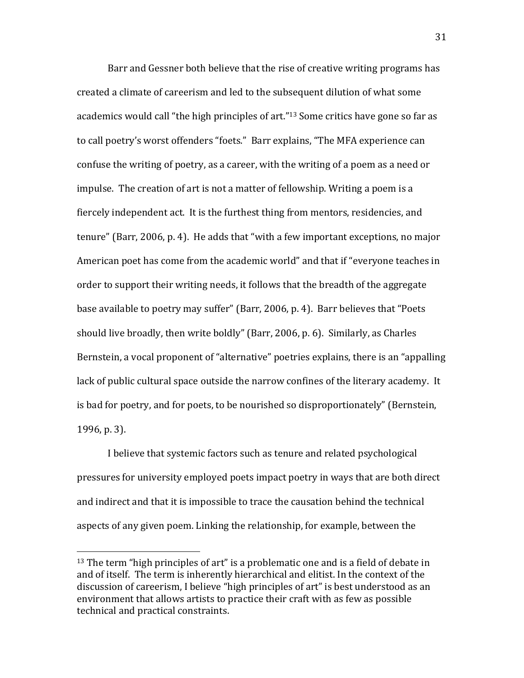Barr and Gessner both believe that the rise of creative writing programs has created a climate of careerism and led to the subsequent dilution of what some academics would call "the high principles of art."<sup>13</sup> Some critics have gone so far as to call poetry's worst offenders "foets." Barr explains, "The MFA experience can confuse the writing of poetry, as a career, with the writing of a poem as a need or impulse. The creation of art is not a matter of fellowship. Writing a poem is a fiercely independent act. It is the furthest thing from mentors, residencies, and tenure" (Barr, 2006, p. 4). He adds that "with a few important exceptions, no major American poet has come from the academic world" and that if "everyone teaches in order to support their writing needs, it follows that the breadth of the aggregate base available to poetry may suffer" (Barr, 2006, p. 4). Barr believes that "Poets" should live broadly, then write boldly" (Barr, 2006, p. 6). Similarly, as Charles Bernstein, a vocal proponent of "alternative" poetries explains, there is an "appalling lack of public cultural space outside the narrow confines of the literary academy. It is bad for poetry, and for poets, to be nourished so disproportionately" (Bernstein,  $1996$ , p. 3).

I believe that systemic factors such as tenure and related psychological pressures for university employed poets impact poetry in ways that are both direct and indirect and that it is impossible to trace the causation behind the technical aspects of any given poem. Linking the relationship, for example, between the

 $13$  The term "high principles of art" is a problematic one and is a field of debate in and of itself. The term is inherently hierarchical and elitist. In the context of the discussion of careerism, I believe "high principles of art" is best understood as an environment that allows artists to practice their craft with as few as possible technical and practical constraints.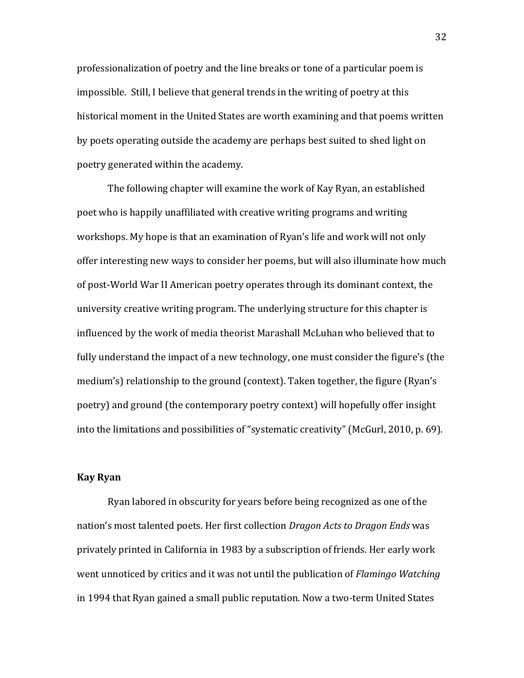professionalization of poetry and the line breaks or tone of a particular poem is impossible. Still, I believe that general trends in the writing of poetry at this historical moment in the United States are worth examining and that poems written by poets operating outside the academy are perhaps best suited to shed light on poetry generated within the academy.

The following chapter will examine the work of Kay Ryan, an established poet who is happily unaffiliated with creative writing programs and writing workshops. My hope is that an examination of Ryan's life and work will not only offer interesting new ways to consider her poems, but will also illuminate how much of post-World War II American poetry operates through its dominant context, the university creative writing program. The underlying structure for this chapter is influenced by the work of media theorist Marashall McLuhan who believed that to fully understand the impact of a new technology, one must consider the figure's (the medium's) relationship to the ground (context). Taken together, the figure (Ryan's poetry) and ground (the contemporary poetry context) will hopefully offer insight into the limitations and possibilities of "systematic creativity" (McGurl, 2010, p. 69).

#### **Kay(Ryan**

Ryan labored in obscurity for years before being recognized as one of the nation's most talented poets. Her first collection *Dragon Acts to Dragon Ends* was privately printed in California in 1983 by a subscription of friends. Her early work went unnoticed by critics and it was not until the publication of *Flamingo Watching* in 1994 that Ryan gained a small public reputation. Now a two-term United States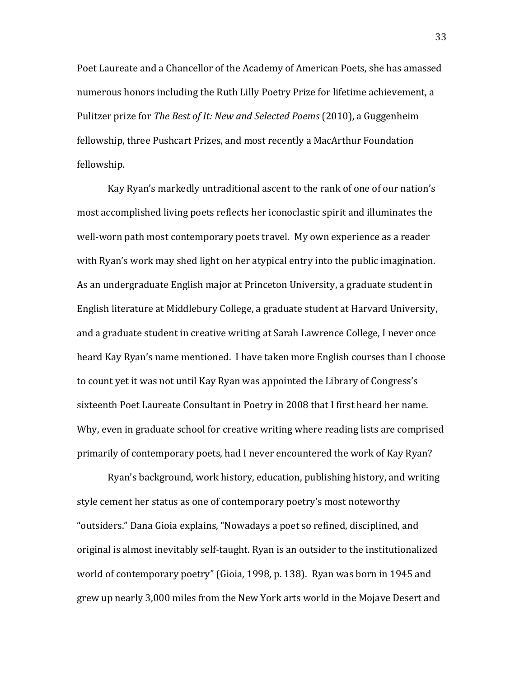Poet Laureate and a Chancellor of the Academy of American Poets, she has amassed numerous honors including the Ruth Lilly Poetry Prize for lifetime achievement, a Pulitzer prize for *The Best of It: New and Selected Poems* (2010), a Guggenheim fellowship, three Pushcart Prizes, and most recently a MacArthur Foundation fellowship.

Kay Ryan's markedly untraditional ascent to the rank of one of our nation's most accomplished living poets reflects her iconoclastic spirit and illuminates the well-worn path most contemporary poets travel. My own experience as a reader with Ryan's work may shed light on her atypical entry into the public imagination. As an undergraduate English major at Princeton University, a graduate student in English literature at Middlebury College, a graduate student at Harvard University, and a graduate student in creative writing at Sarah Lawrence College, I never once heard Kay Ryan's name mentioned. I have taken more English courses than I choose to count yet it was not until Kay Ryan was appointed the Library of Congress's sixteenth Poet Laureate Consultant in Poetry in 2008 that I first heard her name. Why, even in graduate school for creative writing where reading lists are comprised primarily of contemporary poets, had I never encountered the work of Kay Ryan?

Ryan's background, work history, education, publishing history, and writing style cement her status as one of contemporary poetry's most noteworthy "outsiders." Dana Gioia explains, "Nowadays a poet so refined, disciplined, and original is almost inevitably self-taught. Ryan is an outsider to the institutionalized world of contemporary poetry" (Gioia, 1998, p. 138). Ryan was born in 1945 and grew up nearly 3,000 miles from the New York arts world in the Mojave Desert and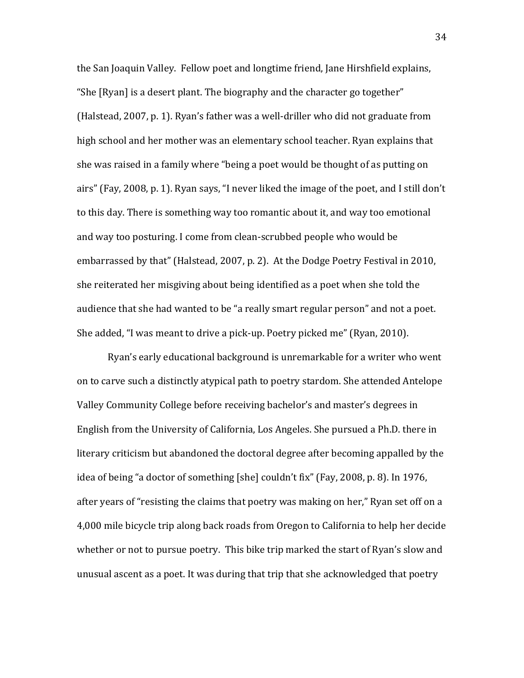the San Joaquin Valley. Fellow poet and longtime friend, Jane Hirshfield explains, "She [Ryan] is a desert plant. The biography and the character go together" (Halstead, 2007, p. 1). Ryan's father was a well-driller who did not graduate from high school and her mother was an elementary school teacher. Ryan explains that she was raised in a family where "being a poet would be thought of as putting on airs" (Fay, 2008, p. 1). Ryan says, "I never liked the image of the poet, and I still don't to this day. There is something way too romantic about it, and way too emotional and way too posturing. I come from clean-scrubbed people who would be embarrassed by that" (Halstead, 2007, p. 2). At the Dodge Poetry Festival in 2010, she reiterated her misgiving about being identified as a poet when she told the audience that she had wanted to be "a really smart regular person" and not a poet. She added, "I was meant to drive a pick-up. Poetry picked me" (Ryan, 2010).

Ryan's early educational background is unremarkable for a writer who went on to carve such a distinctly atypical path to poetry stardom. She attended Antelope Valley Community College before receiving bachelor's and master's degrees in English from the University of California, Los Angeles. She pursued a Ph.D. there in literary criticism but abandoned the doctoral degree after becoming appalled by the idea of being "a doctor of something [she] couldn't fix" (Fay, 2008, p. 8). In 1976, after years of "resisting the claims that poetry was making on her," Ryan set off on a 4,000 mile bicycle trip along back roads from Oregon to California to help her decide whether or not to pursue poetry. This bike trip marked the start of Ryan's slow and unusual ascent as a poet. It was during that trip that she acknowledged that poetry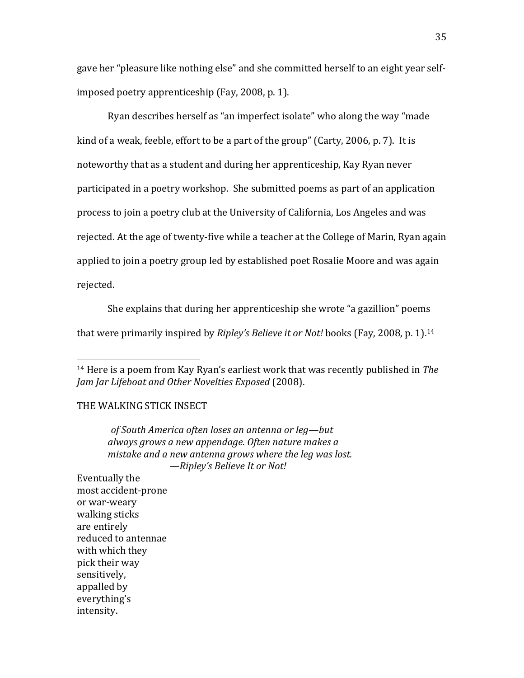gave her "pleasure like nothing else" and she committed herself to an eight year selfimposed poetry apprenticeship (Fay, 2008, p. 1).

Ryan describes herself as "an imperfect isolate" who along the way "made kind of a weak, feeble, effort to be a part of the group" (Carty, 2006, p. 7). It is noteworthy that as a student and during her apprenticeship, Kay Ryan never participated in a poetry workshop. She submitted poems as part of an application process to join a poetry club at the University of California, Los Angeles and was rejected. At the age of twenty-five while a teacher at the College of Marin, Ryan again applied to join a poetry group led by established poet Rosalie Moore and was again rejected.

She explains that during her apprenticeship she wrote "a gazillion" poems that were primarily inspired by *Ripley's Believe it or Not!* books (Fay, 2008, p. 1).<sup>14</sup>

## THE WALKING STICK INSECT

!!!!!!!!!!!!!!!!!!!!!!!!!!!!!!!!!!!!!!!!!!!!!!!!!!!!!!!

*&&&&&&&&&&&&&&&of&South&America&often&loses&an&antenna&or&leg—but& always&grows&a&new&appendage.&Often&nature&makes&a&* mistake and a new antenna grows where the leg was lost.  $-$ *Ripley's Believe It or Not!* 

Eventually the most accident-prone or war-weary walking sticks are entirely reduced to antennae with which they pick their way sensitively, appalled by everything's! intensity.

<sup>&</sup>lt;sup>14</sup> Here is a poem from Kay Ryan's earliest work that was recently published in *The Jam Jar Lifeboat and Other Novelties Exposed* (2008).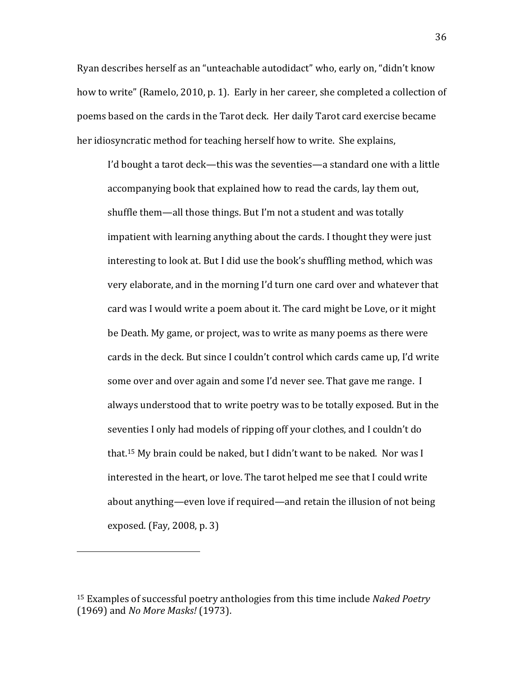Ryan describes herself as an "unteachable autodidact" who, early on, "didn't know how to write" (Ramelo, 2010, p. 1). Early in her career, she completed a collection of poems based on the cards in the Tarot deck. Her daily Tarot card exercise became her idiosyncratic method for teaching herself how to write. She explains,

I'd bought a tarot deck—this was the seventies—a standard one with a little accompanying book that explained how to read the cards, lay them out, shuffle them—all those things. But I'm not a student and was totally impatient with learning anything about the cards. I thought they were just interesting to look at. But I did use the book's shuffling method, which was very elaborate, and in the morning I'd turn one card over and whatever that card was I would write a poem about it. The card might be Love, or it might be Death. My game, or project, was to write as many poems as there were cards in the deck. But since I couldn't control which cards came up, I'd write some over and over again and some I'd never see. That gave me range. I always understood that to write poetry was to be totally exposed. But in the seventies I only had models of ripping off your clothes, and I couldn't do that.<sup>15</sup> My brain could be naked, but I didn't want to be naked. Nor was I interested in the heart, or love. The tarot helped me see that I could write about anything—even love if required—and retain the illusion of not being exposed. (Fay,  $2008$ , p. 3)

<sup>&</sup>lt;sup>15</sup> Examples of successful poetry anthologies from this time include *Naked Poetry* (1969) and *No More Masks!* (1973).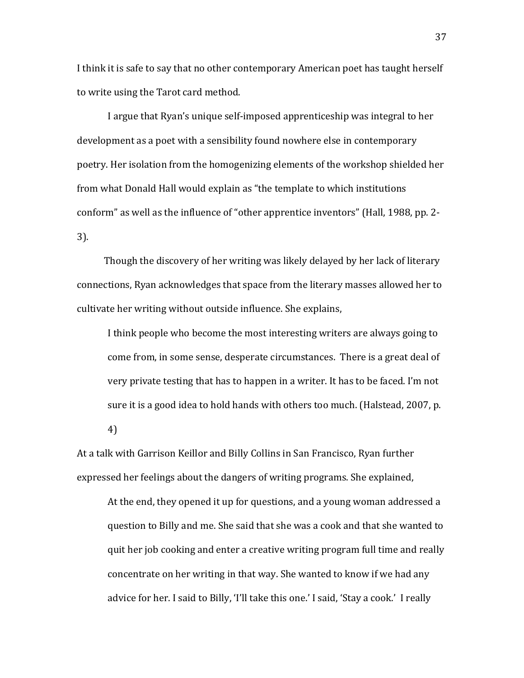I think it is safe to say that no other contemporary American poet has taught herself to write using the Tarot card method.

I argue that Ryan's unique self-imposed apprenticeship was integral to her development as a poet with a sensibility found nowhere else in contemporary poetry. Her isolation from the homogenizing elements of the workshop shielded her from what Donald Hall would explain as "the template to which institutions conform" as well as the influence of "other apprentice inventors" (Hall, 1988, pp. 2- $3$ .

Though the discovery of her writing was likely delayed by her lack of literary connections, Ryan acknowledges that space from the literary masses allowed her to cultivate her writing without outside influence. She explains,

I think people who become the most interesting writers are always going to come from, in some sense, desperate circumstances. There is a great deal of very private testing that has to happen in a writer. It has to be faced. I'm not sure it is a good idea to hold hands with others too much. (Halstead, 2007, p.

4)

At a talk with Garrison Keillor and Billy Collins in San Francisco, Ryan further expressed her feelings about the dangers of writing programs. She explained,

At the end, they opened it up for questions, and a young woman addressed a question to Billy and me. She said that she was a cook and that she wanted to quit her job cooking and enter a creative writing program full time and really concentrate on her writing in that way. She wanted to know if we had any advice for her. I said to Billy, 'I'll take this one.' I said, 'Stay a cook.' I really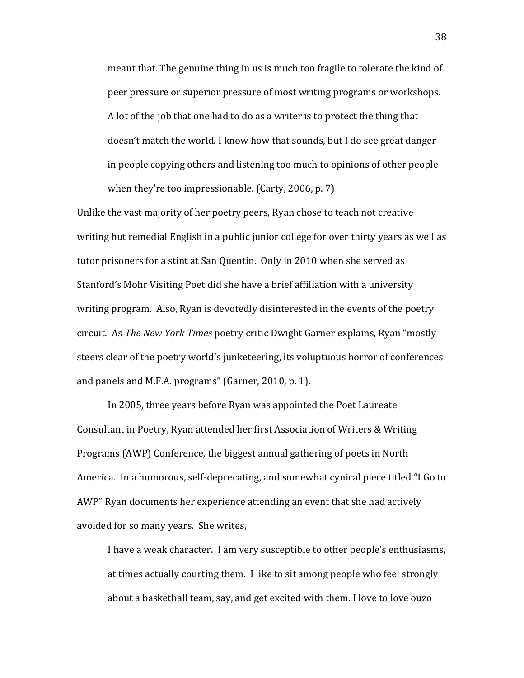meant that. The genuine thing in us is much too fragile to tolerate the kind of peer pressure or superior pressure of most writing programs or workshops. A lot of the job that one had to do as a writer is to protect the thing that doesn't match the world. I know how that sounds, but I do see great danger in people copying others and listening too much to opinions of other people when they're too impressionable. (Carty, 2006, p. 7)

Unlike the vast majority of her poetry peers, Ryan chose to teach not creative writing but remedial English in a public junior college for over thirty years as well as tutor prisoners for a stint at San Quentin. Only in 2010 when she served as Stanford's Mohr Visiting Poet did she have a brief affiliation with a university writing program. Also, Ryan is devotedly disinterested in the events of the poetry circuit. As *The New York Times* poetry critic Dwight Garner explains, Ryan "mostly steers clear of the poetry world's junketeering, its voluptuous horror of conferences and panels and M.F.A. programs" (Garner, 2010, p. 1).

In 2005, three years before Ryan was appointed the Poet Laureate Consultant in Poetry, Ryan attended her first Association of Writers & Writing Programs (AWP) Conference, the biggest annual gathering of poets in North America. In a humorous, self-deprecating, and somewhat cynical piece titled "I Go to AWP" Ryan documents her experience attending an event that she had actively avoided for so many years. She writes,

I have a weak character. I am very susceptible to other people's enthusiasms, at times actually courting them. I like to sit among people who feel strongly about a basketball team, say, and get excited with them. I love to love ouzo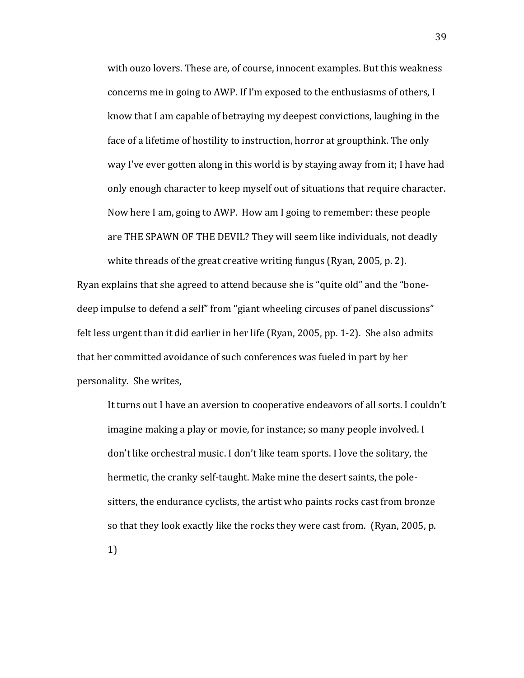with ouzo lovers. These are, of course, innocent examples. But this weakness concerns me in going to AWP. If I'm exposed to the enthusiasms of others, I know that I am capable of betraying my deepest convictions, laughing in the face of a lifetime of hostility to instruction, horror at groupthink. The only way I've ever gotten along in this world is by staying away from it; I have had only enough character to keep myself out of situations that require character. Now here I am, going to AWP. How am I going to remember: these people are THE SPAWN OF THE DEVIL? They will seem like individuals, not deadly white threads of the great creative writing fungus (Ryan, 2005, p. 2).

Ryan explains that she agreed to attend because she is "quite old" and the "bonedeep impulse to defend a self" from "giant wheeling circuses of panel discussions" felt less urgent than it did earlier in her life (Ryan, 2005, pp. 1-2). She also admits that her committed avoidance of such conferences was fueled in part by her personality. She writes,

It turns out I have an aversion to cooperative endeavors of all sorts. I couldn't imagine making a play or movie, for instance; so many people involved. I don't like orchestral music. I don't like team sports. I love the solitary, the hermetic, the cranky self-taught. Make mine the desert saints, the polesitters, the endurance cyclists, the artist who paints rocks cast from bronze so that they look exactly like the rocks they were cast from. (Ryan, 2005, p.

1)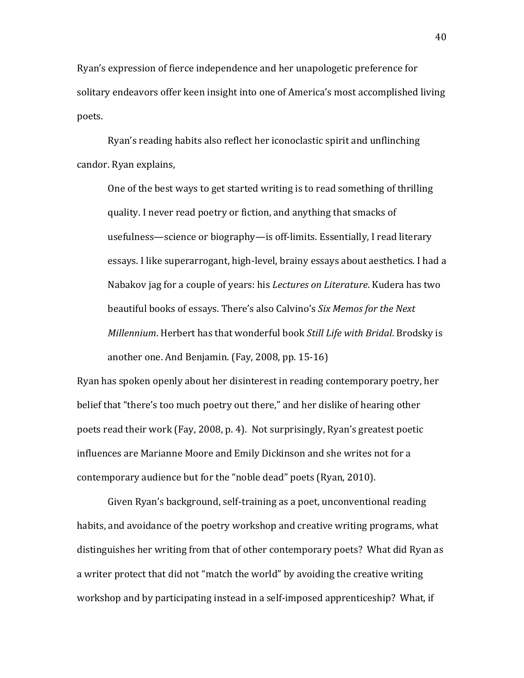Ryan's expression of fierce independence and her unapologetic preference for solitary endeavors offer keen insight into one of America's most accomplished living poets.

Ryan's reading habits also reflect her iconoclastic spirit and unflinching candor. Ryan explains,

One of the best ways to get started writing is to read something of thrilling quality. I never read poetry or fiction, and anything that smacks of usefulness—science or biography—is off-limits. Essentially, I read literary essays. I like superarrogant, high-level, brainy essays about aesthetics. I had a Nabakov jag for a couple of years: his *Lectures on Literature*. Kudera has two beautiful books of essays. There's also Calvino's Six Memos for the Next *Millennium*. Herbert has that wonderful book *Still Life with Bridal*. Brodsky is another one. And Benjamin. (Fay, 2008, pp.  $15-16$ )

Ryan has spoken openly about her disinterest in reading contemporary poetry, her belief that "there's too much poetry out there," and her dislike of hearing other poets read their work (Fay, 2008, p. 4). Not surprisingly, Ryan's greatest poetic influences are Marianne Moore and Emily Dickinson and she writes not for a contemporary audience but for the "noble dead" poets (Ryan, 2010).

Given Ryan's background, self-training as a poet, unconventional reading habits, and avoidance of the poetry workshop and creative writing programs, what distinguishes her writing from that of other contemporary poets? What did Ryan as a writer protect that did not "match the world" by avoiding the creative writing workshop and by participating instead in a self-imposed apprenticeship? What, if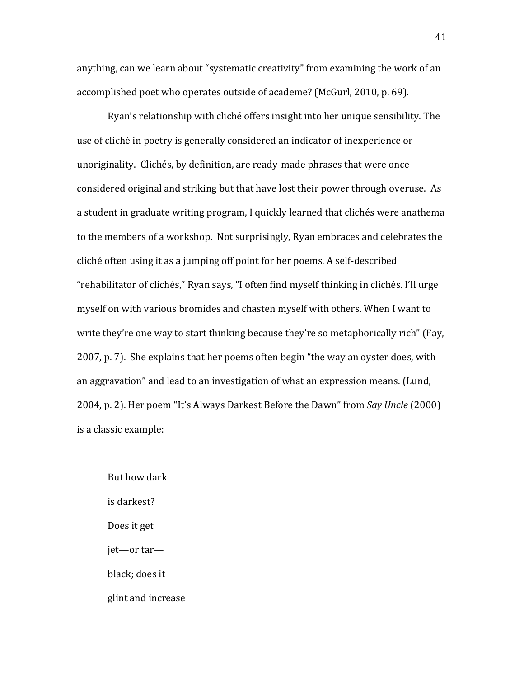anything, can we learn about "systematic creativity" from examining the work of an accomplished poet who operates outside of academe? (McGurl, 2010, p. 69).

Ryan's relationship with cliché offers insight into her unique sensibility. The use of cliché in poetry is generally considered an indicator of inexperience or unoriginality. Clichés, by definition, are ready-made phrases that were once considered original and striking but that have lost their power through overuse. As a student in graduate writing program, I quickly learned that clichés were anathema to the members of a workshop. Not surprisingly, Ryan embraces and celebrates the cliché often using it as a jumping off point for her poems. A self-described "rehabilitator of clichés," Ryan says, "I often find myself thinking in clichés. I'll urge myself on with various bromides and chasten myself with others. When I want to write they're one way to start thinking because they're so metaphorically rich" (Fay, 2007, p. 7). She explains that her poems often begin "the way an oyster does, with an aggravation" and lead to an investigation of what an expression means. (Lund, 2004, p. 2). Her poem "It's Always Darkest Before the Dawn" from *Say Uncle* (2000) is a classic example:

But how dark is darkest? Does it get jet—or tar black; does it glint and increase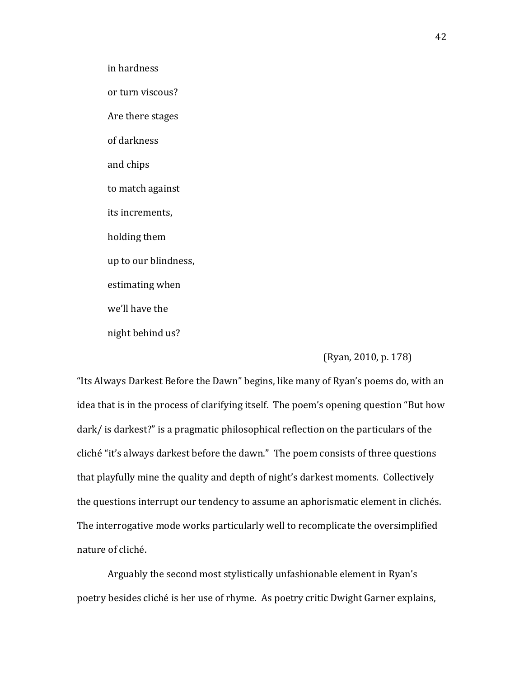in hardness

or turn viscous?

Are there stages

of darkness

and chips

to match against

its increments,

holding them

up to our blindness,

estimating when

we'll have the

night behind us?

### (Ryan, 2010, p. 178)

"Its Always Darkest Before the Dawn" begins, like many of Ryan's poems do, with an idea that is in the process of clarifying itself. The poem's opening question "But how dark/ is darkest?" is a pragmatic philosophical reflection on the particulars of the cliché "it's always darkest before the dawn." The poem consists of three questions that playfully mine the quality and depth of night's darkest moments. Collectively the questions interrupt our tendency to assume an aphorismatic element in clichés. The interrogative mode works particularly well to recomplicate the oversimplified nature of cliché.

Arguably the second most stylistically unfashionable element in Ryan's poetry besides cliché is her use of rhyme. As poetry critic Dwight Garner explains,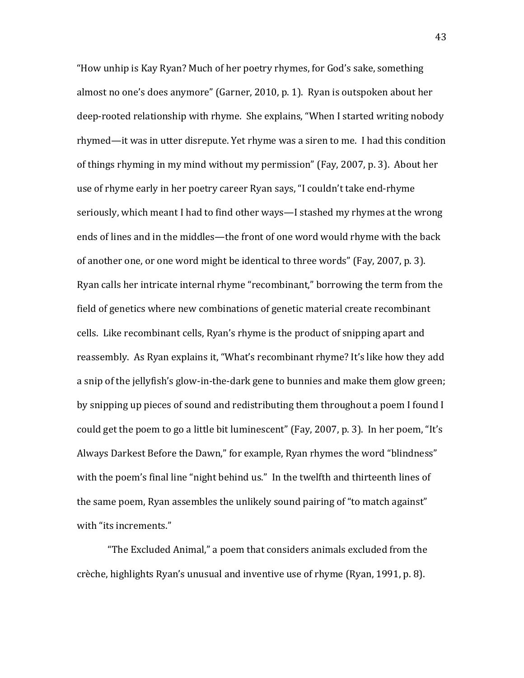"How unhip is Kay Ryan? Much of her poetry rhymes, for God's sake, something almost no one's does anymore" (Garner, 2010, p. 1). Ryan is outspoken about her deep-rooted relationship with rhyme. She explains, "When I started writing nobody rhymed—it was in utter disrepute. Yet rhyme was a siren to me. I had this condition of things rhyming in my mind without my permission" (Fay, 2007, p. 3). About her use of rhyme early in her poetry career Ryan says, "I couldn't take end-rhyme seriously, which meant I had to find other ways—I stashed my rhymes at the wrong ends of lines and in the middles—the front of one word would rhyme with the back of another one, or one word might be identical to three words" (Fay, 2007, p. 3). Ryan calls her intricate internal rhyme "recombinant," borrowing the term from the field of genetics where new combinations of genetic material create recombinant cells. Like recombinant cells, Ryan's rhyme is the product of snipping apart and reassembly. As Ryan explains it, "What's recombinant rhyme? It's like how they add a snip of the jellyfish's glow-in-the-dark gene to bunnies and make them glow green; by snipping up pieces of sound and redistributing them throughout a poem I found I could get the poem to go a little bit luminescent" (Fay, 2007, p. 3). In her poem, "It's Always Darkest Before the Dawn," for example, Ryan rhymes the word "blindness" with the poem's final line "night behind us." In the twelfth and thirteenth lines of the same poem, Ryan assembles the unlikely sound pairing of "to match against" with "its increments."

"The Excluded Animal," a poem that considers animals excluded from the crèche, highlights Ryan's unusual and inventive use of rhyme (Ryan, 1991, p. 8).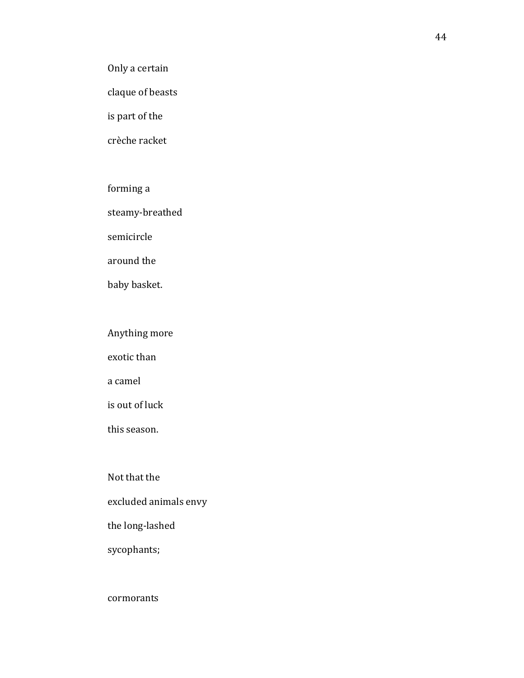Only a certain

claque of beasts

is part of the

crèche racket

# forming a

steamy-breathed

semicircle

around the

baby basket.

# Anything more

exotic than

a camel

is out of luck

this season.

Not that the

excluded animals envy

the long-lashed

sycophants;

# cormorants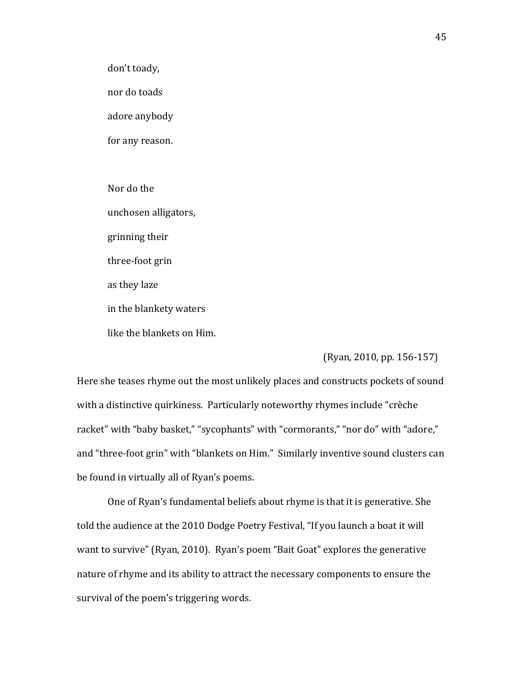don't toady,

nor do toads

adore anybody

for any reason.

Nor do the unchosen alligators, grinning their three-foot grin as they laze in the blankety waters like the blankets on Him.

(Ryan, 2010, pp. 156-157)

Here she teases rhyme out the most unlikely places and constructs pockets of sound with a distinctive quirkiness. Particularly noteworthy rhymes include "crèche racket" with "baby basket," "sycophants" with "cormorants," "nor do" with "adore," and "three-foot grin" with "blankets on Him." Similarly inventive sound clusters can be found in virtually all of Ryan's poems.

One of Ryan's fundamental beliefs about rhyme is that it is generative. She told the audience at the 2010 Dodge Poetry Festival, "If you launch a boat it will want to survive" (Ryan, 2010). Ryan's poem "Bait Goat" explores the generative nature of rhyme and its ability to attract the necessary components to ensure the survival of the poem's triggering words.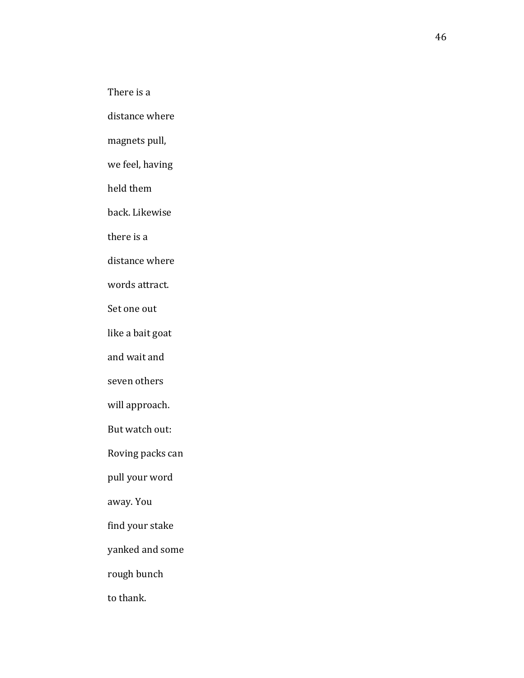There is a

distance where

magnets pull,

we feel, having

held them

back. Likewise

there is a

distance where

words attract.

Set one out

like a bait goat

and wait and

seven others

will approach.

But watch out:

Roving packs can

pull your word

away. You

find your stake

yanked and some

rough bunch

to thank.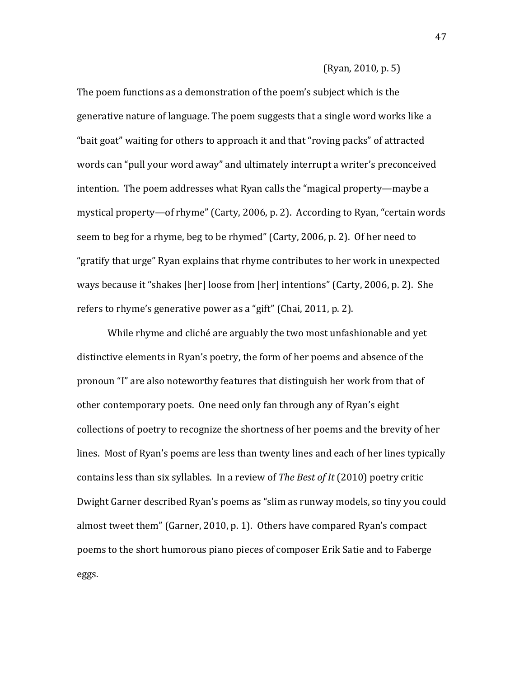#### $(Ryan, 2010, p. 5)$

The poem functions as a demonstration of the poem's subject which is the generative nature of language. The poem suggests that a single word works like a "bait goat" waiting for others to approach it and that "roving packs" of attracted words can "pull your word away" and ultimately interrupt a writer's preconceived intention. The poem addresses what Ryan calls the "magical property—maybe a mystical property—of rhyme" (Carty, 2006, p. 2). According to Ryan, "certain words seem to beg for a rhyme, beg to be rhymed" (Carty, 2006, p. 2). Of her need to "gratify that urge" Ryan explains that rhyme contributes to her work in unexpected ways because it "shakes [her] loose from [her] intentions" (Carty, 2006, p. 2). She refers to rhyme's generative power as a "gift" (Chai, 2011, p. 2).

While rhyme and cliché are arguably the two most unfashionable and yet distinctive elements in Ryan's poetry, the form of her poems and absence of the pronoun "I" are also noteworthy features that distinguish her work from that of other contemporary poets. One need only fan through any of Ryan's eight collections of poetry to recognize the shortness of her poems and the brevity of her lines. Most of Ryan's poems are less than twenty lines and each of her lines typically contains less than six syllables. In a review of *The Best of It* (2010) poetry critic Dwight Garner described Ryan's poems as "slim as runway models, so tiny you could almost tweet them" (Garner, 2010, p. 1). Others have compared Ryan's compact poems to the short humorous piano pieces of composer Erik Satie and to Faberge eggs.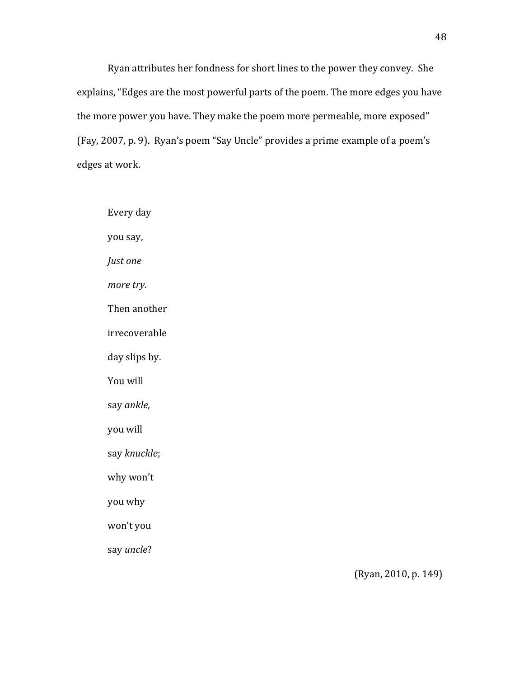Ryan attributes her fondness for short lines to the power they convey. She explains, "Edges are the most powerful parts of the poem. The more edges you have the more power you have. They make the poem more permeable, more exposed" (Fay, 2007, p. 9). Ryan's poem "Say Uncle" provides a prime example of a poem's edges at work.

Every day you say, *Just* one more try. Then another irrecoverable day slips by. You will say!*ankle*, you will say!*knuckle*; why won't you why won't you say!*uncle*?

(Ryan, 2010, p. 149)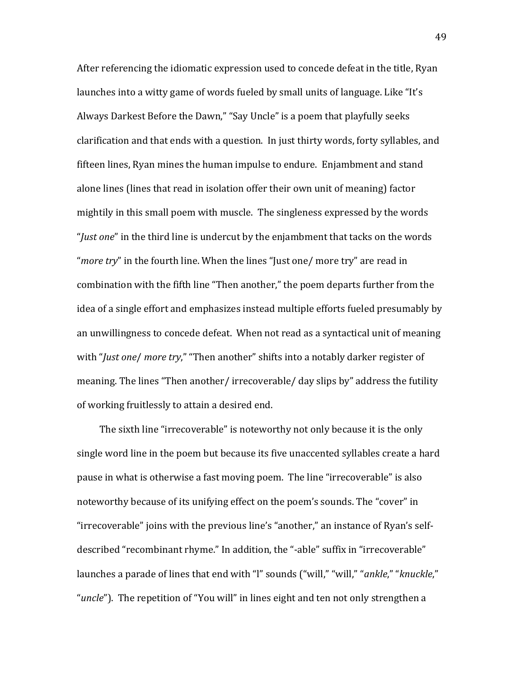After referencing the idiomatic expression used to concede defeat in the title, Ryan launches into a witty game of words fueled by small units of language. Like "It's Always Darkest Before the Dawn," "Say Uncle" is a poem that playfully seeks clarification and that ends with a question. In just thirty words, forty syllables, and fifteen lines, Ryan mines the human impulse to endure. Enjambment and stand alone lines (lines that read in isolation offer their own unit of meaning) factor mightily in this small poem with muscle. The singleness expressed by the words "*Just one*" in the third line is undercut by the enjambment that tacks on the words "*more try*" in the fourth line. When the lines "Just one/ more try" are read in combination with the fifth line "Then another," the poem departs further from the idea of a single effort and emphasizes instead multiple efforts fueled presumably by an unwillingness to concede defeat. When not read as a syntactical unit of meaning with "*Just one/ more try*," "Then another" shifts into a notably darker register of meaning. The lines "Then another/ irrecoverable/ day slips by" address the futility of working fruitlessly to attain a desired end.

The sixth line "irrecoverable" is noteworthy not only because it is the only single word line in the poem but because its five unaccented syllables create a hard pause in what is otherwise a fast moving poem. The line "irrecoverable" is also noteworthy because of its unifying effect on the poem's sounds. The "cover" in "irrecoverable" joins with the previous line's "another," an instance of Ryan's selfdescribed "recombinant rhyme." In addition, the "-able" suffix in "irrecoverable" launches a parade of lines that end with "I" sounds ("will," "will," "ankle," "*knuckle*," "*uncle*"). The repetition of "You will" in lines eight and ten not only strengthen a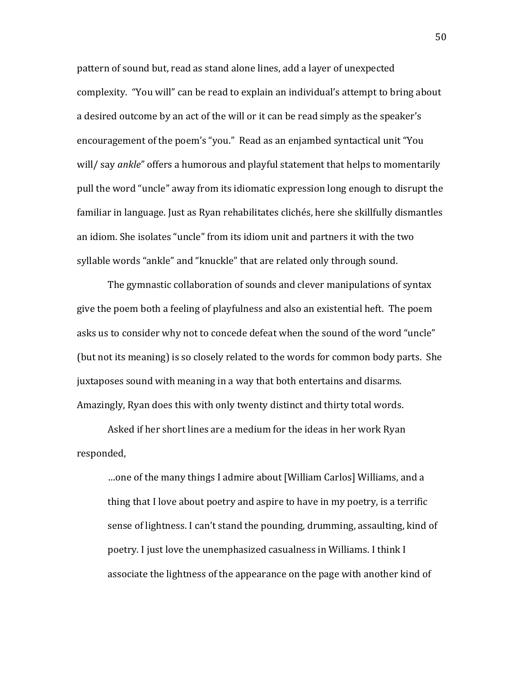pattern of sound but, read as stand alone lines, add a layer of unexpected complexity. "You will" can be read to explain an individual's attempt to bring about a desired outcome by an act of the will or it can be read simply as the speaker's encouragement of the poem's "you." Read as an enjambed syntactical unit "You will/ say *ankle*" offers a humorous and playful statement that helps to momentarily pull the word "uncle" away from its idiomatic expression long enough to disrupt the familiar in language. Just as Ryan rehabilitates clichés, here she skillfully dismantles an idiom. She isolates "uncle" from its idiom unit and partners it with the two syllable words "ankle" and "knuckle" that are related only through sound.

The gymnastic collaboration of sounds and clever manipulations of syntax give the poem both a feeling of playfulness and also an existential heft. The poem asks us to consider why not to concede defeat when the sound of the word "uncle" (but not its meaning) is so closely related to the words for common body parts. She juxtaposes sound with meaning in a way that both entertains and disarms. Amazingly, Ryan does this with only twenty distinct and thirty total words.

Asked if her short lines are a medium for the ideas in her work Ryan responded,

...one of the many things I admire about [William Carlos] Williams, and a thing that I love about poetry and aspire to have in my poetry, is a terrific sense of lightness. I can't stand the pounding, drumming, assaulting, kind of poetry. I just love the unemphasized casualness in Williams. I think I associate the lightness of the appearance on the page with another kind of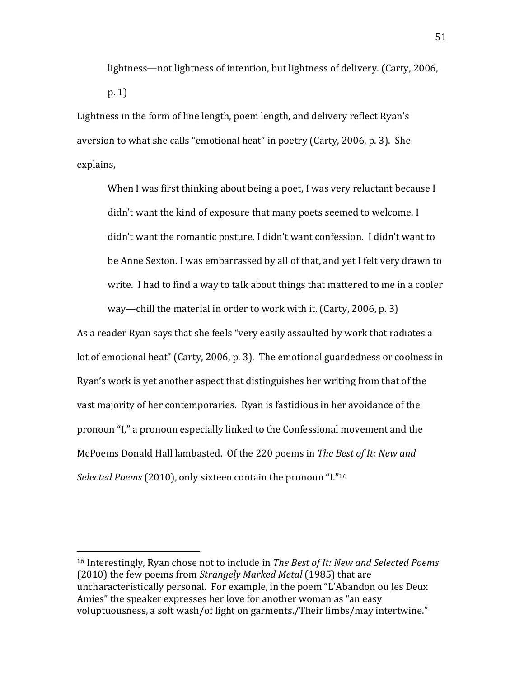lightness—not lightness of intention, but lightness of delivery. (Carty, 2006,  $p. 1)$ 

Lightness in the form of line length, poem length, and delivery reflect Ryan's aversion to what she calls "emotional heat" in poetry (Carty, 2006, p. 3). She explains,

When I was first thinking about being a poet, I was very reluctant because I didn't want the kind of exposure that many poets seemed to welcome. I didn't want the romantic posture. I didn't want confession. I didn't want to be Anne Sexton. I was embarrassed by all of that, and yet I felt very drawn to write. I had to find a way to talk about things that mattered to me in a cooler way—chill the material in order to work with it. (Carty, 2006, p. 3)

As a reader Ryan says that she feels "very easily assaulted by work that radiates a lot of emotional heat" (Carty, 2006, p. 3). The emotional guardedness or coolness in Ryan's work is yet another aspect that distinguishes her writing from that of the vast majority of her contemporaries. Ryan is fastidious in her avoidance of the pronoun "I," a pronoun especially linked to the Confessional movement and the McPoems Donald Hall lambasted. Of the 220 poems in *The Best of It: New and Selected Poems* (2010), only sixteen contain the pronoun "I."<sup>16</sup>

<sup>&</sup>lt;sup>16</sup> Interestingly, Ryan chose not to include in *The Best of It: New and Selected Poems* (2010) the few poems from *Strangely Marked Metal* (1985) that are uncharacteristically personal. For example, in the poem "L'Abandon ou les Deux Amies" the speaker expresses her love for another woman as "an easy" voluptuousness, a soft wash/of light on garments./Their limbs/may intertwine."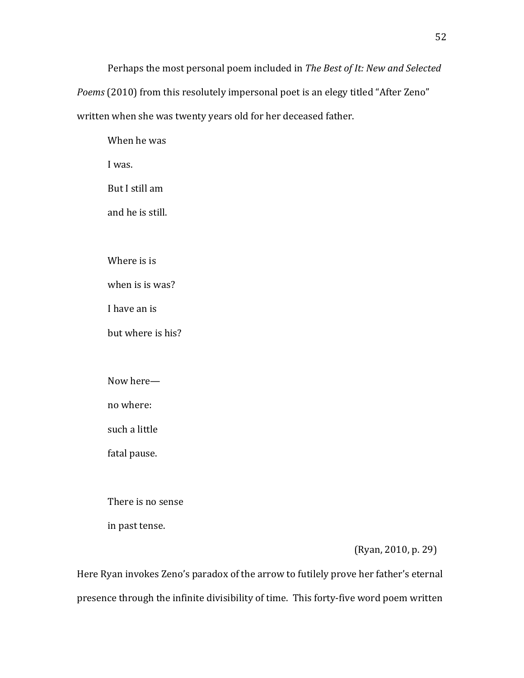Perhaps the most personal poem included in *The Best of It: New and Selected* 

*Poems* (2010) from this resolutely impersonal poet is an elegy titled "After Zeno" written when she was twenty years old for her deceased father.

When he was

I was.

But I still am

and he is still.

Where is is

when is is was?

I have an is

but where is his?

Now here-

no where:

such a little

fatal pause.

There is no sense

in past tense.

(Ryan, 2010, p. 29)

Here Ryan invokes Zeno's paradox of the arrow to futilely prove her father's eternal presence through the infinite divisibility of time. This forty-five word poem written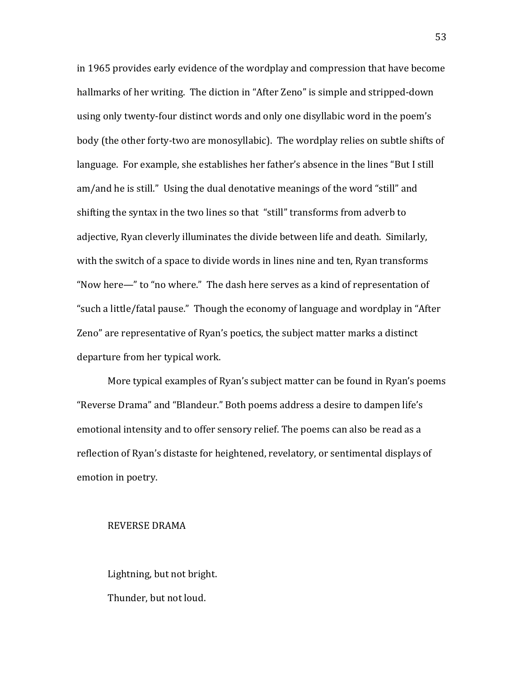in 1965 provides early evidence of the wordplay and compression that have become hallmarks of her writing. The diction in "After Zeno" is simple and stripped-down using only twenty-four distinct words and only one disyllabic word in the poem's body (the other forty-two are monosyllabic). The wordplay relies on subtle shifts of language. For example, she establishes her father's absence in the lines "But I still am/and he is still." Using the dual denotative meanings of the word "still" and shifting the syntax in the two lines so that "still" transforms from adverb to adiective, Ryan cleverly illuminates the divide between life and death. Similarly, with the switch of a space to divide words in lines nine and ten, Ryan transforms "Now here—" to "no where." The dash here serves as a kind of representation of " such a little/fatal pause." Though the economy of language and wordplay in "After" Zeno" are representative of Ryan's poetics, the subject matter marks a distinct departure from her typical work.

More typical examples of Ryan's subject matter can be found in Ryan's poems "Reverse Drama" and "Blandeur." Both poems address a desire to dampen life's emotional intensity and to offer sensory relief. The poems can also be read as a reflection of Ryan's distaste for heightened, revelatory, or sentimental displays of emotion in poetry.

#### REVERSE DRAMA

Lightning, but not bright. Thunder, but not loud.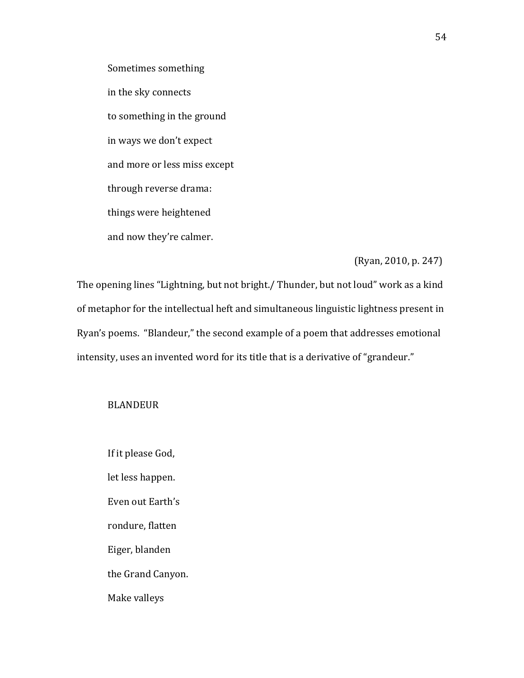Sometimes something in the sky connects to something in the ground in ways we don't expect and more or less miss except through reverse drama: things were heightened and now they're calmer.

### $(Ryan, 2010, p. 247)$

The opening lines "Lightning, but not bright./ Thunder, but not loud" work as a kind of metaphor for the intellectual heft and simultaneous linguistic lightness present in Ryan's poems. "Blandeur," the second example of a poem that addresses emotional intensity, uses an invented word for its title that is a derivative of "grandeur."

## BLANDEUR

If it please God, let less happen. Even out Earth's rondure, flatten Eiger, blanden the Grand Canyon. Make valleys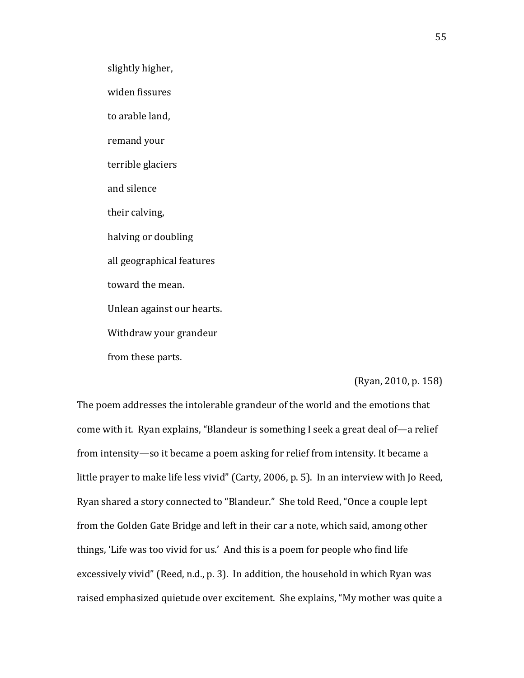slightly higher,

widen fissures

to arable land,

remand your

terrible glaciers

and silence

their calving,

halving or doubling

all geographical features

toward the mean.

Unlean against our hearts.

Withdraw your grandeur

from these parts.

## (Ryan, 2010, p. 158)

The poem addresses the intolerable grandeur of the world and the emotions that come with it. Ryan explains, "Blandeur is something I seek a great deal of—a relief from intensity—so it became a poem asking for relief from intensity. It became a little prayer to make life less vivid" (Carty, 2006, p. 5). In an interview with Jo Reed, Ryan shared a story connected to "Blandeur." She told Reed, "Once a couple lept from the Golden Gate Bridge and left in their car a note, which said, among other things, 'Life was too vivid for us.' And this is a poem for people who find life excessively vivid" (Reed, n.d., p. 3). In addition, the household in which Ryan was raised emphasized quietude over excitement. She explains, "My mother was quite a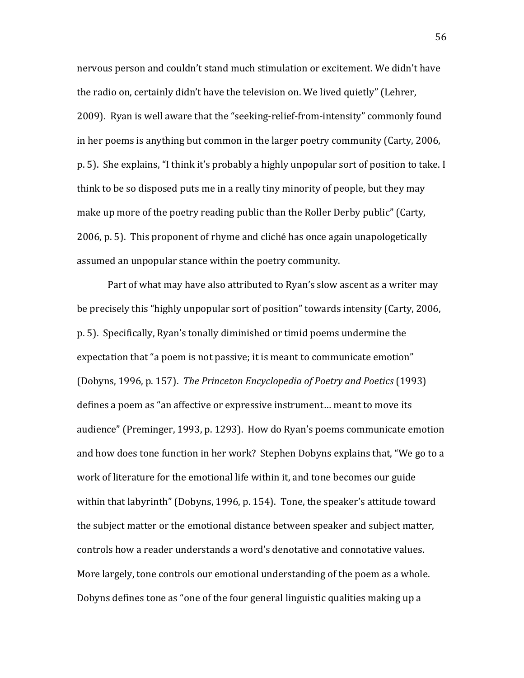nervous person and couldn't stand much stimulation or excitement. We didn't have the radio on, certainly didn't have the television on. We lived quietly" (Lehrer, 2009). Ryan is well aware that the "seeking-relief-from-intensity" commonly found in her poems is anything but common in the larger poetry community (Carty, 2006, p. 5). She explains, "I think it's probably a highly unpopular sort of position to take. I think to be so disposed puts me in a really tiny minority of people, but they may make up more of the poetry reading public than the Roller Derby public" (Carty, 2006, p. 5). This proponent of rhyme and cliché has once again unapologetically assumed an unpopular stance within the poetry community.

Part of what may have also attributed to Ryan's slow ascent as a writer may be precisely this "highly unpopular sort of position" towards intensity (Carty, 2006, p. 5). Specifically, Ryan's tonally diminished or timid poems undermine the expectation that "a poem is not passive; it is meant to communicate emotion" (Dobyns, 1996, p. 157). The Princeton Encyclopedia of Poetry and Poetics (1993) defines a poem as "an affective or expressive instrument... meant to move its audience" (Preminger, 1993, p. 1293). How do Ryan's poems communicate emotion and how does tone function in her work? Stephen Dobyns explains that, "We go to a work of literature for the emotional life within it, and tone becomes our guide within that labyrinth" (Dobyns, 1996, p. 154). Tone, the speaker's attitude toward the subject matter or the emotional distance between speaker and subject matter, controls how a reader understands a word's denotative and connotative values. More largely, tone controls our emotional understanding of the poem as a whole. Dobyns defines tone as "one of the four general linguistic qualities making up a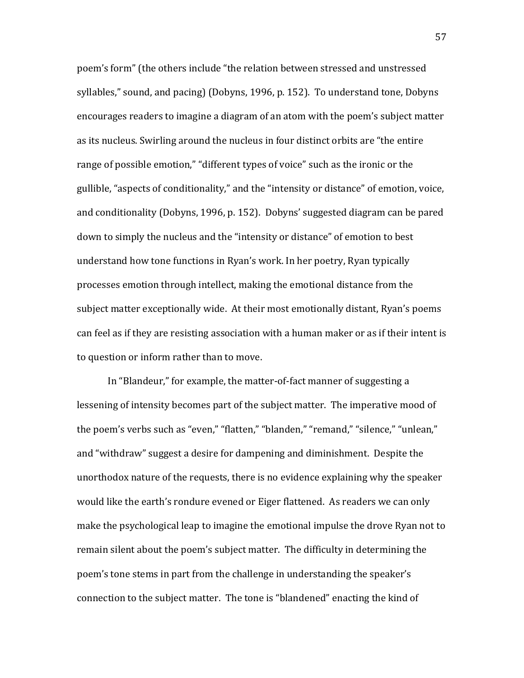poem's form" (the others include "the relation between stressed and unstressed syllables," sound, and pacing) (Dobyns, 1996, p. 152). To understand tone, Dobyns encourages readers to imagine a diagram of an atom with the poem's subject matter as its nucleus. Swirling around the nucleus in four distinct orbits are "the entire" range of possible emotion," "different types of voice" such as the ironic or the gullible, "aspects of conditionality," and the "intensity or distance" of emotion, voice, and conditionality (Dobyns, 1996, p. 152). Dobyns' suggested diagram can be pared down to simply the nucleus and the "intensity or distance" of emotion to best understand how tone functions in Ryan's work. In her poetry, Ryan typically processes emotion through intellect, making the emotional distance from the subject matter exceptionally wide. At their most emotionally distant, Ryan's poems can feel as if they are resisting association with a human maker or as if their intent is to question or inform rather than to move.

In "Blandeur," for example, the matter-of-fact manner of suggesting a lessening of intensity becomes part of the subject matter. The imperative mood of the poem's verbs such as "even," "flatten," "blanden," "remand," "silence," "unlean," and "withdraw" suggest a desire for dampening and diminishment. Despite the unorthodox nature of the requests, there is no evidence explaining why the speaker would like the earth's rondure evened or Eiger flattened. As readers we can only make the psychological leap to imagine the emotional impulse the drove Ryan not to remain silent about the poem's subject matter. The difficulty in determining the poem's tone stems in part from the challenge in understanding the speaker's connection to the subject matter. The tone is "blandened" enacting the kind of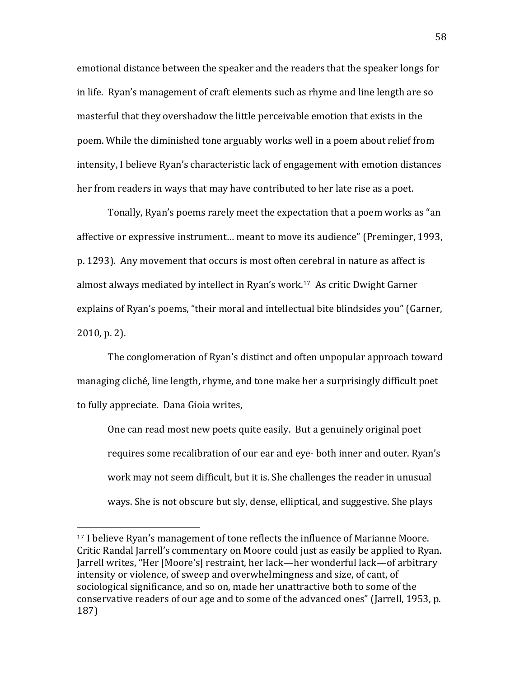emotional distance between the speaker and the readers that the speaker longs for in life. Ryan's management of craft elements such as rhyme and line length are so masterful that they overshadow the little perceivable emotion that exists in the poem. While the diminished tone arguably works well in a poem about relief from intensity, I believe Ryan's characteristic lack of engagement with emotion distances her from readers in ways that may have contributed to her late rise as a poet.

Tonally, Ryan's poems rarely meet the expectation that a poem works as "an" affective or expressive instrument... meant to move its audience" (Preminger, 1993, p. 1293). Any movement that occurs is most often cerebral in nature as affect is almost always mediated by intellect in Ryan's work.<sup>17</sup> As critic Dwight Garner explains of Ryan's poems, "their moral and intellectual bite blindsides you" (Garner, 2010, p. 2).

The conglomeration of Ryan's distinct and often unpopular approach toward managing cliché, line length, rhyme, and tone make her a surprisingly difficult poet to fully appreciate. Dana Gioia writes,

One can read most new poets quite easily. But a genuinely original poet requires some recalibration of our ear and eye- both inner and outer. Ryan's work may not seem difficult, but it is. She challenges the reader in unusual ways. She is not obscure but sly, dense, elliptical, and suggestive. She plays

<sup>&</sup>lt;sup>17</sup> I believe Ryan's management of tone reflects the influence of Marianne Moore. Critic Randal Jarrell's commentary on Moore could just as easily be applied to Ryan. Jarrell writes, "Her [Moore's] restraint, her lack—her wonderful lack—of arbitrary intensity or violence, of sweep and overwhelmingness and size, of cant, of sociological significance, and so on, made her unattractive both to some of the conservative readers of our age and to some of the advanced ones" (Jarrell, 1953, p. 187)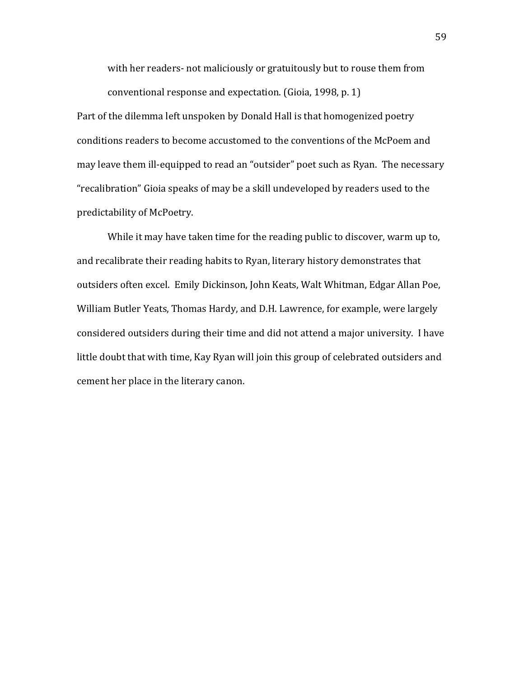with her readers- not maliciously or gratuitously but to rouse them from conventional response and expectation. (Gioia, 1998, p. 1)

Part of the dilemma left unspoken by Donald Hall is that homogenized poetry conditions readers to become accustomed to the conventions of the McPoem and may leave them ill-equipped to read an "outsider" poet such as Ryan. The necessary "recalibration" Gioia speaks of may be a skill undeveloped by readers used to the predictability of McPoetry.

While it may have taken time for the reading public to discover, warm up to, and recalibrate their reading habits to Ryan, literary history demonstrates that outsiders often excel. Emily Dickinson, John Keats, Walt Whitman, Edgar Allan Poe, William Butler Yeats, Thomas Hardy, and D.H. Lawrence, for example, were largely considered outsiders during their time and did not attend a major university. I have little doubt that with time, Kay Ryan will join this group of celebrated outsiders and cement her place in the literary canon.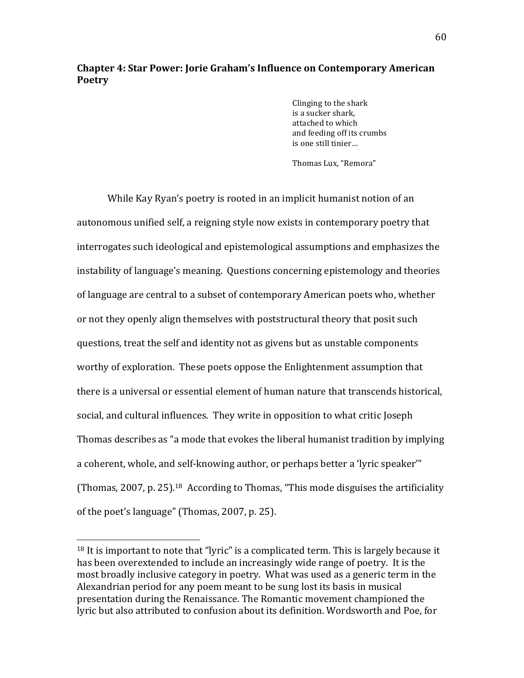# **Chapter 4: Star Power: Jorie Graham's Influence on Contemporary American Poetry**

Clinging to the shark is a sucker shark, attached to which and feeding off its crumbs is one still tinier...

Thomas Lux, "Remora"

While Kay Ryan's poetry is rooted in an implicit humanist notion of an autonomous unified self, a reigning style now exists in contemporary poetry that interrogates such ideological and epistemological assumptions and emphasizes the instability of language's meaning. Questions concerning epistemology and theories of language are central to a subset of contemporary American poets who, whether or not they openly align themselves with poststructural theory that posit such questions, treat the self and identity not as givens but as unstable components worthy of exploration. These poets oppose the Enlightenment assumption that there is a universal or essential element of human nature that transcends historical, social, and cultural influences. They write in opposition to what critic Joseph Thomas describes as "a mode that evokes the liberal humanist tradition by implying a coherent, whole, and self-knowing author, or perhaps better a 'lyric speaker'" (Thomas, 2007, p. 25).<sup>18</sup> According to Thomas, "This mode disguises the artificiality of the poet's language" (Thomas, 2007, p. 25).

 $18$  It is important to note that "lyric" is a complicated term. This is largely because it has been overextended to include an increasingly wide range of poetry. It is the most broadly inclusive category in poetry. What was used as a generic term in the Alexandrian period for any poem meant to be sung lost its basis in musical presentation during the Renaissance. The Romantic movement championed the lyric but also attributed to confusion about its definition. Wordsworth and Poe, for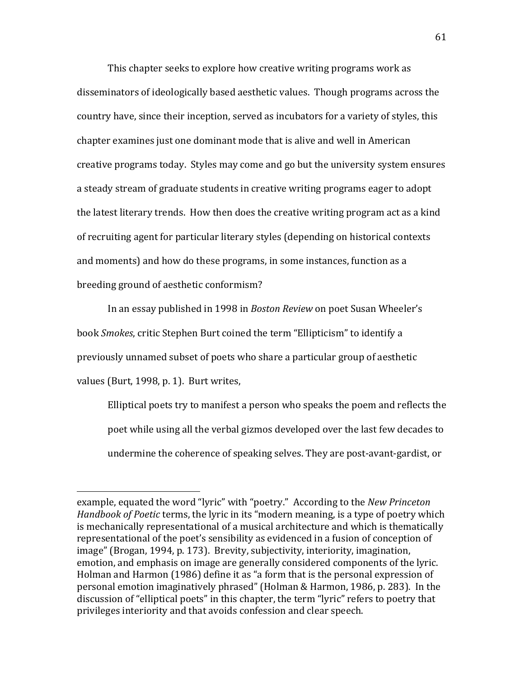This chapter seeks to explore how creative writing programs work as disseminators of ideologically based aesthetic values. Though programs across the country have, since their inception, served as incubators for a variety of styles, this chapter examines just one dominant mode that is alive and well in American creative programs today. Styles may come and go but the university system ensures a steady stream of graduate students in creative writing programs eager to adopt the latest literary trends. How then does the creative writing program act as a kind of recruiting agent for particular literary styles (depending on historical contexts and moments) and how do these programs, in some instances, function as a breeding ground of aesthetic conformism?

In an essay published in 1998 in *Boston Review* on poet Susan Wheeler's book *Smokes*, critic Stephen Burt coined the term "Ellipticism" to identify a previously unnamed subset of poets who share a particular group of aesthetic values (Burt, 1998, p. 1). Burt writes,

Elliptical poets try to manifest a person who speaks the poem and reflects the poet while using all the verbal gizmos developed over the last few decades to undermine the coherence of speaking selves. They are post-avant-gardist, or

example, equated the word "lyric" with "poetry." According to the *New Princeton Handbook of Poetic* terms, the lyric in its "modern meaning, is a type of poetry which is mechanically representational of a musical architecture and which is thematically representational of the poet's sensibility as evidenced in a fusion of conception of image" (Brogan, 1994, p. 173). Brevity, subjectivity, interiority, imagination, emotion, and emphasis on image are generally considered components of the lyric. Holman and Harmon (1986) define it as "a form that is the personal expression of personal emotion imaginatively phrased" (Holman & Harmon, 1986, p. 283). In the discussion of "elliptical poets" in this chapter, the term "lyric" refers to poetry that privileges interiority and that avoids confession and clear speech.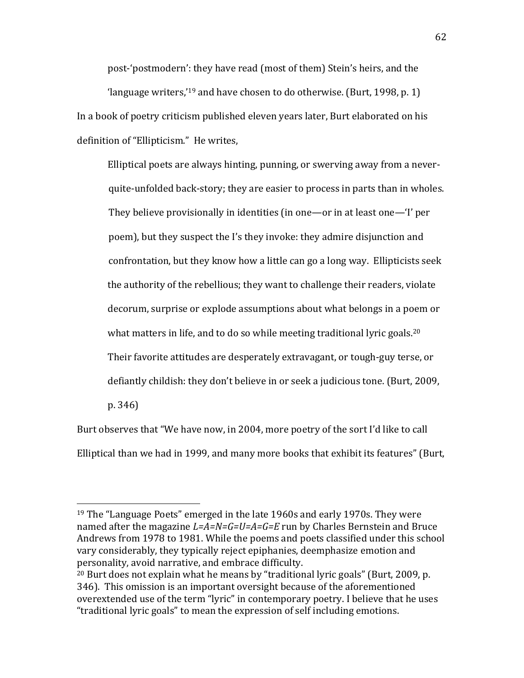post-'postmodern': they have read (most of them) Stein's heirs, and the 'language writers,'<sup>19</sup> and have chosen to do otherwise. (Burt, 1998, p. 1) In a book of poetry criticism published eleven years later, Burt elaborated on his definition of "Ellipticism." He writes,

Elliptical poets are always hinting, punning, or swerving away from a neverquite-unfolded back-story; they are easier to process in parts than in wholes. They believe provisionally in identities (in one—or in at least one—'I' per poem), but they suspect the I's they invoke: they admire disjunction and confrontation, but they know how a little can go a long way. Ellipticists seek the authority of the rebellious; they want to challenge their readers, violate decorum, surprise or explode assumptions about what belongs in a poem or what matters in life, and to do so while meeting traditional lyric goals.<sup>20</sup> Their favorite attitudes are desperately extravagant, or tough-guy terse, or defiantly childish: they don't believe in or seek a judicious tone. (Burt, 2009, p. 346)

Burt observes that "We have now, in 2004, more poetry of the sort I'd like to call Elliptical than we had in 1999, and many more books that exhibit its features" (Burt,

<sup>&</sup>lt;sup>19</sup> The "Language Poets" emerged in the late 1960s and early 1970s. They were named after the magazine  $L=A=N=G=U=A=G=E$  run by Charles Bernstein and Bruce Andrews from 1978 to 1981. While the poems and poets classified under this school vary considerably, they typically reject epiphanies, deemphasize emotion and personality, avoid narrative, and embrace difficulty.

 $20$  Burt does not explain what he means by "traditional lyric goals" (Burt, 2009, p. 346). This omission is an important oversight because of the aforementioned overextended use of the term "lyric" in contemporary poetry. I believe that he uses "traditional lyric goals" to mean the expression of self including emotions.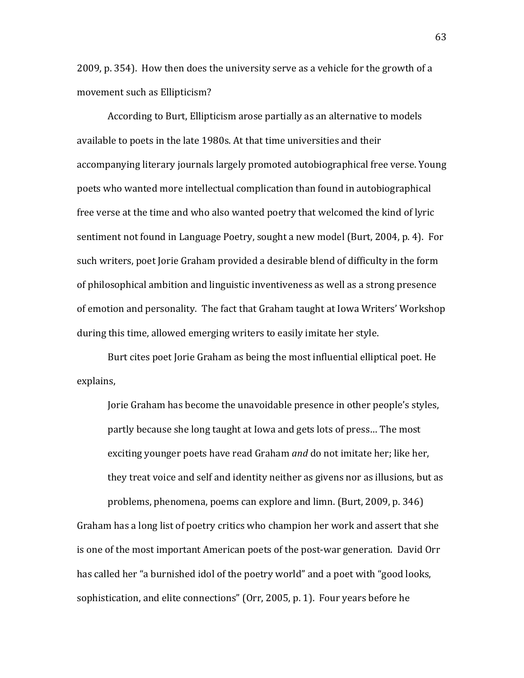2009, p. 354). How then does the university serve as a vehicle for the growth of a movement such as Ellipticism?

According to Burt, Ellipticism arose partially as an alternative to models available to poets in the late 1980s. At that time universities and their accompanying literary journals largely promoted autobiographical free verse. Young poets who wanted more intellectual complication than found in autobiographical free verse at the time and who also wanted poetry that welcomed the kind of lyric sentiment not found in Language Poetry, sought a new model (Burt, 2004, p. 4). For such writers, poet Jorie Graham provided a desirable blend of difficulty in the form of philosophical ambition and linguistic inventiveness as well as a strong presence of emotion and personality. The fact that Graham taught at Iowa Writers' Workshop during this time, allowed emerging writers to easily imitate her style.

Burt cites poet Jorie Graham as being the most influential elliptical poet. He explains,

Jorie Graham has become the unavoidable presence in other people's styles, partly because she long taught at Iowa and gets lots of press... The most exciting younger poets have read Graham *and* do not imitate her; like her, they treat voice and self and identity neither as givens nor as illusions, but as problems, phenomena, poems can explore and limn. (Burt, 2009, p. 346) Graham has a long list of poetry critics who champion her work and assert that she is one of the most important American poets of the post-war generation. David Orr has called her "a burnished idol of the poetry world" and a poet with "good looks,

63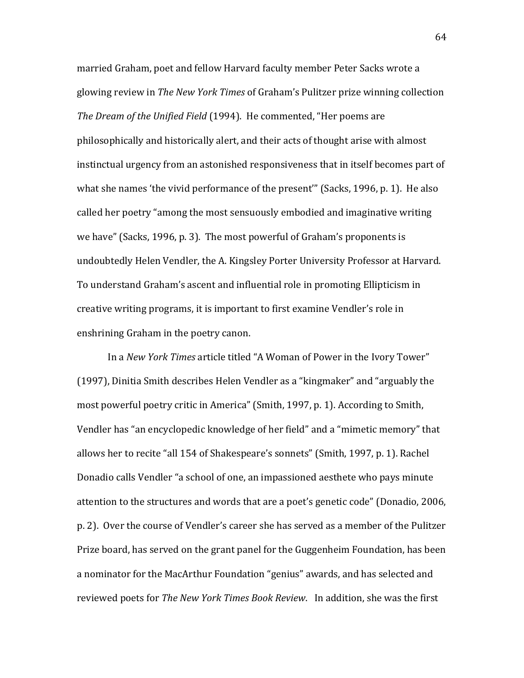married Graham, poet and fellow Harvard faculty member Peter Sacks wrote a glowing review in *The New York Times* of Graham's Pulitzer prize winning collection *The Dream of the Unified Field* (1994). He commented, "Her poems are philosophically and historically alert, and their acts of thought arise with almost instinctual urgency from an astonished responsiveness that in itself becomes part of what she names 'the vivid performance of the present'" (Sacks, 1996, p. 1). He also called her poetry "among the most sensuously embodied and imaginative writing we have" (Sacks, 1996, p. 3). The most powerful of Graham's proponents is undoubtedly Helen Vendler, the A. Kingsley Porter University Professor at Harvard. To understand Graham's ascent and influential role in promoting Ellipticism in creative writing programs, it is important to first examine Vendler's role in enshrining Graham in the poetry canon.

In a *New York Times* article titled "A Woman of Power in the Ivory Tower" (1997), Dinitia Smith describes Helen Vendler as a "kingmaker" and "arguably the most powerful poetry critic in America" (Smith, 1997, p. 1). According to Smith, Vendler has "an encyclopedic knowledge of her field" and a "mimetic memory" that allows her to recite "all 154 of Shakespeare's sonnets" (Smith, 1997, p. 1). Rachel Donadio calls Vendler "a school of one, an impassioned aesthete who pays minute attention to the structures and words that are a poet's genetic code" (Donadio, 2006, p. 2). Over the course of Vendler's career she has served as a member of the Pulitzer Prize board, has served on the grant panel for the Guggenheim Foundation, has been a nominator for the MacArthur Foundation "genius" awards, and has selected and reviewed poets for *The New York Times Book Review*. In addition, she was the first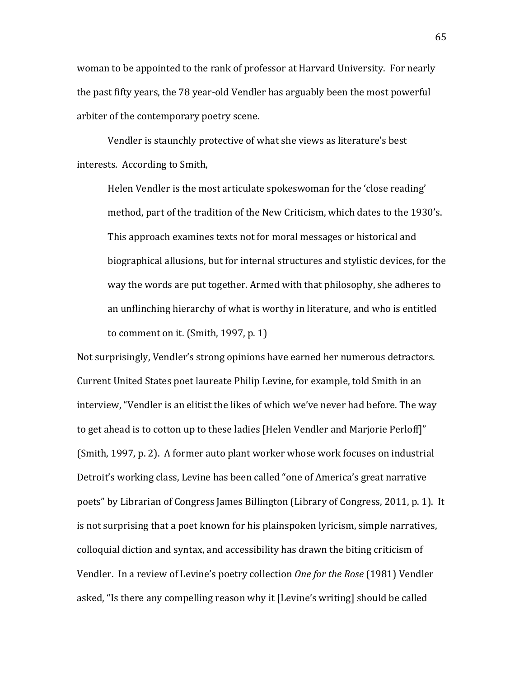woman to be appointed to the rank of professor at Harvard University. For nearly the past fifty years, the 78 year-old Vendler has arguably been the most powerful arbiter of the contemporary poetry scene.

Vendler is staunchly protective of what she views as literature's best interests. According to Smith,

Helen Vendler is the most articulate spokeswoman for the 'close reading' method, part of the tradition of the New Criticism, which dates to the 1930's. This approach examines texts not for moral messages or historical and biographical allusions, but for internal structures and stylistic devices, for the way the words are put together. Armed with that philosophy, she adheres to an unflinching hierarchy of what is worthy in literature, and who is entitled to comment on it. (Smith,  $1997$ , p. 1)

Not surprisingly, Vendler's strong opinions have earned her numerous detractors. Current United States poet laureate Philip Levine, for example, told Smith in an interview, "Vendler is an elitist the likes of which we've never had before. The way to get ahead is to cotton up to these ladies [Helen Vendler and Marjorie Perloff]" (Smith, 1997, p. 2). A former auto plant worker whose work focuses on industrial Detroit's working class, Levine has been called "one of America's great narrative poets" by Librarian of Congress James Billington (Library of Congress, 2011, p. 1). It is not surprising that a poet known for his plainspoken lyricism, simple narratives, colloquial diction and syntax, and accessibility has drawn the biting criticism of Vendler. In a review of Levine's poetry collection One for the Rose (1981) Vendler asked, "Is there any compelling reason why it [Levine's writing] should be called

65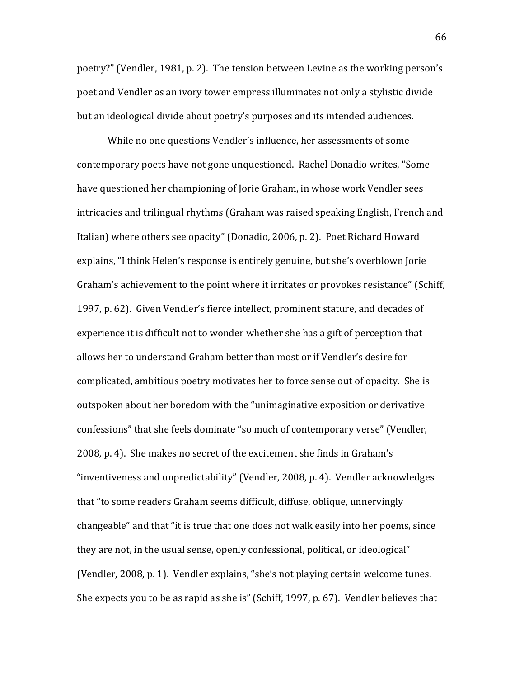poetry?" (Vendler, 1981, p. 2). The tension between Levine as the working person's poet and Vendler as an ivory tower empress illuminates not only a stylistic divide but an ideological divide about poetry's purposes and its intended audiences.

While no one questions Vendler's influence, her assessments of some contemporary poets have not gone unquestioned. Rachel Donadio writes, "Some have questioned her championing of Jorie Graham, in whose work Vendler sees intricacies and trilingual rhythms (Graham was raised speaking English, French and Italian) where others see opacity" (Donadio, 2006, p. 2). Poet Richard Howard explains, "I think Helen's response is entirely genuine, but she's overblown Jorie Graham's achievement to the point where it irritates or provokes resistance" (Schiff, 1997, p. 62). Given Vendler's fierce intellect, prominent stature, and decades of experience it is difficult not to wonder whether she has a gift of perception that allows her to understand Graham better than most or if Vendler's desire for complicated, ambitious poetry motivates her to force sense out of opacity. She is outspoken about her boredom with the "unimaginative exposition or derivative confessions" that she feels dominate "so much of contemporary verse" (Vendler, 2008, p. 4). She makes no secret of the excitement she finds in Graham's "inventiveness and unpredictability" (Vendler, 2008, p. 4). Vendler acknowledges that "to some readers Graham seems difficult, diffuse, oblique, unnervingly changeable" and that "it is true that one does not walk easily into her poems, since they are not, in the usual sense, openly confessional, political, or ideological" (Vendler, 2008, p. 1). Vendler explains, "she's not playing certain welcome tunes. She expects you to be as rapid as she is" (Schiff, 1997, p. 67). Vendler believes that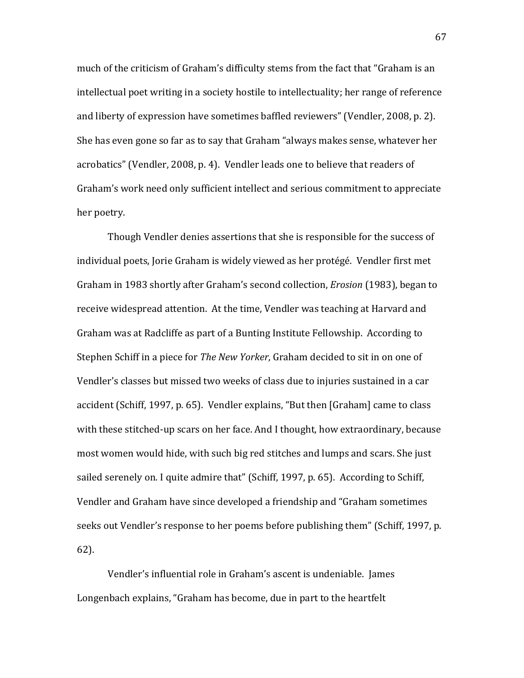much of the criticism of Graham's difficulty stems from the fact that "Graham is an intellectual poet writing in a society hostile to intellectuality; her range of reference and liberty of expression have sometimes baffled reviewers" (Vendler, 2008, p. 2). She has even gone so far as to say that Graham "always makes sense, whatever her acrobatics" (Vendler, 2008, p. 4). Vendler leads one to believe that readers of Graham's work need only sufficient intellect and serious commitment to appreciate her poetry.

Though Vendler denies assertions that she is responsible for the success of individual poets, Jorie Graham is widely viewed as her protégé. Vendler first met Graham in 1983 shortly after Graham's second collection, *Erosion* (1983), began to receive widespread attention. At the time, Vendler was teaching at Harvard and Graham was at Radcliffe as part of a Bunting Institute Fellowship. According to Stephen Schiff in a piece for *The New Yorker*, Graham decided to sit in on one of Vendler's classes but missed two weeks of class due to injuries sustained in a car accident (Schiff, 1997, p. 65). Vendler explains, "But then [Graham] came to class with these stitched-up scars on her face. And I thought, how extraordinary, because most women would hide, with such big red stitches and lumps and scars. She just sailed serenely on. I quite admire that" (Schiff, 1997, p. 65). According to Schiff, Vendler and Graham have since developed a friendship and "Graham sometimes seeks out Vendler's response to her poems before publishing them" (Schiff, 1997, p. 62).

Vendler's influential role in Graham's ascent is undeniable. James Longenbach explains, "Graham has become, due in part to the heartfelt

67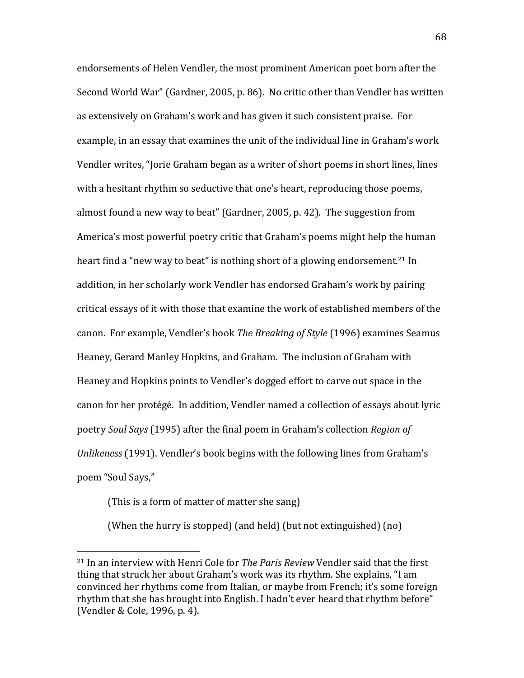endorsements of Helen Vendler, the most prominent American poet born after the Second World War" (Gardner, 2005, p. 86). No critic other than Vendler has written as extensively on Graham's work and has given it such consistent praise. For example, in an essay that examines the unit of the individual line in Graham's work Vendler writes, "Jorie Graham began as a writer of short poems in short lines, lines with a hesitant rhythm so seductive that one's heart, reproducing those poems, almost found a new way to beat" (Gardner, 2005, p. 42). The suggestion from America's most powerful poetry critic that Graham's poems might help the human heart find a "new way to beat" is nothing short of a glowing endorsement.<sup>21</sup> In addition, in her scholarly work Vendler has endorsed Graham's work by pairing critical essays of it with those that examine the work of established members of the canon. For example, Vendler's book *The Breaking of Style* (1996) examines Seamus Heaney, Gerard Manley Hopkins, and Graham. The inclusion of Graham with Heaney and Hopkins points to Vendler's dogged effort to carve out space in the canon for her protégé. In addition, Vendler named a collection of essays about lyric poetry *Soul Says* (1995) after the final poem in Graham's collection *Region of Unlikeness* (1991). Vendler's book begins with the following lines from Graham's poem "Soul Says,"

(This is a form of matter of matter she sang)

!!!!!!!!!!!!!!!!!!!!!!!!!!!!!!!!!!!!!!!!!!!!!!!!!!!!!!!

(When the hurry is stopped) (and held) (but not extinguished) (no)

<sup>&</sup>lt;sup>21</sup> In an interview with Henri Cole for *The Paris Review* Vendler said that the first thing that struck her about Graham's work was its rhythm. She explains, "I am convinced her rhythms come from Italian, or maybe from French; it's some foreign rhythm that she has brought into English. I hadn't ever heard that rhythm before" (Vendler & Cole, 1996, p. 4).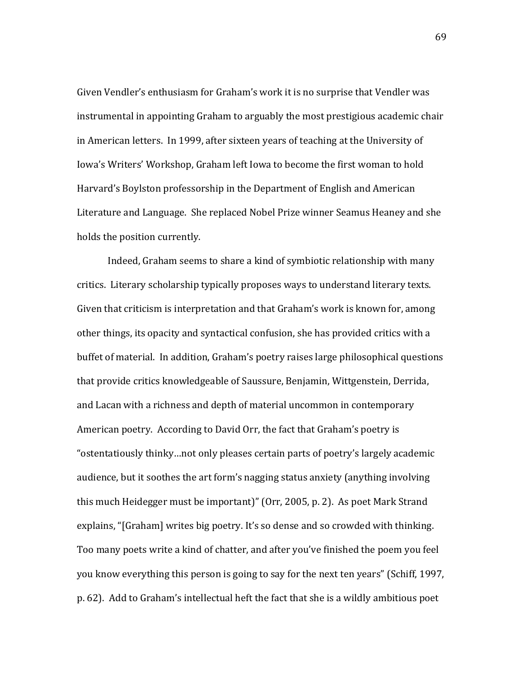Given Vendler's enthusiasm for Graham's work it is no surprise that Vendler was instrumental in appointing Graham to arguably the most prestigious academic chair in American letters. In 1999, after sixteen years of teaching at the University of Iowa's Writers' Workshop, Graham left Iowa to become the first woman to hold Harvard's Boylston professorship in the Department of English and American Literature and Language. She replaced Nobel Prize winner Seamus Heaney and she holds the position currently.

Indeed, Graham seems to share a kind of symbiotic relationship with many critics. Literary scholarship typically proposes ways to understand literary texts. Given that criticism is interpretation and that Graham's work is known for, among other things, its opacity and syntactical confusion, she has provided critics with a buffet of material. In addition, Graham's poetry raises large philosophical questions that provide critics knowledgeable of Saussure, Benjamin, Wittgenstein, Derrida, and Lacan with a richness and depth of material uncommon in contemporary American poetry. According to David Orr, the fact that Graham's poetry is "ostentatiously thinky...not only pleases certain parts of poetry's largely academic audience, but it soothes the art form's nagging status anxiety (anything involving this much Heidegger must be important)" (Orr, 2005, p. 2). As poet Mark Strand explains, "[Graham] writes big poetry. It's so dense and so crowded with thinking. Too many poets write a kind of chatter, and after you've finished the poem you feel you know everything this person is going to say for the next ten years" (Schiff, 1997, p. 62). Add to Graham's intellectual heft the fact that she is a wildly ambitious poet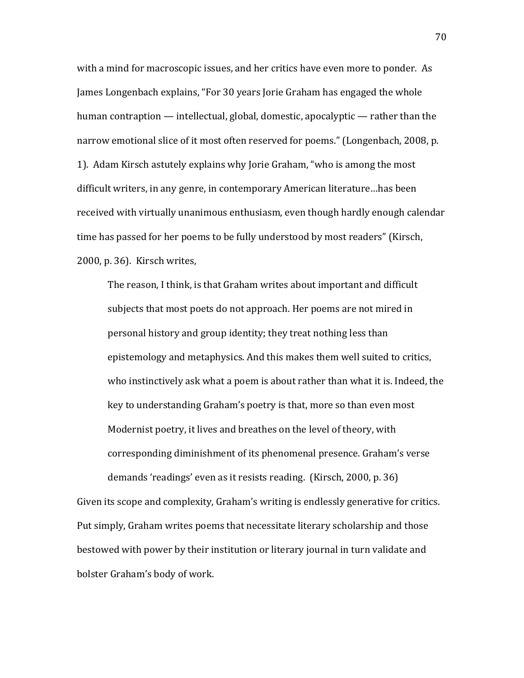with a mind for macroscopic issues, and her critics have even more to ponder. As James Longenbach explains, "For 30 years Jorie Graham has engaged the whole human contraption — intellectual, global, domestic, apocalyptic — rather than the narrow emotional slice of it most often reserved for poems." (Longenbach, 2008, p. 1). Adam Kirsch astutely explains why Jorie Graham, "who is among the most" difficult writers, in any genre, in contemporary American literature…has been received with virtually unanimous enthusiasm, even though hardly enough calendar time has passed for her poems to be fully understood by most readers" (Kirsch, 2000, p. 36). Kirsch writes,

The reason, I think, is that Graham writes about important and difficult subjects that most poets do not approach. Her poems are not mired in personal history and group identity; they treat nothing less than epistemology and metaphysics. And this makes them well suited to critics, who instinctively ask what a poem is about rather than what it is. Indeed, the key to understanding Graham's poetry is that, more so than even most Modernist poetry, it lives and breathes on the level of theory, with corresponding diminishment of its phenomenal presence. Graham's verse demands 'readings' even as it resists reading. (Kirsch, 2000, p. 36)

Given its scope and complexity, Graham's writing is endlessly generative for critics. Put simply, Graham writes poems that necessitate literary scholarship and those bestowed with power by their institution or literary journal in turn validate and bolster Graham's body of work.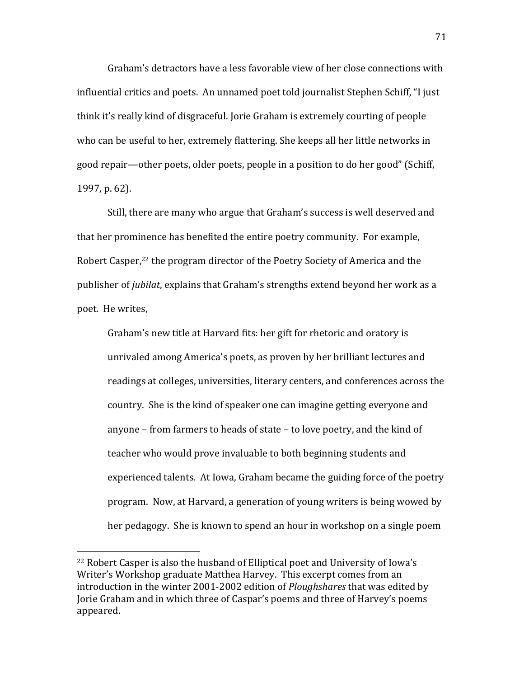Graham's detractors have a less favorable view of her close connections with influential critics and poets. An unnamed poet told journalist Stephen Schiff, "I just" think it's really kind of disgraceful. Jorie Graham is extremely courting of people who can be useful to her, extremely flattering. She keeps all her little networks in good repair—other poets, older poets, people in a position to do her good" (Schiff, 1997, p. 62).

Still, there are many who argue that Graham's success is well deserved and that her prominence has benefited the entire poetry community. For example, Robert Casper,<sup>22</sup> the program director of the Poetry Society of America and the publisher of *jubilat*, explains that Graham's strengths extend beyond her work as a poet. He writes,

Graham's new title at Harvard fits: her gift for rhetoric and oratory is unrivaled among America's poets, as proven by her brilliant lectures and readings at colleges, universities, literary centers, and conferences across the country. She is the kind of speaker one can imagine getting everyone and anyone – from farmers to heads of state – to love poetry, and the kind of teacher who would prove invaluable to both beginning students and experienced talents. At Iowa, Graham became the guiding force of the poetry program. Now, at Harvard, a generation of young writers is being wowed by her pedagogy. She is known to spend an hour in workshop on a single poem

!!!!!!!!!!!!!!!!!!!!!!!!!!!!!!!!!!!!!!!!!!!!!!!!!!!!!!!

 $22$  Robert Casper is also the husband of Elliptical poet and University of Iowa's Writer's Workshop graduate Matthea Harvey. This excerpt comes from an introduction in the winter 2001-2002 edition of *Ploughshares* that was edited by Jorie Graham and in which three of Caspar's poems and three of Harvey's poems appeared.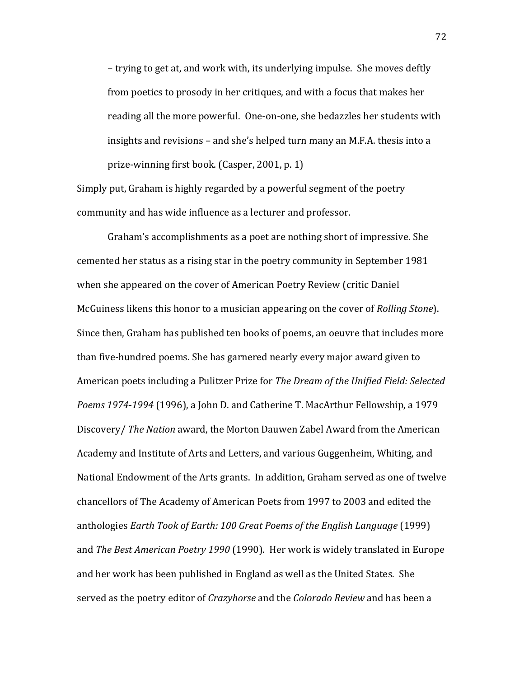– trying to get at, and work with, its underlying impulse. She moves deftly from poetics to prosody in her critiques, and with a focus that makes her reading all the more powerful. One-on-one, she bedazzles her students with insights and revisions – and she's helped turn many an M.F.A. thesis into a prize-winning first book. (Casper, 2001, p. 1)

Simply put, Graham is highly regarded by a powerful segment of the poetry community and has wide influence as a lecturer and professor.

Graham's accomplishments as a poet are nothing short of impressive. She cemented her status as a rising star in the poetry community in September 1981 when she appeared on the cover of American Poetry Review (critic Daniel) McGuiness likens this honor to a musician appearing on the cover of *Rolling Stone*). Since then, Graham has published ten books of poems, an oeuvre that includes more than five-hundred poems. She has garnered nearly every major award given to American poets including a Pulitzer Prize for *The Dream of the Unified Field: Selected* Poems 1974-1994 (1996), a John D. and Catherine T. MacArthur Fellowship, a 1979 Discovery/ *The Nation* award, the Morton Dauwen Zabel Award from the American Academy and Institute of Arts and Letters, and various Guggenheim, Whiting, and National Endowment of the Arts grants. In addition, Graham served as one of twelve chancellors of The Academy of American Poets from 1997 to 2003 and edited the anthologies *Earth Took of Earth: 100 Great Poems of the English Language* (1999) and *The Best American Poetry 1990* (1990). Her work is widely translated in Europe and her work has been published in England as well as the United States. She served as the poetry editor of *Crazyhorse* and the *Colorado Review* and has been a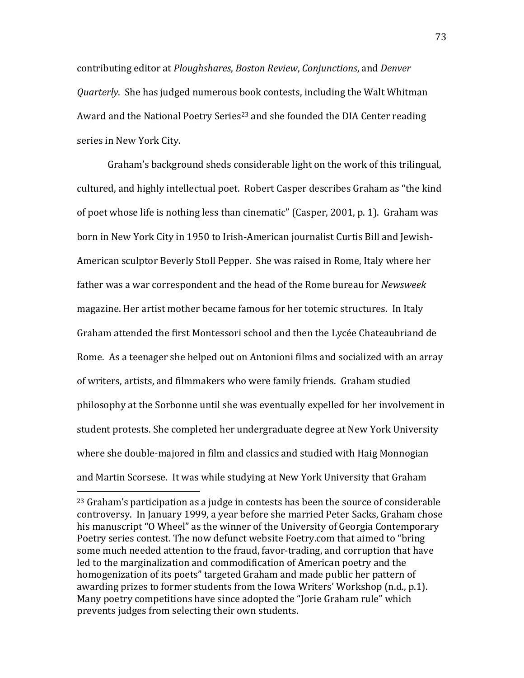contributing!editor!at!*Ploughshares*,!*Boston&Review*,!*Conjunctions*,!and!*Denver& Quarterly.* She has judged numerous book contests, including the Walt Whitman Award and the National Poetry Series<sup>23</sup> and she founded the DIA Center reading series in New York City.

Graham's background sheds considerable light on the work of this trilingual, cultured, and highly intellectual poet. Robert Casper describes Graham as "the kind of poet whose life is nothing less than cinematic" (Casper, 2001, p. 1). Graham was born in New York City in 1950 to Irish-American journalist Curtis Bill and Jewish-American sculptor Beverly Stoll Pepper. She was raised in Rome, Italy where her father was a war correspondent and the head of the Rome bureau for *Newsweek* magazine. Her artist mother became famous for her totemic structures. In Italy Graham attended the first Montessori school and then the Lycée Chateaubriand de Rome. As a teenager she helped out on Antonioni films and socialized with an array of writers, artists, and filmmakers who were family friends. Graham studied philosophy at the Sorbonne until she was eventually expelled for her involvement in student protests. She completed her undergraduate degree at New York University where she double-majored in film and classics and studied with Haig Monnogian and Martin Scorsese. It was while studying at New York University that Graham

!!!!!!!!!!!!!!!!!!!!!!!!!!!!!!!!!!!!!!!!!!!!!!!!!!!!!!!

<sup>&</sup>lt;sup>23</sup> Graham's participation as a judge in contests has been the source of considerable controversy. In January 1999, a year before she married Peter Sacks, Graham chose his manuscript "O Wheel" as the winner of the University of Georgia Contemporary Poetry series contest. The now defunct website Foetry.com that aimed to "bring" some much needed attention to the fraud, favor-trading, and corruption that have led to the marginalization and commodification of American poetry and the homogenization of its poets" targeted Graham and made public her pattern of awarding prizes to former students from the Iowa Writers' Workshop (n.d., p.1). Many poetry competitions have since adopted the "Jorie Graham rule" which prevents judges from selecting their own students.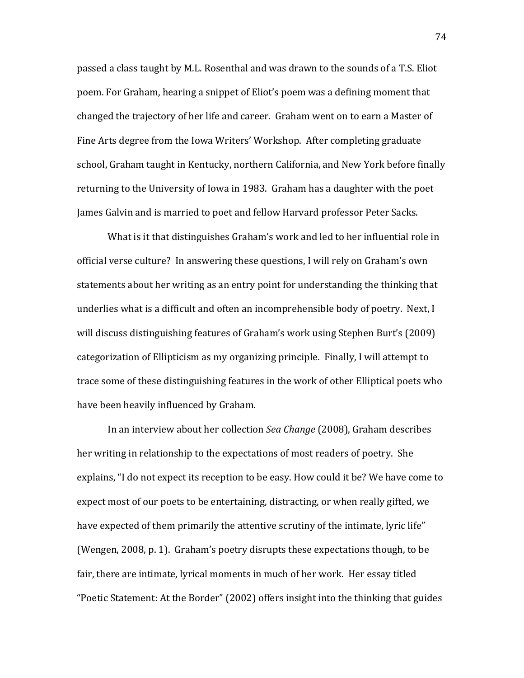passed a class taught by M.L. Rosenthal and was drawn to the sounds of a T.S. Eliot poem. For Graham, hearing a snippet of Eliot's poem was a defining moment that changed the trajectory of her life and career. Graham went on to earn a Master of Fine Arts degree from the Iowa Writers' Workshop. After completing graduate school, Graham taught in Kentucky, northern California, and New York before finally returning to the University of Iowa in 1983. Graham has a daughter with the poet James Galvin and is married to poet and fellow Harvard professor Peter Sacks.

What is it that distinguishes Graham's work and led to her influential role in official verse culture? In answering these questions, I will rely on Graham's own statements about her writing as an entry point for understanding the thinking that underlies what is a difficult and often an incomprehensible body of poetry. Next, I will discuss distinguishing features of Graham's work using Stephen Burt's (2009) categorization of Ellipticism as my organizing principle. Finally, I will attempt to trace some of these distinguishing features in the work of other Elliptical poets who have been heavily influenced by Graham.

In an interview about her collection *Sea Change* (2008), Graham describes her writing in relationship to the expectations of most readers of poetry. She explains, "I do not expect its reception to be easy. How could it be? We have come to expect most of our poets to be entertaining, distracting, or when really gifted, we have expected of them primarily the attentive scrutiny of the intimate, lyric life" (Wengen, 2008, p. 1). Graham's poetry disrupts these expectations though, to be fair, there are intimate, lyrical moments in much of her work. Her essay titled "Poetic Statement: At the Border" (2002) offers insight into the thinking that guides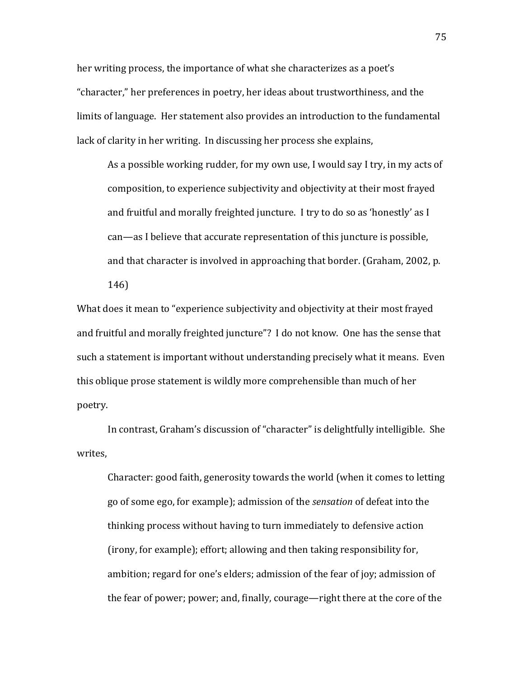her writing process, the importance of what she characterizes as a poet's "character," her preferences in poetry, her ideas about trustworthiness, and the limits of language. Her statement also provides an introduction to the fundamental lack of clarity in her writing. In discussing her process she explains,

As a possible working rudder, for my own use, I would say I try, in my acts of composition, to experience subjectivity and objectivity at their most frayed and fruitful and morally freighted juncture. I try to do so as 'honestly' as I can—as I believe that accurate representation of this juncture is possible. and that character is involved in approaching that border. (Graham, 2002, p.

146)

What does it mean to "experience subjectivity and objectivity at their most frayed and fruitful and morally freighted juncture"? I do not know. One has the sense that such a statement is important without understanding precisely what it means. Even this oblique prose statement is wildly more comprehensible than much of her poetry.

In contrast, Graham's discussion of "character" is delightfully intelligible. She writes.

Character: good faith, generosity towards the world (when it comes to letting go of some ego, for example); admission of the *sensation* of defeat into the thinking process without having to turn immediately to defensive action (irony, for example); effort; allowing and then taking responsibility for, ambition; regard for one's elders; admission of the fear of joy; admission of the fear of power; power; and, finally, courage—right there at the core of the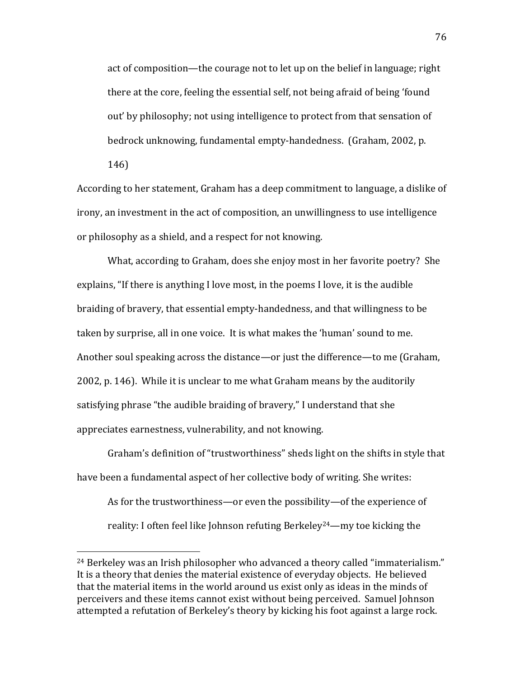act of composition—the courage not to let up on the belief in language; right there at the core, feeling the essential self, not being afraid of being 'found out' by philosophy; not using intelligence to protect from that sensation of bedrock unknowing, fundamental empty-handedness. (Graham, 2002, p.

146)

!!!!!!!!!!!!!!!!!!!!!!!!!!!!!!!!!!!!!!!!!!!!!!!!!!!!!!!

According to her statement, Graham has a deep commitment to language, a dislike of irony, an investment in the act of composition, an unwillingness to use intelligence or philosophy as a shield, and a respect for not knowing.

What, according to Graham, does she enjoy most in her favorite poetry? She explains, "If there is anything I love most, in the poems I love, it is the audible braiding of bravery, that essential empty-handedness, and that willingness to be taken by surprise, all in one voice. It is what makes the 'human' sound to me. Another soul speaking across the distance—or just the difference—to me (Graham, 2002, p. 146). While it is unclear to me what Graham means by the auditorily satisfying phrase "the audible braiding of bravery," I understand that she appreciates earnestness, vulnerability, and not knowing.

Graham's definition of "trustworthiness" sheds light on the shifts in style that have been a fundamental aspect of her collective body of writing. She writes:

As for the trustworthiness—or even the possibility—of the experience of reality: I often feel like Johnson refuting Berkeley<sup>24</sup>—my toe kicking the

 $24$  Berkeley was an Irish philosopher who advanced a theory called "immaterialism." It is a theory that denies the material existence of everyday objects. He believed that the material items in the world around us exist only as ideas in the minds of perceivers and these items cannot exist without being perceived. Samuel Johnson attempted a refutation of Berkeley's theory by kicking his foot against a large rock.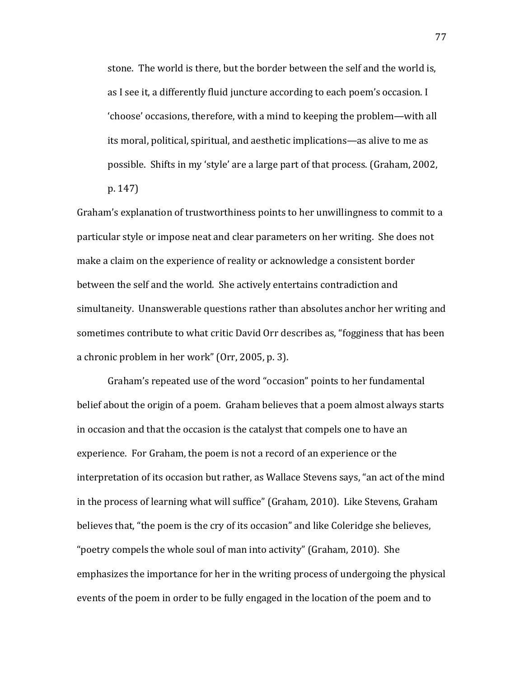stone. The world is there, but the border between the self and the world is, as I see it, a differently fluid juncture according to each poem's occasion. I 'choose' occasions, therefore, with a mind to keeping the problem—with all its moral, political, spiritual, and aesthetic implications—as alive to me as possible. Shifts in my 'style' are a large part of that process. (Graham, 2002,

p. 147)

Graham's explanation of trustworthiness points to her unwillingness to commit to a particular style or impose neat and clear parameters on her writing. She does not make a claim on the experience of reality or acknowledge a consistent border between the self and the world. She actively entertains contradiction and simultaneity. Unanswerable questions rather than absolutes anchor her writing and sometimes contribute to what critic David Orr describes as, "fogginess that has been a chronic problem in her work" (Orr, 2005, p. 3).

Graham's repeated use of the word "occasion" points to her fundamental belief about the origin of a poem. Graham believes that a poem almost always starts in occasion and that the occasion is the catalyst that compels one to have an experience. For Graham, the poem is not a record of an experience or the interpretation of its occasion but rather, as Wallace Stevens says, "an act of the mind in the process of learning what will suffice" (Graham, 2010). Like Stevens, Graham believes that, "the poem is the cry of its occasion" and like Coleridge she believes, "poetry compels the whole soul of man into activity" (Graham, 2010). She emphasizes the importance for her in the writing process of undergoing the physical events of the poem in order to be fully engaged in the location of the poem and to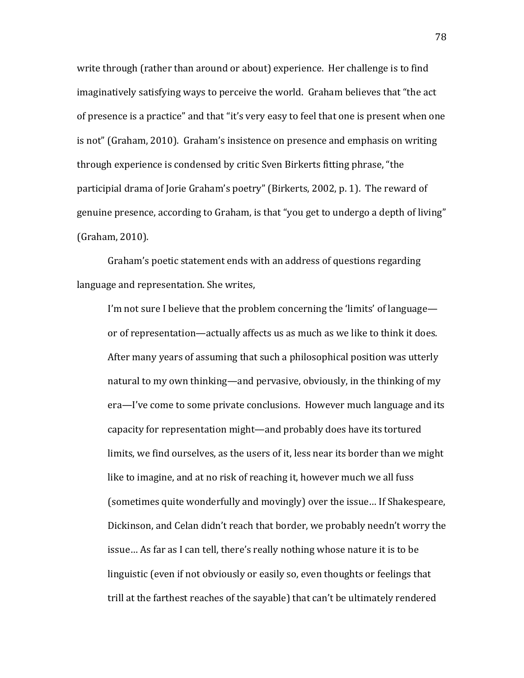write through (rather than around or about) experience. Her challenge is to find imaginatively satisfying ways to perceive the world. Graham believes that "the act" of presence is a practice" and that "it's very easy to feel that one is present when one is not" (Graham, 2010). Graham's insistence on presence and emphasis on writing through experience is condensed by critic Sven Birkerts fitting phrase, "the participial drama of Jorie Graham's poetry" (Birkerts, 2002, p. 1). The reward of genuine presence, according to Graham, is that "you get to undergo a depth of living" (Graham, 2010).

Graham's poetic statement ends with an address of questions regarding language and representation. She writes,

I'm not sure I believe that the problem concerning the 'limits' of language or of representation—actually affects us as much as we like to think it does. After many years of assuming that such a philosophical position was utterly natural to my own thinking—and pervasive, obviously, in the thinking of my era—I've come to some private conclusions. However much language and its capacity for representation might—and probably does have its tortured limits, we find ourselves, as the users of it, less near its border than we might like to imagine, and at no risk of reaching it, however much we all fuss (sometimes quite wonderfully and movingly) over the issue... If Shakespeare, Dickinson, and Celan didn't reach that border, we probably needn't worry the issue... As far as I can tell, there's really nothing whose nature it is to be linguistic (even if not obviously or easily so, even thoughts or feelings that trill at the farthest reaches of the sayable) that can't be ultimately rendered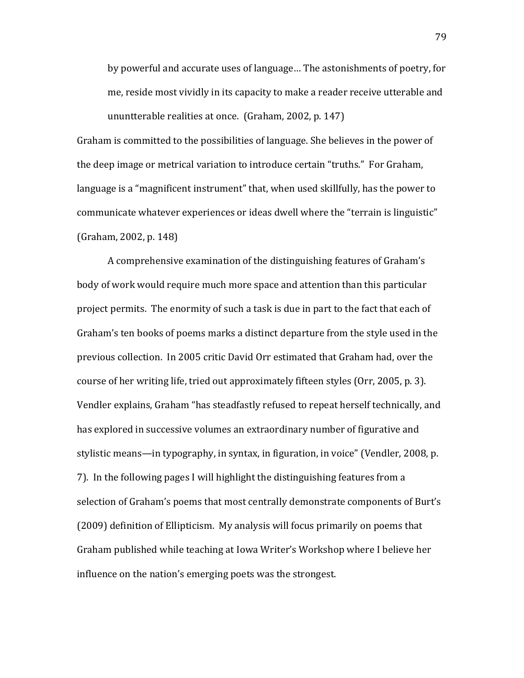by powerful and accurate uses of language... The astonishments of poetry, for me, reside most vividly in its capacity to make a reader receive utterable and ununtterable realities at once. (Graham, 2002, p. 147)

Graham is committed to the possibilities of language. She believes in the power of the deep image or metrical variation to introduce certain "truths." For Graham, language is a "magnificent instrument" that, when used skillfully, has the power to communicate whatever experiences or ideas dwell where the "terrain is linguistic" (Graham, 2002, p. 148)

A comprehensive examination of the distinguishing features of Graham's body of work would require much more space and attention than this particular project permits. The enormity of such a task is due in part to the fact that each of Graham's ten books of poems marks a distinct departure from the style used in the previous collection. In 2005 critic David Orr estimated that Graham had, over the course of her writing life, tried out approximately fifteen styles (Orr, 2005, p. 3). Vendler explains, Graham "has steadfastly refused to repeat herself technically, and has explored in successive volumes an extraordinary number of figurative and stylistic means—in typography, in syntax, in figuration, in voice" (Vendler, 2008, p. 7). In the following pages I will highlight the distinguishing features from a selection of Graham's poems that most centrally demonstrate components of Burt's (2009) definition of Ellipticism. My analysis will focus primarily on poems that Graham published while teaching at Iowa Writer's Workshop where I believe her influence on the nation's emerging poets was the strongest.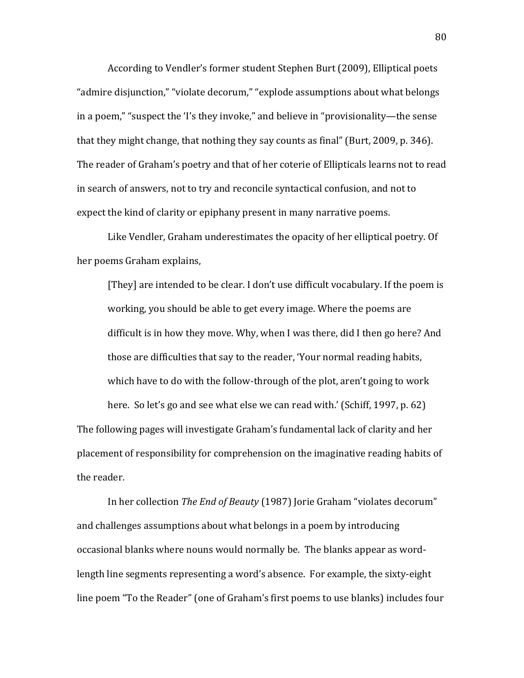According to Vendler's former student Stephen Burt (2009), Elliptical poets "admire disjunction," "violate decorum," "explode assumptions about what belongs in a poem," "suspect the 'I's they invoke," and believe in "provisionality—the sense that they might change, that nothing they say counts as final" (Burt, 2009, p. 346). The reader of Graham's poetry and that of her coterie of Ellipticals learns not to read in search of answers, not to try and reconcile syntactical confusion, and not to expect the kind of clarity or epiphany present in many narrative poems.

Like Vendler, Graham underestimates the opacity of her elliptical poetry. Of her poems Graham explains,

[They] are intended to be clear. I don't use difficult vocabulary. If the poem is working, you should be able to get every image. Where the poems are difficult is in how they move. Why, when I was there, did I then go here? And those are difficulties that say to the reader, 'Your normal reading habits, which have to do with the follow-through of the plot, aren't going to work

here. So let's go and see what else we can read with.' (Schiff, 1997, p. 62) The following pages will investigate Graham's fundamental lack of clarity and her placement of responsibility for comprehension on the imaginative reading habits of the reader.

In her collection *The End of Beauty* (1987) Jorie Graham "violates decorum" and challenges assumptions about what belongs in a poem by introducing occasional blanks where nouns would normally be. The blanks appear as wordlength line segments representing a word's absence. For example, the sixty-eight line poem "To the Reader" (one of Graham's first poems to use blanks) includes four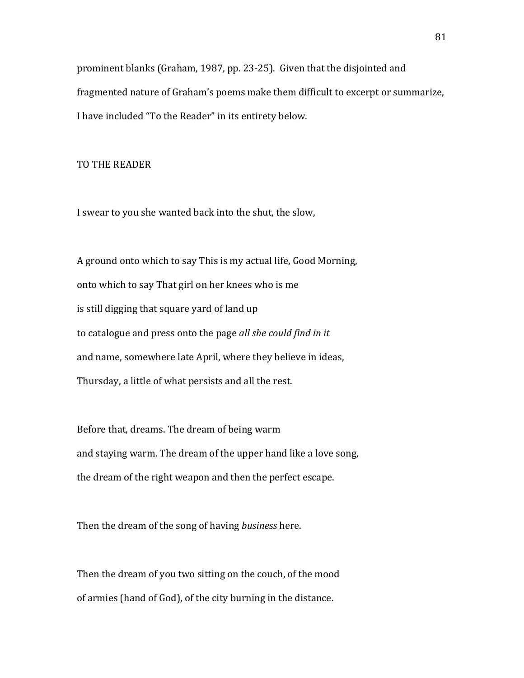prominent blanks (Graham, 1987, pp. 23-25). Given that the disjointed and fragmented nature of Graham's poems make them difficult to excerpt or summarize, I have included "To the Reader" in its entirety below.

## TO THE READER

I swear to you she wanted back into the shut, the slow,

A ground onto which to say This is my actual life, Good Morning, onto which to say That girl on her knees who is me is still digging that square yard of land up to catalogue and press onto the page *all she could find in it* and name, somewhere late April, where they believe in ideas, Thursday, a little of what persists and all the rest.

Before that, dreams. The dream of being warm and staying warm. The dream of the upper hand like a love song, the dream of the right weapon and then the perfect escape.

Then the dream of the song of having *business* here.

Then the dream of you two sitting on the couch, of the mood of armies (hand of God), of the city burning in the distance.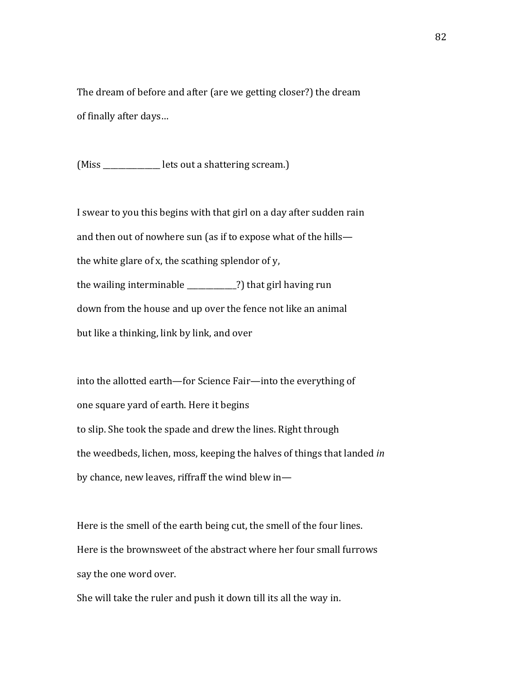The dream of before and after (are we getting closer?) the dream of finally after days...

(Miss \_\_\_\_\_\_\_\_\_\_\_\_\_\_\_\_ lets out a shattering scream.)

I swear to you this begins with that girl on a day after sudden rain and then out of nowhere sun (as if to expose what of the hills the white glare of x, the scathing splendor of  $y$ , the wailing interminable  $\frac{1}{2}$  (that girl having run down from the house and up over the fence not like an animal but like a thinking, link by link, and over

into the allotted earth—for Science Fair—into the everything of one square yard of earth. Here it begins to slip. She took the spade and drew the lines. Right through the weedbeds, lichen, moss, keeping the halves of things that landed *in* by chance, new leaves, riffraff the wind blew in—

Here is the smell of the earth being cut, the smell of the four lines. Here is the brownsweet of the abstract where her four small furrows say the one word over.

She will take the ruler and push it down till its all the way in.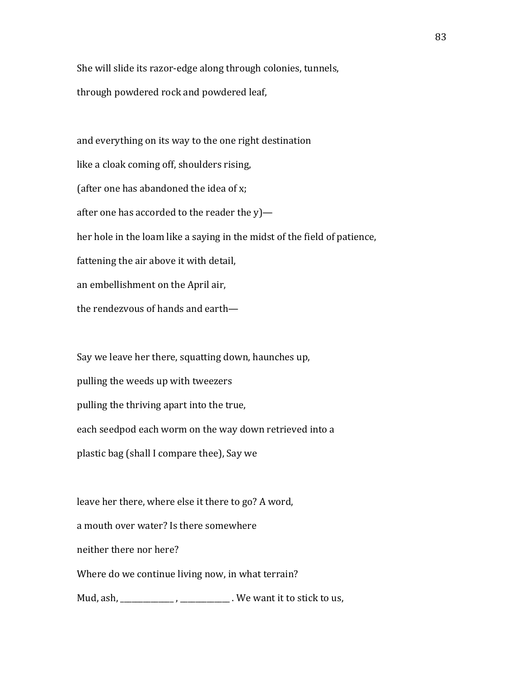She will slide its razor-edge along through colonies, tunnels, through powdered rock and powdered leaf,

and everything on its way to the one right destination like a cloak coming off, shoulders rising, (after one has abandoned the idea of  $x$ ; after one has accorded to the reader the  $y$ ) her hole in the loam like a saying in the midst of the field of patience, fattening the air above it with detail, an embellishment on the April air, the rendezvous of hands and earth-

Say we leave her there, squatting down, haunches up, pulling the weeds up with tweezers pulling the thriving apart into the true, each seedpod each worm on the way down retrieved into a plastic bag (shall I compare thee), Say we

leave her there, where else it there to go? A word, a mouth over water? Is there somewhere neither there nor here? Where do we continue living now, in what terrain? Mud, ash, \_\_\_\_\_\_\_\_\_\_\_\_\_, \_\_\_\_\_\_\_\_\_\_\_\_\_. We want it to stick to us,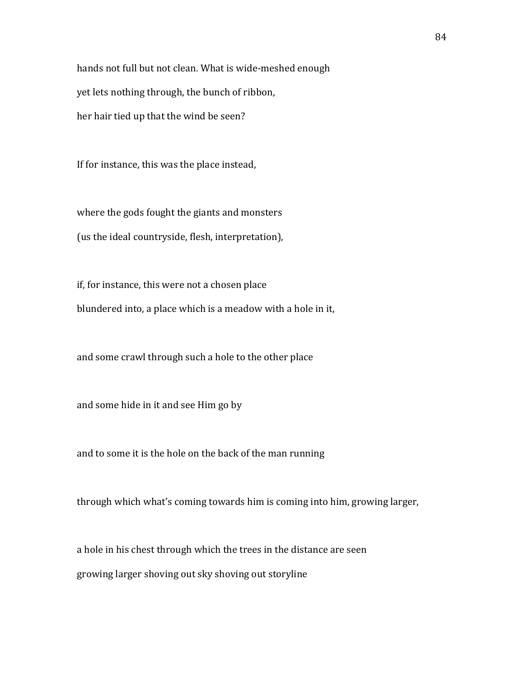hands not full but not clean. What is wide-meshed enough yet lets nothing through, the bunch of ribbon, her hair tied up that the wind be seen?

If for instance, this was the place instead,

where the gods fought the giants and monsters (us the ideal countryside, flesh, interpretation),

if, for instance, this were not a chosen place blundered into, a place which is a meadow with a hole in it,

and some crawl through such a hole to the other place

and some hide in it and see Him go by

and to some it is the hole on the back of the man running

through which what's coming towards him is coming into him, growing larger,

a hole in his chest through which the trees in the distance are seen growing larger shoving out sky shoving out storyline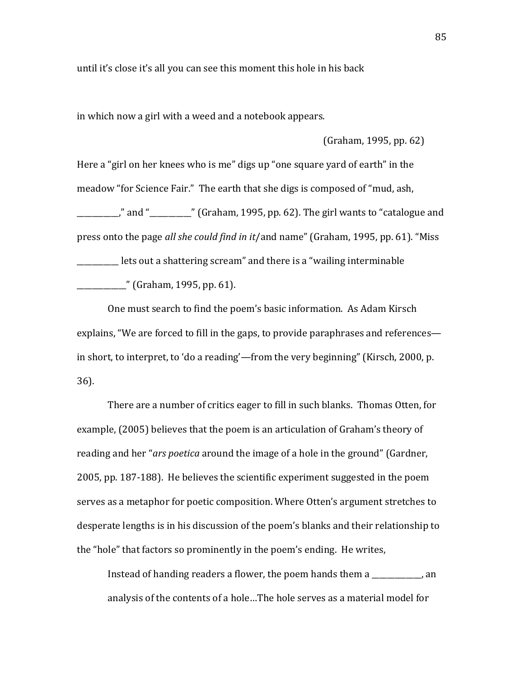until it's close it's all you can see this moment this hole in his back

in which now a girl with a weed and a notebook appears.

(Graham, 1995, pp. 62)

Here a "girl on her knees who is me" digs up "one square yard of earth" in the meadow "for Science Fair." The earth that she digs is composed of "mud, ash, ," and " $\blacksquare$ " (Graham, 1995, pp. 62). The girl wants to "catalogue and press onto the page *all she could find in it/and name"* (Graham, 1995, pp. 61). "Miss Lets out a shattering scream" and there is a "wailing interminable" \_\_\_\_\_\_\_\_\_\_\_\_\_"!(Graham,!1995,!pp.!61).!!

One must search to find the poem's basic information. As Adam Kirsch explains, "We are forced to fill in the gaps, to provide paraphrases and references in short, to interpret, to 'do a reading'—from the very beginning" (Kirsch, 2000, p. 36).

There are a number of critics eager to fill in such blanks. Thomas Otten, for example, (2005) believes that the poem is an articulation of Graham's theory of reading and her "*ars poetica* around the image of a hole in the ground" (Gardner, 2005, pp. 187-188). He believes the scientific experiment suggested in the poem serves as a metaphor for poetic composition. Where Otten's argument stretches to desperate lengths is in his discussion of the poem's blanks and their relationship to the "hole" that factors so prominently in the poem's ending. He writes,

Instead of handing readers a flower, the poem hands them a \_\_\_\_\_\_\_\_\_, an analysis of the contents of a hole...The hole serves as a material model for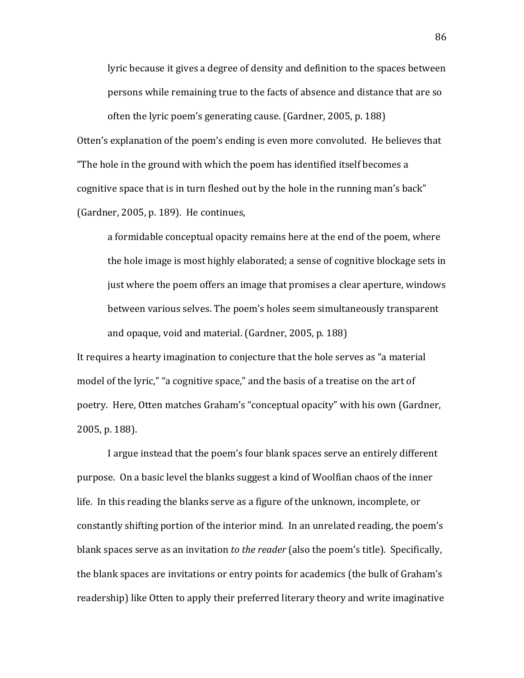lyric because it gives a degree of density and definition to the spaces between persons while remaining true to the facts of absence and distance that are so often the lyric poem's generating cause. (Gardner, 2005, p. 188) Otten's explanation of the poem's ending is even more convoluted. He believes that "The hole in the ground with which the poem has identified itself becomes a cognitive space that is in turn fleshed out by the hole in the running man's back" (Gardner, 2005, p. 189). He continues,

a formidable conceptual opacity remains here at the end of the poem, where the hole image is most highly elaborated; a sense of cognitive blockage sets in just where the poem offers an image that promises a clear aperture, windows between various selves. The poem's holes seem simultaneously transparent and opaque, void and material. (Gardner, 2005, p. 188)

It requires a hearty imagination to conjecture that the hole serves as "a material" model of the lyric," "a cognitive space," and the basis of a treatise on the art of poetry. Here, Otten matches Graham's "conceptual opacity" with his own (Gardner, 2005, p. 188).

I argue instead that the poem's four blank spaces serve an entirely different purpose. On a basic level the blanks suggest a kind of Woolfian chaos of the inner life. In this reading the blanks serve as a figure of the unknown, incomplete, or constantly shifting portion of the interior mind. In an unrelated reading, the poem's blank spaces serve as an invitation *to the reader* (also the poem's title). Specifically, the blank spaces are invitations or entry points for academics (the bulk of Graham's readership) like Otten to apply their preferred literary theory and write imaginative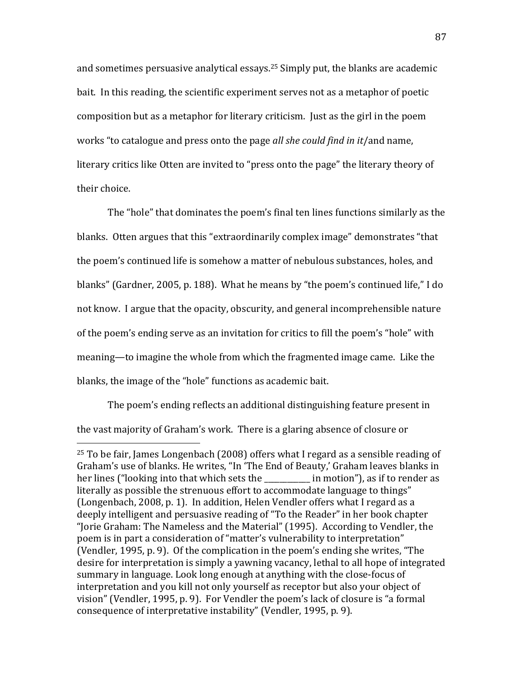and sometimes persuasive analytical essays.<sup>25</sup> Simply put, the blanks are academic bait. In this reading, the scientific experiment serves not as a metaphor of poetic composition but as a metaphor for literary criticism. Just as the girl in the poem works "to catalogue and press onto the page *all she could find in it/and name*, literary critics like Otten are invited to "press onto the page" the literary theory of their choice.

The "hole" that dominates the poem's final ten lines functions similarly as the blanks. Otten argues that this "extraordinarily complex image" demonstrates "that the poem's continued life is somehow a matter of nebulous substances, holes, and blanks" (Gardner, 2005, p. 188). What he means by "the poem's continued life," I do not know. I argue that the opacity, obscurity, and general incomprehensible nature of the poem's ending serve as an invitation for critics to fill the poem's "hole" with meaning—to imagine the whole from which the fragmented image came. Like the blanks, the image of the "hole" functions as academic bait.

The poem's ending reflects an additional distinguishing feature present in the vast majority of Graham's work. There is a glaring absence of closure or

!!!!!!!!!!!!!!!!!!!!!!!!!!!!!!!!!!!!!!!!!!!!!!!!!!!!!!!

<sup>&</sup>lt;sup>25</sup> To be fair, James Longenbach (2008) offers what I regard as a sensible reading of Graham's use of blanks. He writes, "In 'The End of Beauty,' Graham leaves blanks in her lines ("looking into that which sets the election"), as if to render as literally as possible the strenuous effort to accommodate language to things" (Longenbach, 2008, p. 1). In addition, Helen Vendler offers what I regard as a deeply intelligent and persuasive reading of "To the Reader" in her book chapter "Jorie Graham: The Nameless and the Material" (1995). According to Vendler, the poem is in part a consideration of "matter's vulnerability to interpretation" (Vendler, 1995, p. 9). Of the complication in the poem's ending she writes, "The desire for interpretation is simply a yawning vacancy, lethal to all hope of integrated summary in language. Look long enough at anything with the close-focus of interpretation and you kill not only yourself as receptor but also your object of vision" (Vendler, 1995, p. 9). For Vendler the poem's lack of closure is "a formal consequence of interpretative instability" (Vendler, 1995, p. 9).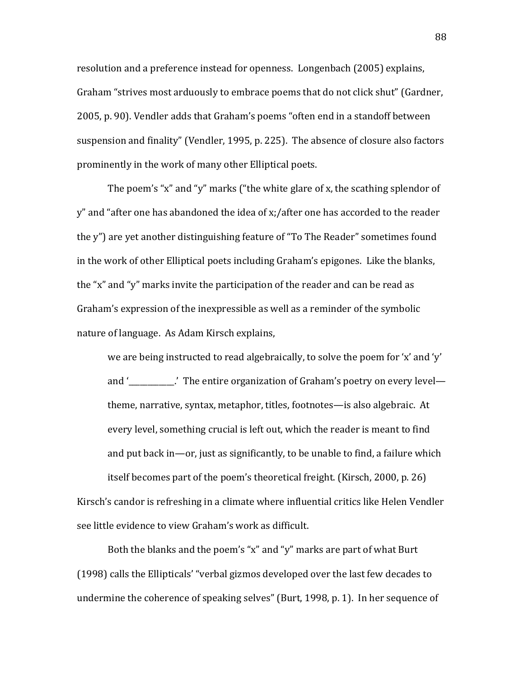resolution and a preference instead for openness. Longenbach (2005) explains, Graham "strives most arduously to embrace poems that do not click shut" (Gardner, 2005, p. 90). Vendler adds that Graham's poems "often end in a standoff between suspension and finality" (Vendler, 1995, p. 225). The absence of closure also factors prominently in the work of many other Elliptical poets.

The poem's "x" and "y" marks ("the white glare of x, the scathing splendor of y" and "after one has abandoned the idea of x;/after one has accorded to the reader the y") are vet another distinguishing feature of "To The Reader" sometimes found in the work of other Elliptical poets including Graham's epigones. Like the blanks, the "x" and "y" marks invite the participation of the reader and can be read as Graham's expression of the inexpressible as well as a reminder of the symbolic nature of language. As Adam Kirsch explains,

we are being instructed to read algebraically, to solve the poem for 'x' and 'y' and ' The entire organization of Graham's poetry on every level theme, narrative, syntax, metaphor, titles, footnotes—is also algebraic. At every level, something crucial is left out, which the reader is meant to find and put back in—or, just as significantly, to be unable to find, a failure which itself becomes part of the poem's theoretical freight. (Kirsch, 2000, p. 26)

Kirsch's candor is refreshing in a climate where influential critics like Helen Vendler see little evidence to view Graham's work as difficult.

Both the blanks and the poem's "x" and "y" marks are part of what Burt (1998) calls the Ellipticals' "verbal gizmos developed over the last few decades to undermine the coherence of speaking selves" (Burt, 1998, p. 1). In her sequence of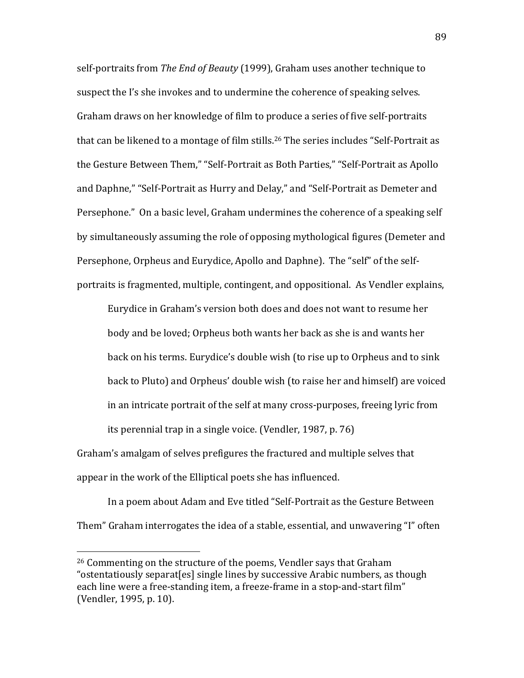self-portraits from *The End of Beauty* (1999), Graham uses another technique to suspect the I's she invokes and to undermine the coherence of speaking selves. Graham draws on her knowledge of film to produce a series of five self-portraits that can be likened to a montage of film stills.<sup>26</sup> The series includes "Self-Portrait as the Gesture Between Them," "Self-Portrait as Both Parties," "Self-Portrait as Apollo and Daphne," "Self-Portrait as Hurry and Delay," and "Self-Portrait as Demeter and Persephone." On a basic level, Graham undermines the coherence of a speaking self by simultaneously assuming the role of opposing mythological figures (Demeter and Persephone, Orpheus and Eurydice, Apollo and Daphne). The "self" of the selfportraits is fragmented, multiple, contingent, and oppositional. As Vendler explains,

Eurydice in Graham's version both does and does not want to resume her body and be loved; Orpheus both wants her back as she is and wants her back on his terms. Eurydice's double wish (to rise up to Orpheus and to sink back to Pluto) and Orpheus' double wish (to raise her and himself) are voiced in an intricate portrait of the self at many cross-purposes, freeing lyric from its perennial trap in a single voice. (Vendler, 1987, p. 76)

Graham's amalgam of selves prefigures the fractured and multiple selves that appear in the work of the Elliptical poets she has influenced.

In a poem about Adam and Eve titled "Self-Portrait as the Gesture Between Them" Graham interrogates the idea of a stable, essential, and unwavering "I" often

!!!!!!!!!!!!!!!!!!!!!!!!!!!!!!!!!!!!!!!!!!!!!!!!!!!!!!!

 $26$  Commenting on the structure of the poems, Vendler says that Graham "ostentatiously separat[es] single lines by successive Arabic numbers, as though each line were a free-standing item, a freeze-frame in a stop-and-start film" (Vendler, 1995, p. 10).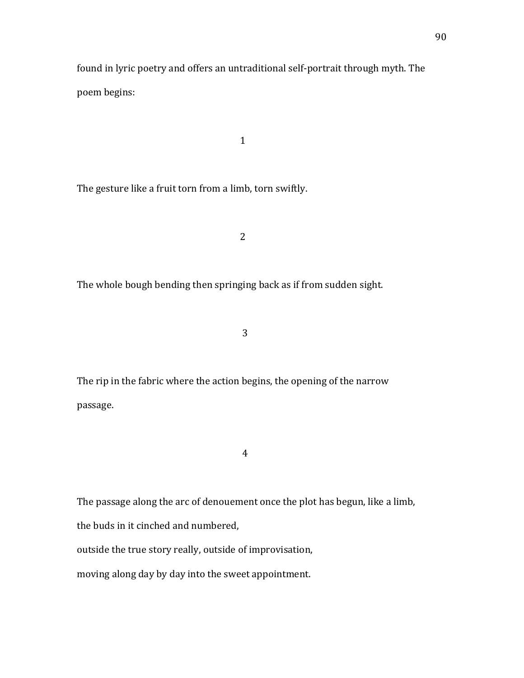found in lyric poetry and offers an untraditional self-portrait through myth. The poem begins:

 $1$ 

The gesture like a fruit torn from a limb, torn swiftly.

**2** 

The whole bough bending then springing back as if from sudden sight.

**3** 

The rip in the fabric where the action begins, the opening of the narrow passage.

 $\overline{4}$ 

The passage along the arc of denouement once the plot has begun, like a limb,

the buds in it cinched and numbered,

outside the true story really, outside of improvisation,

moving along day by day into the sweet appointment.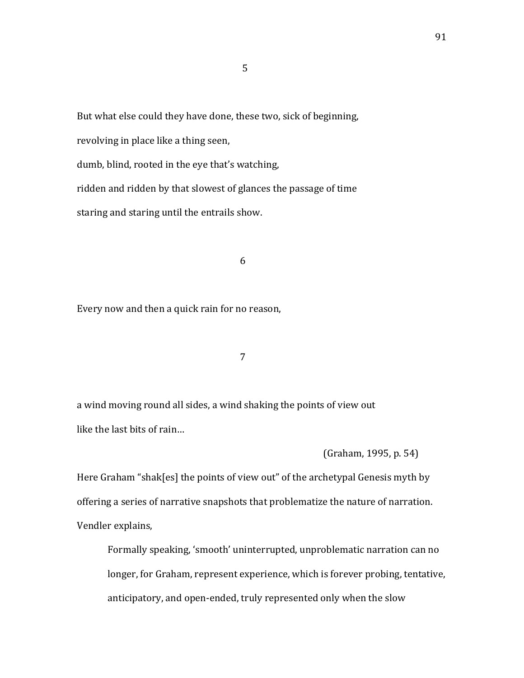But what else could they have done, these two, sick of beginning,

!!!!!5

revolving in place like a thing seen,

dumb, blind, rooted in the eye that's watching,

ridden and ridden by that slowest of glances the passage of time staring and staring until the entrails show.

!!!!6

Every now and then a quick rain for no reason,

!!!!7

a wind moving round all sides, a wind shaking the points of view out like the last bits of rain...

(Graham, 1995, p. 54)

Here Graham "shak[es] the points of view out" of the archetypal Genesis myth by offering a series of narrative snapshots that problematize the nature of narration. Vendler explains,

Formally speaking, 'smooth' uninterrupted, unproblematic narration can no longer, for Graham, represent experience, which is forever probing, tentative, anticipatory, and open-ended, truly represented only when the slow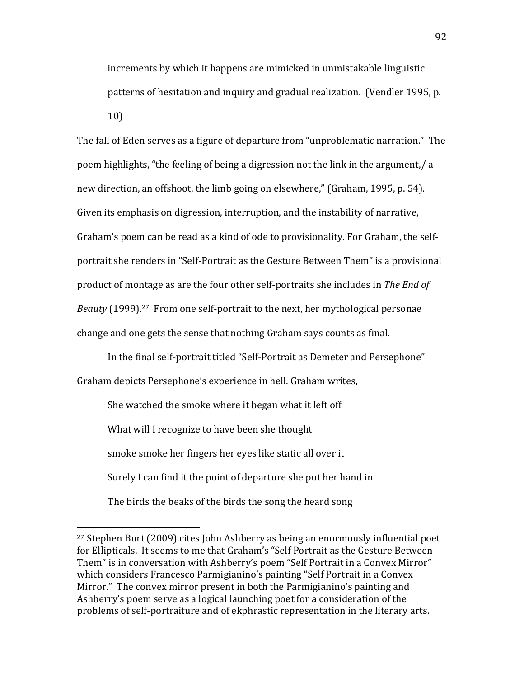increments by which it happens are mimicked in unmistakable linguistic patterns of hesitation and inquiry and gradual realization. (Vendler 1995, p. 10)

The fall of Eden serves as a figure of departure from "unproblematic narration." The poem highlights, "the feeling of being a digression not the link in the argument,/ a new direction, an offshoot, the limb going on elsewhere," (Graham, 1995, p. 54). Given its emphasis on digression, interruption, and the instability of narrative, Graham's poem can be read as a kind of ode to provisionality. For Graham, the selfportrait she renders in "Self-Portrait as the Gesture Between Them" is a provisional product of montage as are the four other self-portraits she includes in *The End of Beauty* (1999).<sup>27</sup> From one self-portrait to the next, her mythological personae change and one gets the sense that nothing Graham says counts as final.

In the final self-portrait titled "Self-Portrait as Demeter and Persephone" Graham depicts Persephone's experience in hell. Graham writes,

She watched the smoke where it began what it left off What will I recognize to have been she thought smoke smoke her fingers her eyes like static all over it Surely I can find it the point of departure she put her hand in The birds the beaks of the birds the song the heard song.

!!!!!!!!!!!!!!!!!!!!!!!!!!!!!!!!!!!!!!!!!!!!!!!!!!!!!!!

<sup>&</sup>lt;sup>27</sup> Stephen Burt (2009) cites John Ashberry as being an enormously influential poet for Ellipticals. It seems to me that Graham's "Self Portrait as the Gesture Between Them" is in conversation with Ashberry's poem "Self Portrait in a Convex Mirror" which considers Francesco Parmigianino's painting "Self Portrait in a Convex Mirror." The convex mirror present in both the Parmigianino's painting and Ashberry's poem serve as a logical launching poet for a consideration of the problems of self-portraiture and of ekphrastic representation in the literary arts.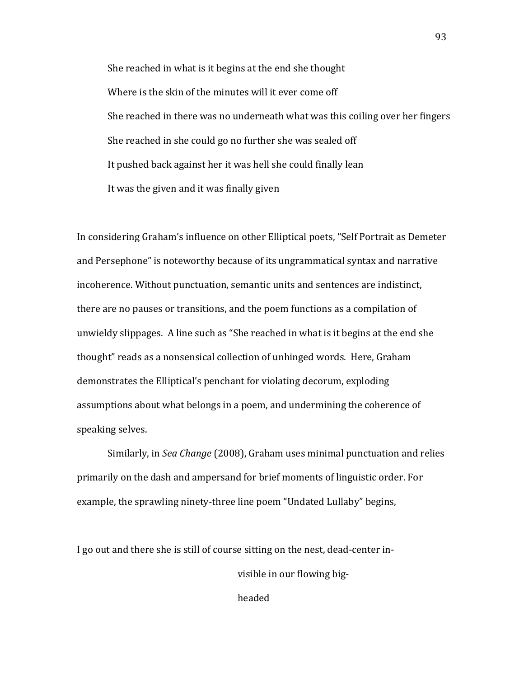She reached in what is it begins at the end she thought Where is the skin of the minutes will it ever come off She reached in there was no underneath what was this coiling over her fingers She reached in she could go no further she was sealed off It pushed back against her it was hell she could finally lean It was the given and it was finally given

In considering Graham's influence on other Elliptical poets, "Self Portrait as Demeter and Persephone" is noteworthy because of its ungrammatical syntax and narrative incoherence. Without punctuation, semantic units and sentences are indistinct, there are no pauses or transitions, and the poem functions as a compilation of unwieldy slippages. A line such as "She reached in what is it begins at the end she thought" reads as a nonsensical collection of unhinged words. Here, Graham demonstrates the Elliptical's penchant for violating decorum, exploding assumptions about what belongs in a poem, and undermining the coherence of speaking selves.

Similarly, in *Sea Change* (2008), Graham uses minimal punctuation and relies primarily on the dash and ampersand for brief moments of linguistic order. For example, the sprawling ninety-three line poem "Undated Lullaby" begins,

I go out and there she is still of course sitting on the nest, dead-center in-

visible in our flowing big-

headed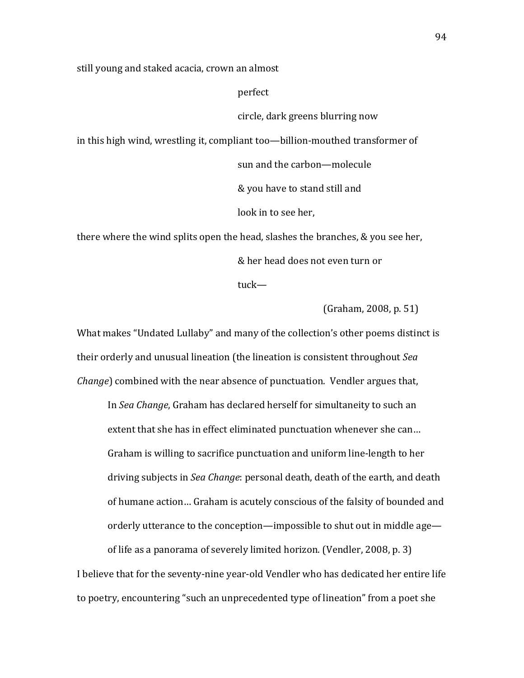still young and staked acacia, crown an almost

perfect

circle, dark greens blurring now

in this high wind, wrestling it, compliant too—billion-mouthed transformer of

sun and the carbon—molecule

& you have to stand still and

look in to see her,

there where the wind splits open the head, slashes the branches,  $&$  you see her,

& her head does not even turn or

tuck—

(Graham, 2008, p. 51)

What makes "Undated Lullaby" and many of the collection's other poems distinct is their orderly and unusual lineation (the lineation is consistent throughout *Sea Change*) combined with the near absence of punctuation. Vendler argues that,

In *Sea Change*, Graham has declared herself for simultaneity to such an extent that she has in effect eliminated punctuation whenever she can... Graham is willing to sacrifice punctuation and uniform line-length to her driving subjects in *Sea Change*: personal death, death of the earth, and death of humane action… Graham is acutely conscious of the falsity of bounded and orderly utterance to the conception—impossible to shut out in middle age—

of life as a panorama of severely limited horizon. (Vendler, 2008, p. 3) I believe that for the seventy-nine year-old Vendler who has dedicated her entire life to poetry, encountering "such an unprecedented type of lineation" from a poet she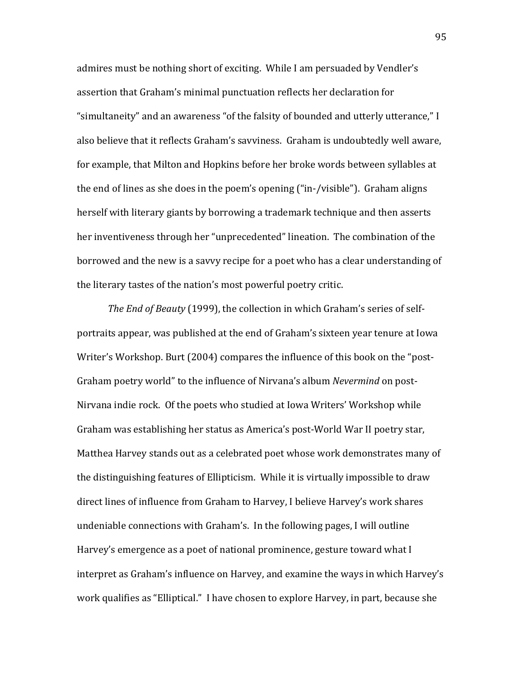admires must be nothing short of exciting. While I am persuaded by Vendler's assertion that Graham's minimal punctuation reflects her declaration for "simultaneity" and an awareness "of the falsity of bounded and utterly utterance," I also believe that it reflects Graham's savviness. Graham is undoubtedly well aware, for example, that Milton and Hopkins before her broke words between syllables at the end of lines as she does in the poem's opening ("in-/visible"). Graham aligns herself with literary giants by borrowing a trademark technique and then asserts her inventiveness through her "unprecedented" lineation. The combination of the borrowed and the new is a savvy recipe for a poet who has a clear understanding of the literary tastes of the nation's most powerful poetry critic.

*The End of Beauty* (1999), the collection in which Graham's series of selfportraits appear, was published at the end of Graham's sixteen year tenure at Iowa Writer's Workshop. Burt (2004) compares the influence of this book on the "post-Graham poetry world" to the influence of Nirvana's album *Nevermind* on post-Nirvana indie rock. Of the poets who studied at Iowa Writers' Workshop while Graham was establishing her status as America's post-World War II poetry star, Matthea Harvey stands out as a celebrated poet whose work demonstrates many of the distinguishing features of Ellipticism. While it is virtually impossible to draw direct lines of influence from Graham to Harvey, I believe Harvey's work shares undeniable connections with Graham's. In the following pages, I will outline Harvey's emergence as a poet of national prominence, gesture toward what I interpret as Graham's influence on Harvey, and examine the ways in which Harvey's work qualifies as "Elliptical." I have chosen to explore Harvey, in part, because she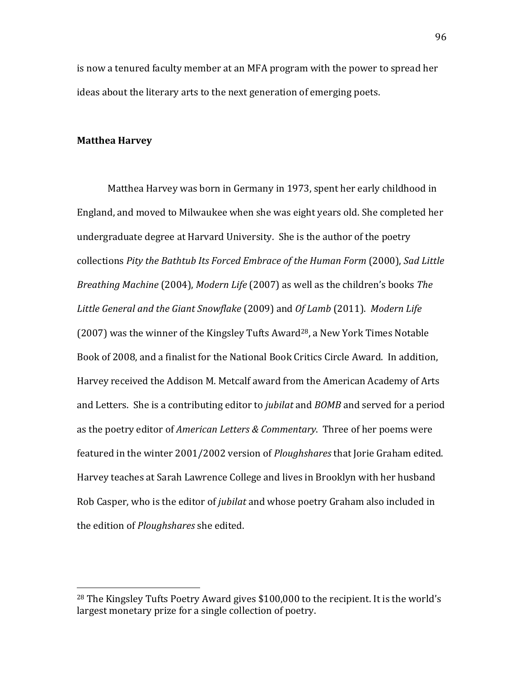is now a tenured faculty member at an MFA program with the power to spread her ideas about the literary arts to the next generation of emerging poets.

## **Matthea Harvey**

!!!!!!!!!!!!!!!!!!!!!!!!!!!!!!!!!!!!!!!!!!!!!!!!!!!!!!!

Matthea Harvey was born in Germany in 1973, spent her early childhood in England, and moved to Milwaukee when she was eight years old. She completed her undergraduate degree at Harvard University. She is the author of the poetry collections!*Pity&the&Bathtub&Its&Forced&Embrace&of&the&Human&Form*!(2000),!*Sad&Little& Breathing Machine* (2004), *Modern Life* (2007) as well as the children's books *The* Little General and the Giant Snowflake (2009) and *Of Lamb* (2011). *Modern Life* (2007) was the winner of the Kingsley Tufts Award<sup>28</sup>, a New York Times Notable Book of 2008, and a finalist for the National Book Critics Circle Award. In addition, Harvey received the Addison M. Metcalf award from the American Academy of Arts and Letters. She is a contributing editor to *jubilat* and *BOMB* and served for a period as the poetry editor of *American Letters & Commentary*. Three of her poems were featured in the winter 2001/2002 version of *Ploughshares* that Jorie Graham edited. Harvey teaches at Sarah Lawrence College and lives in Brooklyn with her husband Rob Casper, who is the editor of *jubilat* and whose poetry Graham also included in the edition of *Ploughshares* she edited.

<sup>&</sup>lt;sup>28</sup> The Kingsley Tufts Poetry Award gives  $$100,000$  to the recipient. It is the world's largest monetary prize for a single collection of poetry.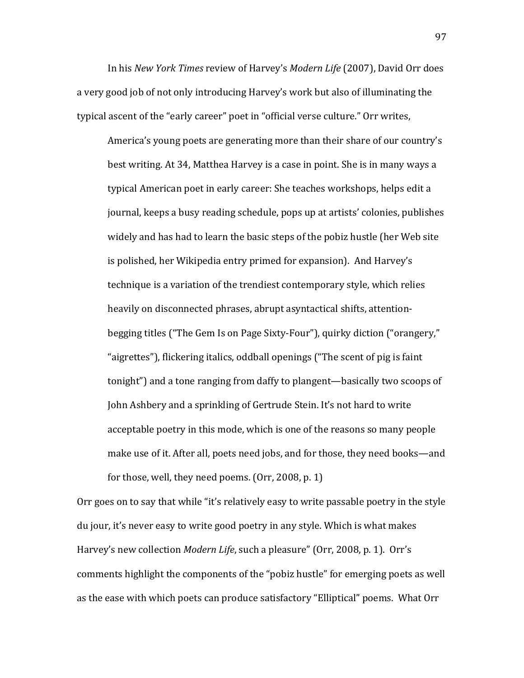In his *New York Times* review of Harvey's *Modern Life* (2007), David Orr does a very good job of not only introducing Harvey's work but also of illuminating the typical ascent of the "early career" poet in "official verse culture." Orr writes,

America's young poets are generating more than their share of our country's best writing. At 34, Matthea Harvey is a case in point. She is in many ways a typical American poet in early career: She teaches workshops, helps edit a journal, keeps a busy reading schedule, pops up at artists' colonies, publishes widely and has had to learn the basic steps of the pobiz hustle (her Web site is polished, her Wikipedia entry primed for expansion). And Harvey's technique is a variation of the trendiest contemporary style, which relies heavily on disconnected phrases, abrupt asyntactical shifts, attentionbegging titles ("The Gem Is on Page Sixty-Four"), quirky diction ("orangery," "aigrettes"), flickering italics, oddball openings ("The scent of pig is faint" tonight") and a tone ranging from daffy to plangent—basically two scoops of John Ashbery and a sprinkling of Gertrude Stein. It's not hard to write acceptable poetry in this mode, which is one of the reasons so many people make use of it. After all, poets need jobs, and for those, they need books—and for those, well, they need poems. (Orr, 2008, p. 1)

Orr goes on to say that while "it's relatively easy to write passable poetry in the style du jour, it's never easy to write good poetry in any style. Which is what makes Harvey's new collection *Modern Life*, such a pleasure" (Orr, 2008, p. 1). Orr's comments highlight the components of the "pobiz hustle" for emerging poets as well as the ease with which poets can produce satisfactory "Elliptical" poems. What Orr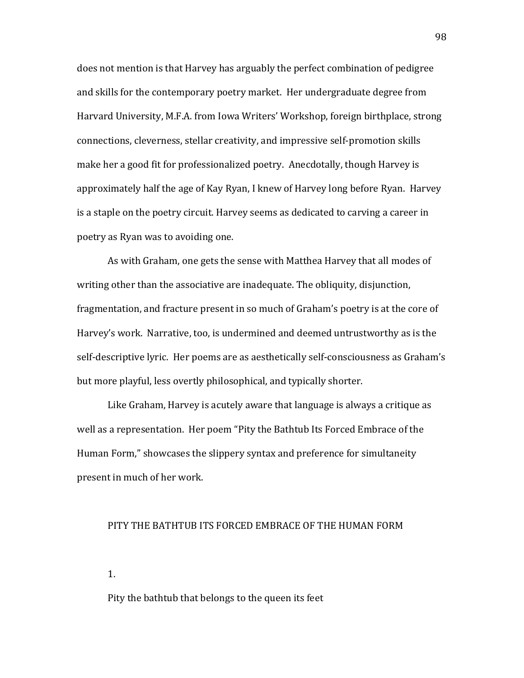does not mention is that Harvey has arguably the perfect combination of pedigree and skills for the contemporary poetry market. Her undergraduate degree from Harvard University, M.F.A. from Iowa Writers' Workshop, foreign birthplace, strong connections, cleverness, stellar creativity, and impressive self-promotion skills make her a good fit for professionalized poetry. Anecdotally, though Harvey is approximately half the age of Kay Ryan, I knew of Harvey long before Ryan. Harvey is a staple on the poetry circuit. Harvey seems as dedicated to carving a career in poetry as Ryan was to avoiding one.

As with Graham, one gets the sense with Matthea Harvey that all modes of writing other than the associative are inadequate. The obliquity, disjunction, fragmentation, and fracture present in so much of Graham's poetry is at the core of Harvey's work. Narrative, too, is undermined and deemed untrustworthy as is the self-descriptive lyric. Her poems are as aesthetically self-consciousness as Graham's but more playful, less overtly philosophical, and typically shorter.

Like Graham, Harvey is acutely aware that language is always a critique as well as a representation. Her poem "Pity the Bathtub Its Forced Embrace of the Human Form," showcases the slippery syntax and preference for simultaneity present in much of her work.

## PITY THE BATHTUB ITS FORCED EMBRACE OF THE HUMAN FORM

1.

Pity the bathtub that belongs to the queen its feet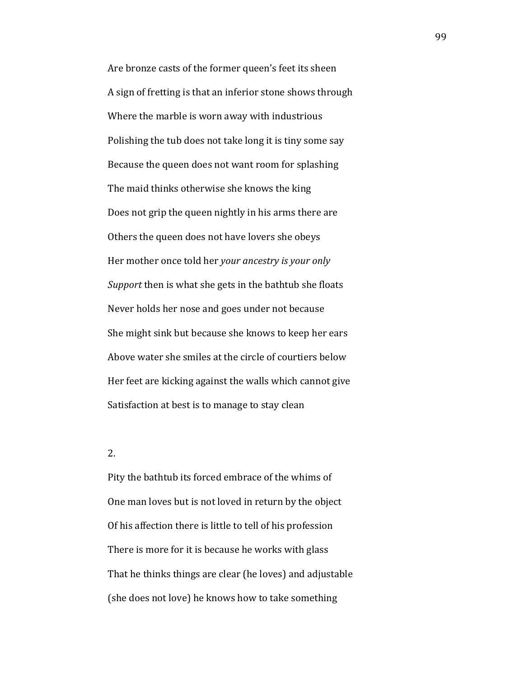Are bronze casts of the former queen's feet its sheen A sign of fretting is that an inferior stone shows through Where the marble is worn away with industrious Polishing the tub does not take long it is tiny some say Because the queen does not want room for splashing The maid thinks otherwise she knows the king Does not grip the queen nightly in his arms there are Others the queen does not have lovers she obeys Her mother once told her *your ancestry is your only Support* then is what she gets in the bathtub she floats Never holds her nose and goes under not because She might sink but because she knows to keep her ears Above water she smiles at the circle of courtiers below Her feet are kicking against the walls which cannot give Satisfaction at best is to manage to stay clean

2.!

Pity the bathtub its forced embrace of the whims of One man loves but is not loved in return by the object Of his affection there is little to tell of his profession There is more for it is because he works with glass That he thinks things are clear (he loves) and adjustable (she does not love) he knows how to take something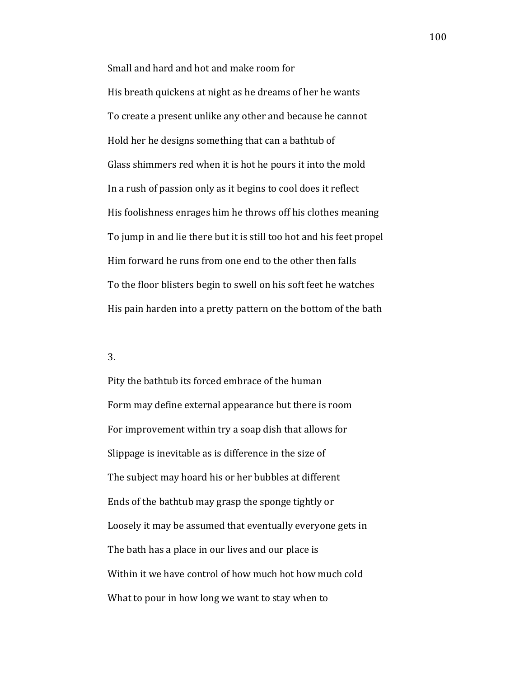Small and hard and hot and make room for His breath quickens at night as he dreams of her he wants To create a present unlike any other and because he cannot Hold her he designs something that can a bathtub of Glass shimmers red when it is hot he pours it into the mold In a rush of passion only as it begins to cool does it reflect His foolishness enrages him he throws off his clothes meaning To jump in and lie there but it is still too hot and his feet propel Him forward he runs from one end to the other then falls To the floor blisters begin to swell on his soft feet he watches His pain harden into a pretty pattern on the bottom of the bath

# 3.

Pity the bathtub its forced embrace of the human Form may define external appearance but there is room For improvement within try a soap dish that allows for Slippage is inevitable as is difference in the size of The subject may hoard his or her bubbles at different Ends of the bathtub may grasp the sponge tightly or Loosely it may be assumed that eventually everyone gets in The bath has a place in our lives and our place is Within it we have control of how much hot how much cold What to pour in how long we want to stay when to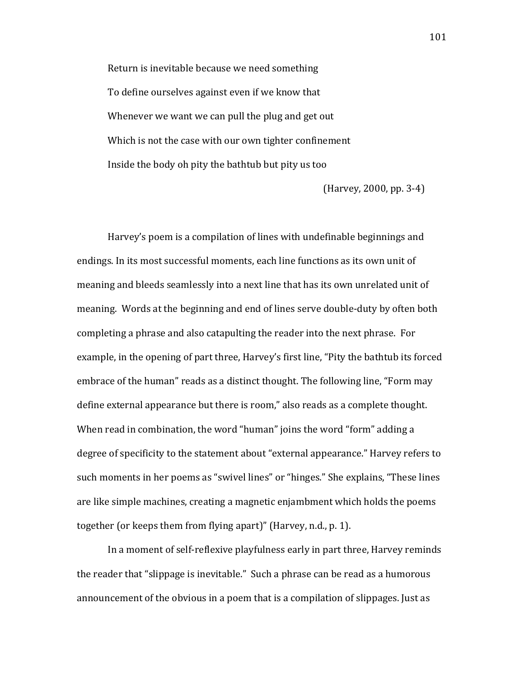Return is inevitable because we need something To define ourselves against even if we know that Whenever we want we can pull the plug and get out Which is not the case with our own tighter confinement Inside the body oh pity the bathtub but pity us too

 $(Harvey, 2000, pp. 3-4)$ 

Harvey's poem is a compilation of lines with undefinable beginnings and endings. In its most successful moments, each line functions as its own unit of meaning and bleeds seamlessly into a next line that has its own unrelated unit of meaning. Words at the beginning and end of lines serve double-duty by often both completing a phrase and also catapulting the reader into the next phrase. For example, in the opening of part three, Harvey's first line, "Pity the bathtub its forced embrace of the human" reads as a distinct thought. The following line, "Form may define external appearance but there is room," also reads as a complete thought. When read in combination, the word "human" joins the word "form" adding a degree of specificity to the statement about "external appearance." Harvey refers to such moments in her poems as "swivel lines" or "hinges." She explains, "These lines are like simple machines, creating a magnetic enjambment which holds the poems together (or keeps them from flying apart)" (Harvey, n.d., p. 1).

In a moment of self-reflexive playfulness early in part three, Harvey reminds the reader that "slippage is inevitable." Such a phrase can be read as a humorous announcement of the obvious in a poem that is a compilation of slippages. Just as

101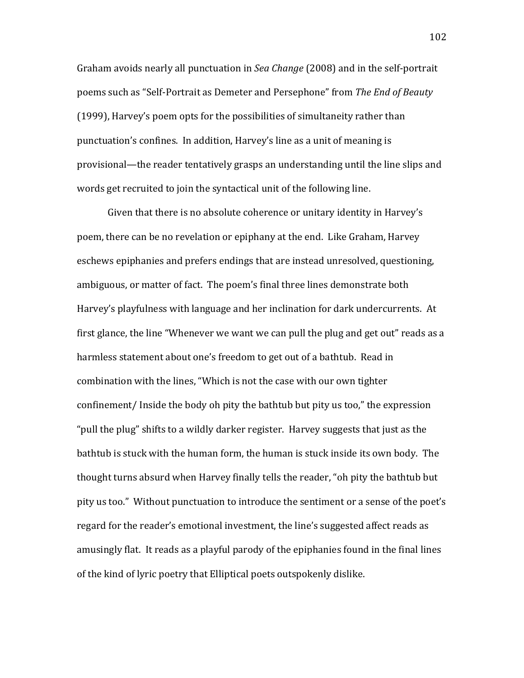Graham avoids nearly all punctuation in Sea Change (2008) and in the self-portrait poems such as "Self-Portrait as Demeter and Persephone" from The End of Beauty (1999), Harvey's poem opts for the possibilities of simultaneity rather than punctuation's confines. In addition, Harvey's line as a unit of meaning is provisional—the reader tentatively grasps an understanding until the line slips and words get recruited to join the syntactical unit of the following line.

Given that there is no absolute coherence or unitary identity in Harvey's poem, there can be no revelation or epiphany at the end. Like Graham, Harvey eschews epiphanies and prefers endings that are instead unresolved, questioning, ambiguous, or matter of fact. The poem's final three lines demonstrate both Harvey's playfulness with language and her inclination for dark undercurrents. At first glance, the line "Whenever we want we can pull the plug and get out" reads as a harmless statement about one's freedom to get out of a bathtub. Read in combination with the lines, "Which is not the case with our own tighter confinement/Inside the body oh pity the bathtub but pity us too," the expression "pull the plug" shifts to a wildly darker register. Harvey suggests that just as the bathtub is stuck with the human form, the human is stuck inside its own body. The thought turns absurd when Harvey finally tells the reader, "oh pity the bathtub but pity us too." Without punctuation to introduce the sentiment or a sense of the poet's regard for the reader's emotional investment, the line's suggested affect reads as amusingly flat. It reads as a playful parody of the epiphanies found in the final lines of the kind of lyric poetry that Elliptical poets outspokenly dislike.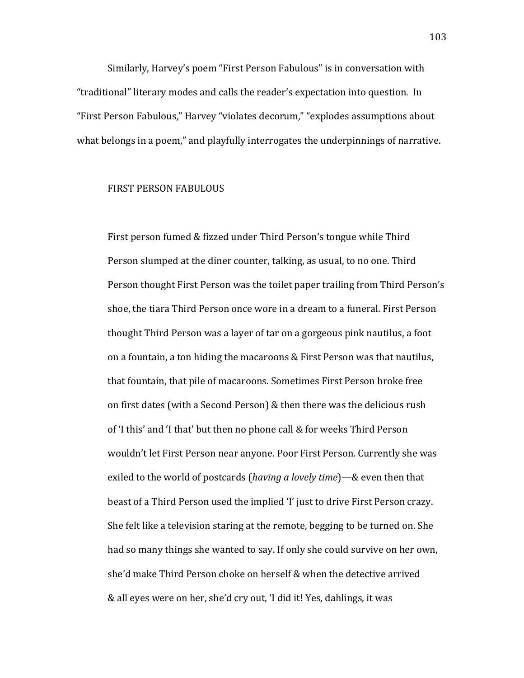Similarly, Harvey's poem "First Person Fabulous" is in conversation with "traditional" literary modes and calls the reader's expectation into question. In "First Person Fabulous," Harvey "violates decorum," "explodes assumptions about what belongs in a poem," and playfully interrogates the underpinnings of narrative.

## **FIRST PERSON FABULOUS**

First person fumed & fizzed under Third Person's tongue while Third Person slumped at the diner counter, talking, as usual, to no one. Third Person thought First Person was the toilet paper trailing from Third Person's shoe, the tiara Third Person once wore in a dream to a funeral. First Person thought Third Person was a layer of tar on a gorgeous pink nautilus, a foot on a fountain, a ton hiding the macaroons & First Person was that nautilus, that fountain, that pile of macaroons. Sometimes First Person broke free on first dates (with a Second Person) & then there was the delicious rush of 'I this' and 'I that' but then no phone call & for weeks Third Person wouldn't let First Person near anyone. Poor First Person. Currently she was exiled to the world of postcards (having a lovely time)—& even then that beast of a Third Person used the implied 'I' just to drive First Person crazy. She felt like a television staring at the remote, begging to be turned on. She had so many things she wanted to say. If only she could survive on her own, she'd make Third Person choke on herself & when the detective arrived & all eyes were on her, she'd cry out, 'I did it! Yes, dahlings, it was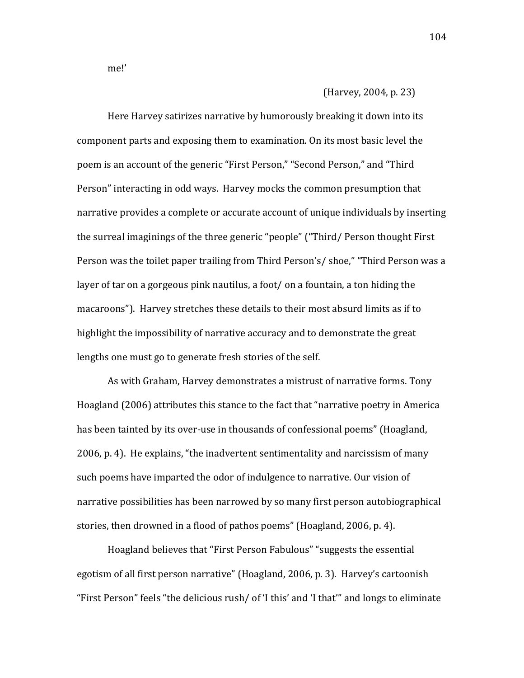me!'

(Harvey, 2004, p. 23)

Here Harvey satirizes narrative by humorously breaking it down into its component parts and exposing them to examination. On its most basic level the poem is an account of the generic "First Person," "Second Person," and "Third Person" interacting in odd ways. Harvey mocks the common presumption that narrative provides a complete or accurate account of unique individuals by inserting the surreal imaginings of the three generic "people" ("Third/Person thought First Person was the toilet paper trailing from Third Person's/shoe," "Third Person was a layer of tar on a gorgeous pink nautilus, a foot/ on a fountain, a ton hiding the macaroons"). Harvey stretches these details to their most absurd limits as if to highlight the impossibility of narrative accuracy and to demonstrate the great lengths one must go to generate fresh stories of the self.

As with Graham, Harvey demonstrates a mistrust of narrative forms. Tony Hoagland (2006) attributes this stance to the fact that "narrative poetry in America has been tainted by its over-use in thousands of confessional poems" (Hoagland, 2006, p. 4). He explains, "the inadvertent sentimentality and narcissism of many such poems have imparted the odor of indulgence to narrative. Our vision of narrative possibilities has been narrowed by so many first person autobiographical stories, then drowned in a flood of pathos poems" (Hoagland, 2006, p. 4).

Hoagland believes that "First Person Fabulous" "suggests the essential egotism of all first person narrative" (Hoagland, 2006, p. 3). Harvey's cartoonish "First Person" feels "the delicious rush/ of 'I this' and 'I that'" and longs to eliminate

104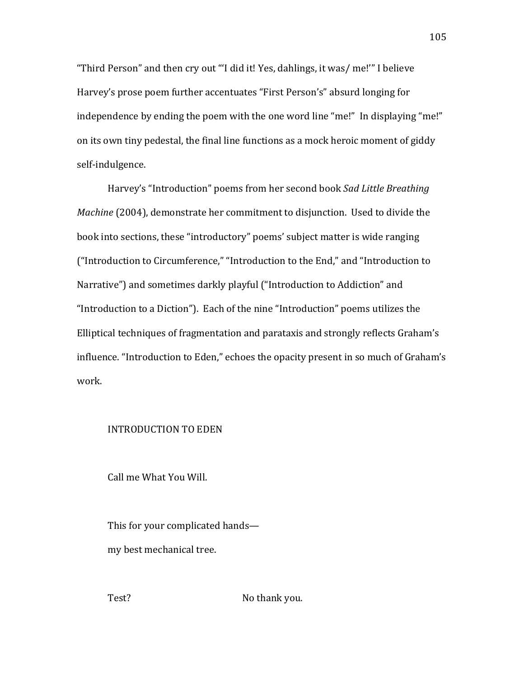"Third Person" and then cry out "'I did it! Yes, dahlings, it was/ me!'" I believe Harvey's prose poem further accentuates "First Person's" absurd longing for independence by ending the poem with the one word line "me!" In displaying "me!" on its own tiny pedestal, the final line functions as a mock heroic moment of giddy self-indulgence.

Harvey's "Introduction" poems from her second book *Sad Little Breathing Machine* (2004), demonstrate her commitment to disjunction. Used to divide the book into sections, these "introductory" poems' subject matter is wide ranging ("Introduction to Circumference," "Introduction to the End," and "Introduction to Narrative") and sometimes darkly playful ("Introduction to Addiction" and "Introduction to a Diction"). Each of the nine "Introduction" poems utilizes the Elliptical techniques of fragmentation and parataxis and strongly reflects Graham's influence. "Introduction to Eden," echoes the opacity present in so much of Graham's work.

### INTRODUCTION TO EDEN

Call me What You Will.

This for your complicated hands my best mechanical tree.

Test? In the Northank you.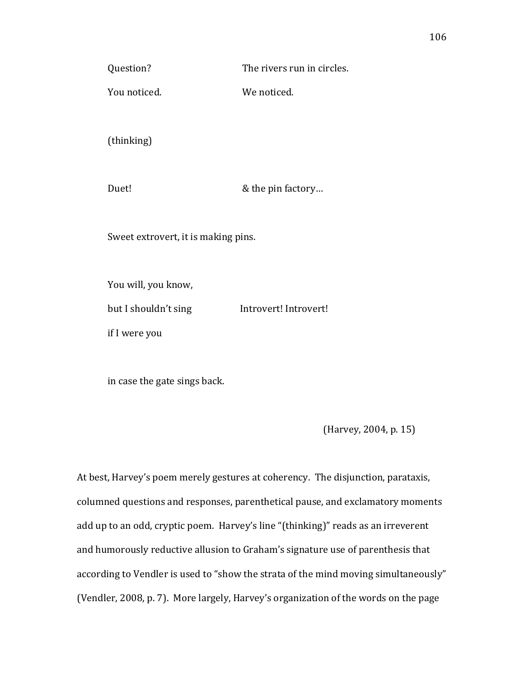You noticed. We noticed.

(thinking)

Duet!  $\&$  the pin factory...

Sweet extrovert, it is making pins.

You will, you know,

but I shouldn't sing lntrovert! Introvert!

if I were you

in case the gate sings back.

(Harvey, 2004, p. 15)

At best, Harvey's poem merely gestures at coherency. The disjunction, parataxis, columned questions and responses, parenthetical pause, and exclamatory moments add up to an odd, cryptic poem. Harvey's line "(thinking)" reads as an irreverent and humorously reductive allusion to Graham's signature use of parenthesis that according to Vendler is used to "show the strata of the mind moving simultaneously" (Vendler, 2008, p. 7). More largely, Harvey's organization of the words on the page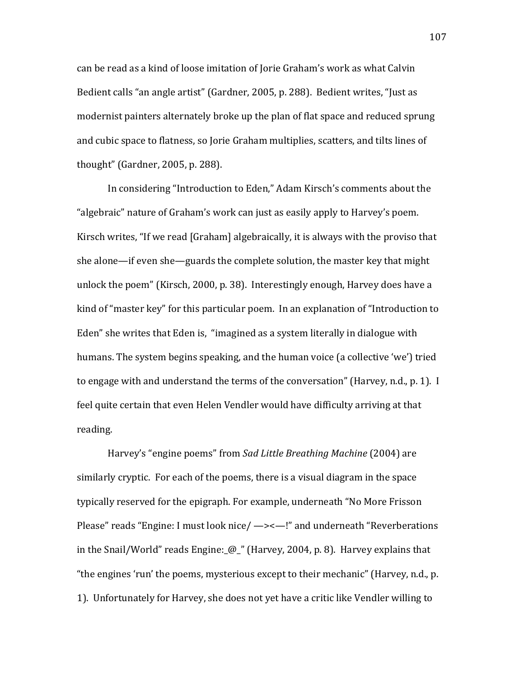can be read as a kind of loose imitation of Jorie Graham's work as what Calvin Bedient calls "an angle artist" (Gardner, 2005, p. 288). Bedient writes, "Just as modernist painters alternately broke up the plan of flat space and reduced sprung and cubic space to flatness, so Jorie Graham multiplies, scatters, and tilts lines of thought" (Gardner, 2005, p. 288).

In considering "Introduction to Eden," Adam Kirsch's comments about the "algebraic" nature of Graham's work can just as easily apply to Harvey's poem. Kirsch writes, "If we read [Graham] algebraically, it is always with the proviso that she alone—if even she—guards the complete solution, the master key that might unlock the poem" (Kirsch, 2000, p. 38). Interestingly enough, Harvey does have a kind of "master key" for this particular poem. In an explanation of "Introduction to Eden" she writes that Eden is, "imagined as a system literally in dialogue with humans. The system begins speaking, and the human voice (a collective 'we') tried to engage with and understand the terms of the conversation" (Harvey, n.d., p. 1). I feel quite certain that even Helen Vendler would have difficulty arriving at that reading.

Harvey's "engine poems" from Sad Little Breathing Machine (2004) are similarly cryptic. For each of the poems, there is a visual diagram in the space typically reserved for the epigraph. For example, underneath "No More Frisson Please" reads "Engine: I must look nice/ —><—!" and underneath "Reverberations in the Snail/World" reads Engine:  $\omega$ " (Harvey, 2004, p. 8). Harvey explains that "the engines 'run' the poems, mysterious except to their mechanic" (Harvey, n.d., p. 1). Unfortunately for Harvey, she does not yet have a critic like Vendler willing to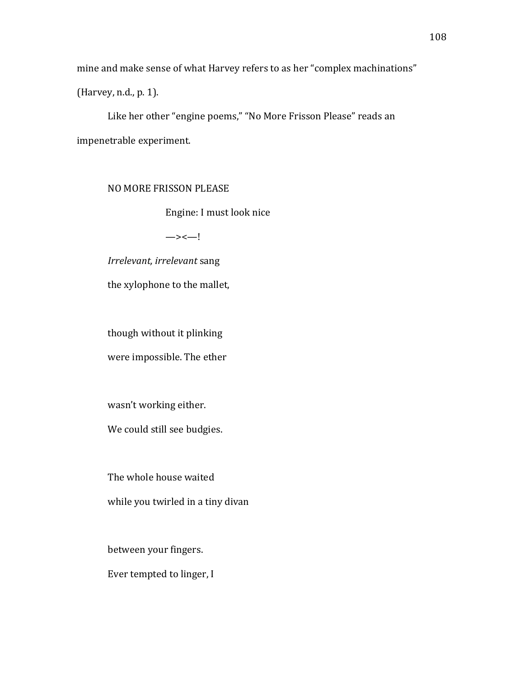mine and make sense of what Harvey refers to as her "complex machinations"

(Harvey, n.d., p. 1).

Like her other "engine poems," "No More Frisson Please" reads an impenetrable experiment.

NO MORE FRISSON PLEASE

Engine: I must look nice

 $\rightarrow$   $\leftarrow$ !

Irrelevant, irrelevant sang

the xylophone to the mallet,

though without it plinking

were impossible. The ether

wasn't working either.

We could still see budgies.

The whole house waited

while you twirled in a tiny divan

between your fingers.

Ever tempted to linger, I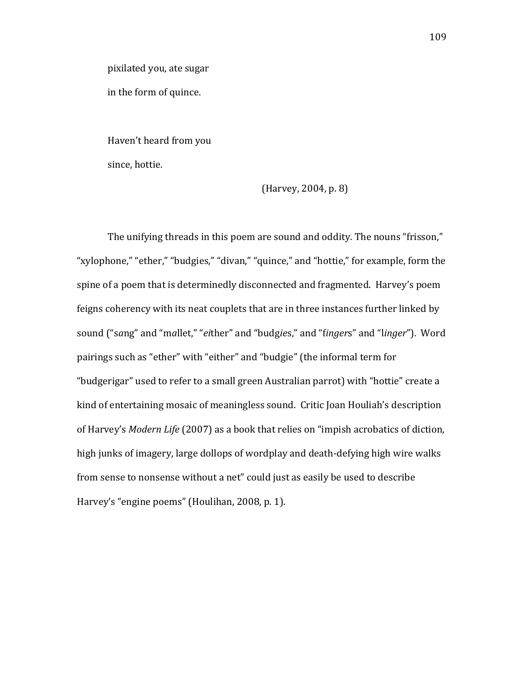pixilated you, ate sugar

in the form of quince.

Haven't heard from you since, hottie.

(Harvey, 2004, p. 8)

The unifying threads in this poem are sound and oddity. The nouns "frisson," "xylophone," "ether," "budgies," "divan," "quince," and "hottie," for example, form the spine of a poem that is determinedly disconnected and fragmented. Harvey's poem feigns coherency with its neat couplets that are in three instances further linked by sound ("sang" and "mallet," "either" and "budgies," and "fingers" and "linger"). Word pairings such as "ether" with "either" and "budgie" (the informal term for "budgerigar" used to refer to a small green Australian parrot) with "hottie" create a kind of entertaining mosaic of meaningless sound. Critic Joan Houliah's description of Harvey's Modern Life (2007) as a book that relies on "impish acrobatics of diction, high junks of imagery, large dollops of wordplay and death-defying high wire walks from sense to nonsense without a net" could just as easily be used to describe Harvey's "engine poems" (Houlihan, 2008, p. 1).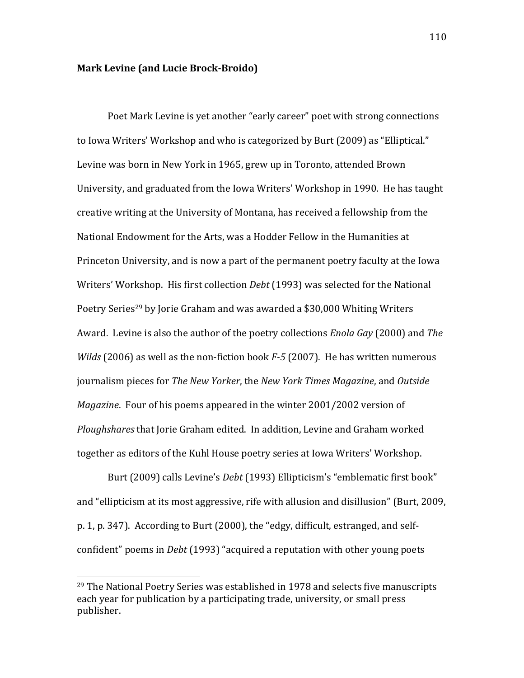### **Mark Levine (and Lucie Brock-Broido)**

Poet Mark Levine is yet another "early career" poet with strong connections to Iowa Writers' Workshop and who is categorized by Burt (2009) as "Elliptical." Levine was born in New York in 1965, grew up in Toronto, attended Brown University, and graduated from the Iowa Writers' Workshop in 1990. He has taught creative writing at the University of Montana, has received a fellowship from the National Endowment for the Arts, was a Hodder Fellow in the Humanities at Princeton University, and is now a part of the permanent poetry faculty at the Iowa Writers' Workshop. His first collection *Debt* (1993) was selected for the National Poetry Series<sup>29</sup> by Jorie Graham and was awarded a \$30,000 Whiting Writers Award. Levine is also the author of the poetry collections *Enola Gay* (2000) and *The Wilds* (2006) as well as the non-fiction book *F*-5 (2007). He has written numerous journalism pieces for *The New Yorker*, the *New York Times Magazine*, and *Outside Magazine*. Four of his poems appeared in the winter 2001/2002 version of *Ploughshares* that Jorie Graham edited. In addition, Levine and Graham worked together as editors of the Kuhl House poetry series at Iowa Writers' Workshop.

Burt (2009) calls Levine's *Debt* (1993) Ellipticism's "emblematic first book" and "ellipticism at its most aggressive, rife with allusion and disillusion" (Burt, 2009, p. 1, p. 347). According to Burt (2000), the "edgy, difficult, estranged, and selfconfident" poems in *Debt* (1993) "acquired a reputation with other young poets

<sup>&</sup>lt;sup>29</sup> The National Poetry Series was established in 1978 and selects five manuscripts each year for publication by a participating trade, university, or small press publisher.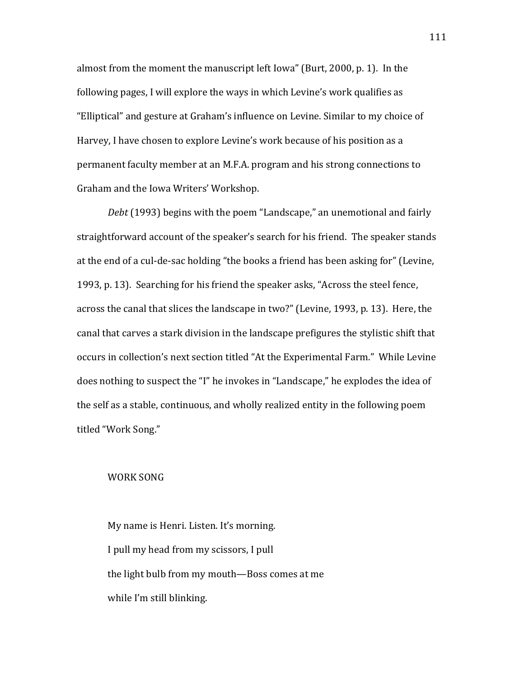almost from the moment the manuscript left Iowa" (Burt, 2000, p. 1). In the following pages, I will explore the ways in which Levine's work qualifies as "Elliptical" and gesture at Graham's influence on Levine. Similar to my choice of Harvey, I have chosen to explore Levine's work because of his position as a permanent faculty member at an M.F.A. program and his strong connections to Graham and the Iowa Writers' Workshop.

Debt (1993) begins with the poem "Landscape," an unemotional and fairly straightforward account of the speaker's search for his friend. The speaker stands at the end of a cul-de-sac holding "the books a friend has been asking for" (Levine, 1993, p. 13). Searching for his friend the speaker asks, "Across the steel fence, across the canal that slices the landscape in two?" (Levine, 1993, p. 13). Here, the canal that carves a stark division in the landscape prefigures the stylistic shift that occurs in collection's next section titled "At the Experimental Farm." While Levine does nothing to suspect the "I" he invokes in "Landscape," he explodes the idea of the self as a stable, continuous, and wholly realized entity in the following poem titled "Work Song."

#### WORK SONG

My name is Henri. Listen. It's morning. I pull my head from my scissors, I pull the light bulb from my mouth-Boss comes at me while I'm still blinking.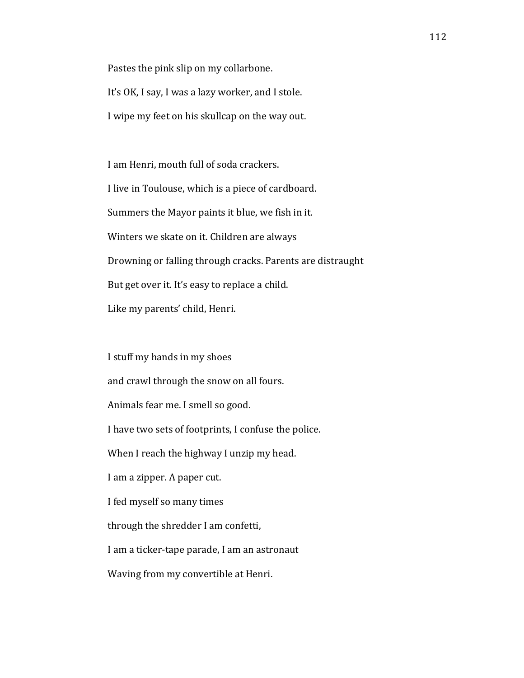Pastes the pink slip on my collarbone. It's OK, I say, I was a lazy worker, and I stole. I wipe my feet on his skullcap on the way out.

I am Henri, mouth full of soda crackers. I live in Toulouse, which is a piece of cardboard. Summers the Mayor paints it blue, we fish in it. Winters we skate on it. Children are always Drowning or falling through cracks. Parents are distraught But get over it. It's easy to replace a child. Like my parents' child, Henri.

I stuff my hands in my shoes and crawl through the snow on all fours. Animals fear me. I smell so good. I have two sets of footprints, I confuse the police. When I reach the highway I unzip my head. I am a zipper. A paper cut. I fed myself so many times through the shredder I am confetti, I am a ticker-tape parade, I am an astronaut Waving from my convertible at Henri.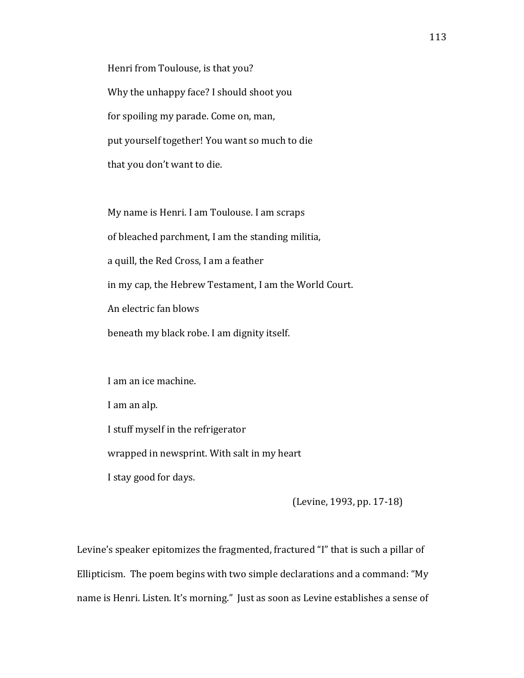Henri from Toulouse, is that you? Why the unhappy face? I should shoot you for spoiling my parade. Come on, man, put yourself together! You want so much to die that you don't want to die.

My name is Henri. I am Toulouse. I am scraps of bleached parchment, I am the standing militia, a quill, the Red Cross, I am a feather in my cap, the Hebrew Testament, I am the World Court. An electric fan blows beneath my black robe. I am dignity itself.

I am an ice machine.

I am an alp.

I stuff myself in the refrigerator

wrapped in newsprint. With salt in my heart

I stay good for days.

(Levine, 1993, pp. 17-18)

Levine's speaker epitomizes the fragmented, fractured "I" that is such a pillar of Ellipticism. The poem begins with two simple declarations and a command: "My name is Henri. Listen. It's morning." Just as soon as Levine establishes a sense of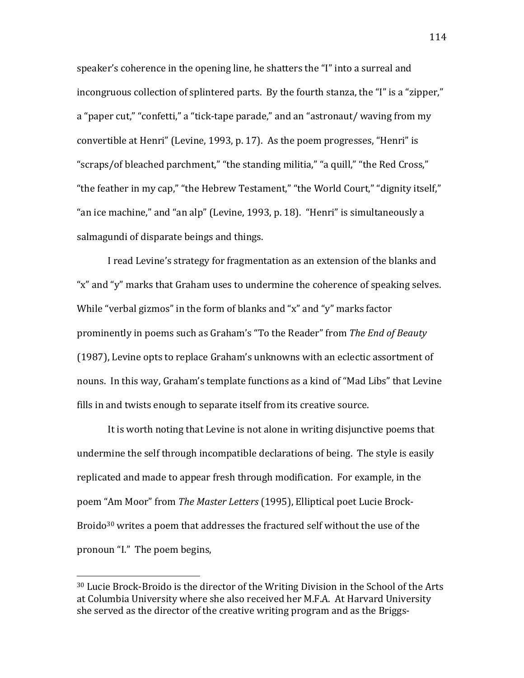speaker's coherence in the opening line, he shatters the "I" into a surreal and incongruous collection of splintered parts. By the fourth stanza, the "I" is a "zipper," a "paper cut," "confetti," a "tick-tape parade," and an "astronaut/ waving from my convertible at Henri" (Levine, 1993, p. 17). As the poem progresses, "Henri" is "scraps/of bleached parchment," "the standing militia," "a quill," "the Red Cross," "the feather in my cap," "the Hebrew Testament," "the World Court," "dignity itself," "an ice machine," and "an alp" (Levine, 1993, p. 18). "Henri" is simultaneously a salmagundi of disparate beings and things.

I read Levine's strategy for fragmentation as an extension of the blanks and "x" and "y" marks that Graham uses to undermine the coherence of speaking selves. While "verbal gizmos" in the form of blanks and "x" and "y" marks factor prominently in poems such as Graham's "To the Reader" from The End of Beauty (1987), Levine opts to replace Graham's unknowns with an eclectic assortment of nouns. In this way, Graham's template functions as a kind of "Mad Libs" that Levine fills in and twists enough to separate itself from its creative source.

It is worth noting that Levine is not alone in writing disjunctive poems that undermine the self through incompatible declarations of being. The style is easily replicated and made to appear fresh through modification. For example, in the poem "Am Moor" from The Master Letters (1995), Elliptical poet Lucie Brock-Broido<sup>30</sup> writes a poem that addresses the fractured self without the use of the pronoun "I." The poem begins,

<sup>&</sup>lt;sup>30</sup> Lucie Brock-Broido is the director of the Writing Division in the School of the Arts at Columbia University where she also received her M.F.A. At Harvard University she served as the director of the creative writing program and as the Briggs-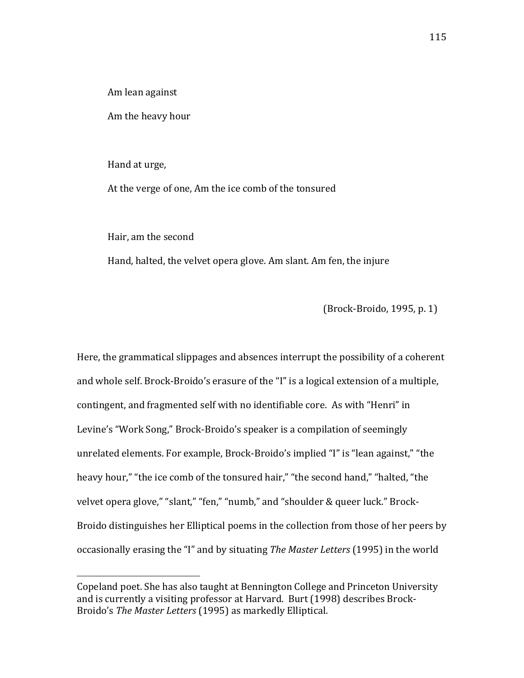Am lean against

Am the heavy hour

Hand at urge,

At the verge of one, Am the ice comb of the tonsured

Hair, am the second

Hand, halted, the velvet opera glove. Am slant. Am fen, the injure

(Brock-Broido, 1995, p. 1)

Here, the grammatical slippages and absences interrupt the possibility of a coherent and whole self. Brock-Broido's erasure of the "I" is a logical extension of a multiple, contingent, and fragmented self with no identifiable core. As with "Henri" in Levine's "Work Song," Brock-Broido's speaker is a compilation of seemingly unrelated elements. For example, Brock-Broido's implied "I" is "lean against," "the heavy hour," "the ice comb of the tonsured hair," "the second hand," "halted, "the velvet opera glove," "slant," "fen," "numb," and "shoulder & queer luck." Brock-Broido distinguishes her Elliptical poems in the collection from those of her peers by occasionally erasing the "I" and by situating The Master Letters (1995) in the world

Copeland poet. She has also taught at Bennington College and Princeton University and is currently a visiting professor at Harvard. Burt (1998) describes Brock-Broido's The Master Letters (1995) as markedly Elliptical.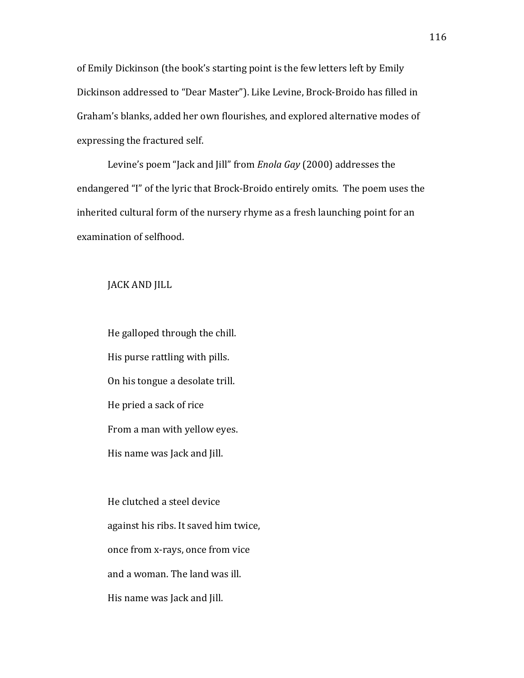of Emily Dickinson (the book's starting point is the few letters left by Emily Dickinson addressed to "Dear Master"). Like Levine, Brock-Broido has filled in Graham's blanks, added her own flourishes, and explored alternative modes of expressing the fractured self.

Levine's poem "Jack and Jill" from *Enola Gay* (2000) addresses the endangered "I" of the lyric that Brock-Broido entirely omits. The poem uses the inherited cultural form of the nursery rhyme as a fresh launching point for an examination of selfhood.

JACK AND JILL

He galloped through the chill. His purse rattling with pills. On his tongue a desolate trill. He pried a sack of rice From a man with yellow eyes. His name was Jack and Jill.

He clutched a steel device against his ribs. It saved him twice, once from x-rays, once from vice and a woman. The land was ill. His name was Jack and Jill.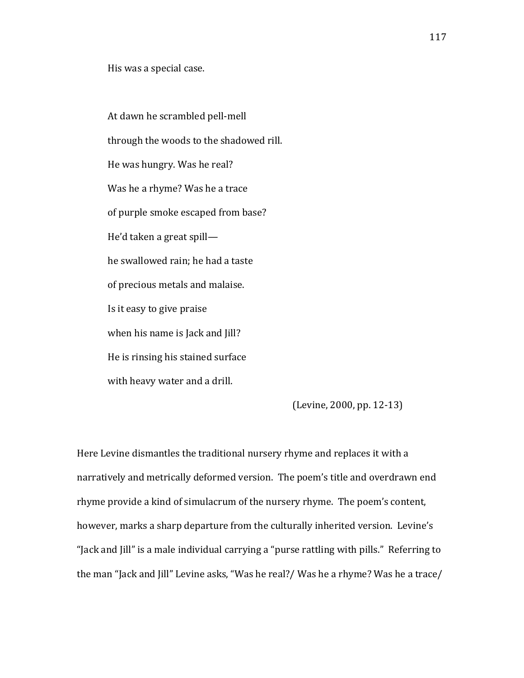His was a special case.

At dawn he scrambled pell-mell through the woods to the shadowed rill. He was hungry. Was he real? Was he a rhyme? Was he a trace of purple smoke escaped from base? He'd taken a great spill he swallowed rain; he had a taste of precious metals and malaise. Is it easy to give praise when his name is Jack and Jill? He is rinsing his stained surface with heavy water and a drill.

 $(Levine, 2000, pp. 12-13)$ 

Here Levine dismantles the traditional nursery rhyme and replaces it with a narratively and metrically deformed version. The poem's title and overdrawn end rhyme provide a kind of simulacrum of the nursery rhyme. The poem's content, however, marks a sharp departure from the culturally inherited version. Levine's "Jack and Jill" is a male individual carrying a "purse rattling with pills." Referring to the man "Jack and Jill" Levine asks, "Was he real?/ Was he a rhyme? Was he a trace/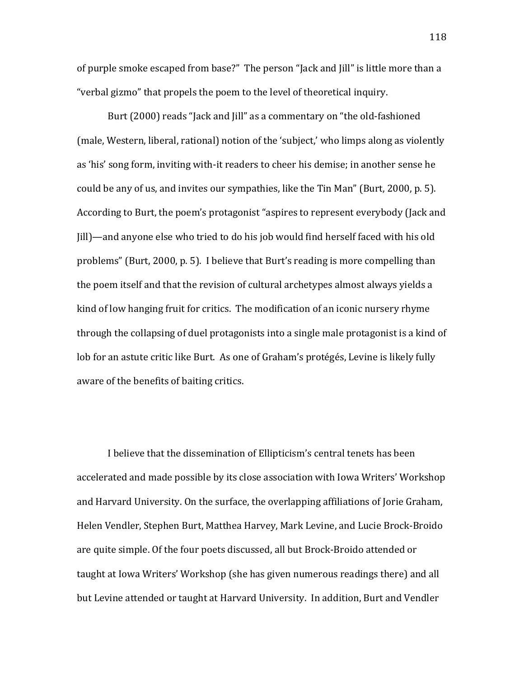of purple smoke escaped from base?" The person "Jack and Jill" is little more than a "verbal gizmo" that propels the poem to the level of theoretical inquiry.

Burt (2000) reads "Jack and Jill" as a commentary on "the old-fashioned (male, Western, liberal, rational) notion of the 'subject,' who limps along as violently as 'his' song form, inviting with-it readers to cheer his demise; in another sense he could be any of us, and invites our sympathies, like the Tin Man" (Burt, 2000, p. 5). According to Burt, the poem's protagonist "aspires to represent everybody (Jack and [ill]—and anyone else who tried to do his job would find herself faced with his old problems" (Burt, 2000, p. 5). I believe that Burt's reading is more compelling than the poem itself and that the revision of cultural archetypes almost always yields a kind of low hanging fruit for critics. The modification of an iconic nursery rhyme through the collapsing of duel protagonists into a single male protagonist is a kind of lob for an astute critic like Burt. As one of Graham's protégés, Levine is likely fully aware of the benefits of baiting critics.

I believe that the dissemination of Ellipticism's central tenets has been accelerated and made possible by its close association with Iowa Writers' Workshop and Harvard University. On the surface, the overlapping affiliations of Jorie Graham, Helen Vendler, Stephen Burt, Matthea Harvey, Mark Levine, and Lucie Brock-Broido are quite simple. Of the four poets discussed, all but Brock-Broido attended or taught at Iowa Writers' Workshop (she has given numerous readings there) and all but Levine attended or taught at Harvard University. In addition, Burt and Vendler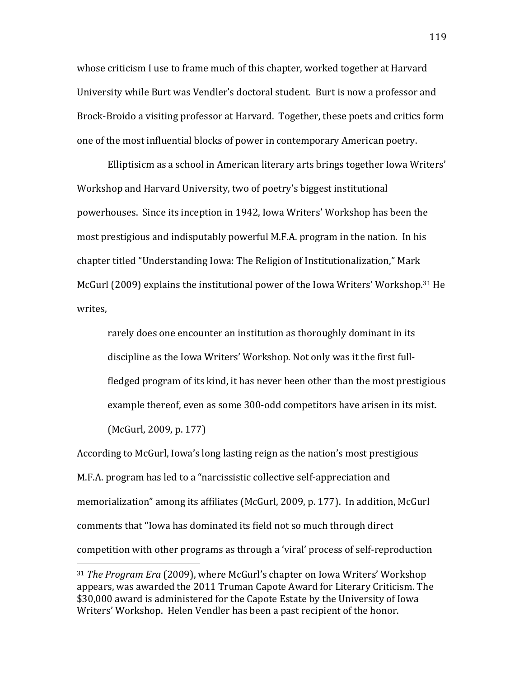whose criticism I use to frame much of this chapter, worked together at Harvard University while Burt was Vendler's doctoral student. Burt is now a professor and Brock-Broido a visiting professor at Harvard. Together, these poets and critics form one of the most influential blocks of power in contemporary American poetry.

Elliptisicm as a school in American literary arts brings together Iowa Writers' Workshop and Harvard University, two of poetry's biggest institutional powerhouses. Since its inception in 1942, Iowa Writers' Workshop has been the most prestigious and indisputably powerful M.F.A. program in the nation. In his chapter titled "Understanding Iowa: The Religion of Institutionalization," Mark McGurl (2009) explains the institutional power of the Iowa Writers' Workshop.<sup>31</sup> He writes.

rarely does one encounter an institution as thoroughly dominant in its discipline as the Iowa Writers' Workshop. Not only was it the first fullfledged program of its kind, it has never been other than the most prestigious example thereof, even as some 300-odd competitors have arisen in its mist.  $(McGurl, 2009, p. 177)$ 

According to McGurl, Iowa's long lasting reign as the nation's most prestigious M.F.A. program has led to a "narcissistic collective self-appreciation and memorialization" among its affiliates (McGurl, 2009, p. 177). In addition, McGurl comments that "Iowa has dominated its field not so much through direct competition with other programs as through a 'viral' process of self-reproduction

<sup>&</sup>lt;sup>31</sup> *The Program Era* (2009), where McGurl's chapter on Iowa Writers' Workshop appears, was awarded the 2011 Truman Capote Award for Literary Criticism. The \$30,000 award is administered for the Capote Estate by the University of Iowa Writers' Workshop. Helen Vendler has been a past recipient of the honor.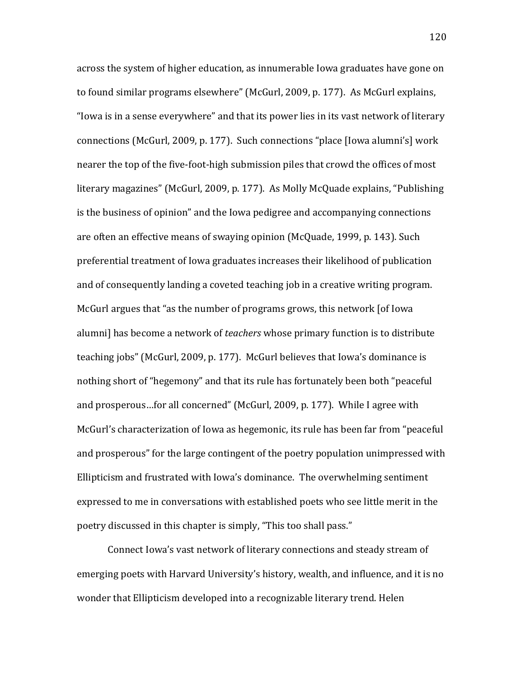across the system of higher education, as innumerable Iowa graduates have gone on to found similar programs elsewhere" (McGurl, 2009, p. 177). As McGurl explains, "Iowa is in a sense everywhere" and that its power lies in its vast network of literary connections (McGurl, 2009, p. 177). Such connections "place [Iowa alumni's] work nearer the top of the five-foot-high submission piles that crowd the offices of most literary magazines" (McGurl, 2009, p. 177). As Molly McQuade explains, "Publishing is the business of opinion" and the Iowa pedigree and accompanying connections are often an effective means of swaying opinion (McQuade, 1999, p. 143). Such preferential treatment of Iowa graduates increases their likelihood of publication and of consequently landing a coveted teaching job in a creative writing program. McGurl argues that "as the number of programs grows, this network [of Iowa] alumni] has become a network of *teachers* whose primary function is to distribute teaching jobs" (McGurl, 2009, p. 177). McGurl believes that Iowa's dominance is nothing short of "hegemony" and that its rule has fortunately been both "peaceful and prosperous...for all concerned" (McGurl, 2009, p. 177). While I agree with McGurl's characterization of Iowa as hegemonic, its rule has been far from "peaceful and prosperous" for the large contingent of the poetry population unimpressed with Ellipticism and frustrated with Iowa's dominance. The overwhelming sentiment expressed to me in conversations with established poets who see little merit in the poetry discussed in this chapter is simply, "This too shall pass."

Connect Iowa's vast network of literary connections and steady stream of emerging poets with Harvard University's history, wealth, and influence, and it is no wonder that Ellipticism developed into a recognizable literary trend. Helen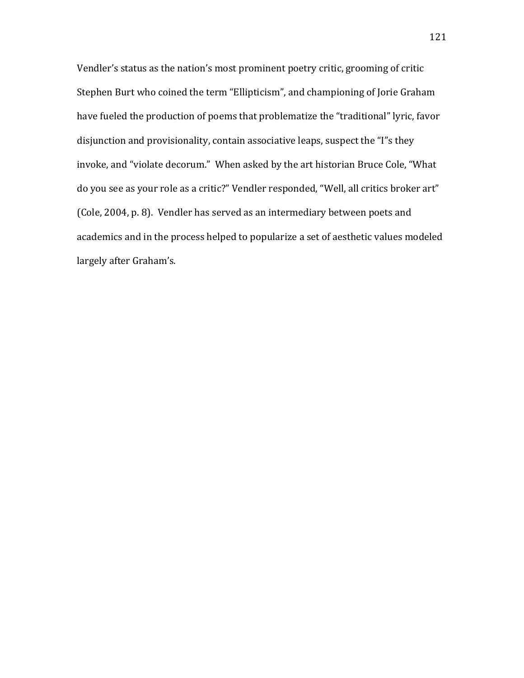Vendler's status as the nation's most prominent poetry critic, grooming of critic Stephen Burt who coined the term "Ellipticism", and championing of Jorie Graham have fueled the production of poems that problematize the "traditional" lyric, favor disjunction and provisionality, contain associative leaps, suspect the "I"s they invoke, and "violate decorum." When asked by the art historian Bruce Cole, "What do you see as your role as a critic?" Vendler responded, "Well, all critics broker art" (Cole, 2004, p. 8). Vendler has served as an intermediary between poets and academics and in the process helped to popularize a set of aesthetic values modeled largely after Graham's.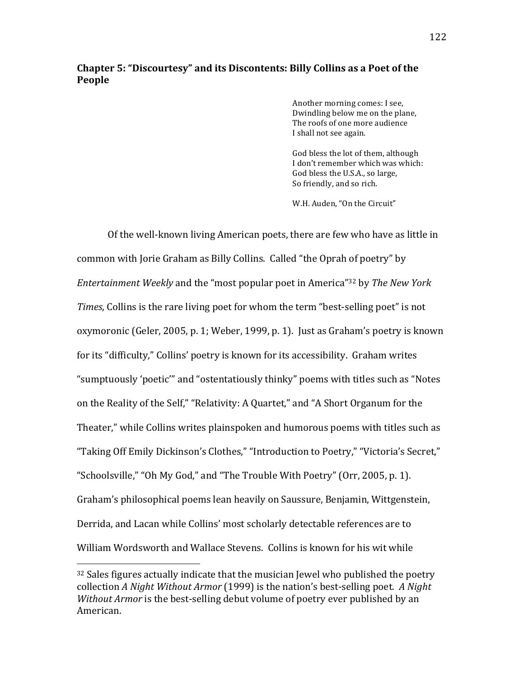# **Chapter 5: "Discourtesy" and its Discontents: Billy Collins as a Poet of the People**

Another morning comes: I see, Dwindling below me on the plane, The roofs of one more audience I shall not see again.

God bless the lot of them, although I don't remember which was which: God bless the U.S.A., so large, So friendly, and so rich.

W.H. Auden, "On the Circuit"

Of the well-known living American poets, there are few who have as little in common with Jorie Graham as Billy Collins. Called "the Oprah of poetry" by *Entertainment Weekly* and the "most popular poet in America"<sup>32</sup> by *The New York Times*, Collins is the rare living poet for whom the term "best-selling poet" is not oxymoronic (Geler, 2005, p. 1; Weber, 1999, p. 1). Just as Graham's poetry is known for its "difficulty," Collins' poetry is known for its accessibility. Graham writes "sumptuously 'poetic'" and "ostentatiously thinky" poems with titles such as "Notes on the Reality of the Self," "Relativity: A Quartet," and "A Short Organum for the Theater," while Collins writes plainspoken and humorous poems with titles such as "Taking Off Emily Dickinson's Clothes," "Introduction to Poetry," "Victoria's Secret," "Schoolsville," "Oh My God," and "The Trouble With Poetry" (Orr, 2005, p. 1). Graham's philosophical poems lean heavily on Saussure, Benjamin, Wittgenstein, Derrida, and Lacan while Collins' most scholarly detectable references are to William Wordsworth and Wallace Stevens. Collins is known for his wit while

 $32$  Sales figures actually indicate that the musician Jewel who published the poetry collection *A Night Without Armor* (1999) is the nation's best-selling poet. *A Night Without Armor* is the best-selling debut volume of poetry ever published by an American.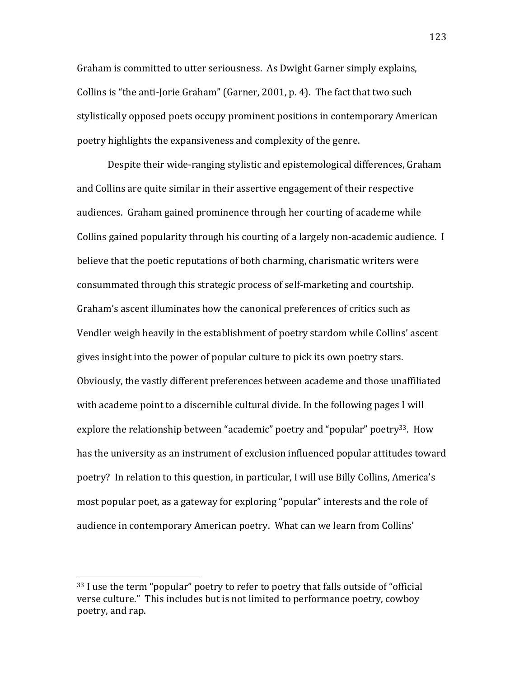Graham is committed to utter seriousness. As Dwight Garner simply explains, Collins is "the anti-Jorie Graham" (Garner, 2001, p. 4). The fact that two such stylistically opposed poets occupy prominent positions in contemporary American poetry highlights the expansiveness and complexity of the genre.

Despite their wide-ranging stylistic and epistemological differences, Graham and Collins are quite similar in their assertive engagement of their respective audiences. Graham gained prominence through her courting of academe while Collins gained popularity through his courting of a largely non-academic audience. I believe that the poetic reputations of both charming, charismatic writers were consummated through this strategic process of self-marketing and courtship. Graham's ascent illuminates how the canonical preferences of critics such as Vendler weigh heavily in the establishment of poetry stardom while Collins' ascent gives insight into the power of popular culture to pick its own poetry stars. Obviously, the vastly different preferences between academe and those unaffiliated with academe point to a discernible cultural divide. In the following pages I will explore the relationship between "academic" poetry and "popular" poetry<sup>33</sup>. How has the university as an instrument of exclusion influenced popular attitudes toward poetry? In relation to this question, in particular, I will use Billy Collins, America's most popular poet, as a gateway for exploring "popular" interests and the role of audience in contemporary American poetry. What can we learn from Collins'

 $33$  I use the term "popular" poetry to refer to poetry that falls outside of "official" verse culture." This includes but is not limited to performance poetry, cowboy poetry, and rap.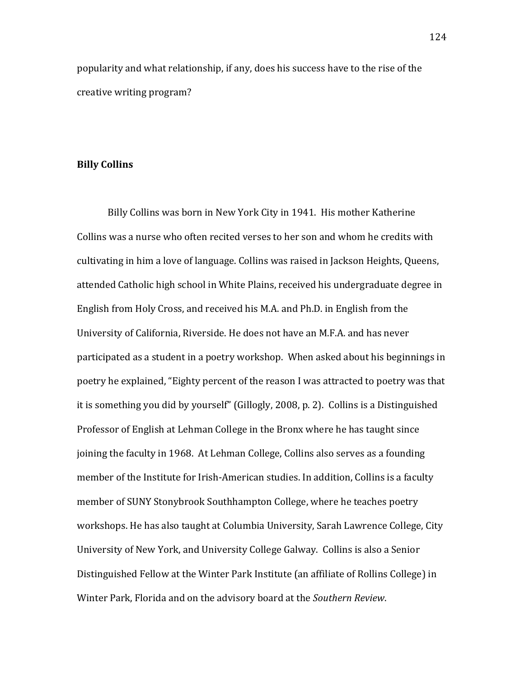popularity and what relationship, if any, does his success have to the rise of the creative writing program?

#### **Billy(Collins**

Billy Collins was born in New York City in 1941. His mother Katherine Collins was a nurse who often recited verses to her son and whom he credits with cultivating in him a love of language. Collins was raised in Jackson Heights, Queens, attended Catholic high school in White Plains, received his undergraduate degree in English from Holy Cross, and received his M.A. and Ph.D. in English from the University of California, Riverside. He does not have an M.F.A. and has never participated as a student in a poetry workshop. When asked about his beginnings in poetry he explained, "Eighty percent of the reason I was attracted to poetry was that it is something you did by yourself" (Gillogly, 2008, p. 2). Collins is a Distinguished Professor of English at Lehman College in the Bronx where he has taught since joining the faculty in 1968. At Lehman College, Collins also serves as a founding member of the Institute for Irish-American studies. In addition, Collins is a faculty member of SUNY Stonybrook Southhampton College, where he teaches poetry workshops. He has also taught at Columbia University, Sarah Lawrence College, City University of New York, and University College Galway. Collins is also a Senior Distinguished Fellow at the Winter Park Institute (an affiliate of Rollins College) in Winter Park, Florida and on the advisory board at the *Southern Review*.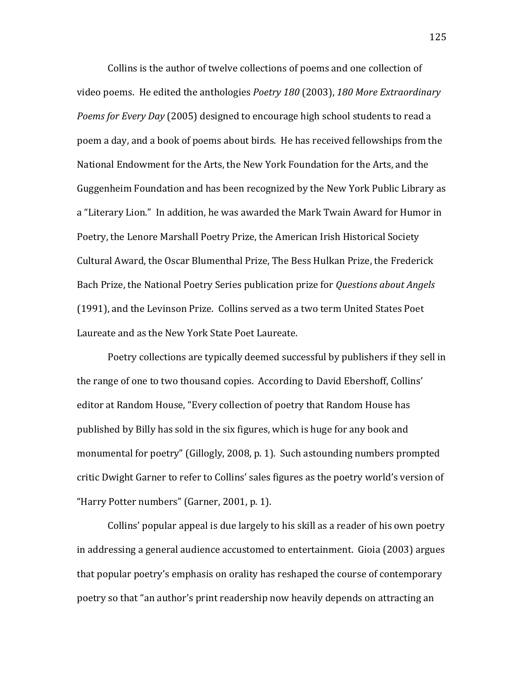Collins is the author of twelve collections of poems and one collection of video poems. He edited the anthologies *Poetry 180* (2003), 180 More Extraordinary *Poems for Every Day* (2005) designed to encourage high school students to read a poem a day, and a book of poems about birds. He has received fellowships from the National Endowment for the Arts, the New York Foundation for the Arts, and the Guggenheim Foundation and has been recognized by the New York Public Library as a "Literary Lion." In addition, he was awarded the Mark Twain Award for Humor in Poetry, the Lenore Marshall Poetry Prize, the American Irish Historical Society Cultural Award, the Oscar Blumenthal Prize, The Bess Hulkan Prize, the Frederick Bach Prize, the National Poetry Series publication prize for *Questions about Angels* (1991), and the Levinson Prize. Collins served as a two term United States Poet Laureate and as the New York State Poet Laureate.

Poetry collections are typically deemed successful by publishers if they sell in the range of one to two thousand copies. According to David Ebershoff, Collins' editor at Random House, "Every collection of poetry that Random House has published by Billy has sold in the six figures, which is huge for any book and monumental for poetry" (Gillogly, 2008, p. 1). Such astounding numbers prompted critic Dwight Garner to refer to Collins' sales figures as the poetry world's version of "Harry Potter numbers" (Garner, 2001, p. 1).

Collins' popular appeal is due largely to his skill as a reader of his own poetry in addressing a general audience accustomed to entertainment. Gioia (2003) argues that popular poetry's emphasis on orality has reshaped the course of contemporary poetry so that "an author's print readership now heavily depends on attracting an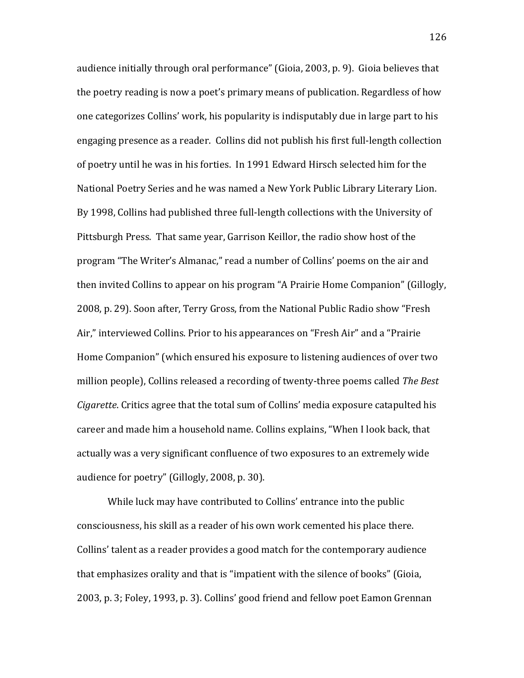audience initially through oral performance" (Gioia, 2003, p. 9). Gioia believes that the poetry reading is now a poet's primary means of publication. Regardless of how one categorizes Collins' work, his popularity is indisputably due in large part to his engaging presence as a reader. Collins did not publish his first full-length collection of poetry until he was in his forties. In 1991 Edward Hirsch selected him for the National Poetry Series and he was named a New York Public Library Literary Lion. By 1998, Collins had published three full-length collections with the University of Pittsburgh Press. That same year, Garrison Keillor, the radio show host of the program "The Writer's Almanac," read a number of Collins' poems on the air and then invited Collins to appear on his program "A Prairie Home Companion" (Gillogly, 2008, p. 29). Soon after, Terry Gross, from the National Public Radio show "Fresh Air," interviewed Collins. Prior to his appearances on "Fresh Air" and a "Prairie" Home Companion" (which ensured his exposure to listening audiences of over two million people), Collins released a recording of twenty-three poems called *The Best Cigarette*. Critics agree that the total sum of Collins' media exposure catapulted his career and made him a household name. Collins explains, "When I look back, that actually was a very significant confluence of two exposures to an extremely wide audience for poetry" (Gillogly, 2008, p. 30).

While luck may have contributed to Collins' entrance into the public consciousness, his skill as a reader of his own work cemented his place there. Collins' talent as a reader provides a good match for the contemporary audience that emphasizes orality and that is "impatient with the silence of books" (Gioia, 2003, p. 3; Foley, 1993, p. 3). Collins' good friend and fellow poet Eamon Grennan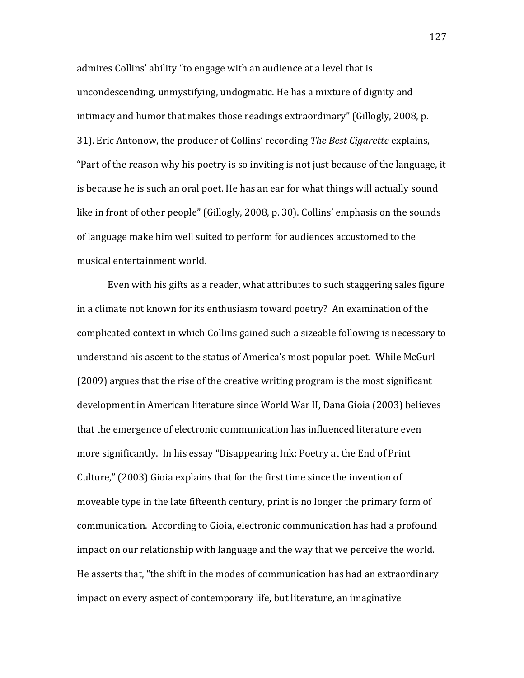admires Collins' ability "to engage with an audience at a level that is uncondescending, unmystifying, undogmatic. He has a mixture of dignity and intimacy and humor that makes those readings extraordinary" (Gillogly, 2008, p. 31). Eric Antonow, the producer of Collins' recording *The Best Cigarette* explains, "Part of the reason why his poetry is so inviting is not just because of the language, it is because he is such an oral poet. He has an ear for what things will actually sound like in front of other people" (Gillogly, 2008, p. 30). Collins' emphasis on the sounds of language make him well suited to perform for audiences accustomed to the musical entertainment world.

Even with his gifts as a reader, what attributes to such staggering sales figure in a climate not known for its enthusiasm toward poetry? An examination of the complicated context in which Collins gained such a sizeable following is necessary to understand his ascent to the status of America's most popular poet. While McGurl (2009) argues that the rise of the creative writing program is the most significant development in American literature since World War II, Dana Gioia (2003) believes that the emergence of electronic communication has influenced literature even more significantly. In his essay "Disappearing Ink: Poetry at the End of Print Culture," (2003) Gioia explains that for the first time since the invention of moveable type in the late fifteenth century, print is no longer the primary form of communication. According to Gioia, electronic communication has had a profound impact on our relationship with language and the way that we perceive the world. He asserts that, "the shift in the modes of communication has had an extraordinary impact on every aspect of contemporary life, but literature, an imaginative

127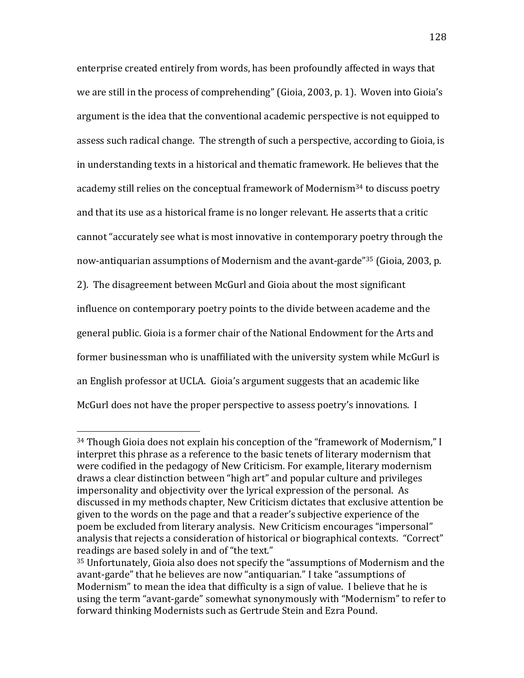enterprise created entirely from words, has been profoundly affected in ways that we are still in the process of comprehending" (Gioia, 2003, p. 1). Woven into Gioia's argument is the idea that the conventional academic perspective is not equipped to assess such radical change. The strength of such a perspective, according to Gioia, is in understanding texts in a historical and thematic framework. He believes that the academy still relies on the conceptual framework of Modernism<sup>34</sup> to discuss poetry and that its use as a historical frame is no longer relevant. He asserts that a critic cannot "accurately see what is most innovative in contemporary poetry through the now-antiquarian assumptions of Modernism and the avant-garde"<sup>35</sup> (Gioia, 2003, p. 2). The disagreement between McGurl and Gioia about the most significant influence on contemporary poetry points to the divide between academe and the general public. Gioia is a former chair of the National Endowment for the Arts and former businessman who is unaffiliated with the university system while McGurl is an English professor at UCLA. Gioia's argument suggests that an academic like McGurl does not have the proper perspective to assess poetry's innovations. I

 $34$  Though Gioia does not explain his conception of the "framework of Modernism," I interpret this phrase as a reference to the basic tenets of literary modernism that were codified in the pedagogy of New Criticism. For example, literary modernism draws a clear distinction between "high art" and popular culture and privileges impersonality and objectivity over the lyrical expression of the personal. As discussed in my methods chapter, New Criticism dictates that exclusive attention be given to the words on the page and that a reader's subjective experience of the poem be excluded from literary analysis. New Criticism encourages "impersonal" analysis that rejects a consideration of historical or biographical contexts. "Correct" readings are based solely in and of "the text."

 $35$  Unfortunately, Gioia also does not specify the "assumptions of Modernism and the avant-garde" that he believes are now "antiquarian." I take "assumptions of Modernism" to mean the idea that difficulty is a sign of value. I believe that he is using the term "avant-garde" somewhat synonymously with "Modernism" to refer to forward thinking Modernists such as Gertrude Stein and Ezra Pound.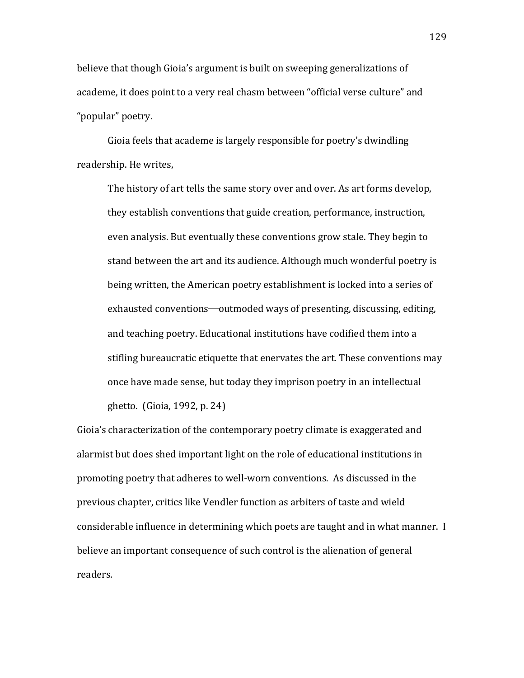believe that though Gioia's argument is built on sweeping generalizations of academe, it does point to a very real chasm between "official verse culture" and "popular" poetry.

Gioia feels that academe is largely responsible for poetry's dwindling readership. He writes,

The history of art tells the same story over and over. As art forms develop, they establish conventions that guide creation, performance, instruction, even analysis. But eventually these conventions grow stale. They begin to stand between the art and its audience. Although much wonderful poetry is being written, the American poetry establishment is locked into a series of exhausted conventions—outmoded ways of presenting, discussing, editing, and teaching poetry. Educational institutions have codified them into a stifling bureaucratic etiquette that enervates the art. These conventions may once have made sense, but today they imprison poetry in an intellectual ghetto. (Gioia, 1992, p. 24)

Gioia's characterization of the contemporary poetry climate is exaggerated and alarmist but does shed important light on the role of educational institutions in promoting poetry that adheres to well-worn conventions. As discussed in the previous chapter, critics like Vendler function as arbiters of taste and wield considerable influence in determining which poets are taught and in what manner. I believe an important consequence of such control is the alienation of general readers.

129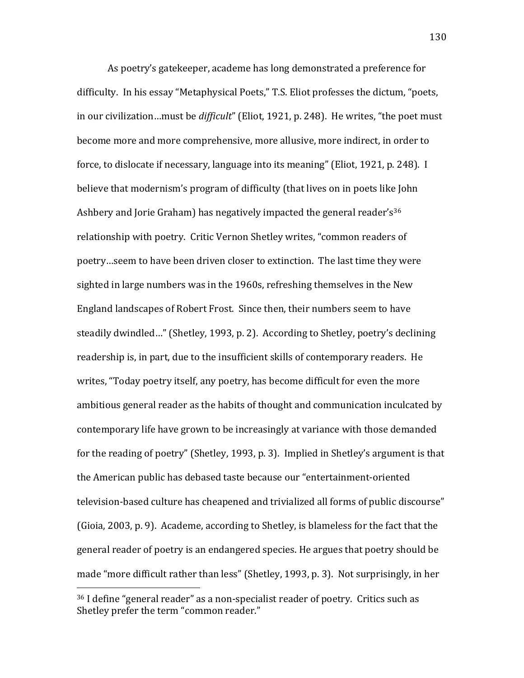As poetry's gatekeeper, academe has long demonstrated a preference for difficulty. In his essay "Metaphysical Poets," T.S. Eliot professes the dictum, "poets, in our civilization…must be *difficult*" (Eliot, 1921, p. 248). He writes, "the poet must become more and more comprehensive, more allusive, more indirect, in order to force, to dislocate if necessary, language into its meaning" (Eliot, 1921, p. 248). I believe that modernism's program of difficulty (that lives on in poets like John Ashbery and Jorie Graham) has negatively impacted the general reader's<sup>36</sup> relationship with poetry. Critic Vernon Shetley writes, "common readers of poetry…seem to have been driven closer to extinction. The last time they were sighted in large numbers was in the 1960s, refreshing themselves in the New England landscapes of Robert Frost. Since then, their numbers seem to have steadily dwindled..." (Shetley, 1993, p. 2). According to Shetley, poetry's declining readership is, in part, due to the insufficient skills of contemporary readers. He writes, "Today poetry itself, any poetry, has become difficult for even the more ambitious general reader as the habits of thought and communication inculcated by contemporary life have grown to be increasingly at variance with those demanded for the reading of poetry" (Shetley, 1993, p. 3). Implied in Shetley's argument is that the American public has debased taste because our "entertainment-oriented television-based culture has cheapened and trivialized all forms of public discourse" (Gioia, 2003, p. 9). Academe, according to Shetley, is blameless for the fact that the general reader of poetry is an endangered species. He argues that poetry should be made "more difficult rather than less" (Shetley, 1993, p. 3). Not surprisingly, in her

 $36$  I define "general reader" as a non-specialist reader of poetry. Critics such as Shetley prefer the term "common reader."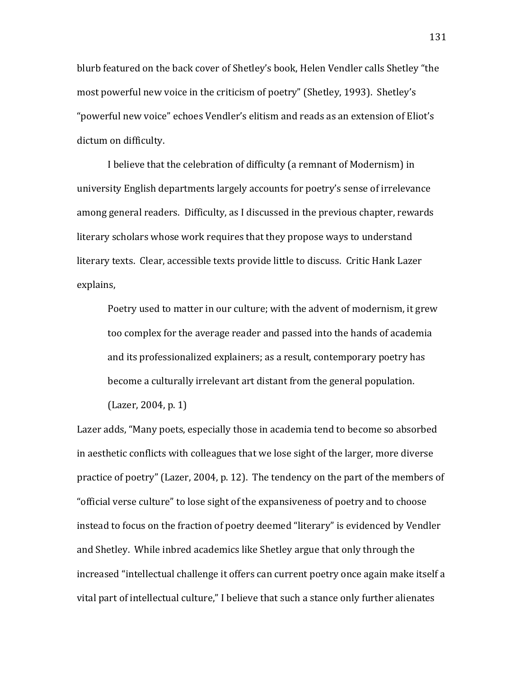blurb featured on the back cover of Shetley's book, Helen Vendler calls Shetley "the most powerful new voice in the criticism of poetry" (Shetley, 1993). Shetley's "powerful new voice" echoes Vendler's elitism and reads as an extension of Eliot's dictum on difficulty.

I believe that the celebration of difficulty (a remnant of Modernism) in university English departments largely accounts for poetry's sense of irrelevance among general readers. Difficulty, as I discussed in the previous chapter, rewards literary scholars whose work requires that they propose ways to understand literary texts. Clear, accessible texts provide little to discuss. Critic Hank Lazer explains,

Poetry used to matter in our culture; with the advent of modernism, it grew too complex for the average reader and passed into the hands of academia and its professionalized explainers; as a result, contemporary poetry has become a culturally irrelevant art distant from the general population.

 $(Lazer, 2004, p. 1)$ Lazer adds, "Many poets, especially those in academia tend to become so absorbed in aesthetic conflicts with colleagues that we lose sight of the larger, more diverse practice of poetry" (Lazer, 2004, p. 12). The tendency on the part of the members of " official verse culture" to lose sight of the expansiveness of poetry and to choose instead to focus on the fraction of poetry deemed "literary" is evidenced by Vendler and Shetley. While inbred academics like Shetley argue that only through the increased "intellectual challenge it offers can current poetry once again make itself a vital part of intellectual culture," I believe that such a stance only further alienates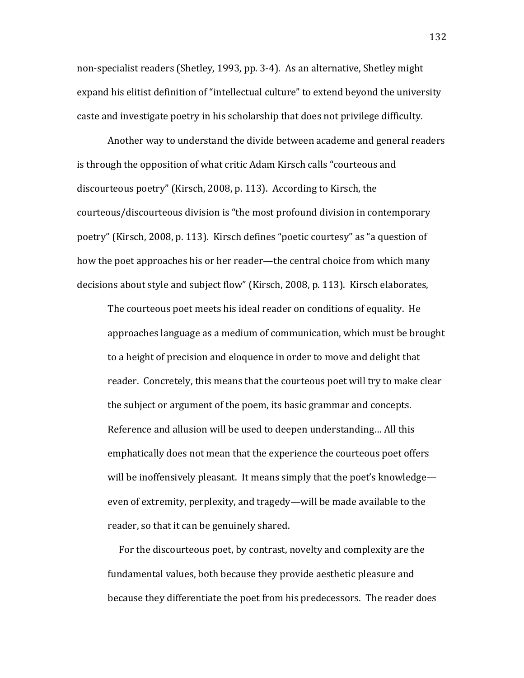non-specialist readers (Shetley, 1993, pp. 3-4). As an alternative, Shetley might expand his elitist definition of "intellectual culture" to extend beyond the university caste and investigate poetry in his scholarship that does not privilege difficulty.

Another way to understand the divide between academe and general readers is through the opposition of what critic Adam Kirsch calls "courteous and discourteous poetry" (Kirsch, 2008, p. 113). According to Kirsch, the courteous/discourteous division is "the most profound division in contemporary" poetry" (Kirsch, 2008, p. 113). Kirsch defines "poetic courtesy" as "a question of how the poet approaches his or her reader—the central choice from which many decisions about style and subject flow" (Kirsch, 2008, p. 113). Kirsch elaborates,

The courteous poet meets his ideal reader on conditions of equality. He approaches language as a medium of communication, which must be brought to a height of precision and eloquence in order to move and delight that reader. Concretely, this means that the courteous poet will try to make clear the subject or argument of the poem, its basic grammar and concepts. Reference and allusion will be used to deepen understanding... All this emphatically does not mean that the experience the courteous poet offers will be inoffensively pleasant. It means simply that the poet's knowledge even of extremity, perplexity, and tragedy—will be made available to the reader, so that it can be genuinely shared.

For the discourteous poet, by contrast, novelty and complexity are the fundamental values, both because they provide aesthetic pleasure and because they differentiate the poet from his predecessors. The reader does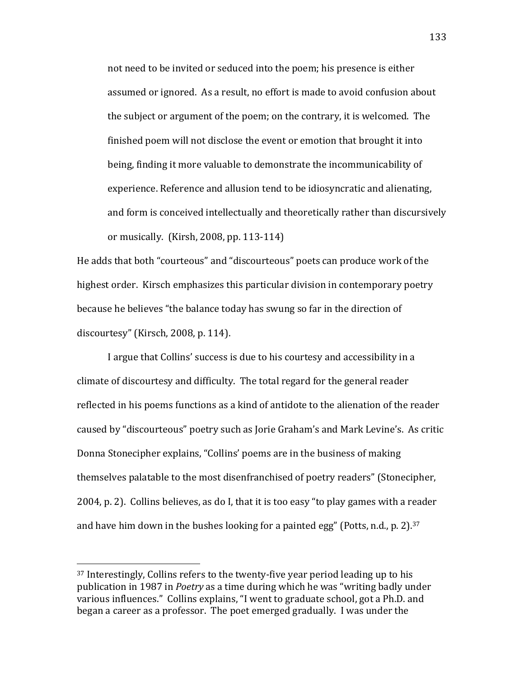not need to be invited or seduced into the poem; his presence is either assumed or ignored. As a result, no effort is made to avoid confusion about the subject or argument of the poem; on the contrary, it is welcomed. The finished poem will not disclose the event or emotion that brought it into being, finding it more valuable to demonstrate the incommunicability of experience. Reference and allusion tend to be idiosyncratic and alienating, and form is conceived intellectually and theoretically rather than discursively or musically. (Kirsh, 2008, pp. 113-114)

He adds that both "courteous" and "discourteous" poets can produce work of the highest order. Kirsch emphasizes this particular division in contemporary poetry because he believes "the balance today has swung so far in the direction of discourtesy" (Kirsch, 2008, p. 114).

I argue that Collins' success is due to his courtesy and accessibility in a climate of discourtesy and difficulty. The total regard for the general reader reflected in his poems functions as a kind of antidote to the alienation of the reader caused by "discourteous" poetry such as Jorie Graham's and Mark Levine's. As critic Donna Stonecipher explains, "Collins' poems are in the business of making themselves palatable to the most disenfranchised of poetry readers" (Stonecipher, 2004, p. 2). Collins believes, as do I, that it is too easy "to play games with a reader and have him down in the bushes looking for a painted egg" (Potts, n.d., p. 2).<sup>37</sup>

 $37$  Interestingly, Collins refers to the twenty-five year period leading up to his publication in 1987 in *Poetry* as a time during which he was "writing badly under various influences." Collins explains, "I went to graduate school, got a Ph.D. and began a career as a professor. The poet emerged gradually. I was under the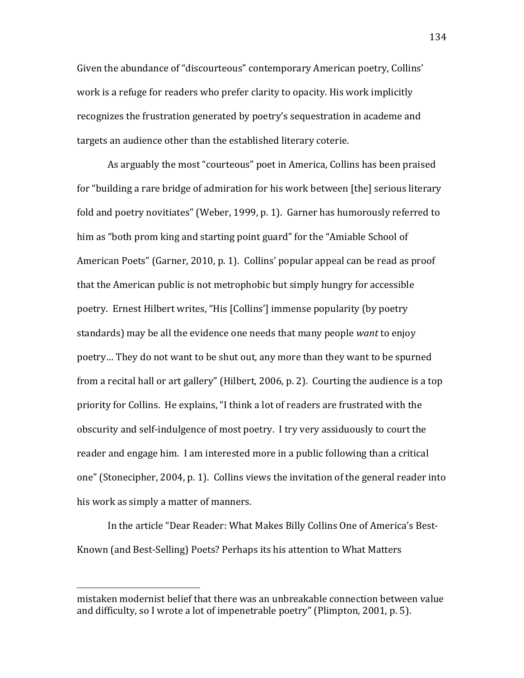Given the abundance of "discourteous" contemporary American poetry, Collins' work is a refuge for readers who prefer clarity to opacity. His work implicitly recognizes the frustration generated by poetry's sequestration in academe and targets an audience other than the established literary coterie.

As arguably the most "courteous" poet in America, Collins has been praised for "building a rare bridge of admiration for his work between [the] serious literary fold and poetry novitiates" (Weber, 1999, p. 1). Garner has humorously referred to him as "both prom king and starting point guard" for the "Amiable School of American Poets" (Garner, 2010, p. 1). Collins' popular appeal can be read as proof that the American public is not metrophobic but simply hungry for accessible poetry. Ernest Hilbert writes, "His [Collins'] immense popularity (by poetry standards) may be all the evidence one needs that many people *want* to enjoy poetry... They do not want to be shut out, any more than they want to be spurned from a recital hall or art gallery" (Hilbert, 2006, p. 2). Courting the audience is a top priority for Collins. He explains, "I think a lot of readers are frustrated with the obscurity and self-indulgence of most poetry. I try very assiduously to court the reader and engage him. I am interested more in a public following than a critical one" (Stonecipher, 2004, p. 1). Collins views the invitation of the general reader into his work as simply a matter of manners.

In the article "Dear Reader: What Makes Billy Collins One of America's Best-Known (and Best-Selling) Poets? Perhaps its his attention to What Matters

mistaken modernist belief that there was an unbreakable connection between value and difficulty, so I wrote a lot of impenetrable poetry" (Plimpton, 2001, p. 5).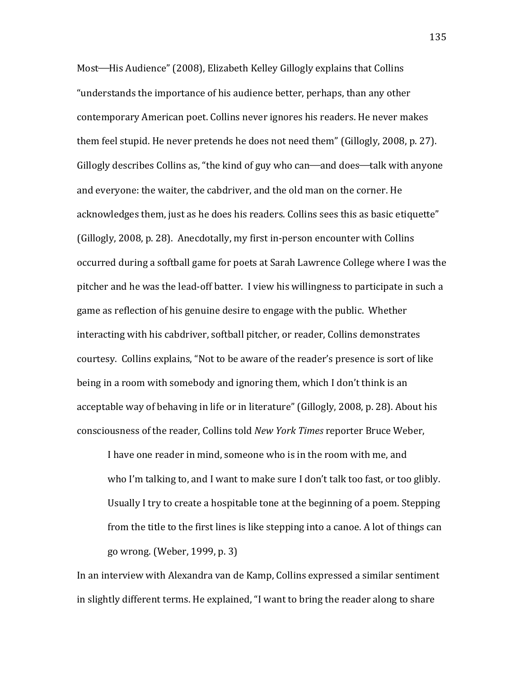Most—His Audience" (2008), Elizabeth Kelley Gillogly explains that Collins "understands the importance of his audience better, perhaps, than any other contemporary American poet. Collins never ignores his readers. He never makes them feel stupid. He never pretends he does not need them" (Gillogly, 2008, p. 27). Gillogly describes Collins as, "the kind of guy who can—and does—talk with anyone and everyone: the waiter, the cabdriver, and the old man on the corner. He acknowledges them, just as he does his readers. Collins sees this as basic etiquette" (Gillogly, 2008, p. 28). Anecdotally, my first in-person encounter with Collins occurred during a softball game for poets at Sarah Lawrence College where I was the pitcher and he was the lead-off batter. I view his willingness to participate in such a game as reflection of his genuine desire to engage with the public. Whether interacting with his cabdriver, softball pitcher, or reader, Collins demonstrates courtesy. Collins explains, "Not to be aware of the reader's presence is sort of like being in a room with somebody and ignoring them, which I don't think is an acceptable way of behaving in life or in literature" (Gillogly, 2008, p. 28). About his consciousness of the reader, Collins told *New York Times* reporter Bruce Weber,

I have one reader in mind, someone who is in the room with me, and who I'm talking to, and I want to make sure I don't talk too fast, or too glibly. Usually I try to create a hospitable tone at the beginning of a poem. Stepping from the title to the first lines is like stepping into a canoe. A lot of things can go wrong. (Weber, 1999, p. 3)

In an interview with Alexandra van de Kamp, Collins expressed a similar sentiment ! in slightly different terms. He explained, "I want to bring the reader along to share

135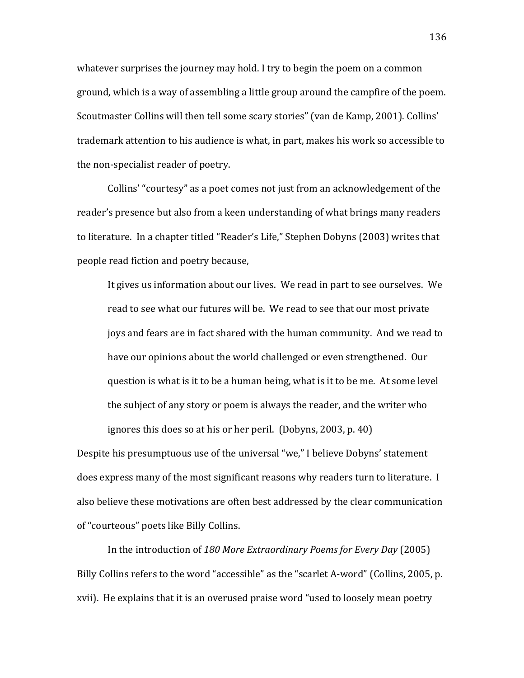whatever surprises the journey may hold. I try to begin the poem on a common ground, which is a way of assembling a little group around the campfire of the poem. Scoutmaster Collins will then tell some scary stories" (van de Kamp, 2001). Collins' trademark attention to his audience is what, in part, makes his work so accessible to the non-specialist reader of poetry.

Collins' "courtesy" as a poet comes not just from an acknowledgement of the reader's presence but also from a keen understanding of what brings many readers to literature. In a chapter titled "Reader's Life," Stephen Dobyns (2003) writes that people read fiction and poetry because,

It gives us information about our lives. We read in part to see ourselves. We read to see what our futures will be. We read to see that our most private joys and fears are in fact shared with the human community. And we read to have our opinions about the world challenged or even strengthened. Our question is what is it to be a human being, what is it to be me. At some level the subject of any story or poem is always the reader, and the writer who ignores this does so at his or her peril. (Dobyns, 2003, p. 40)

Despite his presumptuous use of the universal "we," I believe Dobyns' statement does express many of the most significant reasons why readers turn to literature. I also believe these motivations are often best addressed by the clear communication of "courteous" poets like Billy Collins.

In the introduction of 180 More Extraordinary Poems for Every Day (2005) Billy Collins refers to the word "accessible" as the "scarlet A-word" (Collins, 2005, p. xvii). He explains that it is an overused praise word "used to loosely mean poetry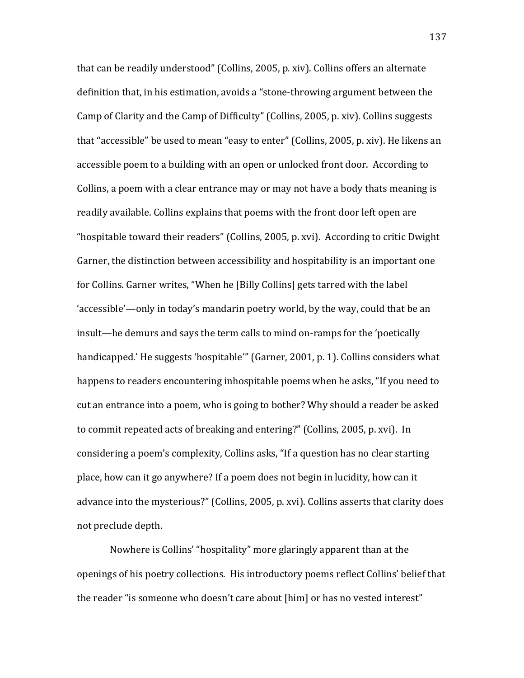that can be readily understood" (Collins, 2005, p. xiv). Collins offers an alternate definition that, in his estimation, avoids a "stone-throwing argument between the Camp of Clarity and the Camp of Difficulty" (Collins, 2005, p. xiv). Collins suggests that "accessible" be used to mean "easy to enter" (Collins, 2005, p. xiv). He likens an accessible poem to a building with an open or unlocked front door. According to Collins, a poem with a clear entrance may or may not have a body thats meaning is readily available. Collins explains that poems with the front door left open are "hospitable toward their readers" (Collins, 2005, p. xvi). According to critic Dwight Garner, the distinction between accessibility and hospitability is an important one for Collins. Garner writes, "When he [Billy Collins] gets tarred with the label 'accessible'—only in today's mandarin poetry world, by the way, could that be an insult—he demurs and says the term calls to mind on-ramps for the 'poetically' handicapped.' He suggests 'hospitable'" (Garner, 2001, p. 1). Collins considers what happens to readers encountering inhospitable poems when he asks, "If you need to cut an entrance into a poem, who is going to bother? Why should a reader be asked to commit repeated acts of breaking and entering?" (Collins, 2005, p. xvi). In considering a poem's complexity, Collins asks, "If a question has no clear starting place, how can it go anywhere? If a poem does not begin in lucidity, how can it advance into the mysterious?" (Collins, 2005, p. xvi). Collins asserts that clarity does not preclude depth.

Nowhere is Collins' "hospitality" more glaringly apparent than at the openings of his poetry collections. His introductory poems reflect Collins' belief that the reader "is someone who doesn't care about [him] or has no vested interest"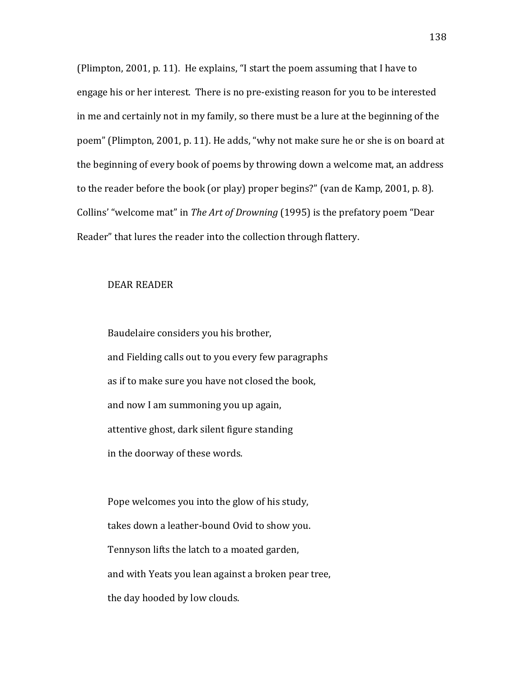(Plimpton, 2001, p. 11). He explains, "I start the poem assuming that I have to engage his or her interest. There is no pre-existing reason for you to be interested in me and certainly not in my family, so there must be a lure at the beginning of the poem" (Plimpton, 2001, p. 11). He adds, "why not make sure he or she is on board at the beginning of every book of poems by throwing down a welcome mat, an address to the reader before the book (or play) proper begins?" (van de Kamp, 2001, p. 8). Collins' "welcome mat" in *The Art of Drowning* (1995) is the prefatory poem "Dear Reader" that lures the reader into the collection through flattery.

## DEAR READER

Baudelaire considers you his brother, and Fielding calls out to you every few paragraphs as if to make sure you have not closed the book, and now I am summoning you up again, attentive ghost, dark silent figure standing in the doorway of these words.

Pope welcomes you into the glow of his study, takes down a leather-bound Ovid to show you. Tennyson lifts the latch to a moated garden, and with Yeats you lean against a broken pear tree, the day hooded by low clouds.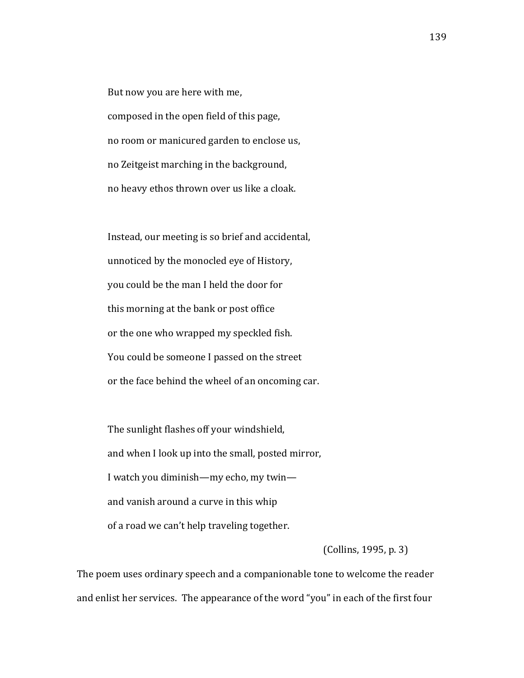But now you are here with me, composed in the open field of this page, no room or manicured garden to enclose us, no Zeitgeist marching in the background, no heavy ethos thrown over us like a cloak.

Instead, our meeting is so brief and accidental, unnoticed by the monocled eye of History, you could be the man I held the door for this morning at the bank or post office or the one who wrapped my speckled fish. You could be someone I passed on the street or the face behind the wheel of an oncoming car.

The sunlight flashes off your windshield, and when I look up into the small, posted mirror, I watch you diminish—my echo, my twin and vanish around a curve in this whip of a road we can't help traveling together.

 $\left($  Collins, 1995, p. 3)

The poem uses ordinary speech and a companionable tone to welcome the reader and enlist her services. The appearance of the word "you" in each of the first four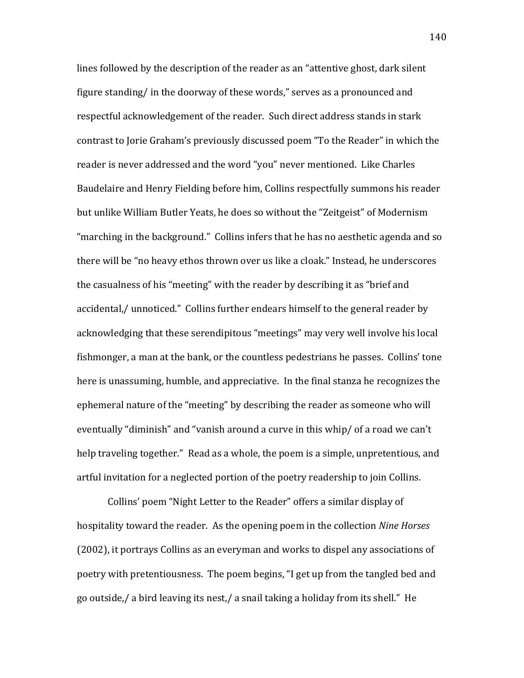lines followed by the description of the reader as an "attentive ghost, dark silent figure standing/ in the doorway of these words," serves as a pronounced and respectful acknowledgement of the reader. Such direct address stands in stark contrast to Jorie Graham's previously discussed poem "To the Reader" in which the reader is never addressed and the word "you" never mentioned. Like Charles Baudelaire and Henry Fielding before him, Collins respectfully summons his reader but unlike William Butler Yeats, he does so without the "Zeitgeist" of Modernism "marching in the background." Collins infers that he has no aesthetic agenda and so there will be "no heavy ethos thrown over us like a cloak." Instead, he underscores the casualness of his "meeting" with the reader by describing it as "brief and accidental,/ unnoticed." Collins further endears himself to the general reader by acknowledging that these serendipitous "meetings" may very well involve his local fishmonger, a man at the bank, or the countless pedestrians he passes. Collins' tone here is unassuming, humble, and appreciative. In the final stanza he recognizes the ephemeral nature of the "meeting" by describing the reader as someone who will eventually "diminish" and "vanish around a curve in this whip/ of a road we can't help traveling together." Read as a whole, the poem is a simple, unpretentious, and artful invitation for a neglected portion of the poetry readership to join Collins.

Collins' poem "Night Letter to the Reader" offers a similar display of hospitality toward the reader. As the opening poem in the collection *Nine Horses*  $(2002)$ , it portrays Collins as an everyman and works to dispel any associations of poetry with pretentiousness. The poem begins, "I get up from the tangled bed and go outside,/ a bird leaving its nest,/ a snail taking a holiday from its shell." He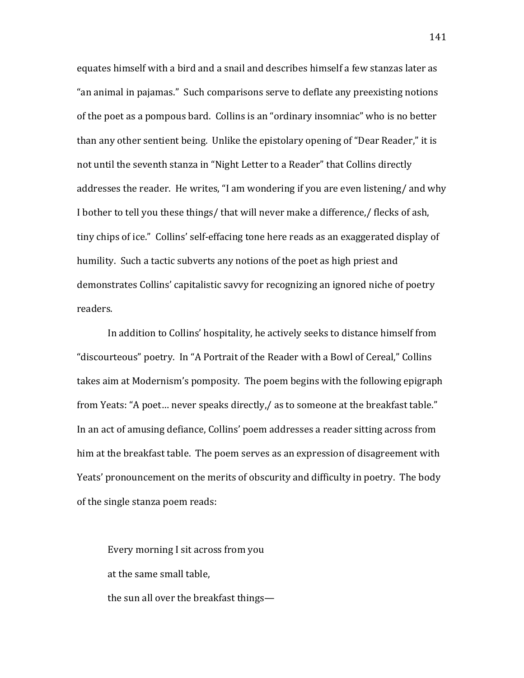equates himself with a bird and a snail and describes himself a few stanzas later as " an animal in pajamas." Such comparisons serve to deflate any preexisting notions of the poet as a pompous bard. Collins is an "ordinary insomniac" who is no better than any other sentient being. Unlike the epistolary opening of "Dear Reader," it is not until the seventh stanza in "Night Letter to a Reader" that Collins directly addresses the reader. He writes, "I am wondering if you are even listening/ and why I bother to tell you these things/ that will never make a difference,/ flecks of ash, tiny chips of ice." Collins' self-effacing tone here reads as an exaggerated display of humility. Such a tactic subverts any notions of the poet as high priest and demonstrates Collins' capitalistic savvy for recognizing an ignored niche of poetry readers.

In addition to Collins' hospitality, he actively seeks to distance himself from "discourteous" poetry. In "A Portrait of the Reader with a Bowl of Cereal," Collins takes aim at Modernism's pomposity. The poem begins with the following epigraph from Yeats: "A poet... never speaks directly,/ as to someone at the breakfast table." In an act of amusing defiance, Collins' poem addresses a reader sitting across from him at the breakfast table. The poem serves as an expression of disagreement with Yeats' pronouncement on the merits of obscurity and difficulty in poetry. The body of the single stanza poem reads:

Every morning I sit across from you at the same small table, the sun all over the breakfast things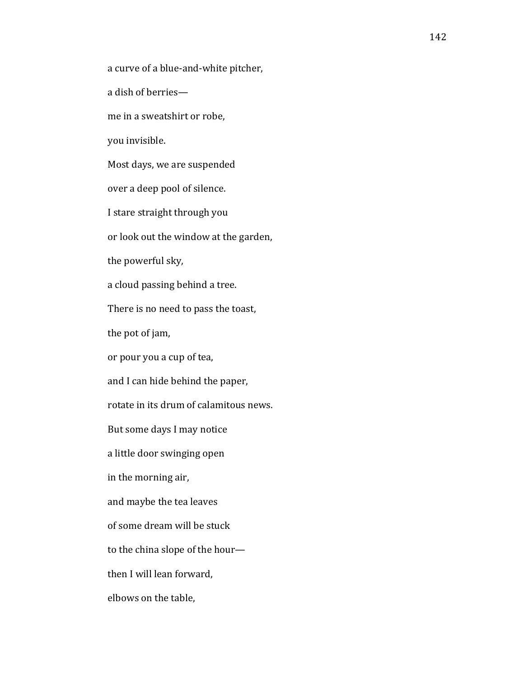a curve of a blue-and-white pitcher,

a dish of berries—

me in a sweatshirt or robe,

you invisible.

Most days, we are suspended

over a deep pool of silence.

I stare straight through you

or look out the window at the garden,

the powerful sky,

a cloud passing behind a tree.

There is no need to pass the toast,

the pot of jam,

or pour you a cup of tea,

and I can hide behind the paper,

rotate in its drum of calamitous news.

But some days I may notice

a little door swinging open

in the morning air,

and maybe the tea leaves

of some dream will be stuck

to the china slope of the hour—

then I will lean forward,

elbows on the table,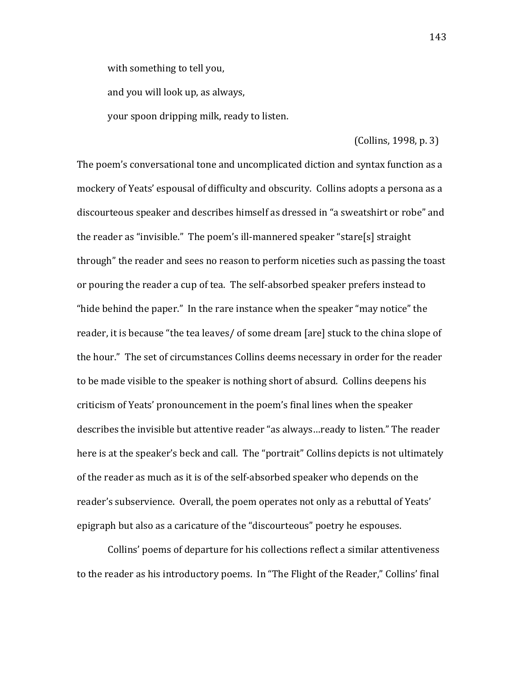with something to tell you,

and you will look up, as always,

your spoon dripping milk, ready to listen.

# $\left($  Collins, 1998, p. 3)

The poem's conversational tone and uncomplicated diction and syntax function as a mockery of Yeats' espousal of difficulty and obscurity. Collins adopts a persona as a discourteous speaker and describes himself as dressed in "a sweatshirt or robe" and the reader as "invisible." The poem's ill-mannered speaker "stare[s] straight through" the reader and sees no reason to perform niceties such as passing the toast or pouring the reader a cup of tea. The self-absorbed speaker prefers instead to "hide behind the paper." In the rare instance when the speaker "may notice" the reader, it is because "the tea leaves/ of some dream [are] stuck to the china slope of the hour." The set of circumstances Collins deems necessary in order for the reader to be made visible to the speaker is nothing short of absurd. Collins deepens his criticism of Yeats' pronouncement in the poem's final lines when the speaker describes the invisible but attentive reader "as always...ready to listen." The reader here is at the speaker's beck and call. The "portrait" Collins depicts is not ultimately of the reader as much as it is of the self-absorbed speaker who depends on the reader's subservience. Overall, the poem operates not only as a rebuttal of Yeats' epigraph but also as a caricature of the "discourteous" poetry he espouses.

Collins' poems of departure for his collections reflect a similar attentiveness to the reader as his introductory poems. In "The Flight of the Reader," Collins' final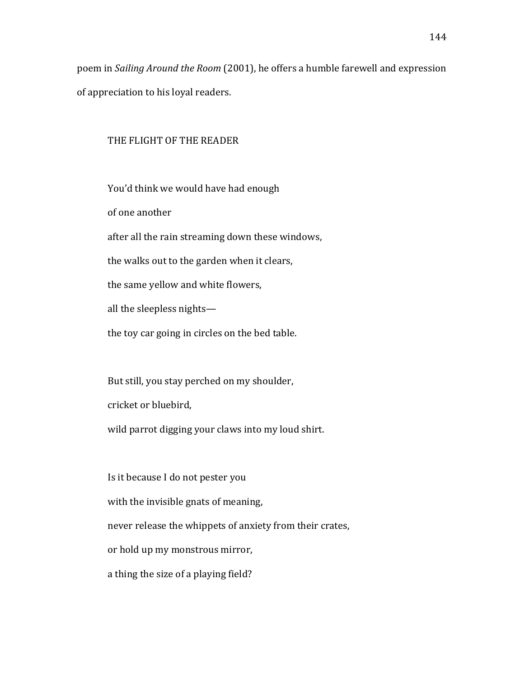poem in *Sailing Around the Room* (2001), he offers a humble farewell and expression of appreciation to his loyal readers.

#### THE FLIGHT OF THE READER

You'd think we would have had enough

of one another

after all the rain streaming down these windows,

the walks out to the garden when it clears,

the same yellow and white flowers,

all the sleepless nights—

the toy car going in circles on the bed table.

But still, you stay perched on my shoulder,

cricket or bluebird,

wild parrot digging your claws into my loud shirt.

Is it because I do not pester you with the invisible gnats of meaning, never release the whippets of anxiety from their crates, or hold up my monstrous mirror, a thing the size of a playing field?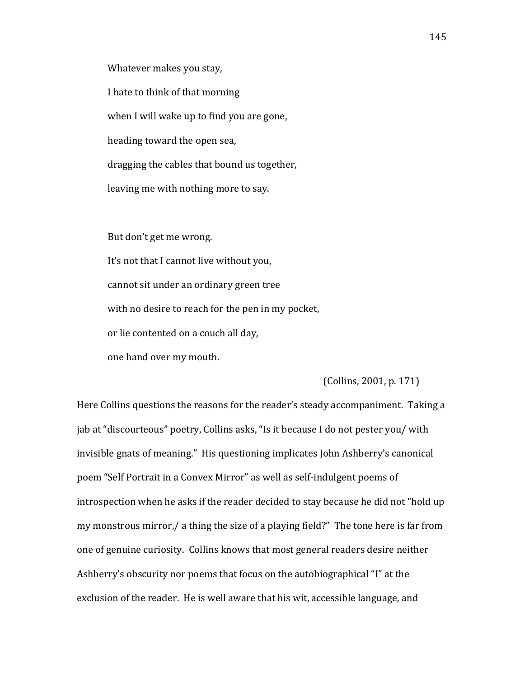Whatever makes you stay,

I hate to think of that morning when I will wake up to find you are gone, heading toward the open sea, dragging the cables that bound us together, leaving me with nothing more to say.

But don't get me wrong. It's not that I cannot live without you, cannot sit under an ordinary green tree with no desire to reach for the pen in my pocket, or lie contented on a couch all day, one hand over my mouth.

(Collins, 2001, p. 171)

Here Collins questions the reasons for the reader's steady accompaniment. Taking a jab at "discourteous" poetry, Collins asks, "Is it because I do not pester you/ with invisible gnats of meaning." His questioning implicates John Ashberry's canonical poem "Self Portrait in a Convex Mirror" as well as self-indulgent poems of introspection when he asks if the reader decided to stay because he did not "hold up my monstrous mirror,/ a thing the size of a playing field?" The tone here is far from one of genuine curiosity. Collins knows that most general readers desire neither Ashberry's obscurity nor poems that focus on the autobiographical "I" at the exclusion of the reader. He is well aware that his wit, accessible language, and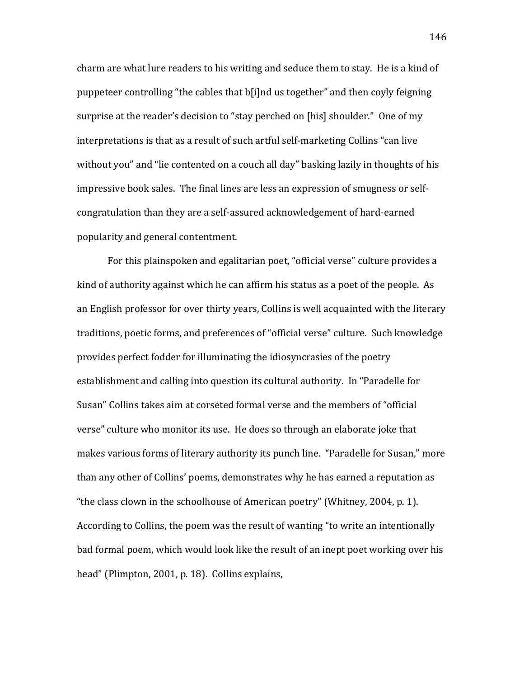charm are what lure readers to his writing and seduce them to stay. He is a kind of puppeteer controlling "the cables that b[i]nd us together" and then coyly feigning surprise at the reader's decision to "stay perched on [his] shoulder." One of my interpretations is that as a result of such artful self-marketing Collins "can live" without you" and "lie contented on a couch all day" basking lazily in thoughts of his impressive book sales. The final lines are less an expression of smugness or selfcongratulation than they are a self-assured acknowledgement of hard-earned popularity and general contentment.

For this plainspoken and egalitarian poet, "official verse" culture provides a kind of authority against which he can affirm his status as a poet of the people. As an English professor for over thirty years, Collins is well acquainted with the literary traditions, poetic forms, and preferences of "official verse" culture. Such knowledge provides perfect fodder for illuminating the idiosyncrasies of the poetry establishment and calling into question its cultural authority. In "Paradelle for Susan" Collins takes aim at corseted formal verse and the members of "official" verse" culture who monitor its use. He does so through an elaborate joke that makes various forms of literary authority its punch line. "Paradelle for Susan," more than any other of Collins' poems, demonstrates why he has earned a reputation as "the class clown in the schoolhouse of American poetry" (Whitney, 2004, p. 1). According to Collins, the poem was the result of wanting "to write an intentionally bad formal poem, which would look like the result of an inept poet working over his head" (Plimpton, 2001, p. 18). Collins explains,

146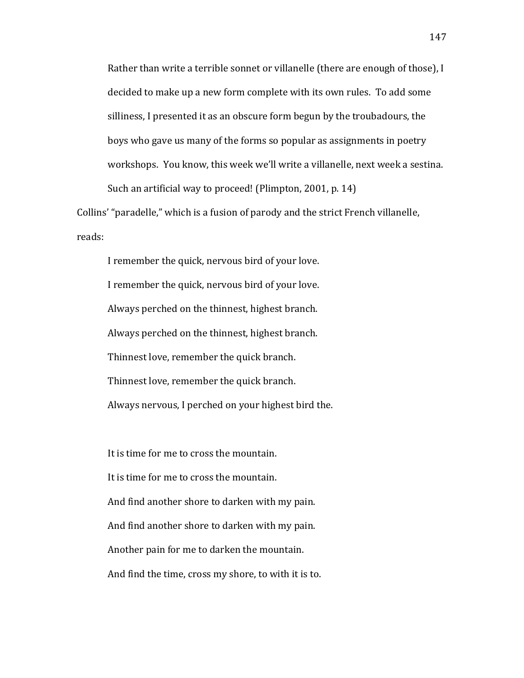Rather than write a terrible sonnet or villanelle (there are enough of those), I decided to make up a new form complete with its own rules. To add some silliness, I presented it as an obscure form begun by the troubadours, the boys who gave us many of the forms so popular as assignments in poetry workshops. You know, this week we'll write a villanelle, next week a sestina. Such an artificial way to proceed! (Plimpton, 2001, p. 14)

Collins' "paradelle," which is a fusion of parody and the strict French villanelle, reads:

I remember the quick, nervous bird of your love. I remember the quick, nervous bird of your love. Always perched on the thinnest, highest branch. Always perched on the thinnest, highest branch. Thinnest love, remember the quick branch. Thinnest love, remember the quick branch. Always nervous, I perched on your highest bird the.

It is time for me to cross the mountain. It is time for me to cross the mountain. And find another shore to darken with my pain. And find another shore to darken with my pain. Another pain for me to darken the mountain. And find the time, cross my shore, to with it is to.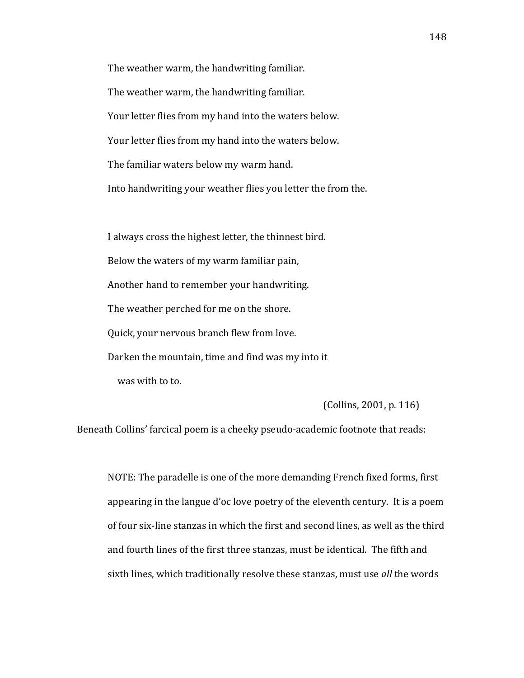The weather warm, the handwriting familiar. The weather warm, the handwriting familiar. Your letter flies from my hand into the waters below. Your letter flies from my hand into the waters below. The familiar waters below my warm hand. Into handwriting your weather flies you letter the from the.

I always cross the highest letter, the thinnest bird. Below the waters of my warm familiar pain, Another hand to remember your handwriting. The weather perched for me on the shore. Quick, your nervous branch flew from love. Darken the mountain, time and find was my into it was with to to.

 $\left[$ Collins, 2001, p. 116)

Beneath Collins' farcical poem is a cheeky pseudo-academic footnote that reads:

NOTE: The paradelle is one of the more demanding French fixed forms, first appearing in the langue d'oc love poetry of the eleventh century. It is a poem of four six-line stanzas in which the first and second lines, as well as the third and fourth lines of the first three stanzas, must be identical. The fifth and sixth lines, which traditionally resolve these stanzas, must use *all* the words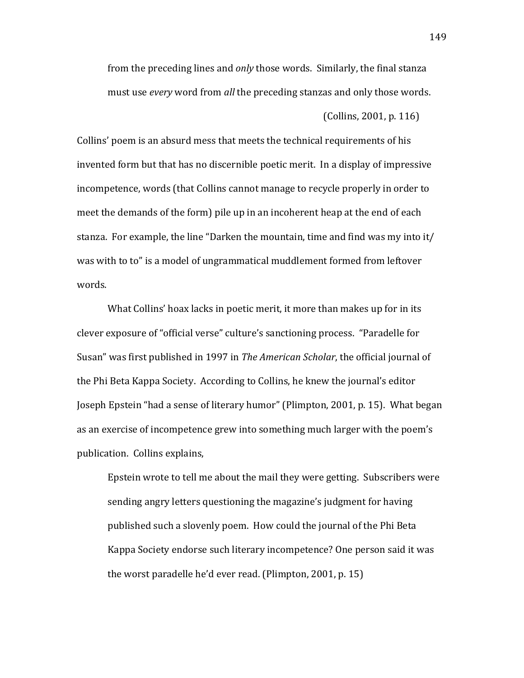from the preceding lines and *only* those words. Similarly, the final stanza must use *every* word from *all* the preceding stanzas and only those words.

 $\left[$ Collins, 2001, p. 116)

Collins' poem is an absurd mess that meets the technical requirements of his invented form but that has no discernible poetic merit. In a display of impressive incompetence, words (that Collins cannot manage to recycle properly in order to meet the demands of the form) pile up in an incoherent heap at the end of each stanza. For example, the line "Darken the mountain, time and find was my into it/ was with to to" is a model of ungrammatical muddlement formed from leftover words.

What Collins' hoax lacks in poetic merit, it more than makes up for in its clever exposure of "official verse" culture's sanctioning process. "Paradelle for Susan" was first published in 1997 in *The American Scholar*, the official journal of the Phi Beta Kappa Society. According to Collins, he knew the journal's editor Joseph Epstein "had a sense of literary humor" (Plimpton, 2001, p. 15). What began as an exercise of incompetence grew into something much larger with the poem's publication. Collins explains,

Epstein wrote to tell me about the mail they were getting. Subscribers were sending angry letters questioning the magazine's judgment for having published such a slovenly poem. How could the journal of the Phi Beta Kappa Society endorse such literary incompetence? One person said it was the worst paradelle he'd ever read. (Plimpton, 2001, p. 15)

149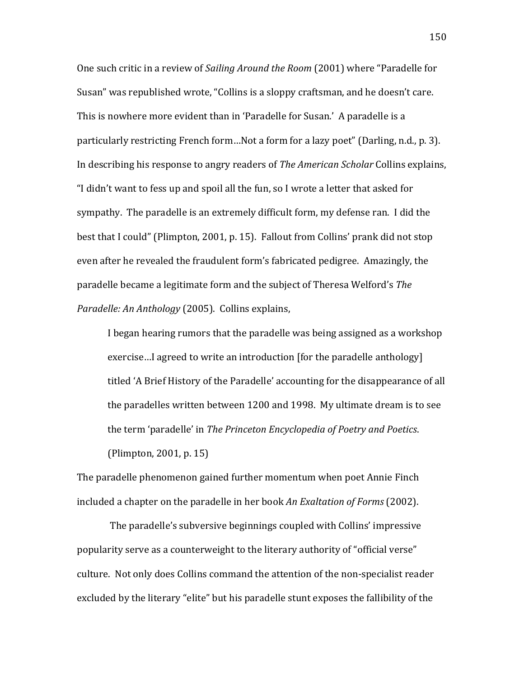One such critic in a review of *Sailing Around the Room* (2001) where "Paradelle for Susan" was republished wrote, "Collins is a sloppy craftsman, and he doesn't care. This is nowhere more evident than in 'Paradelle for Susan.' A paradelle is a particularly restricting French form...Not a form for a lazy poet" (Darling, n.d., p. 3). In describing his response to angry readers of *The American Scholar* Collins explains, "I didn't want to fess up and spoil all the fun, so I wrote a letter that asked for sympathy. The paradelle is an extremely difficult form, my defense ran. I did the best that I could" (Plimpton, 2001, p. 15). Fallout from Collins' prank did not stop even after he revealed the fraudulent form's fabricated pedigree. Amazingly, the paradelle became a legitimate form and the subject of Theresa Welford's *The Paradelle: An Anthology* (2005). Collins explains,

I began hearing rumors that the paradelle was being assigned as a workshop exercise...I agreed to write an introduction [for the paradelle anthology] titled 'A Brief History of the Paradelle' accounting for the disappearance of all the paradelles written between 1200 and 1998. My ultimate dream is to see the term 'paradelle' in *The Princeton Encyclopedia of Poetry and Poetics*.

 $(Plimpton, 2001, p. 15)$ 

The paradelle phenomenon gained further momentum when poet Annie Finch included a chapter on the paradelle in her book An Exaltation of Forms (2002).

The paradelle's subversive beginnings coupled with Collins' impressive popularity serve as a counterweight to the literary authority of "official verse" culture. Not only does Collins command the attention of the non-specialist reader excluded by the literary "elite" but his paradelle stunt exposes the fallibility of the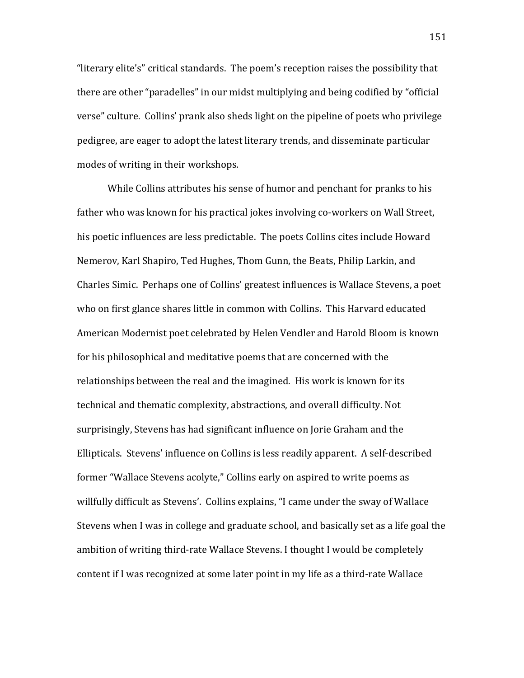"literary elite's" critical standards. The poem's reception raises the possibility that there are other "paradelles" in our midst multiplying and being codified by "official verse" culture. Collins' prank also sheds light on the pipeline of poets who privilege pedigree, are eager to adopt the latest literary trends, and disseminate particular modes of writing in their workshops.

While Collins attributes his sense of humor and penchant for pranks to his father who was known for his practical jokes involving co-workers on Wall Street, his poetic influences are less predictable. The poets Collins cites include Howard Nemerov, Karl Shapiro, Ted Hughes, Thom Gunn, the Beats, Philip Larkin, and Charles Simic. Perhaps one of Collins' greatest influences is Wallace Stevens, a poet who on first glance shares little in common with Collins. This Harvard educated American Modernist poet celebrated by Helen Vendler and Harold Bloom is known for his philosophical and meditative poems that are concerned with the relationships between the real and the imagined. His work is known for its technical and thematic complexity, abstractions, and overall difficulty. Not surprisingly, Stevens has had significant influence on Jorie Graham and the Ellipticals. Stevens' influence on Collins is less readily apparent. A self-described former "Wallace Stevens acolyte," Collins early on aspired to write poems as willfully difficult as Stevens'. Collins explains, "I came under the sway of Wallace Stevens when I was in college and graduate school, and basically set as a life goal the ambition of writing third-rate Wallace Stevens. I thought I would be completely content if I was recognized at some later point in my life as a third-rate Wallace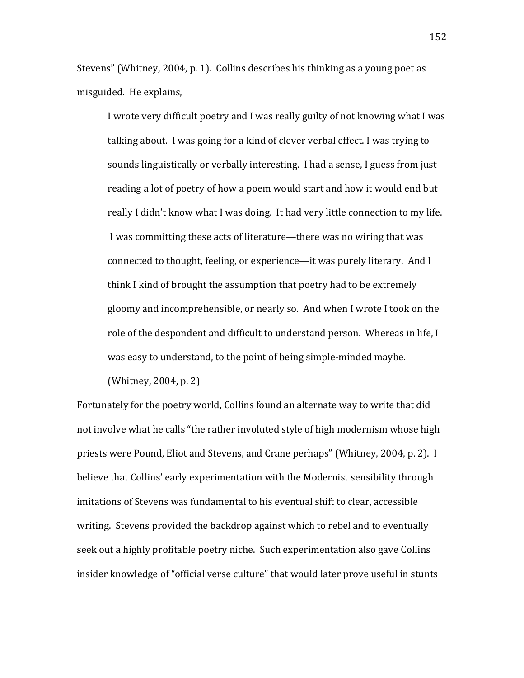Stevens" (Whitney, 2004, p. 1). Collins describes his thinking as a young poet as misguided. He explains,

I wrote very difficult poetry and I was really guilty of not knowing what I was talking about. I was going for a kind of clever verbal effect. I was trying to sounds linguistically or verbally interesting. I had a sense, I guess from just reading a lot of poetry of how a poem would start and how it would end but really I didn't know what I was doing. It had very little connection to my life. I was committing these acts of literature—there was no wiring that was connected to thought, feeling, or experience—it was purely literary. And I think I kind of brought the assumption that poetry had to be extremely gloomy and incomprehensible, or nearly so. And when I wrote I took on the role of the despondent and difficult to understand person. Whereas in life, I was easy to understand, to the point of being simple-minded maybe.

(Whitney, 2004, p. 2)

Fortunately for the poetry world, Collins found an alternate way to write that did not involve what he calls "the rather involuted style of high modernism whose high priests were Pound, Eliot and Stevens, and Crane perhaps" (Whitney, 2004, p. 2). I believe that Collins' early experimentation with the Modernist sensibility through imitations of Stevens was fundamental to his eventual shift to clear, accessible writing. Stevens provided the backdrop against which to rebel and to eventually seek out a highly profitable poetry niche. Such experimentation also gave Collins insider knowledge of "official verse culture" that would later prove useful in stunts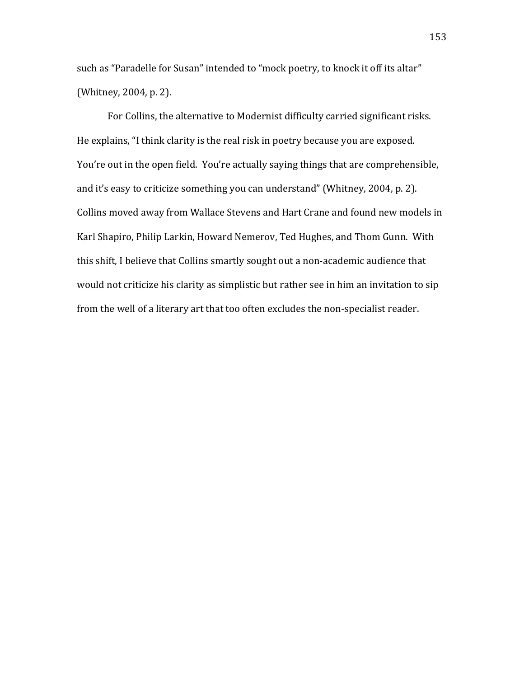such as "Paradelle for Susan" intended to "mock poetry, to knock it off its altar" (Whitney, 2004, p. 2).

For Collins, the alternative to Modernist difficulty carried significant risks. He explains, "I think clarity is the real risk in poetry because you are exposed. You're out in the open field. You're actually saying things that are comprehensible, and it's easy to criticize something you can understand" (Whitney, 2004, p. 2). Collins moved away from Wallace Stevens and Hart Crane and found new models in Karl Shapiro, Philip Larkin, Howard Nemerov, Ted Hughes, and Thom Gunn. With this shift, I believe that Collins smartly sought out a non-academic audience that would not criticize his clarity as simplistic but rather see in him an invitation to sip from the well of a literary art that too often excludes the non-specialist reader.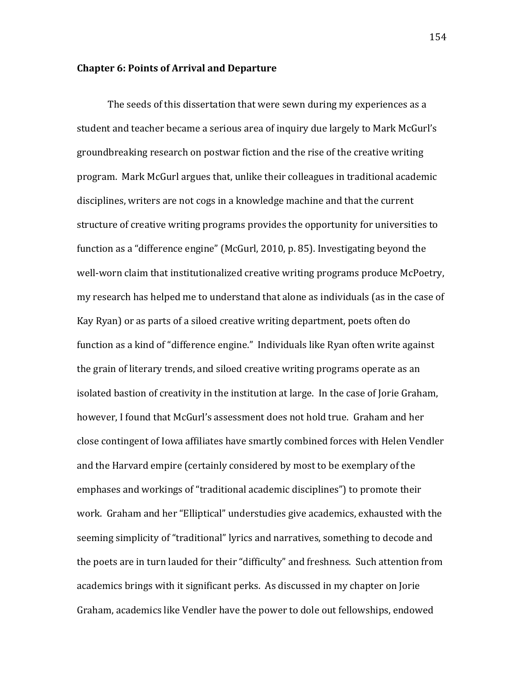# **Chapter 6: Points of Arrival and Departure**

The seeds of this dissertation that were sewn during my experiences as a student and teacher became a serious area of inquiry due largely to Mark McGurl's groundbreaking research on postwar fiction and the rise of the creative writing program. Mark McGurl argues that, unlike their colleagues in traditional academic disciplines, writers are not cogs in a knowledge machine and that the current structure of creative writing programs provides the opportunity for universities to function as a "difference engine" (McGurl, 2010, p. 85). Investigating beyond the well-worn claim that institutionalized creative writing programs produce McPoetry, my research has helped me to understand that alone as individuals (as in the case of Kay Ryan) or as parts of a siloed creative writing department, poets often do function as a kind of "difference engine." Individuals like Ryan often write against the grain of literary trends, and siloed creative writing programs operate as an isolated bastion of creativity in the institution at large. In the case of Jorie Graham, however, I found that McGurl's assessment does not hold true. Graham and her close contingent of Iowa affiliates have smartly combined forces with Helen Vendler and the Harvard empire (certainly considered by most to be exemplary of the emphases and workings of "traditional academic disciplines") to promote their work. Graham and her "Elliptical" understudies give academics, exhausted with the seeming simplicity of "traditional" lyrics and narratives, something to decode and the poets are in turn lauded for their "difficulty" and freshness. Such attention from academics brings with it significant perks. As discussed in my chapter on Jorie Graham, academics like Vendler have the power to dole out fellowships, endowed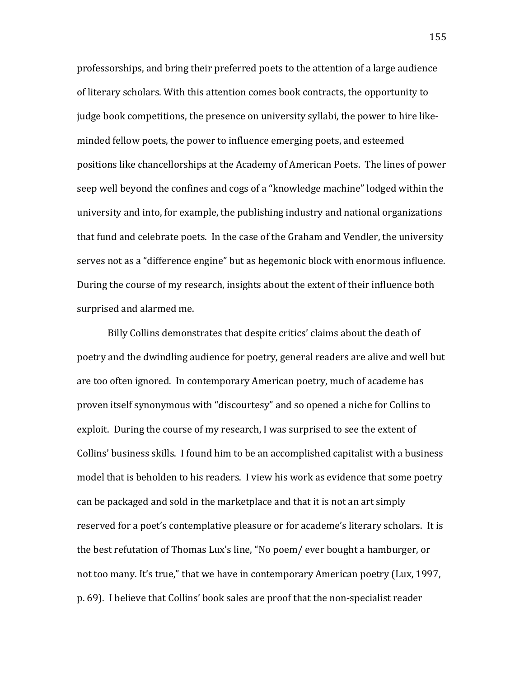professorships, and bring their preferred poets to the attention of a large audience of literary scholars. With this attention comes book contracts, the opportunity to judge book competitions, the presence on university syllabi, the power to hire likeminded fellow poets, the power to influence emerging poets, and esteemed positions like chancellorships at the Academy of American Poets. The lines of power seep well beyond the confines and cogs of a "knowledge machine" lodged within the university and into, for example, the publishing industry and national organizations that fund and celebrate poets. In the case of the Graham and Vendler, the university serves not as a "difference engine" but as hegemonic block with enormous influence. During the course of my research, insights about the extent of their influence both surprised and alarmed me.

Billy Collins demonstrates that despite critics' claims about the death of poetry and the dwindling audience for poetry, general readers are alive and well but are too often ignored. In contemporary American poetry, much of academe has proven itself synonymous with "discourtesy" and so opened a niche for Collins to exploit. During the course of my research, I was surprised to see the extent of Collins' business skills. I found him to be an accomplished capitalist with a business model that is beholden to his readers. I view his work as evidence that some poetry can be packaged and sold in the marketplace and that it is not an art simply reserved for a poet's contemplative pleasure or for academe's literary scholars. It is the best refutation of Thomas Lux's line, "No poem/ ever bought a hamburger, or not too many. It's true," that we have in contemporary American poetry (Lux, 1997, p. 69). I believe that Collins' book sales are proof that the non-specialist reader

155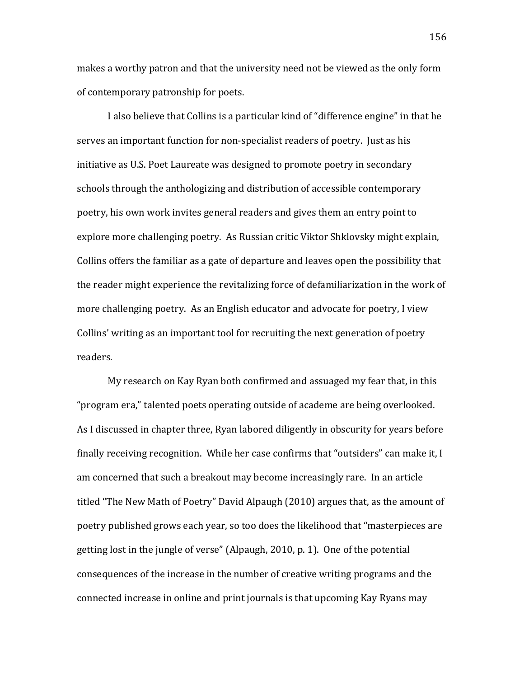makes a worthy patron and that the university need not be viewed as the only form of contemporary patronship for poets.

I also believe that Collins is a particular kind of "difference engine" in that he serves an important function for non-specialist readers of poetry. Just as his initiative as U.S. Poet Laureate was designed to promote poetry in secondary schools through the anthologizing and distribution of accessible contemporary poetry, his own work invites general readers and gives them an entry point to explore more challenging poetry. As Russian critic Viktor Shklovsky might explain, Collins offers the familiar as a gate of departure and leaves open the possibility that the reader might experience the revitalizing force of defamiliarization in the work of more challenging poetry. As an English educator and advocate for poetry, I view Collins' writing as an important tool for recruiting the next generation of poetry readers.

My research on Kay Ryan both confirmed and assuaged my fear that, in this "program era," talented poets operating outside of academe are being overlooked. As I discussed in chapter three, Ryan labored diligently in obscurity for years before finally receiving recognition. While her case confirms that "outsiders" can make it, I am concerned that such a breakout may become increasingly rare. In an article titled "The New Math of Poetry" David Alpaugh (2010) argues that, as the amount of poetry published grows each year, so too does the likelihood that "masterpieces are getting lost in the jungle of verse" (Alpaugh, 2010, p. 1). One of the potential consequences of the increase in the number of creative writing programs and the connected increase in online and print journals is that upcoming Kay Ryans may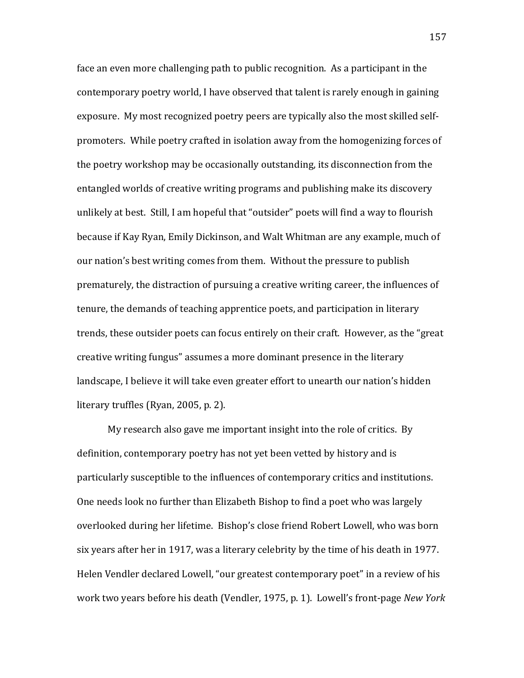face an even more challenging path to public recognition. As a participant in the contemporary poetry world, I have observed that talent is rarely enough in gaining exposure. My most recognized poetry peers are typically also the most skilled selfpromoters. While poetry crafted in isolation away from the homogenizing forces of the poetry workshop may be occasionally outstanding, its disconnection from the entangled worlds of creative writing programs and publishing make its discovery unlikely at best. Still, I am hopeful that "outsider" poets will find a way to flourish because if Kay Ryan, Emily Dickinson, and Walt Whitman are any example, much of our nation's best writing comes from them. Without the pressure to publish prematurely, the distraction of pursuing a creative writing career, the influences of tenure, the demands of teaching apprentice poets, and participation in literary trends, these outsider poets can focus entirely on their craft. However, as the "great" creative writing fungus" assumes a more dominant presence in the literary landscape, I believe it will take even greater effort to unearth our nation's hidden literary truffles (Ryan, 2005, p. 2).

My research also gave me important insight into the role of critics. By definition, contemporary poetry has not yet been vetted by history and is particularly susceptible to the influences of contemporary critics and institutions. One needs look no further than Elizabeth Bishop to find a poet who was largely overlooked during her lifetime. Bishop's close friend Robert Lowell, who was born six years after her in 1917, was a literary celebrity by the time of his death in 1977. Helen Vendler declared Lowell, "our greatest contemporary poet" in a review of his work two years before his death (Vendler, 1975, p. 1). Lowell's front-page *New York*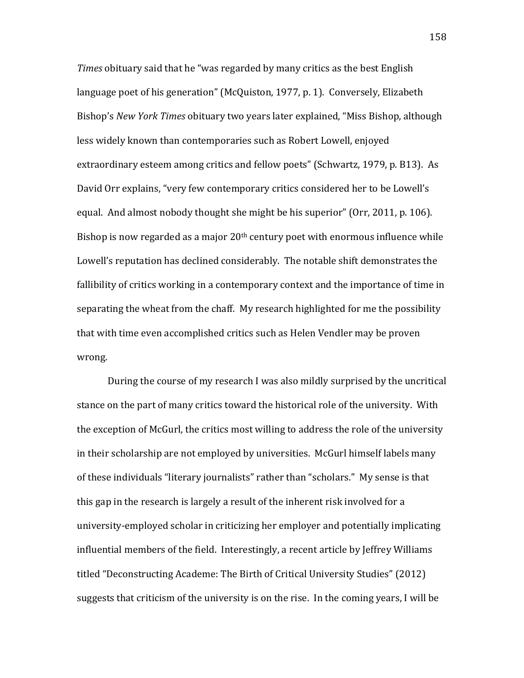*Times* obituary said that he "was regarded by many critics as the best English" language poet of his generation" (McQuiston, 1977, p. 1). Conversely, Elizabeth Bishop's *New York Times* obituary two years later explained, "Miss Bishop, although less widely known than contemporaries such as Robert Lowell, enjoyed extraordinary esteem among critics and fellow poets" (Schwartz, 1979, p. B13). As David Orr explains, "very few contemporary critics considered her to be Lowell's equal. And almost nobody thought she might be his superior" (Orr, 2011, p. 106). Bishop is now regarded as a major  $20<sup>th</sup>$  century poet with enormous influence while Lowell's reputation has declined considerably. The notable shift demonstrates the fallibility of critics working in a contemporary context and the importance of time in separating the wheat from the chaff. My research highlighted for me the possibility that with time even accomplished critics such as Helen Vendler may be proven wrong.

During the course of my research I was also mildly surprised by the uncritical stance on the part of many critics toward the historical role of the university. With the exception of McGurl, the critics most willing to address the role of the university in their scholarship are not employed by universities. McGurl himself labels many of these individuals "literary journalists" rather than "scholars." My sense is that this gap in the research is largely a result of the inherent risk involved for a university-employed scholar in criticizing her employer and potentially implicating influential members of the field. Interestingly, a recent article by Jeffrey Williams titled "Deconstructing Academe: The Birth of Critical University Studies" (2012) suggests that criticism of the university is on the rise. In the coming years, I will be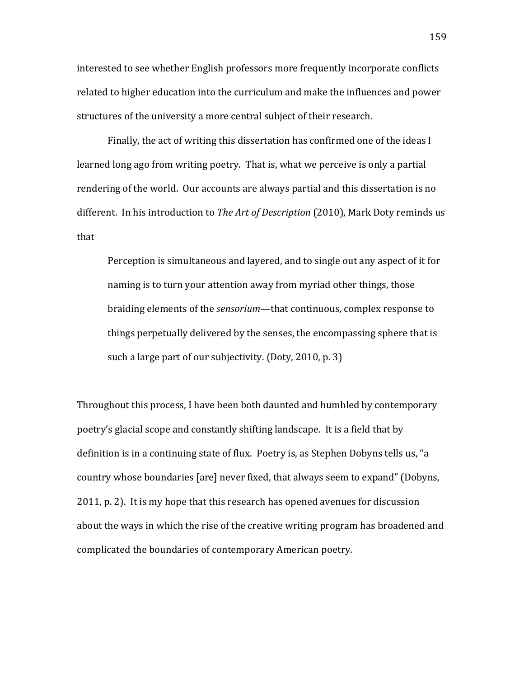interested to see whether English professors more frequently incorporate conflicts related to higher education into the curriculum and make the influences and power structures of the university a more central subject of their research.

Finally, the act of writing this dissertation has confirmed one of the ideas I learned long ago from writing poetry. That is, what we perceive is only a partial rendering of the world. Our accounts are always partial and this dissertation is no different. In his introduction to *The Art of Description* (2010), Mark Doty reminds us that

Perception is simultaneous and layered, and to single out any aspect of it for naming is to turn your attention away from myriad other things, those braiding elements of the *sensorium*—that continuous, complex response to things perpetually delivered by the senses, the encompassing sphere that is such a large part of our subjectivity. (Doty, 2010, p. 3)

Throughout this process, I have been both daunted and humbled by contemporary poetry's glacial scope and constantly shifting landscape. It is a field that by definition is in a continuing state of flux. Poetry is, as Stephen Dobyns tells us, "a country whose boundaries [are] never fixed, that always seem to expand" (Dobyns, 2011, p. 2). It is my hope that this research has opened avenues for discussion about the ways in which the rise of the creative writing program has broadened and complicated the boundaries of contemporary American poetry.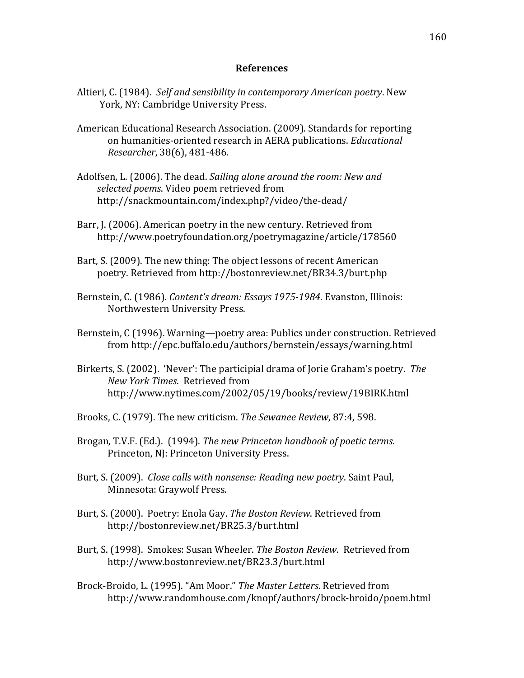## **References**

- Altieri, C. (1984). Self and sensibility in contemporary American poetry. New York, NY: Cambridge University Press.
- American Educational Research Association. (2009). Standards for reporting on humanities-oriented research in AERA publications. *Educational Researcher*, 38(6), 481-486.
- Adolfsen, L. (2006). The dead. *Sailing alone around the room: New and* selected poems. Video poem retrieved from http://snackmountain.com/index.php?/video/the-dead/
- Barr, J. (2006). American poetry in the new century. Retrieved from http://www.poetryfoundation.org/poetrymagazine/article/178560
- Bart, S. (2009). The new thing: The object lessons of recent American poetry. Retrieved from http://bostonreview.net/BR34.3/burt.php
- Bernstein, C. (1986). *Content's dream: Essays 1975-1984*. Evanston, Illinois: Northwestern University Press.
- Bernstein, C (1996). Warning—poetry area: Publics under construction. Retrieved from!http://epc.buffalo.edu/authors/bernstein/essays/warning.html
- Birkerts, S. (2002). 'Never': The participial drama of Jorie Graham's poetry. *The* **New York Times. Retrieved from** http://www.nytimes.com/2002/05/19/books/review/19BIRK.html
- Brooks, C. (1979). The new criticism. *The Sewanee Review*, 87:4, 598.
- Brogan, T.V.F. (Ed.). (1994). *The new Princeton handbook of poetic terms.* Princeton, NJ: Princeton University Press.
- Burt, S. (2009). *Close calls with nonsense: Reading new poetry*. Saint Paul, Minnesota: Graywolf Press.
- Burt, S. (2000). Poetry: Enola Gay. *The Boston Review*. Retrieved from http://bostonreview.net/BR25.3/burt.html
- Burt, S. (1998). Smokes: Susan Wheeler. *The Boston Review*. Retrieved from http://www.bostonreview.net/BR23.3/burt.html
- Brock-Broido, L. (1995). "Am Moor." The Master Letters. Retrieved from http://www.randomhouse.com/knopf/authors/brock-broido/poem.html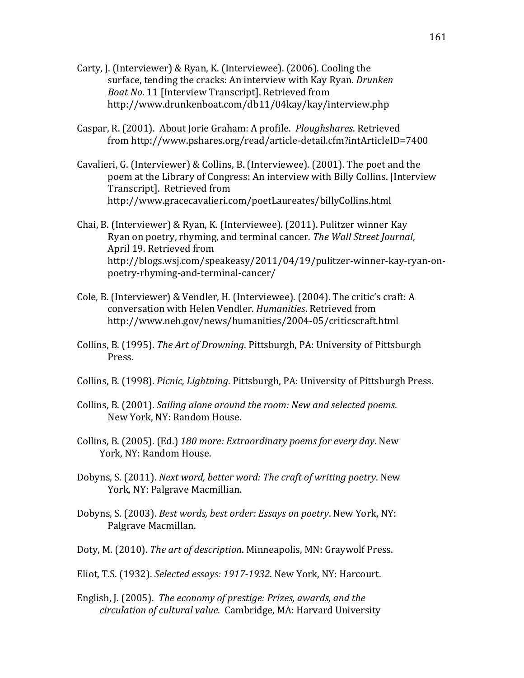- Carty, J. (Interviewer) & Ryan, K. (Interviewee). (2006). Cooling the surface, tending the cracks: An interview with Kay Ryan. *Drunken* Boat No. 11 [Interview Transcript]. Retrieved from http://www.drunkenboat.com/db11/04kay/kay/interview.php
- Caspar, R. (2001). About Jorie Graham: A profile. *Ploughshares*. Retrieved from!http://www.pshares.org/read/article,detail.cfm?intArticleID=7400
- Cavalieri, G. (Interviewer) & Collins, B. (Interviewee). (2001). The poet and the poem at the Library of Congress: An interview with Billy Collins. [Interview] Transcript]. Retrieved from http://www.gracecavalieri.com/poetLaureates/billyCollins.html
- Chai, B. (Interviewer) & Ryan, K. (Interviewee). (2011). Pulitzer winner Kay Ryan on poetry, rhyming, and terminal cancer. *The Wall Street Journal*, April 19. Retrieved from http://blogs.wsj.com/speakeasy/2011/04/19/pulitzer-winner-kay-ryan-onpoetry-rhyming-and-terminal-cancer/
- Cole, B. (Interviewer) & Vendler, H. (Interviewee). (2004). The critic's craft: A conversation with Helen Vendler. *Humanities*. Retrieved from http://www.neh.gov/news/humanities/2004,05/criticscraft.html
- Collins, B. (1995). *The Art of Drowning*. Pittsburgh, PA: University of Pittsburgh Press.
- Collins, B. (1998). *Picnic, Lightning*. Pittsburgh, PA: University of Pittsburgh Press.
- Collins, B. (2001). *Sailing alone around the room: New and selected poems.* New York, NY: Random House.
- Collins, B. (2005). (Ed.) 180 more: Extraordinary poems for every day. New York, NY: Random House.
- Dobyns, S. (2011). *Next word, better word: The craft of writing poetry*. New York, NY: Palgrave Macmillian.
- Dobyns, S. (2003). *Best words, best order: Essays on poetry*. New York, NY: Palgrave Macmillan.
- Doty, M. (2010). *The art of description*. Minneapolis, MN: Graywolf Press.
- Eliot, T.S. (1932). *Selected essays: 1917-1932*. New York, NY: Harcourt.
- English, J. (2005). The economy of prestige: Prizes, awards, and the *&&&&&&&&&&circulation&of&cultural&value*.!!Cambridge,!MA:!Harvard!University!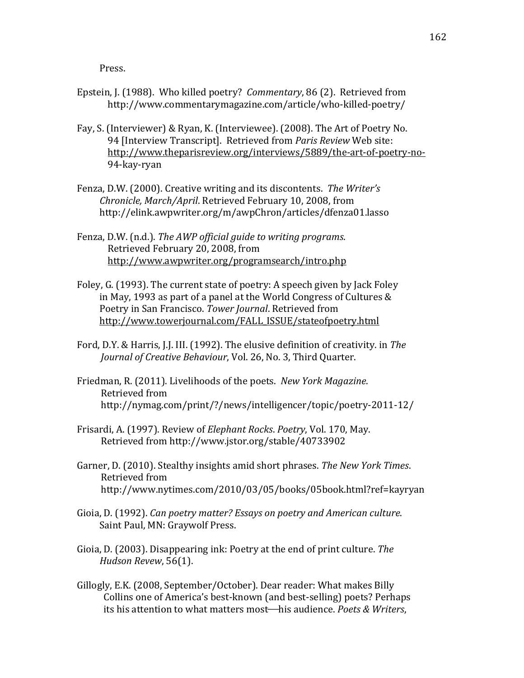Press.

- Epstein, J. (1988). Who killed poetry? *Commentary*, 86 (2). Retrieved from http://www.commentarymagazine.com/article/who-killed-poetry/
- Fay, S. (Interviewer) & Ryan, K. (Interviewee). (2008). The Art of Poetry No. 94 [Interview Transcript]. Retrieved from *Paris Review* Web site: http://www.theparisreview.org/interviews/5889/the-art-of-poetry-no-94-kay-ryan
- Fenza, D.W. (2000). Creative writing and its discontents. The Writer's *Chronicle, March/April. Retrieved February 10, 2008, from* http://elink.awpwriter.org/m/awpChron/articles/dfenza01.lasso
- Fenza, D.W. (n.d.). *The AWP official guide to writing programs.* Retrieved February 20, 2008, from http://www.awpwriter.org/programsearch/intro.php
- Foley, G. (1993). The current state of poetry: A speech given by Jack Foley in May, 1993 as part of a panel at the World Congress of Cultures  $&$ Poetry in San Francisco. Tower Journal. Retrieved from http://www.towerjournal.com/FALL\_ISSUE/stateofpoetry.html
- Ford, D.Y. & Harris, J.J. III. (1992). The elusive definition of creativity. in *The Journal of Creative Behaviour, Vol. 26, No. 3, Third Quarter.*
- Friedman, R. (2011). Livelihoods of the poets. New York Magazine. Retrieved from http://nymag.com/print/?/news/intelligencer/topic/poetry-2011-12/
- Frisardi, A. (1997). Review of *Elephant Rocks. Poetry*, Vol. 170, May. Retrieved from http://www.jstor.org/stable/40733902
- Garner, D. (2010). Stealthy insights amid short phrases. *The New York Times*. Retrieved from http://www.nytimes.com/2010/03/05/books/05book.html?ref=kayryan
- Gioia, D. (1992). *Can poetry matter? Essays on poetry and American culture.* Saint Paul, MN: Graywolf Press.
- Gioia, D. (2003). Disappearing ink: Poetry at the end of print culture. *The Hudson Revew*, 56(1).
- Gillogly, E.K. (2008, September/October). Dear reader: What makes Billy Collins one of America's best-known (and best-selling) poets? Perhaps its his attention to what matters most—his audience. *Poets & Writers*,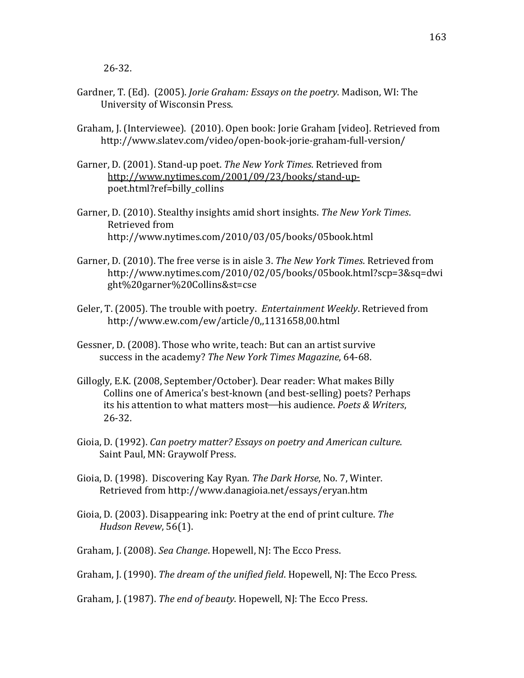- Gardner, T. (Ed). (2005). *Jorie Graham: Essays on the poetry*. Madison, WI: The University of Wisconsin Press.
- Graham, J. (Interviewee). (2010). Open book: Jorie Graham [video]. Retrieved from http://www.slatev.com/video/open-book-jorie-graham-full-version/
- Garner, D. (2001). Stand-up poet. *The New York Times*. Retrieved from http://www.nytimes.com/2001/09/23/books/stand-uppoet.html?ref=billy\_collins
- Garner, D. (2010). Stealthy insights amid short insights. *The New York Times*. Retrieved from http://www.nytimes.com/2010/03/05/books/05book.html
- Garner, D. (2010). The free verse is in aisle 3. *The New York Times*. Retrieved from http://www.nytimes.com/2010/02/05/books/05book.html?scp=3&sq=dwi ght%20garner%20Collins&st=cse
- Geler, T. (2005). The trouble with poetry. *Entertainment Weekly*. Retrieved from http://www.ew.com/ew/article/0,,1131658,00.html
- Gessner, D. (2008). Those who write, teach: But can an artist survive success in the academy? The New York Times Magazine, 64-68.
- Gillogly, E.K. (2008, September/October). Dear reader: What makes Billy Collins one of America's best-known (and best-selling) poets? Perhaps its his attention to what matters most—his audience. *Poets & Writers*, 26-32.
- Gioia, D. (1992). *Can poetry matter? Essays on poetry and American culture.* Saint Paul, MN: Graywolf Press.
- Gioia, D. (1998). Discovering Kay Ryan. The Dark Horse, No. 7, Winter. Retrieved from http://www.danagioia.net/essays/eryan.htm
- Gioia, D. (2003). Disappearing ink: Poetry at the end of print culture. *The Hudson Revew*, 56(1).
- Graham, J. (2008). *Sea Change*. Hopewell, NJ: The Ecco Press.

Graham, J. (1990). *The dream of the unified field*. Hopewell, NJ: The Ecco Press.

Graham, J. (1987). *The end of beauty*. Hopewell, NJ: The Ecco Press.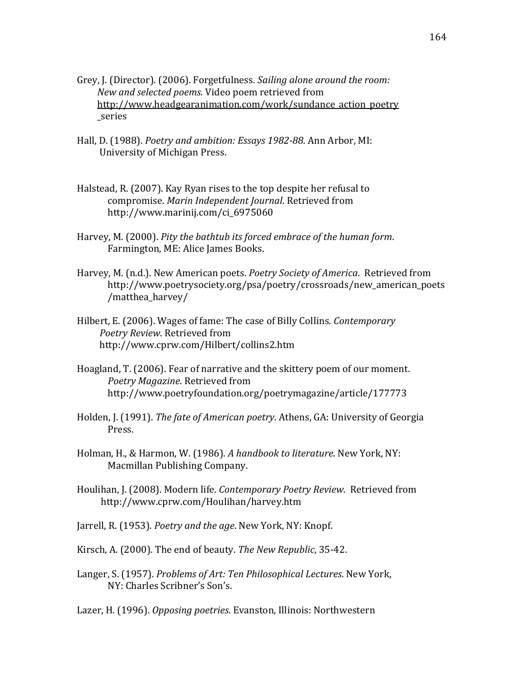- Grey, J. (Director). (2006). Forgetfulness. *Sailing alone around the room: New and selected poems. Video poem retrieved from* http://www.headgearanimation.com/work/sundance action poetry \_series
- Hall, D. (1988). *Poetry and ambition: Essays 1982-88*. Ann Arbor, MI: University of Michigan Press.
- Halstead, R. (2007). Kay Ryan rises to the top despite her refusal to compromise. Marin Independent Journal. Retrieved from http://www.marinij.com/ci\_6975060
- Harvey, M. (2000). *Pity the bathtub its forced embrace of the human form.* Farmington, ME: Alice James Books.
- Harvey, M. (n.d.). New American poets. *Poetry Society of America*. Retrieved from http://www.poetrysociety.org/psa/poetry/crossroads/new\_american\_poets /matthea\_harvey/
- Hilbert, E. (2006). Wages of fame: The case of Billy Collins. *Contemporary* **Poetry Review. Retrieved from** http://www.cprw.com/Hilbert/collins2.htm
- Hoagland, T. (2006). Fear of narrative and the skittery poem of our moment. Poetry Magazine. Retrieved from http://www.poetryfoundation.org/poetrymagazine/article/177773
- Holden, J. (1991). *The fate of American poetry*. Athens, GA: University of Georgia Press.
- Holman, H., & Harmon, W. (1986). *A handbook to literature*. New York, NY: Macmillan Publishing Company.
- Houlihan, J. (2008). Modern life. *Contemporary Poetry Review*. Retrieved from http://www.cprw.com/Houlihan/harvey.htm
- Jarrell, R. (1953). *Poetry and the age*. New York, NY: Knopf.
- Kirsch, A. (2000). The end of beauty. The New Republic, 35-42.
- Langer, S. (1957). *Problems of Art: Ten Philosophical Lectures*. New York, NY: Charles Scribner's Son's.
- Lazer, H. (1996). *Opposing poetries*. Evanston, Illinois: Northwestern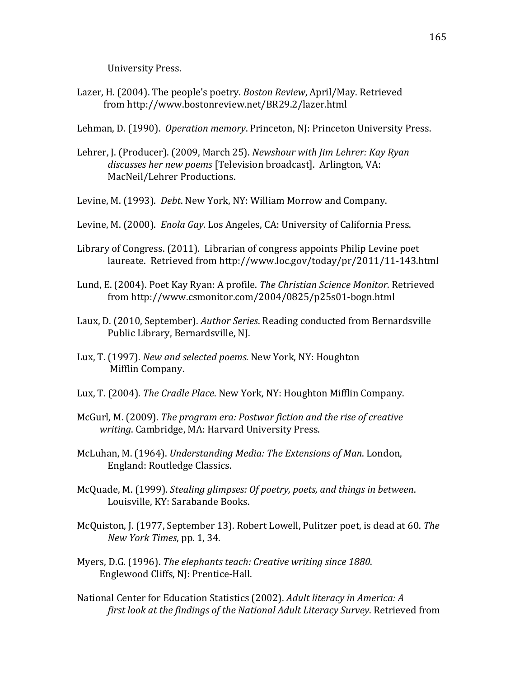University Press.

Lazer, H. (2004). The people's poetry. *Boston Review*, April/May. Retrieved from http://www.bostonreview.net/BR29.2/lazer.html

Lehman, D. (1990). *Operation memory*. Princeton, NJ: Princeton University Press.

- Lehrer, J. (Producer). (2009, March 25). *Newshour with Jim Lehrer: Kay Ryan* discusses her new poems [Television broadcast]. Arlington, VA: MacNeil/Lehrer Productions.
- Levine, M. (1993). *Debt*. New York, NY: William Morrow and Company.
- Levine, M. (2000). *Enola Gay*. Los Angeles, CA: University of California Press.
- Library of Congress. (2011). Librarian of congress appoints Philip Levine poet laureate. Retrieved from http://www.loc.gov/today/pr/2011/11-143.html
- Lund, E. (2004). Poet Kay Ryan: A profile. *The Christian Science Monitor*. Retrieved from http://www.csmonitor.com/2004/0825/p25s01-bogn.html
- Laux, D. (2010, September). *Author Series*. Reading conducted from Bernardsville Public Library, Bernardsville, NJ.
- Lux, T. (1997). *New and selected poems*. New York, NY: Houghton Mifflin Company.
- Lux, T. (2004). *The Cradle Place*. New York, NY: Houghton Mifflin Company.
- McGurl, M. (2009). *The program era: Postwar fiction and the rise of creative writing.* Cambridge, MA: Harvard University Press.
- McLuhan, M. (1964). *Understanding Media: The Extensions of Man*. London, England: Routledge Classics.
- McQuade, M. (1999). *Stealing glimpses: Of poetry, poets, and things in between.* Louisville, KY: Sarabande Books.
- McQuiston, J. (1977, September 13). Robert Lowell, Pulitzer poet, is dead at 60. *The New York Times*, pp. 1, 34.
- Myers, D.G. (1996). *The elephants teach: Creative writing since 1880*. Englewood Cliffs, NJ: Prentice-Hall.
- National Center for Education Statistics (2002). *Adult literacy in America: A first look at the findings of the National Adult Literacy Survey. Retrieved from*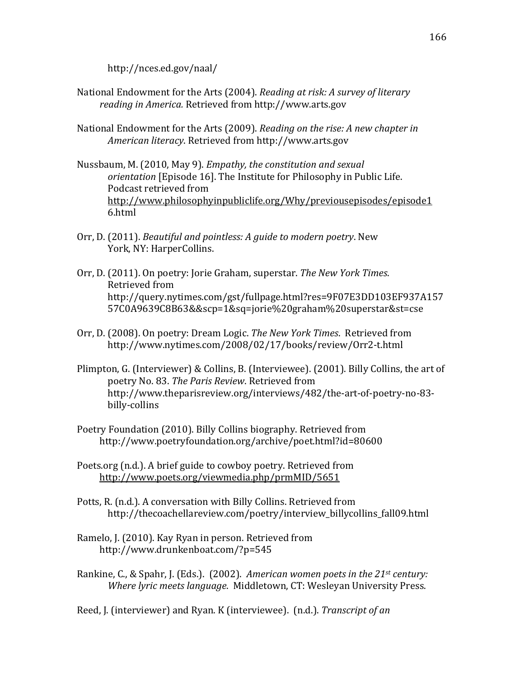http://nces.ed.gov/naal/

- National Endowment for the Arts (2004). *Reading at risk: A survey of literary* reading in America. Retrieved from http://www.arts.gov
- National Endowment for the Arts (2009). *Reading on the rise: A new chapter in American&literacy*.!Retrieved!from!http://www.arts.gov
- Nussbaum, M. (2010, May 9). *Empathy, the constitution and sexual orientation* [Episode 16]. The Institute for Philosophy in Public Life. Podcast retrieved from http://www.philosophyinpubliclife.org/Why/previousepisodes/episode1 6.html
- Orr, D. (2011). *Beautiful and pointless: A guide to modern poetry*. New York, NY: HarperCollins.
- Orr, D. (2011). On poetry: Jorie Graham, superstar. *The New York Times*. Retrieved from http://query.nytimes.com/gst/fullpage.html?res=9F07E3DD103EF937A157 57C0A9639C8B63&&scp=1&sq=jorie%20graham%20superstar&st=cse
- Orr, D. (2008). On poetry: Dream Logic. *The New York Times*. Retrieved from http://www.nytimes.com/2008/02/17/books/review/Orr2-t.html
- Plimpton, G. (Interviewer) & Collins, B. (Interviewee). (2001). Billy Collins, the art of poetry No. 83. The Paris Review. Retrieved from http://www.theparisreview.org/interviews/482/the-art-of-poetry-no-83billy-collins
- Poetry Foundation (2010). Billy Collins biography. Retrieved from http://www.poetryfoundation.org/archive/poet.html?id=80600
- Poets.org (n.d.). A brief guide to cowboy poetry. Retrieved from http://www.poets.org/viewmedia.php/prmMID/5651
- Potts, R. (n.d.). A conversation with Billy Collins. Retrieved from http://thecoachellareview.com/poetry/interview\_billycollins\_fall09.html
- Ramelo, J. (2010). Kay Ryan in person. Retrieved from http://www.drunkenboat.com/?p=545
- Rankine, C., & Spahr, J. (Eds.). (2002). *American women poets in the 21st century: Where lyric meets language. Middletown, CT: Wesleyan University Press.*
- Reed, J. (interviewer) and Ryan. K (interviewee). (n.d.). *Transcript of an*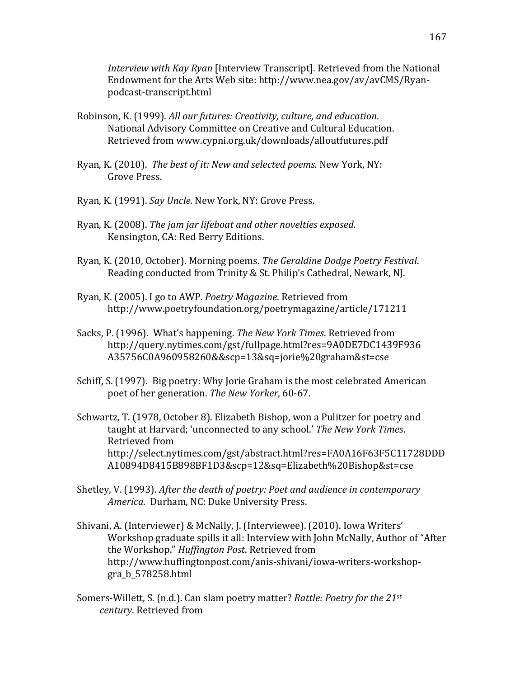*Interview with Kay Ryan* [Interview Transcript]. Retrieved from the National Endowment for the Arts Web site: http://www.nea.gov/av/avCMS/Ryanpodcast-transcript.html

- Robinson, K. (1999). *All our futures: Creativity, culture, and education*. National Advisory Committee on Creative and Cultural Education. Retrieved from www.cypni.org.uk/downloads/alloutfutures.pdf
- Ryan, K. (2010). The best of it: New and selected poems. New York, NY: Grove Press.
- Ryan, K. (1991). *Say Uncle*. New York, NY: Grove Press.
- Ryan, K. (2008). *The jam jar lifeboat and other novelties exposed.* Kensington, CA: Red Berry Editions.
- Ryan, K. (2010, October). Morning poems. *The Geraldine Dodge Poetry Festival*. Reading conducted from Trinity & St. Philip's Cathedral, Newark, NJ.
- Ryan, K. (2005). I go to AWP. *Poetry Magazine*. Retrieved from http://www.poetryfoundation.org/poetrymagazine/article/171211
- Sacks, P. (1996). What's happening. The New York Times. Retrieved from http://query.nytimes.com/gst/fullpage.html?res=9A0DE7DC1439F936 A35756C0A960958260&&scp=13&sq=jorie%20graham&st=cse
- Schiff, S. (1997). Big poetry: Why Jorie Graham is the most celebrated American poet of her generation. The New Yorker, 60-67.
- Schwartz, T. (1978, October 8). Elizabeth Bishop, won a Pulitzer for poetry and taught at Harvard; 'unconnected to any school.' The New York Times. Retrieved from http://select.nytimes.com/gst/abstract.html?res=FA0A16F63F5C11728DDD A10894D8415B898BF1D3&scp=12&sq=Elizabeth%20Bishop&st=cse
- Shetley, V. (1993). *After the death of poetry: Poet and audience in contemporary America.* Durham, NC: Duke University Press.
- Shivani, A. (Interviewer) & McNally, J. (Interviewee). (2010). Iowa Writers' Workshop graduate spills it all: Interview with John McNally, Author of "After" the Workshop." *Huffington Post*. Retrieved from http://www.huffingtonpost.com/anis-shivani/iowa-writers-workshopgra\_b\_578258.html
- Somers-Willett, S. (n.d.). Can slam poetry matter? *Rattle: Poetry for the 21st century*. Retrieved from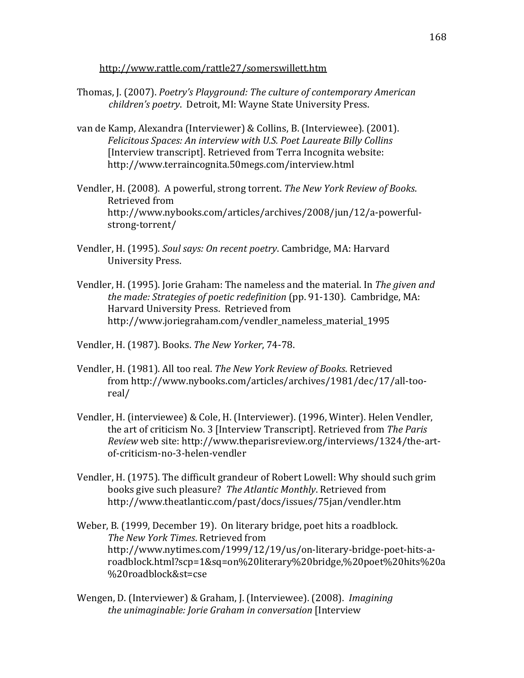http://www.rattle.com/rattle27/somerswillett.htm

- Thomas, J. (2007). *Poetry's Playground: The culture of contemporary American children's poetry. Detroit, MI: Wayne State University Press.*
- van de Kamp, Alexandra (Interviewer) & Collins, B. (Interviewee). (2001). Felicitous Spaces: An interview with U.S. Poet Laureate Billy Collins [Interview transcript]. Retrieved from Terra Incognita website: http://www.terraincognita.50megs.com/interview.html
- Vendler, H. (2008). A powerful, strong torrent. The New York Review of Books. Retrieved from http://www.nybooks.com/articles/archives/2008/jun/12/a-powerfulstrong-torrent/
- Vendler, H. (1995). *Soul says: On recent poetry*. Cambridge, MA: Harvard University Press.
- Vendler, H. (1995). Jorie Graham: The nameless and the material. In *The given and the made: Strategies of poetic redefinition* (pp. 91-130). Cambridge, MA: Harvard University Press. Retrieved from http://www.joriegraham.com/vendler\_nameless\_material\_1995
- Vendler, H. (1987). Books. *The New Yorker*, 74-78.
- Vendler, H. (1981). All too real. *The New York Review of Books*. Retrieved from http://www.nybooks.com/articles/archives/1981/dec/17/all-tooreal/
- Vendler, H. (interviewee) & Cole, H. (Interviewer). (1996, Winter). Helen Vendler, the art of criticism No. 3 [Interview Transcript]. Retrieved from *The Paris Review* web site: http://www.theparisreview.org/interviews/1324/the-artof-criticism-no-3-helen-vendler
- Vendler, H. (1975). The difficult grandeur of Robert Lowell: Why should such grim books give such pleasure? The Atlantic Monthly. Retrieved from http://www.theatlantic.com/past/docs/issues/75jan/vendler.htm
- Weber, B. (1999, December 19). On literary bridge, poet hits a roadblock. *The New York Times. Retrieved from* http://www.nytimes.com/1999/12/19/us/on-literary-bridge-poet-hits-aroadblock.html?scp=1&sq=on%20literary%20bridge,%20poet%20hits%20a %20roadblock&st=cse
- Wengen, D. (Interviewer) & Graham, J. (Interviewee). (2008). *Imagining the unimaginable: Jorie Graham in conversation* [Interview